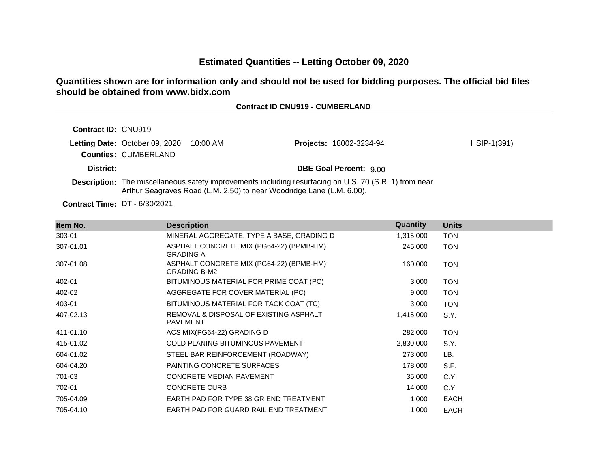# **Estimated Quantities -- Letting October 09, 2020**

# **Quantities shown are for information only and should not be used for bidding purposes. The official bid files should be obtained from www.bidx.com**

# **Contract ID CNU919 - CUMBERLAND**

| <b>Contract ID: CNU919</b>                                           |                                                                       |                                                                                                               |               |
|----------------------------------------------------------------------|-----------------------------------------------------------------------|---------------------------------------------------------------------------------------------------------------|---------------|
| <b>Letting Date: October 09, 2020</b><br><b>Counties: CUMBERLAND</b> | 10:00 AM                                                              | <b>Projects: 18002-3234-94</b>                                                                                | $HSIP-1(391)$ |
| District:                                                            |                                                                       | <b>DBE Goal Percent: 9.00</b>                                                                                 |               |
|                                                                      | Arthur Seagraves Road (L.M. 2.50) to near Woodridge Lane (L.M. 6.00). | <b>Description:</b> The miscellaneous safety improvements including resurfacing on U.S. 70 (S.R. 1) from near |               |

**Contract Time:** DT - 6/30/2021

| Item No.  | <b>Description</b>                                              | Quantity  | <b>Units</b> |
|-----------|-----------------------------------------------------------------|-----------|--------------|
| 303-01    | MINERAL AGGREGATE, TYPE A BASE, GRADING D                       | 1,315.000 | <b>TON</b>   |
| 307-01.01 | ASPHALT CONCRETE MIX (PG64-22) (BPMB-HM)<br><b>GRADING A</b>    | 245.000   | <b>TON</b>   |
| 307-01.08 | ASPHALT CONCRETE MIX (PG64-22) (BPMB-HM)<br><b>GRADING B-M2</b> | 160.000   | <b>TON</b>   |
| 402-01    | BITUMINOUS MATERIAL FOR PRIME COAT (PC)                         | 3.000     | <b>TON</b>   |
| 402-02    | AGGREGATE FOR COVER MATERIAL (PC)                               | 9.000     | <b>TON</b>   |
| 403-01    | BITUMINOUS MATERIAL FOR TACK COAT (TC)                          | 3.000     | <b>TON</b>   |
| 407-02.13 | REMOVAL & DISPOSAL OF EXISTING ASPHALT<br><b>PAVEMENT</b>       | 1,415.000 | S.Y.         |
| 411-01.10 | ACS MIX(PG64-22) GRADING D                                      | 282.000   | <b>TON</b>   |
| 415-01.02 | COLD PLANING BITUMINOUS PAVEMENT                                | 2,830.000 | S.Y.         |
| 604-01.02 | STEEL BAR REINFORCEMENT (ROADWAY)                               | 273.000   | LB.          |
| 604-04.20 | PAINTING CONCRETE SURFACES                                      | 178.000   | S.F.         |
| 701-03    | <b>CONCRETE MEDIAN PAVEMENT</b>                                 | 35.000    | C.Y.         |
| 702-01    | <b>CONCRETE CURB</b>                                            | 14.000    | C.Y.         |
| 705-04.09 | EARTH PAD FOR TYPE 38 GR END TREATMENT                          | 1.000     | EACH         |
| 705-04.10 | EARTH PAD FOR GUARD RAIL END TREATMENT                          | 1.000     | <b>EACH</b>  |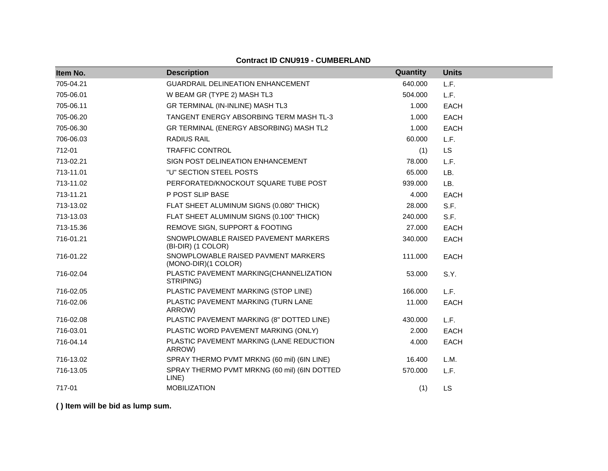| Item No.  | <b>Description</b>                                         | Quantity | <b>Units</b> |
|-----------|------------------------------------------------------------|----------|--------------|
| 705-04.21 | GUARDRAIL DELINEATION ENHANCEMENT                          | 640.000  | L.F.         |
| 705-06.01 | W BEAM GR (TYPE 2) MASH TL3                                | 504.000  | L.F.         |
| 705-06.11 | GR TERMINAL (IN-INLINE) MASH TL3                           | 1.000    | <b>EACH</b>  |
| 705-06.20 | TANGENT ENERGY ABSORBING TERM MASH TL-3                    | 1.000    | <b>EACH</b>  |
| 705-06.30 | GR TERMINAL (ENERGY ABSORBING) MASH TL2                    | 1.000    | <b>EACH</b>  |
| 706-06.03 | <b>RADIUS RAIL</b>                                         | 60.000   | L.F.         |
| 712-01    | <b>TRAFFIC CONTROL</b>                                     | (1)      | <b>LS</b>    |
| 713-02.21 | SIGN POST DELINEATION ENHANCEMENT                          | 78.000   | L.F.         |
| 713-11.01 | "U" SECTION STEEL POSTS                                    | 65.000   | LB.          |
| 713-11.02 | PERFORATED/KNOCKOUT SQUARE TUBE POST                       | 939.000  | LB.          |
| 713-11.21 | P POST SLIP BASE                                           | 4.000    | <b>EACH</b>  |
| 713-13.02 | FLAT SHEET ALUMINUM SIGNS (0.080" THICK)                   | 28.000   | S.F.         |
| 713-13.03 | FLAT SHEET ALUMINUM SIGNS (0.100" THICK)                   | 240.000  | S.F.         |
| 713-15.36 | REMOVE SIGN, SUPPORT & FOOTING                             | 27.000   | <b>EACH</b>  |
| 716-01.21 | SNOWPLOWABLE RAISED PAVEMENT MARKERS<br>(BI-DIR) (1 COLOR) | 340.000  | <b>EACH</b>  |
| 716-01.22 | SNOWPLOWABLE RAISED PAVMENT MARKERS<br>(MONO-DIR)(1 COLOR) | 111.000  | <b>EACH</b>  |
| 716-02.04 | PLASTIC PAVEMENT MARKING(CHANNELIZATION<br>STRIPING)       | 53.000   | S.Y.         |
| 716-02.05 | PLASTIC PAVEMENT MARKING (STOP LINE)                       | 166,000  | L.F.         |
| 716-02.06 | PLASTIC PAVEMENT MARKING (TURN LANE<br>ARROW)              | 11.000   | <b>EACH</b>  |
| 716-02.08 | PLASTIC PAVEMENT MARKING (8" DOTTED LINE)                  | 430.000  | L.F.         |
| 716-03.01 | PLASTIC WORD PAVEMENT MARKING (ONLY)                       | 2.000    | <b>EACH</b>  |
| 716-04.14 | PLASTIC PAVEMENT MARKING (LANE REDUCTION<br>ARROW)         | 4.000    | <b>EACH</b>  |
| 716-13.02 | SPRAY THERMO PVMT MRKNG (60 mil) (6IN LINE)                | 16.400   | L.M.         |
| 716-13.05 | SPRAY THERMO PVMT MRKNG (60 mil) (6IN DOTTED<br>LINE)      | 570.000  | L.F.         |
| 717-01    | <b>MOBILIZATION</b>                                        | (1)      | <b>LS</b>    |

# **Contract ID CNU919 - CUMBERLAND**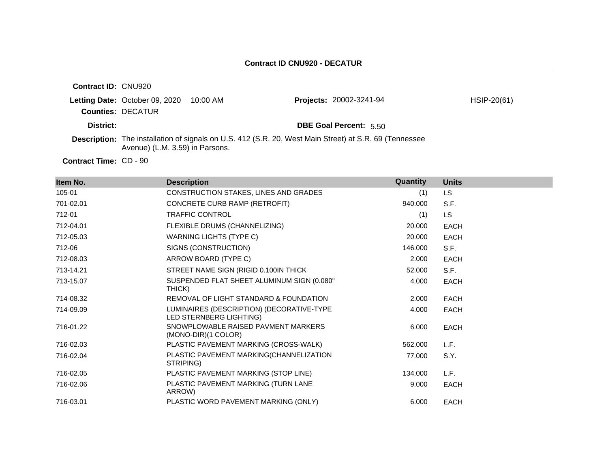| <b>Contract ID: CNU920</b>    |                                       |          |                                                                                                               |             |
|-------------------------------|---------------------------------------|----------|---------------------------------------------------------------------------------------------------------------|-------------|
|                               | <b>Letting Date: October 09, 2020</b> | 10:00 AM | <b>Projects: 20002-3241-94</b>                                                                                | HSIP-20(61) |
|                               | <b>Counties: DECATUR</b>              |          |                                                                                                               |             |
| District:                     |                                       |          | <b>DBE Goal Percent: 5.50</b>                                                                                 |             |
|                               | Avenue) (L.M. 3.59) in Parsons.       |          | <b>Description:</b> The installation of signals on U.S. 412 (S.R. 20, West Main Street) at S.R. 69 (Tennessee |             |
| <b>Contract Time: CD - 90</b> |                                       |          |                                                                                                               |             |

**Item No. Description Quantity Units** 105-01 CONSTRUCTION STAKES, LINES AND GRADES (1) LS 701-02.01 CONCRETE CURB RAMP (RETROFIT) 940.000 S.F. 712-01 TRAFFIC CONTROL (1) LS 712-04.01 FLEXIBLE DRUMS (CHANNELIZING) 20.000 EACH 712-05.03 WARNING LIGHTS (TYPE C) 20.000 EACH 712-06 SIGNS (CONSTRUCTION) 146.000 S.F. 712-08.03 ARROW BOARD (TYPE C) 2.000 EACH 713-14.21 STREET NAME SIGN (RIGID 0.100IN THICK 52.000 S.F. 713-15.07 SUSPENDED FLAT SHEET ALUMINUM SIGN (0.080" THICK) 4.000 EACH 714-08.32 REMOVAL OF LIGHT STANDARD & FOUNDATION 2.000 EACH 714-09.09 LUMINAIRES (DESCRIPTION) (DECORATIVE-TYPE LED STERNBERG LIGHTING) 4.000 EACH 716-01.22 SNOWPLOWABLE RAISED PAVMENT MARKERS (MONO-DIR)(1 COLOR) 6.000 EACH 716-02.03 PLASTIC PAVEMENT MARKING (CROSS-WALK) 562.000 L.F. 716-02.04 PLASTIC PAVEMENT MARKING(CHANNELIZATION STRIPING) 77.000 S.Y. 716-02.05 PLASTIC PAVEMENT MARKING (STOP LINE) 134.000 L.F. 716-02.06 PLASTIC PAVEMENT MARKING (TURN LANE ARROW) 9.000 EACH 716-03.01 PLASTIC WORD PAVEMENT MARKING (ONLY) 6.000 EACH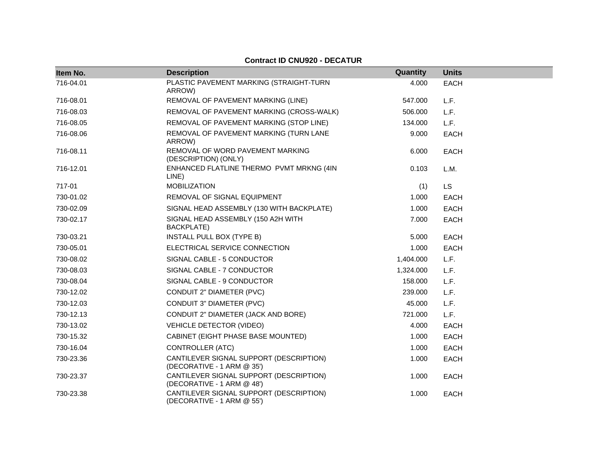| Item No.  | <b>Description</b>                                                    | Quantity  | <b>Units</b> |
|-----------|-----------------------------------------------------------------------|-----------|--------------|
| 716-04.01 | PLASTIC PAVEMENT MARKING (STRAIGHT-TURN<br>ARROW)                     | 4.000     | <b>EACH</b>  |
| 716-08.01 | REMOVAL OF PAVEMENT MARKING (LINE)                                    | 547.000   | L.F.         |
| 716-08.03 | REMOVAL OF PAVEMENT MARKING (CROSS-WALK)                              | 506.000   | L.F.         |
| 716-08.05 | REMOVAL OF PAVEMENT MARKING (STOP LINE)                               | 134.000   | L.F.         |
| 716-08.06 | REMOVAL OF PAVEMENT MARKING (TURN LANE<br>ARROW)                      | 9.000     | <b>EACH</b>  |
| 716-08.11 | REMOVAL OF WORD PAVEMENT MARKING<br>(DESCRIPTION) (ONLY)              | 6.000     | <b>EACH</b>  |
| 716-12.01 | ENHANCED FLATLINE THERMO PVMT MRKNG (4IN<br>LINE)                     | 0.103     | L.M.         |
| 717-01    | <b>MOBILIZATION</b>                                                   | (1)       | LS.          |
| 730-01.02 | REMOVAL OF SIGNAL EQUIPMENT                                           | 1.000     | <b>EACH</b>  |
| 730-02.09 | SIGNAL HEAD ASSEMBLY (130 WITH BACKPLATE)                             | 1.000     | <b>EACH</b>  |
| 730-02.17 | SIGNAL HEAD ASSEMBLY (150 A2H WITH<br>BACKPLATE)                      | 7.000     | <b>EACH</b>  |
| 730-03.21 | INSTALL PULL BOX (TYPE B)                                             | 5.000     | <b>EACH</b>  |
| 730-05.01 | ELECTRICAL SERVICE CONNECTION                                         | 1.000     | <b>EACH</b>  |
| 730-08.02 | SIGNAL CABLE - 5 CONDUCTOR                                            | 1,404.000 | L.F.         |
| 730-08.03 | SIGNAL CABLE - 7 CONDUCTOR                                            | 1,324.000 | L.F.         |
| 730-08.04 | SIGNAL CABLE - 9 CONDUCTOR                                            | 158.000   | L.F.         |
| 730-12.02 | CONDUIT 2" DIAMETER (PVC)                                             | 239.000   | L.F.         |
| 730-12.03 | CONDUIT 3" DIAMETER (PVC)                                             | 45.000    | L.F.         |
| 730-12.13 | CONDUIT 2" DIAMETER (JACK AND BORE)                                   | 721.000   | L.F.         |
| 730-13.02 | <b>VEHICLE DETECTOR (VIDEO)</b>                                       | 4.000     | <b>EACH</b>  |
| 730-15.32 | CABINET (EIGHT PHASE BASE MOUNTED)                                    | 1.000     | <b>EACH</b>  |
| 730-16.04 | <b>CONTROLLER (ATC)</b>                                               | 1.000     | <b>EACH</b>  |
| 730-23.36 | CANTILEVER SIGNAL SUPPORT (DESCRIPTION)<br>(DECORATIVE - 1 ARM @ 35') | 1.000     | <b>EACH</b>  |
| 730-23.37 | CANTILEVER SIGNAL SUPPORT (DESCRIPTION)<br>(DECORATIVE - 1 ARM @ 48') | 1.000     | <b>EACH</b>  |
| 730-23.38 | CANTILEVER SIGNAL SUPPORT (DESCRIPTION)<br>(DECORATIVE - 1 ARM @ 55') | 1.000     | <b>EACH</b>  |

# **Contract ID CNU920 - DECATUR**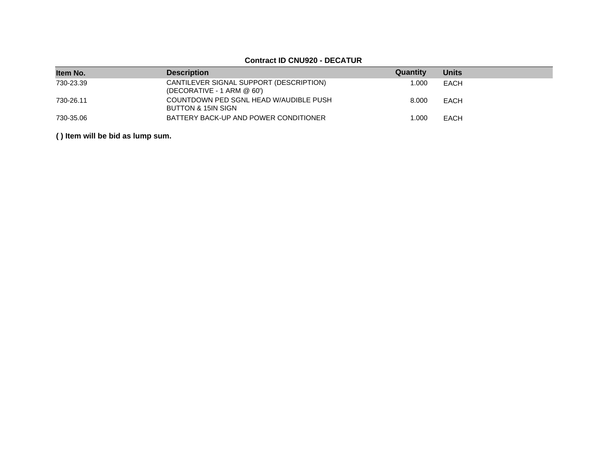# **Contract ID CNU920 - DECATUR**

| Item No.  | <b>Description</b>                                                      | Quantity | <b>Units</b> |
|-----------|-------------------------------------------------------------------------|----------|--------------|
| 730-23.39 | CANTILEVER SIGNAL SUPPORT (DESCRIPTION)<br>(DECORATIVE - 1 ARM $@$ 60') | 1.000    | EACH         |
| 730-26.11 | COUNTDOWN PED SGNL HEAD W/AUDIBLE PUSH<br>BUTTON & 15IN SIGN            | 8.000    | EACH         |
| 730-35.06 | BATTERY BACK-UP AND POWER CONDITIONER                                   | 1.000    | EACH         |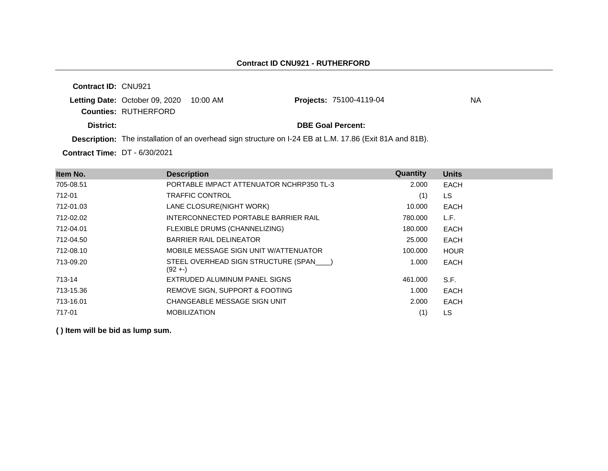**Contract ID:** CNU921 **Letting Date: October 09, 2020 10:00 AM Counties:** RUTHERFORD **District: District: DBE Goal Percent: Contract Time:** DT - 6/30/2021 **Description:** The installation of an overhead sign structure on I-24 EB at L.M. 17.86 (Exit 81A and 81B). **Projects: 75100-4119-04 MA** 

| Item No.  | <b>Description</b>                                  | Quantity | <b>Units</b> |
|-----------|-----------------------------------------------------|----------|--------------|
| 705-08.51 | PORTABLE IMPACT ATTENUATOR NCHRP350 TL-3            | 2.000    | <b>EACH</b>  |
| 712-01    | <b>TRAFFIC CONTROL</b>                              | (1)      | LS.          |
| 712-01.03 | LANE CLOSURE(NIGHT WORK)                            | 10.000   | EACH         |
| 712-02.02 | INTERCONNECTED PORTABLE BARRIER RAIL                | 780.000  | L.F.         |
| 712-04.01 | FLEXIBLE DRUMS (CHANNELIZING)                       | 180,000  | <b>EACH</b>  |
| 712-04.50 | <b>BARRIER RAIL DELINEATOR</b>                      | 25,000   | EACH         |
| 712-08.10 | MOBILE MESSAGE SIGN UNIT W/ATTENUATOR               | 100.000  | <b>HOUR</b>  |
| 713-09.20 | STEEL OVERHEAD SIGN STRUCTURE (SPAN )<br>$(92 + -)$ | 1.000    | <b>EACH</b>  |
| 713-14    | EXTRUDED ALUMINUM PANEL SIGNS                       | 461.000  | S.F.         |
| 713-15.36 | REMOVE SIGN, SUPPORT & FOOTING                      | 1.000    | <b>EACH</b>  |
| 713-16.01 | CHANGEABLE MESSAGE SIGN UNIT                        | 2.000    | <b>EACH</b>  |
| 717-01    | <b>MOBILIZATION</b>                                 | (1)      | LS           |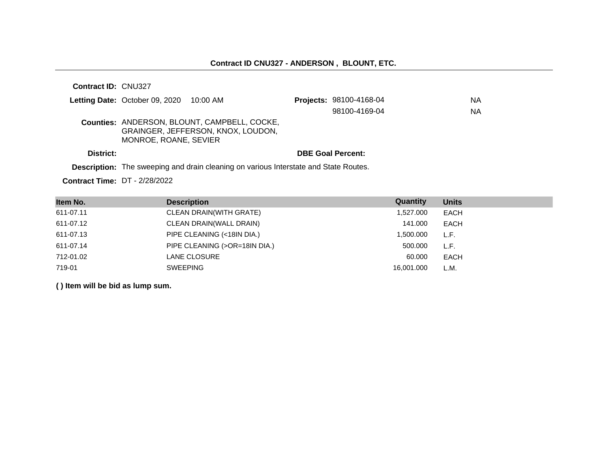| Contract ID: CNU327                              |                       |                                                                                           |                          |           |
|--------------------------------------------------|-----------------------|-------------------------------------------------------------------------------------------|--------------------------|-----------|
| <b>Letting Date:</b> October 09, 2020 $10:00$ AM |                       |                                                                                           | Projects: 98100-4168-04  | ΝA        |
|                                                  |                       |                                                                                           | 98100-4169-04            | <b>NA</b> |
|                                                  | MONROE, ROANE, SEVIER | <b>Counties: ANDERSON, BLOUNT, CAMPBELL, COCKE,</b><br>GRAINGER, JEFFERSON, KNOX, LOUDON, |                          |           |
| District:                                        |                       |                                                                                           | <b>DBE Goal Percent:</b> |           |
|                                                  |                       |                                                                                           |                          |           |

**Description:** The sweeping and drain cleaning on various Interstate and State Routes.

**Contract Time:** DT - 2/28/2022

| Item No.  | <b>Description</b>            | Quantity   | <b>Units</b> |
|-----------|-------------------------------|------------|--------------|
| 611-07.11 | CLEAN DRAIN(WITH GRATE)       | 1,527.000  | EACH         |
| 611-07.12 | CLEAN DRAIN(WALL DRAIN)       | 141.000    | EACH         |
| 611-07.13 | PIPE CLEANING (<18IN DIA.)    | 1,500.000  | L.F.         |
| 611-07.14 | PIPE CLEANING (>OR=18IN DIA.) | 500,000    | L.F.         |
| 712-01.02 | LANE CLOSURE                  | 60,000     | <b>EACH</b>  |
| 719-01    | <b>SWEEPING</b>               | 16.001.000 | L.M.         |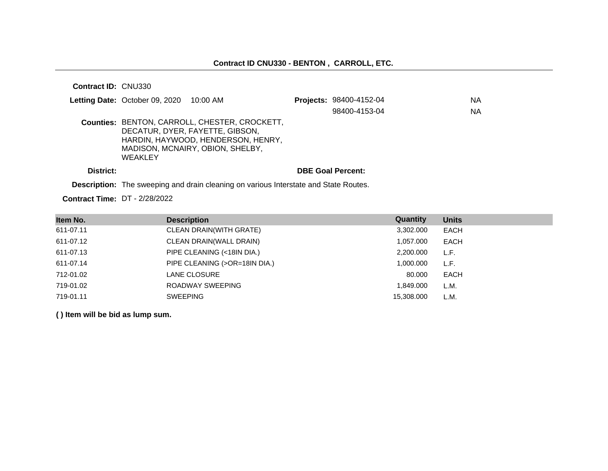**Contract ID:** CNU330

|           | <b>Letting Date:</b> October 09, 2020 $10:00$ AM |                                                                                                                                                            | Projects: 98400-4152-04  | NA.       |
|-----------|--------------------------------------------------|------------------------------------------------------------------------------------------------------------------------------------------------------------|--------------------------|-----------|
|           |                                                  |                                                                                                                                                            | 98400-4153-04            | <b>NA</b> |
|           | <b>WEAKLEY</b>                                   | Counties: BENTON, CARROLL, CHESTER, CROCKETT,<br>DECATUR, DYER, FAYETTE, GIBSON,<br>HARDIN, HAYWOOD, HENDERSON, HENRY.<br>MADISON, MCNAIRY, OBION, SHELBY, |                          |           |
| District: |                                                  |                                                                                                                                                            | <b>DBE Goal Percent:</b> |           |

**Description:** The sweeping and drain cleaning on various Interstate and State Routes.

**Contract Time:** DT - 2/28/2022

| Item No.  | <b>Description</b>             | Quantity   | <b>Units</b> |
|-----------|--------------------------------|------------|--------------|
| 611-07.11 | <b>CLEAN DRAIN(WITH GRATE)</b> | 3,302.000  | <b>EACH</b>  |
| 611-07.12 | CLEAN DRAIN(WALL DRAIN)        | 1,057.000  | EACH         |
| 611-07.13 | PIPE CLEANING (<18IN DIA.)     | 2,200.000  | L.F.         |
| 611-07.14 | PIPE CLEANING (>OR=18IN DIA.)  | 1,000.000  | L.F.         |
| 712-01.02 | LANE CLOSURE                   | 80.000     | EACH         |
| 719-01.02 | ROADWAY SWEEPING               | 1.849.000  | L.M.         |
| 719-01.11 | <b>SWEEPING</b>                | 15,308.000 | L.M.         |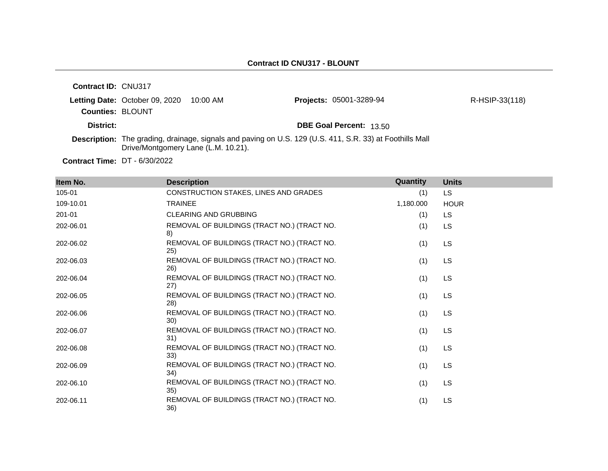| Contract ID: CNU317     |                                         |                                     |                                                                                                          |                |
|-------------------------|-----------------------------------------|-------------------------------------|----------------------------------------------------------------------------------------------------------|----------------|
|                         | Letting Date: October 09, 2020 10:00 AM |                                     | <b>Projects: 05001-3289-94</b>                                                                           | R-HSIP-33(118) |
| <b>Counties: BLOUNT</b> |                                         |                                     |                                                                                                          |                |
| District:               |                                         |                                     | <b>DBE Goal Percent: 13.50</b>                                                                           |                |
|                         |                                         | Drive/Montgomery Lane (L.M. 10.21). | Description: The grading, drainage, signals and paving on U.S. 129 (U.S. 411, S.R. 33) at Foothills Mall |                |

**Contract Time:** DT - 6/30/2022

| Item No.  | <b>Description</b>                                  | Quantity  | <b>Units</b> |
|-----------|-----------------------------------------------------|-----------|--------------|
| 105-01    | CONSTRUCTION STAKES, LINES AND GRADES               | (1)       | <b>LS</b>    |
| 109-10.01 | <b>TRAINEE</b>                                      | 1,180.000 | <b>HOUR</b>  |
| 201-01    | <b>CLEARING AND GRUBBING</b>                        | (1)       | <b>LS</b>    |
| 202-06.01 | REMOVAL OF BUILDINGS (TRACT NO.) (TRACT NO.<br>8)   | (1)       | <b>LS</b>    |
| 202-06.02 | REMOVAL OF BUILDINGS (TRACT NO.) (TRACT NO.<br>25)  | (1)       | <b>LS</b>    |
| 202-06.03 | REMOVAL OF BUILDINGS (TRACT NO.) (TRACT NO.<br>26)  | (1)       | <b>LS</b>    |
| 202-06.04 | REMOVAL OF BUILDINGS (TRACT NO.) (TRACT NO.<br>(27) | (1)       | LS.          |
| 202-06.05 | REMOVAL OF BUILDINGS (TRACT NO.) (TRACT NO.<br>28)  | (1)       | LS.          |
| 202-06.06 | REMOVAL OF BUILDINGS (TRACT NO.) (TRACT NO.<br>30)  | (1)       | <b>LS</b>    |
| 202-06.07 | REMOVAL OF BUILDINGS (TRACT NO.) (TRACT NO.<br>31)  | (1)       | LS.          |
| 202-06.08 | REMOVAL OF BUILDINGS (TRACT NO.) (TRACT NO.<br>33)  | (1)       | LS.          |
| 202-06.09 | REMOVAL OF BUILDINGS (TRACT NO.) (TRACT NO.<br>34)  | (1)       | LS.          |
| 202-06.10 | REMOVAL OF BUILDINGS (TRACT NO.) (TRACT NO.<br>35)  | (1)       | <b>LS</b>    |
| 202-06.11 | REMOVAL OF BUILDINGS (TRACT NO.) (TRACT NO.<br>36)  | (1)       | <b>LS</b>    |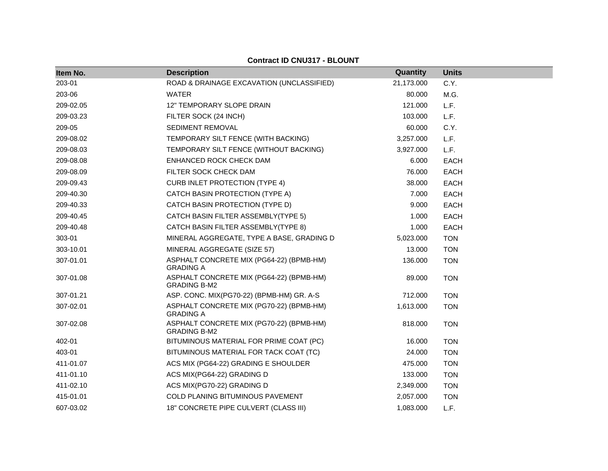| Item No.  | <b>Description</b>                                              | Quantity   | <b>Units</b> |
|-----------|-----------------------------------------------------------------|------------|--------------|
| 203-01    | ROAD & DRAINAGE EXCAVATION (UNCLASSIFIED)                       | 21,173.000 | C.Y.         |
| 203-06    | <b>WATER</b>                                                    | 80.000     | M.G.         |
| 209-02.05 | 12" TEMPORARY SLOPE DRAIN                                       | 121.000    | L.F.         |
| 209-03.23 | FILTER SOCK (24 INCH)                                           | 103.000    | L.F.         |
| 209-05    | SEDIMENT REMOVAL                                                | 60.000     | C.Y.         |
| 209-08.02 | TEMPORARY SILT FENCE (WITH BACKING)                             | 3,257.000  | L.F.         |
| 209-08.03 | TEMPORARY SILT FENCE (WITHOUT BACKING)                          | 3,927.000  | L.F.         |
| 209-08.08 | ENHANCED ROCK CHECK DAM                                         | 6.000      | <b>EACH</b>  |
| 209-08.09 | FILTER SOCK CHECK DAM                                           | 76.000     | <b>EACH</b>  |
| 209-09.43 | <b>CURB INLET PROTECTION (TYPE 4)</b>                           | 38.000     | <b>EACH</b>  |
| 209-40.30 | CATCH BASIN PROTECTION (TYPE A)                                 | 7.000      | <b>EACH</b>  |
| 209-40.33 | CATCH BASIN PROTECTION (TYPE D)                                 | 9.000      | <b>EACH</b>  |
| 209-40.45 | CATCH BASIN FILTER ASSEMBLY(TYPE 5)                             | 1.000      | <b>EACH</b>  |
| 209-40.48 | CATCH BASIN FILTER ASSEMBLY(TYPE 8)                             | 1.000      | <b>EACH</b>  |
| 303-01    | MINERAL AGGREGATE, TYPE A BASE, GRADING D                       | 5,023.000  | <b>TON</b>   |
| 303-10.01 | MINERAL AGGREGATE (SIZE 57)                                     | 13.000     | <b>TON</b>   |
| 307-01.01 | ASPHALT CONCRETE MIX (PG64-22) (BPMB-HM)<br><b>GRADING A</b>    | 136.000    | <b>TON</b>   |
| 307-01.08 | ASPHALT CONCRETE MIX (PG64-22) (BPMB-HM)<br><b>GRADING B-M2</b> | 89.000     | <b>TON</b>   |
| 307-01.21 | ASP. CONC. MIX(PG70-22) (BPMB-HM) GR. A-S                       | 712.000    | <b>TON</b>   |
| 307-02.01 | ASPHALT CONCRETE MIX (PG70-22) (BPMB-HM)<br><b>GRADING A</b>    | 1,613.000  | <b>TON</b>   |
| 307-02.08 | ASPHALT CONCRETE MIX (PG70-22) (BPMB-HM)<br><b>GRADING B-M2</b> | 818.000    | <b>TON</b>   |
| 402-01    | BITUMINOUS MATERIAL FOR PRIME COAT (PC)                         | 16.000     | <b>TON</b>   |
| 403-01    | BITUMINOUS MATERIAL FOR TACK COAT (TC)                          | 24.000     | <b>TON</b>   |
| 411-01.07 | ACS MIX (PG64-22) GRADING E SHOULDER                            | 475.000    | <b>TON</b>   |
| 411-01.10 | ACS MIX(PG64-22) GRADING D                                      | 133.000    | <b>TON</b>   |
| 411-02.10 | ACS MIX(PG70-22) GRADING D                                      | 2,349.000  | <b>TON</b>   |
| 415-01.01 | <b>COLD PLANING BITUMINOUS PAVEMENT</b>                         | 2,057.000  | <b>TON</b>   |
| 607-03.02 | 18" CONCRETE PIPE CULVERT (CLASS III)                           | 1,083.000  | L.F.         |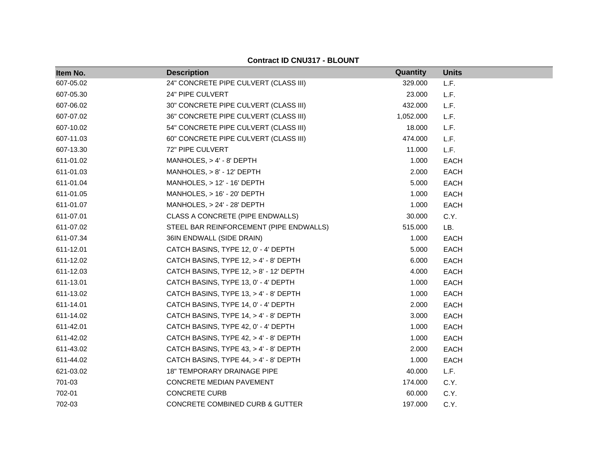| Item No.  | <b>Description</b>                         | Quantity  | <b>Units</b> |
|-----------|--------------------------------------------|-----------|--------------|
| 607-05.02 | 24" CONCRETE PIPE CULVERT (CLASS III)      | 329.000   | L.F.         |
| 607-05.30 | 24" PIPE CULVERT                           | 23.000    | L.F.         |
| 607-06.02 | 30" CONCRETE PIPE CULVERT (CLASS III)      | 432.000   | L.F.         |
| 607-07.02 | 36" CONCRETE PIPE CULVERT (CLASS III)      | 1,052.000 | L.F.         |
| 607-10.02 | 54" CONCRETE PIPE CULVERT (CLASS III)      | 18.000    | L.F.         |
| 607-11.03 | 60" CONCRETE PIPE CULVERT (CLASS III)      | 474.000   | L.F.         |
| 607-13.30 | 72" PIPE CULVERT                           | 11.000    | L.F.         |
| 611-01.02 | MANHOLES, $> 4' - 8'$ DEPTH                | 1.000     | <b>EACH</b>  |
| 611-01.03 | MANHOLES, > 8' - 12' DEPTH                 | 2.000     | <b>EACH</b>  |
| 611-01.04 | MANHOLES, $> 12'$ - 16' DEPTH              | 5.000     | <b>EACH</b>  |
| 611-01.05 | MANHOLES, > 16' - 20' DEPTH                | 1.000     | <b>EACH</b>  |
| 611-01.07 | $MANHOLES, > 24' - 28' DEPTH$              | 1.000     | <b>EACH</b>  |
| 611-07.01 | CLASS A CONCRETE (PIPE ENDWALLS)           | 30.000    | C.Y.         |
| 611-07.02 | STEEL BAR REINFORCEMENT (PIPE ENDWALLS)    | 515.000   | LB.          |
| 611-07.34 | 36IN ENDWALL (SIDE DRAIN)                  | 1.000     | <b>EACH</b>  |
| 611-12.01 | CATCH BASINS, TYPE 12, 0' - 4' DEPTH       | 5.000     | <b>EACH</b>  |
| 611-12.02 | CATCH BASINS, TYPE 12, > 4' - 8' DEPTH     | 6.000     | <b>EACH</b>  |
| 611-12.03 | CATCH BASINS, TYPE 12, > 8' - 12' DEPTH    | 4.000     | <b>EACH</b>  |
| 611-13.01 | CATCH BASINS, TYPE 13, 0' - 4' DEPTH       | 1.000     | <b>EACH</b>  |
| 611-13.02 | CATCH BASINS, TYPE 13, > 4' - 8' DEPTH     | 1.000     | <b>EACH</b>  |
| 611-14.01 | CATCH BASINS, TYPE 14, 0' - 4' DEPTH       | 2.000     | <b>EACH</b>  |
| 611-14.02 | CATCH BASINS, TYPE 14, > 4' - 8' DEPTH     | 3.000     | <b>EACH</b>  |
| 611-42.01 | CATCH BASINS, TYPE 42, 0' - 4' DEPTH       | 1.000     | <b>EACH</b>  |
| 611-42.02 | CATCH BASINS, TYPE 42, > 4' - 8' DEPTH     | 1.000     | <b>EACH</b>  |
| 611-43.02 | CATCH BASINS, TYPE 43, > 4' - 8' DEPTH     | 2.000     | <b>EACH</b>  |
| 611-44.02 | CATCH BASINS, TYPE 44, > 4' - 8' DEPTH     | 1.000     | <b>EACH</b>  |
| 621-03.02 | 18" TEMPORARY DRAINAGE PIPE                | 40.000    | L.F.         |
| 701-03    | <b>CONCRETE MEDIAN PAVEMENT</b>            | 174.000   | C.Y.         |
| 702-01    | <b>CONCRETE CURB</b>                       | 60.000    | C.Y.         |
| 702-03    | <b>CONCRETE COMBINED CURB &amp; GUTTER</b> | 197.000   | C.Y.         |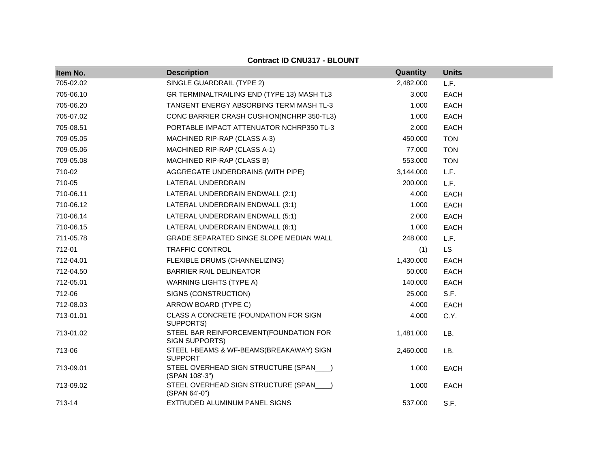| Item No.  | <b>Description</b>                                         | Quantity  | <b>Units</b> |
|-----------|------------------------------------------------------------|-----------|--------------|
| 705-02.02 | SINGLE GUARDRAIL (TYPE 2)                                  | 2,482.000 | L.F.         |
| 705-06.10 | GR TERMINALTRAILING END (TYPE 13) MASH TL3                 | 3.000     | <b>EACH</b>  |
| 705-06.20 | TANGENT ENERGY ABSORBING TERM MASH TL-3                    | 1.000     | <b>EACH</b>  |
| 705-07.02 | CONC BARRIER CRASH CUSHION(NCHRP 350-TL3)                  | 1.000     | <b>EACH</b>  |
| 705-08.51 | PORTABLE IMPACT ATTENUATOR NCHRP350 TL-3                   | 2.000     | <b>EACH</b>  |
| 709-05.05 | MACHINED RIP-RAP (CLASS A-3)                               | 450.000   | <b>TON</b>   |
| 709-05.06 | MACHINED RIP-RAP (CLASS A-1)                               | 77.000    | <b>TON</b>   |
| 709-05.08 | MACHINED RIP-RAP (CLASS B)                                 | 553.000   | <b>TON</b>   |
| 710-02    | AGGREGATE UNDERDRAINS (WITH PIPE)                          | 3,144.000 | L.F.         |
| 710-05    | LATERAL UNDERDRAIN                                         | 200.000   | L.F.         |
| 710-06.11 | LATERAL UNDERDRAIN ENDWALL (2:1)                           | 4.000     | <b>EACH</b>  |
| 710-06.12 | LATERAL UNDERDRAIN ENDWALL (3:1)                           | 1.000     | <b>EACH</b>  |
| 710-06.14 | LATERAL UNDERDRAIN ENDWALL (5:1)                           | 2.000     | <b>EACH</b>  |
| 710-06.15 | LATERAL UNDERDRAIN ENDWALL (6:1)                           | 1.000     | <b>EACH</b>  |
| 711-05.78 | <b>GRADE SEPARATED SINGE SLOPE MEDIAN WALL</b>             | 248.000   | L.F.         |
| 712-01    | <b>TRAFFIC CONTROL</b>                                     | (1)       | <b>LS</b>    |
| 712-04.01 | FLEXIBLE DRUMS (CHANNELIZING)                              | 1,430.000 | <b>EACH</b>  |
| 712-04.50 | <b>BARRIER RAIL DELINEATOR</b>                             | 50.000    | <b>EACH</b>  |
| 712-05.01 | <b>WARNING LIGHTS (TYPE A)</b>                             | 140.000   | <b>EACH</b>  |
| 712-06    | SIGNS (CONSTRUCTION)                                       | 25.000    | S.F.         |
| 712-08.03 | ARROW BOARD (TYPE C)                                       | 4.000     | <b>EACH</b>  |
| 713-01.01 | CLASS A CONCRETE (FOUNDATION FOR SIGN<br>SUPPORTS)         | 4.000     | C.Y.         |
| 713-01.02 | STEEL BAR REINFORCEMENT(FOUNDATION FOR<br>SIGN SUPPORTS)   | 1,481.000 | LB.          |
| 713-06    | STEEL I-BEAMS & WF-BEAMS(BREAKAWAY) SIGN<br><b>SUPPORT</b> | 2,460.000 | LB.          |
| 713-09.01 | STEEL OVERHEAD SIGN STRUCTURE (SPAN___)<br>(SPAN 108'-3")  | 1.000     | <b>EACH</b>  |
| 713-09.02 | STEEL OVERHEAD SIGN STRUCTURE (SPAN___)<br>(SPAN 64'-0")   | 1.000     | <b>EACH</b>  |
| 713-14    | EXTRUDED ALUMINUM PANEL SIGNS                              | 537.000   | S.F.         |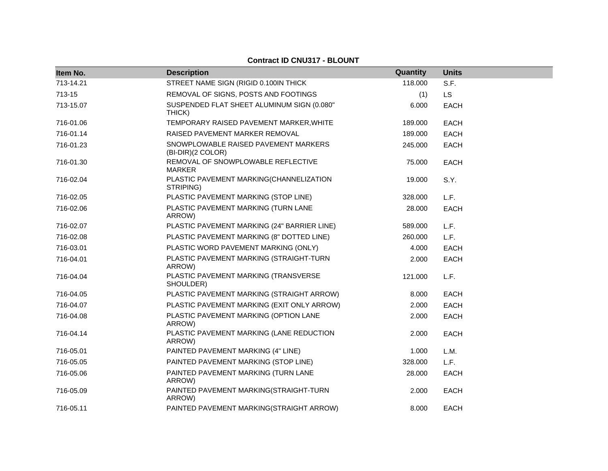| Item No.  | <b>Description</b>                                        | Quantity | <b>Units</b> |
|-----------|-----------------------------------------------------------|----------|--------------|
| 713-14.21 | STREET NAME SIGN (RIGID 0.100IN THICK                     | 118.000  | S.F.         |
| 713-15    | REMOVAL OF SIGNS, POSTS AND FOOTINGS                      | (1)      | LS           |
| 713-15.07 | SUSPENDED FLAT SHEET ALUMINUM SIGN (0.080"<br>THICK)      | 6.000    | EACH         |
| 716-01.06 | TEMPORARY RAISED PAVEMENT MARKER, WHITE                   | 189.000  | EACH         |
| 716-01.14 | RAISED PAVEMENT MARKER REMOVAL                            | 189.000  | <b>EACH</b>  |
| 716-01.23 | SNOWPLOWABLE RAISED PAVEMENT MARKERS<br>(BI-DIR)(2 COLOR) | 245.000  | <b>EACH</b>  |
| 716-01.30 | REMOVAL OF SNOWPLOWABLE REFLECTIVE<br><b>MARKER</b>       | 75.000   | <b>EACH</b>  |
| 716-02.04 | PLASTIC PAVEMENT MARKING(CHANNELIZATION<br>STRIPING)      | 19.000   | S.Y.         |
| 716-02.05 | PLASTIC PAVEMENT MARKING (STOP LINE)                      | 328,000  | L.F.         |
| 716-02.06 | PLASTIC PAVEMENT MARKING (TURN LANE<br>ARROW)             | 28.000   | <b>EACH</b>  |
| 716-02.07 | PLASTIC PAVEMENT MARKING (24" BARRIER LINE)               | 589.000  | L.F.         |
| 716-02.08 | PLASTIC PAVEMENT MARKING (8" DOTTED LINE)                 | 260.000  | L.F.         |
| 716-03.01 | PLASTIC WORD PAVEMENT MARKING (ONLY)                      | 4.000    | <b>EACH</b>  |
| 716-04.01 | PLASTIC PAVEMENT MARKING (STRAIGHT-TURN<br>ARROW)         | 2.000    | <b>EACH</b>  |
| 716-04.04 | PLASTIC PAVEMENT MARKING (TRANSVERSE<br>SHOULDER)         | 121.000  | L.F.         |
| 716-04.05 | PLASTIC PAVEMENT MARKING (STRAIGHT ARROW)                 | 8.000    | EACH         |
| 716-04.07 | PLASTIC PAVEMENT MARKING (EXIT ONLY ARROW)                | 2.000    | EACH         |
| 716-04.08 | PLASTIC PAVEMENT MARKING (OPTION LANE<br>ARROW)           | 2.000    | <b>EACH</b>  |
| 716-04.14 | PLASTIC PAVEMENT MARKING (LANE REDUCTION<br>ARROW)        | 2.000    | EACH         |
| 716-05.01 | PAINTED PAVEMENT MARKING (4" LINE)                        | 1.000    | L.M.         |
| 716-05.05 | PAINTED PAVEMENT MARKING (STOP LINE)                      | 328.000  | L.F.         |
| 716-05.06 | PAINTED PAVEMENT MARKING (TURN LANE<br>ARROW)             | 28.000   | <b>EACH</b>  |
| 716-05.09 | PAINTED PAVEMENT MARKING(STRAIGHT-TURN<br>ARROW)          | 2.000    | <b>EACH</b>  |
| 716-05.11 | PAINTED PAVEMENT MARKING(STRAIGHT ARROW)                  | 8.000    | <b>EACH</b>  |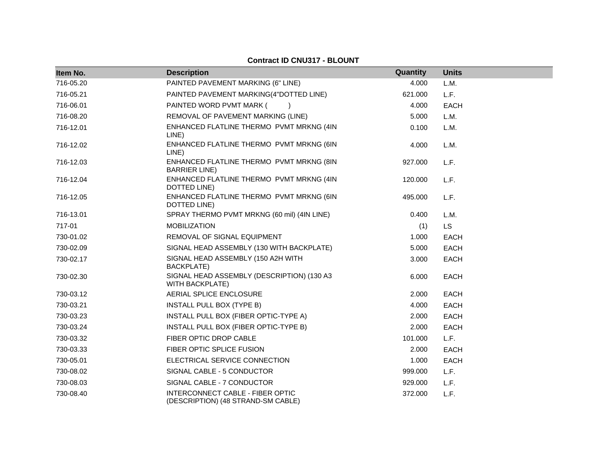| Item No.  | <b>Description</b>                                                     | Quantity | <b>Units</b> |
|-----------|------------------------------------------------------------------------|----------|--------------|
| 716-05.20 | PAINTED PAVEMENT MARKING (6" LINE)                                     | 4.000    | L.M.         |
| 716-05.21 | PAINTED PAVEMENT MARKING(4"DOTTED LINE)                                | 621.000  | L.F.         |
| 716-06.01 | PAINTED WORD PVMT MARK (<br>$\rightarrow$                              | 4.000    | <b>EACH</b>  |
| 716-08.20 | REMOVAL OF PAVEMENT MARKING (LINE)                                     | 5.000    | L.M.         |
| 716-12.01 | ENHANCED FLATLINE THERMO PVMT MRKNG (4IN<br>LINE)                      | 0.100    | L.M.         |
| 716-12.02 | ENHANCED FLATLINE THERMO PVMT MRKNG (6IN<br>LINE)                      | 4.000    | L.M.         |
| 716-12.03 | ENHANCED FLATLINE THERMO PVMT MRKNG (8IN<br><b>BARRIER LINE)</b>       | 927.000  | L.F.         |
| 716-12.04 | ENHANCED FLATLINE THERMO PVMT MRKNG (4IN<br>DOTTED LINE)               | 120.000  | L.F.         |
| 716-12.05 | ENHANCED FLATLINE THERMO PVMT MRKNG (6IN<br>DOTTED LINE)               | 495.000  | L.F.         |
| 716-13.01 | SPRAY THERMO PVMT MRKNG (60 mil) (4IN LINE)                            | 0.400    | L.M.         |
| 717-01    | <b>MOBILIZATION</b>                                                    | (1)      | <b>LS</b>    |
| 730-01.02 | REMOVAL OF SIGNAL EQUIPMENT                                            | 1.000    | <b>EACH</b>  |
| 730-02.09 | SIGNAL HEAD ASSEMBLY (130 WITH BACKPLATE)                              | 5.000    | <b>EACH</b>  |
| 730-02.17 | SIGNAL HEAD ASSEMBLY (150 A2H WITH<br>BACKPLATE)                       | 3.000    | <b>EACH</b>  |
| 730-02.30 | SIGNAL HEAD ASSEMBLY (DESCRIPTION) (130 A3<br><b>WITH BACKPLATE)</b>   | 6.000    | <b>EACH</b>  |
| 730-03.12 | AERIAL SPLICE ENCLOSURE                                                | 2.000    | <b>EACH</b>  |
| 730-03.21 | INSTALL PULL BOX (TYPE B)                                              | 4.000    | <b>EACH</b>  |
| 730-03.23 | INSTALL PULL BOX (FIBER OPTIC-TYPE A)                                  | 2.000    | <b>EACH</b>  |
| 730-03.24 | INSTALL PULL BOX (FIBER OPTIC-TYPE B)                                  | 2.000    | EACH         |
| 730-03.32 | FIBER OPTIC DROP CABLE                                                 | 101.000  | L.F.         |
| 730-03.33 | FIBER OPTIC SPLICE FUSION                                              | 2.000    | EACH         |
| 730-05.01 | ELECTRICAL SERVICE CONNECTION                                          | 1.000    | <b>EACH</b>  |
| 730-08.02 | SIGNAL CABLE - 5 CONDUCTOR                                             | 999.000  | L.F.         |
| 730-08.03 | SIGNAL CABLE - 7 CONDUCTOR                                             | 929.000  | L.F.         |
| 730-08.40 | INTERCONNECT CABLE - FIBER OPTIC<br>(DESCRIPTION) (48 STRAND-SM CABLE) | 372.000  | L.F.         |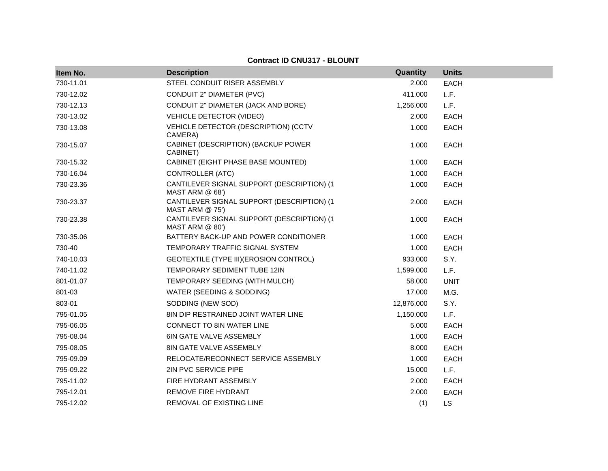| Item No.  | <b>Description</b>                                              | Quantity   | <b>Units</b> |
|-----------|-----------------------------------------------------------------|------------|--------------|
| 730-11.01 | STEEL CONDUIT RISER ASSEMBLY                                    | 2.000      | <b>EACH</b>  |
| 730-12.02 | CONDUIT 2" DIAMETER (PVC)                                       | 411.000    | L.F.         |
| 730-12.13 | CONDUIT 2" DIAMETER (JACK AND BORE)                             | 1,256.000  | L.F.         |
| 730-13.02 | <b>VEHICLE DETECTOR (VIDEO)</b>                                 | 2.000      | <b>EACH</b>  |
| 730-13.08 | VEHICLE DETECTOR (DESCRIPTION) (CCTV<br>CAMERA)                 | 1.000      | <b>EACH</b>  |
| 730-15.07 | CABINET (DESCRIPTION) (BACKUP POWER<br>CABINET)                 | 1.000      | <b>EACH</b>  |
| 730-15.32 | CABINET (EIGHT PHASE BASE MOUNTED)                              | 1.000      | <b>EACH</b>  |
| 730-16.04 | CONTROLLER (ATC)                                                | 1.000      | <b>EACH</b>  |
| 730-23.36 | CANTILEVER SIGNAL SUPPORT (DESCRIPTION) (1<br>MAST ARM $@68'$ ) | 1.000      | <b>EACH</b>  |
| 730-23.37 | CANTILEVER SIGNAL SUPPORT (DESCRIPTION) (1<br>MAST ARM $@$ 75') | 2.000      | <b>EACH</b>  |
| 730-23.38 | CANTILEVER SIGNAL SUPPORT (DESCRIPTION) (1<br>MAST ARM @ 80')   | 1.000      | <b>EACH</b>  |
| 730-35.06 | BATTERY BACK-UP AND POWER CONDITIONER                           | 1.000      | <b>EACH</b>  |
| 730-40    | TEMPORARY TRAFFIC SIGNAL SYSTEM                                 | 1.000      | <b>EACH</b>  |
| 740-10.03 | GEOTEXTILE (TYPE III) (EROSION CONTROL)                         | 933.000    | S.Y.         |
| 740-11.02 | TEMPORARY SEDIMENT TUBE 12IN                                    | 1,599.000  | L.F.         |
| 801-01.07 | TEMPORARY SEEDING (WITH MULCH)                                  | 58.000     | <b>UNIT</b>  |
| 801-03    | WATER (SEEDING & SODDING)                                       | 17.000     | M.G.         |
| 803-01    | SODDING (NEW SOD)                                               | 12,876.000 | S.Y.         |
| 795-01.05 | 8IN DIP RESTRAINED JOINT WATER LINE                             | 1,150.000  | L.F.         |
| 795-06.05 | <b>CONNECT TO 8IN WATER LINE</b>                                | 5.000      | <b>EACH</b>  |
| 795-08.04 | 6IN GATE VALVE ASSEMBLY                                         | 1.000      | <b>EACH</b>  |
| 795-08.05 | 8IN GATE VALVE ASSEMBLY                                         | 8.000      | <b>EACH</b>  |
| 795-09.09 | RELOCATE/RECONNECT SERVICE ASSEMBLY                             | 1.000      | <b>EACH</b>  |
| 795-09.22 | 2IN PVC SERVICE PIPE                                            | 15.000     | L.F.         |
| 795-11.02 | FIRE HYDRANT ASSEMBLY                                           | 2.000      | <b>EACH</b>  |
| 795-12.01 | REMOVE FIRE HYDRANT                                             | 2.000      | <b>EACH</b>  |
| 795-12.02 | REMOVAL OF EXISTING LINE                                        | (1)        | <b>LS</b>    |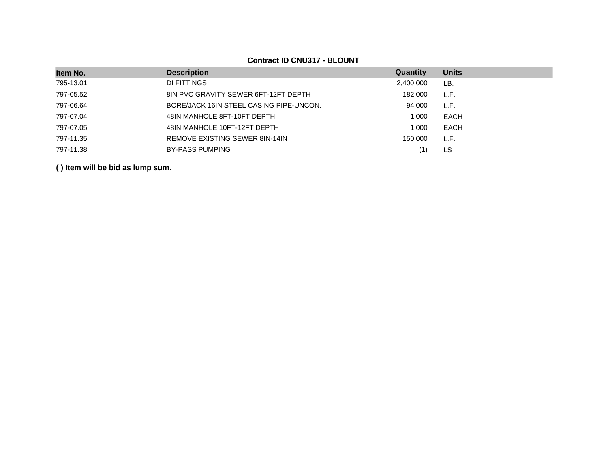| Item No.  | <b>Description</b>                      | Quantity  | <b>Units</b> |
|-----------|-----------------------------------------|-----------|--------------|
| 795-13.01 | DI FITTINGS                             | 2,400.000 | LB.          |
| 797-05.52 | 8IN PVC GRAVITY SEWER 6FT-12FT DEPTH    | 182.000   | L.F.         |
| 797-06.64 | BORE/JACK 16IN STEEL CASING PIPE-UNCON. | 94.000    | L.F.         |
| 797-07.04 | 48IN MANHOLE 8FT-10FT DEPTH             | 1.000     | <b>EACH</b>  |
| 797-07.05 | 48IN MANHOLE 10FT-12FT DEPTH            | 1.000     | EACH         |
| 797-11.35 | REMOVE EXISTING SEWER 8IN-14IN          | 150.000   | L.F.         |
| 797-11.38 | <b>BY-PASS PUMPING</b>                  |           | LS           |
|           |                                         |           |              |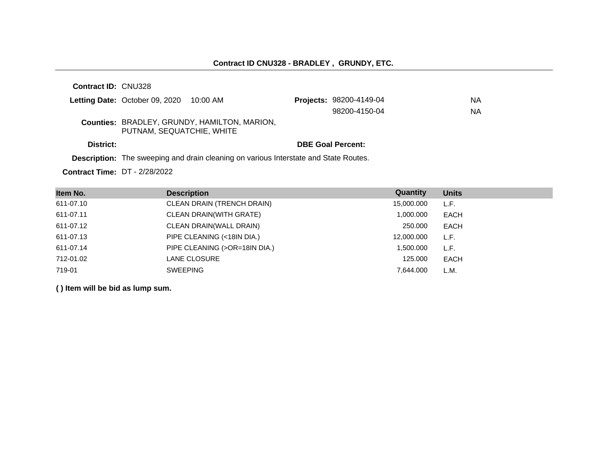| <b>Contract ID: CNU328</b> |                                         |                                                                                             |                                |    |
|----------------------------|-----------------------------------------|---------------------------------------------------------------------------------------------|--------------------------------|----|
|                            | Letting Date: October 09, 2020 10:00 AM |                                                                                             | <b>Projects: 98200-4149-04</b> | ΝA |
|                            |                                         |                                                                                             | 98200-4150-04                  | ΝA |
|                            | PUTNAM, SEQUATCHIE, WHITE               | <b>Counties: BRADLEY, GRUNDY, HAMILTON, MARION,</b>                                         |                                |    |
| District:                  |                                         |                                                                                             | <b>DBE Goal Percent:</b>       |    |
|                            |                                         | <b>Description:</b> The sweeping and drain cleaning on various Interstate and State Routes. |                                |    |

**Contract Time:** DT - 2/28/2022

| Item No.  | <b>Description</b>             | Quantity   | <b>Units</b> |
|-----------|--------------------------------|------------|--------------|
| 611-07.10 | CLEAN DRAIN (TRENCH DRAIN)     | 15,000.000 | L.F.         |
| 611-07.11 | <b>CLEAN DRAIN(WITH GRATE)</b> | 1,000.000  | EACH         |
| 611-07.12 | CLEAN DRAIN(WALL DRAIN)        | 250,000    | EACH         |
| 611-07.13 | PIPE CLEANING (<18IN DIA.)     | 12,000.000 | L.F.         |
| 611-07.14 | PIPE CLEANING (>OR=18IN DIA.)  | 1,500.000  | L.F.         |
| 712-01.02 | <b>LANE CLOSURE</b>            | 125,000    | EACH         |
| 719-01    | <b>SWEEPING</b>                | 7.644.000  | L.M.         |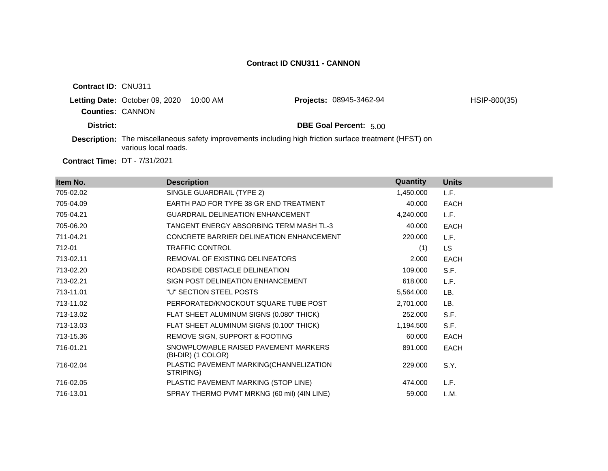| <b>Contract ID: CNU311</b> |                                |          |                                                                                                               |              |
|----------------------------|--------------------------------|----------|---------------------------------------------------------------------------------------------------------------|--------------|
| <b>Counties: CANNON</b>    | Letting Date: October 09, 2020 | 10:00 AM | <b>Projects: 08945-3462-94</b>                                                                                | HSIP-800(35) |
| District:                  |                                |          | <b>DBE Goal Percent: 5.00</b>                                                                                 |              |
|                            | various local roads.           |          | <b>Description:</b> The miscellaneous safety improvements including high friction surface treatment (HFST) on |              |
|                            |                                |          |                                                                                                               |              |

**Contract Time:** DT - 7/31/2021

| Item No.  | <b>Description</b>                                         | Quantity  | <b>Units</b> |
|-----------|------------------------------------------------------------|-----------|--------------|
| 705-02.02 | SINGLE GUARDRAIL (TYPE 2)                                  | 1,450.000 | L.F.         |
| 705-04.09 | EARTH PAD FOR TYPE 38 GR END TREATMENT                     | 40.000    | <b>EACH</b>  |
| 705-04.21 | <b>GUARDRAIL DELINEATION ENHANCEMENT</b>                   | 4,240.000 | L.F.         |
| 705-06.20 | TANGENT ENERGY ABSORBING TERM MASH TL-3                    | 40.000    | <b>EACH</b>  |
| 711-04.21 | CONCRETE BARRIER DELINEATION ENHANCEMENT                   | 220.000   | L.F.         |
| 712-01    | <b>TRAFFIC CONTROL</b>                                     | (1)       | LS.          |
| 713-02.11 | REMOVAL OF EXISTING DELINEATORS                            | 2.000     | <b>EACH</b>  |
| 713-02.20 | ROADSIDE OBSTACLE DELINEATION                              | 109.000   | S.F.         |
| 713-02.21 | SIGN POST DELINEATION ENHANCEMENT                          | 618,000   | L.F.         |
| 713-11.01 | "U" SECTION STEEL POSTS                                    | 5,564.000 | LB.          |
| 713-11.02 | PERFORATED/KNOCKOUT SQUARE TUBE POST                       | 2,701.000 | LB.          |
| 713-13.02 | FLAT SHEET ALUMINUM SIGNS (0.080" THICK)                   | 252.000   | S.F.         |
| 713-13.03 | FLAT SHEET ALUMINUM SIGNS (0.100" THICK)                   | 1,194.500 | S.F.         |
| 713-15.36 | REMOVE SIGN, SUPPORT & FOOTING                             | 60.000    | <b>EACH</b>  |
| 716-01.21 | SNOWPLOWABLE RAISED PAVEMENT MARKERS<br>(BI-DIR) (1 COLOR) | 891.000   | <b>EACH</b>  |
| 716-02.04 | PLASTIC PAVEMENT MARKING(CHANNELIZATION<br>STRIPING)       | 229.000   | S.Y.         |
| 716-02.05 | PLASTIC PAVEMENT MARKING (STOP LINE)                       | 474.000   | L.F.         |
| 716-13.01 | SPRAY THERMO PVMT MRKNG (60 mil) (4IN LINE)                | 59.000    | L.M.         |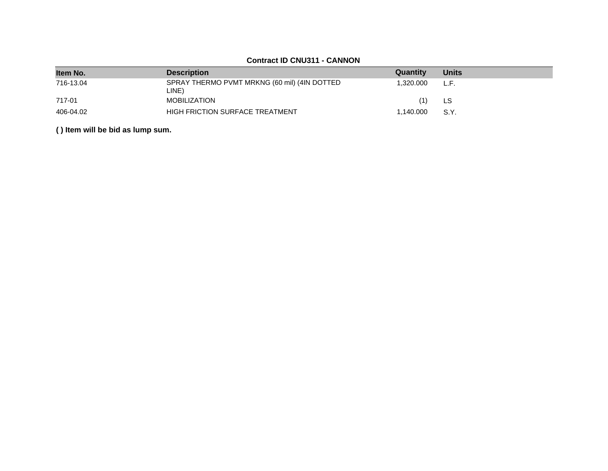# **Contract ID CNU311 - CANNON**

| Item No.  | <b>Description</b>                                    | Quantity  | <b>Units</b> |
|-----------|-------------------------------------------------------|-----------|--------------|
| 716-13.04 | SPRAY THERMO PVMT MRKNG (60 mil) (4IN DOTTED<br>LINE) | 1.320.000 | L.F.         |
| 717-01    | <b>MOBILIZATION</b>                                   | (1)       | LS           |
| 406-04.02 | <b>HIGH FRICTION SURFACE TREATMENT</b>                | 1.140.000 | S.Y.         |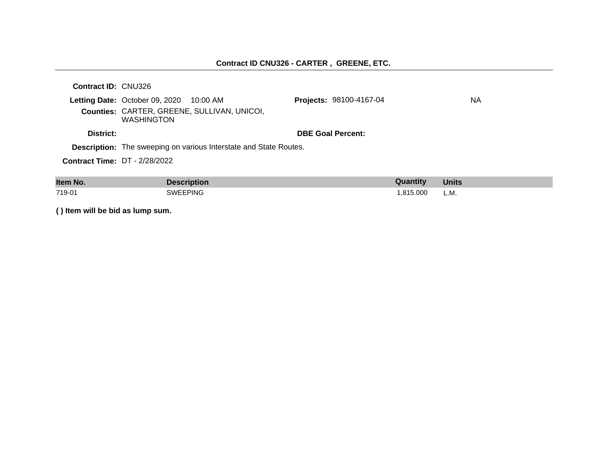# **Contract ID CNU326 - CARTER , GREENE, ETC.**

| ltem No.                             | <b>Description</b>                                                                                                          |                                | Quantity | <b>Units</b> |
|--------------------------------------|-----------------------------------------------------------------------------------------------------------------------------|--------------------------------|----------|--------------|
| <b>Contract Time: DT - 2/28/2022</b> |                                                                                                                             |                                |          |              |
|                                      | <b>Description:</b> The sweeping on various Interstate and State Routes.                                                    |                                |          |              |
| District:                            |                                                                                                                             | <b>DBE Goal Percent:</b>       |          |              |
|                                      | <b>Letting Date:</b> October 09, 2020 $10:00$ AM<br><b>Counties: CARTER, GREENE, SULLIVAN, UNICOI,</b><br><b>WASHINGTON</b> | <b>Projects: 98100-4167-04</b> |          | NA.          |
| <b>Contract ID: CNU326</b>           |                                                                                                                             |                                |          |              |

| item No. | -----------------     | Quantity | UNITS |
|----------|-----------------------|----------|-------|
| 719-01   | EEPING<br><b>SWF'</b> | .815.000 | L.M.  |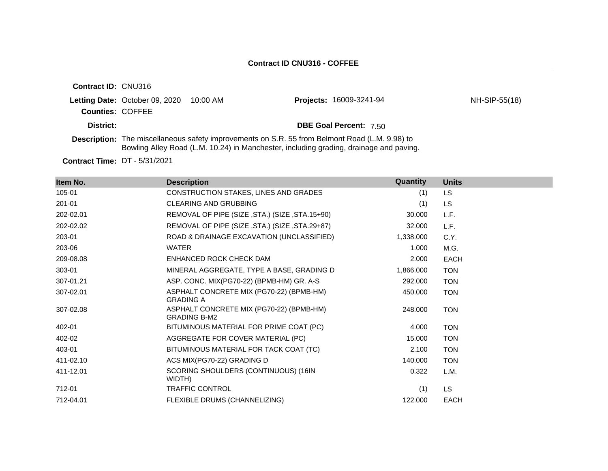| <b>Contract ID: CNU316</b> |                                         |                                                                                                                                                                                                 |               |
|----------------------------|-----------------------------------------|-------------------------------------------------------------------------------------------------------------------------------------------------------------------------------------------------|---------------|
|                            | Letting Date: October 09, 2020 10:00 AM | <b>Projects: 16009-3241-94</b>                                                                                                                                                                  | NH-SIP-55(18) |
| <b>Counties: COFFEE</b>    |                                         |                                                                                                                                                                                                 |               |
| District:                  |                                         | <b>DBE Goal Percent: 7.50</b>                                                                                                                                                                   |               |
|                            |                                         | <b>Description:</b> The miscellaneous safety improvements on S.R. 55 from Belmont Road (L.M. 9.98) to<br>Bowling Alley Road (L.M. 10.24) in Manchester, including grading, drainage and paving. |               |

**Contract Time:** DT - 5/31/2021

| Item No.  | <b>Description</b>                                              | Quantity  | <b>Units</b> |
|-----------|-----------------------------------------------------------------|-----------|--------------|
| 105-01    | CONSTRUCTION STAKES, LINES AND GRADES                           | (1)       | <b>LS</b>    |
| 201-01    | <b>CLEARING AND GRUBBING</b>                                    | (1)       | <b>LS</b>    |
| 202-02.01 | REMOVAL OF PIPE (SIZE, STA.) (SIZE, STA.15+90)                  | 30.000    | L.F.         |
| 202-02.02 | REMOVAL OF PIPE (SIZE, STA.) (SIZE, STA.29+87)                  | 32.000    | L.F.         |
| 203-01    | ROAD & DRAINAGE EXCAVATION (UNCLASSIFIED)                       | 1,338.000 | C.Y.         |
| 203-06    | <b>WATER</b>                                                    | 1.000     | M.G.         |
| 209-08.08 | ENHANCED ROCK CHECK DAM                                         | 2.000     | <b>EACH</b>  |
| 303-01    | MINERAL AGGREGATE, TYPE A BASE, GRADING D                       | 1,866.000 | <b>TON</b>   |
| 307-01.21 | ASP. CONC. MIX(PG70-22) (BPMB-HM) GR. A-S                       | 292.000   | <b>TON</b>   |
| 307-02.01 | ASPHALT CONCRETE MIX (PG70-22) (BPMB-HM)<br><b>GRADING A</b>    | 450.000   | <b>TON</b>   |
| 307-02.08 | ASPHALT CONCRETE MIX (PG70-22) (BPMB-HM)<br><b>GRADING B-M2</b> | 248.000   | <b>TON</b>   |
| 402-01    | BITUMINOUS MATERIAL FOR PRIME COAT (PC)                         | 4.000     | <b>TON</b>   |
| 402-02    | AGGREGATE FOR COVER MATERIAL (PC)                               | 15.000    | <b>TON</b>   |
| 403-01    | BITUMINOUS MATERIAL FOR TACK COAT (TC)                          | 2.100     | <b>TON</b>   |
| 411-02.10 | ACS MIX(PG70-22) GRADING D                                      | 140.000   | <b>TON</b>   |
| 411-12.01 | SCORING SHOULDERS (CONTINUOUS) (16IN<br>WIDTH)                  | 0.322     | L.M.         |
| 712-01    | TRAFFIC CONTROL                                                 | (1)       | LS.          |
| 712-04.01 | FLEXIBLE DRUMS (CHANNELIZING)                                   | 122,000   | <b>EACH</b>  |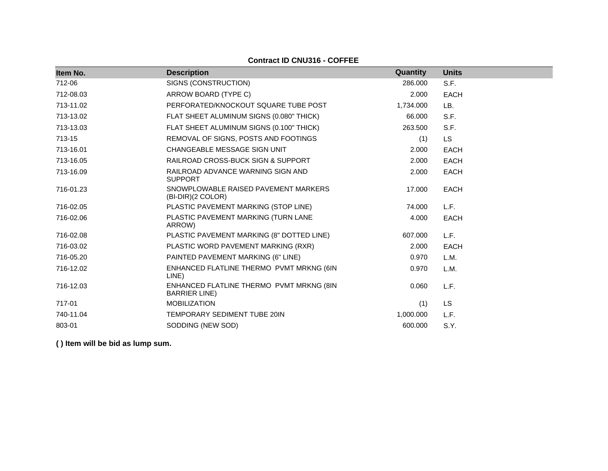# **Contract ID CNU316 - COFFEE**

| Item No.  | <b>Description</b>                                               | Quantity  | <b>Units</b> |
|-----------|------------------------------------------------------------------|-----------|--------------|
| 712-06    | SIGNS (CONSTRUCTION)                                             | 286.000   | S.F.         |
| 712-08.03 | ARROW BOARD (TYPE C)                                             | 2.000     | <b>EACH</b>  |
| 713-11.02 | PERFORATED/KNOCKOUT SQUARE TUBE POST                             | 1,734.000 | LB.          |
| 713-13.02 | FLAT SHEET ALUMINUM SIGNS (0.080" THICK)                         | 66.000    | S.F.         |
| 713-13.03 | FLAT SHEET ALUMINUM SIGNS (0.100" THICK)                         | 263.500   | S.F.         |
| 713-15    | REMOVAL OF SIGNS, POSTS AND FOOTINGS                             | (1)       | LS.          |
| 713-16.01 | CHANGEABLE MESSAGE SIGN UNIT                                     | 2.000     | <b>EACH</b>  |
| 713-16.05 | RAILROAD CROSS-BUCK SIGN & SUPPORT                               | 2.000     | <b>EACH</b>  |
| 713-16.09 | RAILROAD ADVANCE WARNING SIGN AND<br><b>SUPPORT</b>              | 2.000     | <b>EACH</b>  |
| 716-01.23 | SNOWPLOWABLE RAISED PAVEMENT MARKERS<br>(BI-DIR)(2 COLOR)        | 17.000    | <b>EACH</b>  |
| 716-02.05 | PLASTIC PAVEMENT MARKING (STOP LINE)                             | 74.000    | L.F.         |
| 716-02.06 | PLASTIC PAVEMENT MARKING (TURN LANE<br>ARROW)                    | 4.000     | <b>EACH</b>  |
| 716-02.08 | PLASTIC PAVEMENT MARKING (8" DOTTED LINE)                        | 607.000   | L.F.         |
| 716-03.02 | PLASTIC WORD PAVEMENT MARKING (RXR)                              | 2.000     | <b>EACH</b>  |
| 716-05.20 | PAINTED PAVEMENT MARKING (6" LINE)                               | 0.970     | L.M.         |
| 716-12.02 | ENHANCED FLATLINE THERMO PVMT MRKNG (6IN<br>LINE)                | 0.970     | L.M.         |
| 716-12.03 | ENHANCED FLATLINE THERMO PVMT MRKNG (8IN<br><b>BARRIER LINE)</b> | 0.060     | L.F.         |
| 717-01    | <b>MOBILIZATION</b>                                              | (1)       | <b>LS</b>    |
| 740-11.04 | TEMPORARY SEDIMENT TUBE 20IN                                     | 1,000.000 | L.F.         |
| 803-01    | SODDING (NEW SOD)                                                | 600.000   | S.Y.         |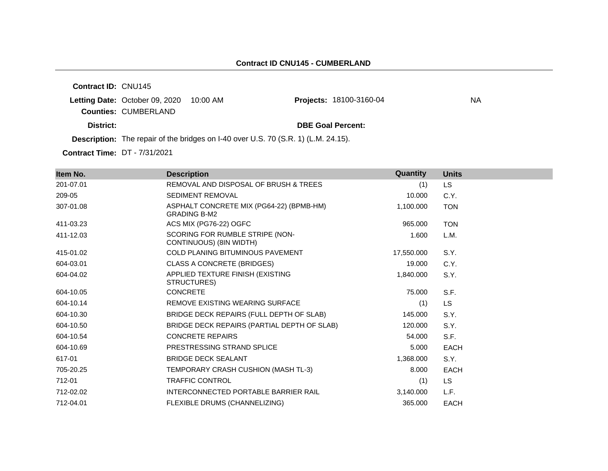**Contract ID:** CNU145

**Letting Date: October 09, 2020 10:00 AM Counties:** CUMBERLAND

Projects: 18100-3160-04 NA

**District: DBE Goal Percent:**

**Description:** The repair of the bridges on I-40 over U.S. 70 (S.R. 1) (L.M. 24.15).

**Contract Time:** DT - 7/31/2021

| Item No.  | <b>Description</b>                                              | Quantity   | <b>Units</b> |
|-----------|-----------------------------------------------------------------|------------|--------------|
| 201-07.01 | REMOVAL AND DISPOSAL OF BRUSH & TREES                           | (1)        | LS.          |
| 209-05    | <b>SEDIMENT REMOVAL</b>                                         | 10.000     | C.Y.         |
| 307-01.08 | ASPHALT CONCRETE MIX (PG64-22) (BPMB-HM)<br><b>GRADING B-M2</b> | 1,100.000  | <b>TON</b>   |
| 411-03.23 | ACS MIX (PG76-22) OGFC                                          | 965,000    | <b>TON</b>   |
| 411-12.03 | SCORING FOR RUMBLE STRIPE (NON-<br>CONTINUOUS) (8IN WIDTH)      | 1.600      | L.M.         |
| 415-01.02 | <b>COLD PLANING BITUMINOUS PAVEMENT</b>                         | 17,550.000 | S.Y.         |
| 604-03.01 | <b>CLASS A CONCRETE (BRIDGES)</b>                               | 19.000     | C.Y.         |
| 604-04.02 | APPLIED TEXTURE FINISH (EXISTING<br>STRUCTURES)                 | 1,840.000  | S.Y.         |
| 604-10.05 | <b>CONCRETE</b>                                                 | 75.000     | S.F.         |
| 604-10.14 | REMOVE EXISTING WEARING SURFACE                                 | (1)        | <b>LS</b>    |
| 604-10.30 | BRIDGE DECK REPAIRS (FULL DEPTH OF SLAB)                        | 145.000    | S.Y.         |
| 604-10.50 | BRIDGE DECK REPAIRS (PARTIAL DEPTH OF SLAB)                     | 120.000    | S.Y.         |
| 604-10.54 | <b>CONCRETE REPAIRS</b>                                         | 54.000     | S.F.         |
| 604-10.69 | PRESTRESSING STRAND SPLICE                                      | 5.000      | <b>EACH</b>  |
| 617-01    | <b>BRIDGE DECK SEALANT</b>                                      | 1,368.000  | S.Y.         |
| 705-20.25 | TEMPORARY CRASH CUSHION (MASH TL-3)                             | 8.000      | <b>EACH</b>  |
| 712-01    | TRAFFIC CONTROL                                                 | (1)        | <b>LS</b>    |
| 712-02.02 | INTERCONNECTED PORTABLE BARRIER RAIL                            | 3,140.000  | L.F.         |
| 712-04.01 | FLEXIBLE DRUMS (CHANNELIZING)                                   | 365.000    | <b>EACH</b>  |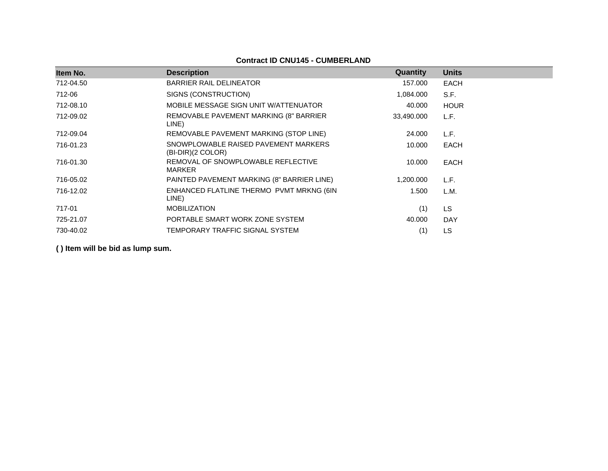# **Contract ID CNU145 - CUMBERLAND**

| Item No.  | <b>Description</b>                                          | Quantity   | <b>Units</b> |
|-----------|-------------------------------------------------------------|------------|--------------|
| 712-04.50 | <b>BARRIER RAIL DELINEATOR</b>                              | 157.000    | <b>EACH</b>  |
|           |                                                             |            |              |
| 712-06    | SIGNS (CONSTRUCTION)                                        | 1,084.000  | S.F.         |
| 712-08.10 | MOBILE MESSAGE SIGN UNIT W/ATTENUATOR                       | 40.000     | <b>HOUR</b>  |
| 712-09.02 | REMOVABLE PAVEMENT MARKING (8" BARRIER<br>LINE)             | 33,490.000 | L.F.         |
| 712-09.04 | REMOVABLE PAVEMENT MARKING (STOP LINE)                      | 24.000     | L.F.         |
| 716-01.23 | SNOWPLOWABLE RAISED PAVEMENT MARKERS<br>$(BI-DIR)(2 COLOR)$ | 10.000     | <b>EACH</b>  |
| 716-01.30 | REMOVAL OF SNOWPLOWABLE REFLECTIVE<br>MARKER                | 10.000     | <b>EACH</b>  |
| 716-05.02 | PAINTED PAVEMENT MARKING (8" BARRIER LINE)                  | 1,200.000  | L.F.         |
| 716-12.02 | ENHANCED FLATLINE THERMO PVMT MRKNG (6IN<br>LINE)           | 1.500      | L.M.         |
| 717-01    | <b>MOBILIZATION</b>                                         | (1)        | <b>LS</b>    |
| 725-21.07 | PORTABLE SMART WORK ZONE SYSTEM                             | 40.000     | <b>DAY</b>   |
| 730-40.02 | TEMPORARY TRAFFIC SIGNAL SYSTEM                             | (1)        | LS           |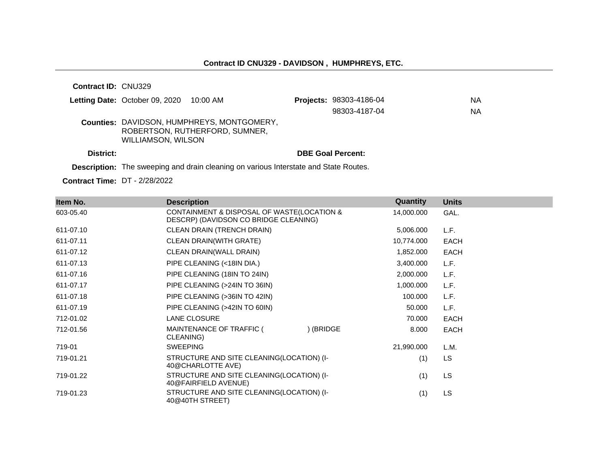| <b>Contract ID: CNU329</b> |                                         |                                                                                     |                                |    |
|----------------------------|-----------------------------------------|-------------------------------------------------------------------------------------|--------------------------------|----|
|                            | Letting Date: October 09, 2020 10:00 AM |                                                                                     | <b>Projects: 98303-4186-04</b> | ΝA |
|                            |                                         |                                                                                     | 98303-4187-04                  | ΝA |
|                            | WILLIAMSON, WILSON                      | <b>Counties: DAVIDSON, HUMPHREYS, MONTGOMERY,</b><br>ROBERTSON, RUTHERFORD, SUMNER, |                                |    |
| District:                  |                                         |                                                                                     | <b>DBE Goal Percent:</b>       |    |

**Description:** The sweeping and drain cleaning on various Interstate and State Routes.

**Contract Time:** DT - 2/28/2022

| Item No.  | <b>Description</b>                                                                  | Quantity   | <b>Units</b> |
|-----------|-------------------------------------------------------------------------------------|------------|--------------|
| 603-05.40 | CONTAINMENT & DISPOSAL OF WASTE(LOCATION &<br>DESCRP) (DAVIDSON CO BRIDGE CLEANING) | 14,000.000 | GAL.         |
| 611-07.10 | CLEAN DRAIN (TRENCH DRAIN)                                                          | 5,006.000  | L.F.         |
| 611-07.11 | CLEAN DRAIN(WITH GRATE)                                                             | 10,774.000 | <b>EACH</b>  |
| 611-07.12 | CLEAN DRAIN(WALL DRAIN)                                                             | 1,852.000  | <b>EACH</b>  |
| 611-07.13 | PIPE CLEANING (<18IN DIA.)                                                          | 3,400.000  | L.F.         |
| 611-07.16 | PIPE CLEANING (18IN TO 24IN)                                                        | 2,000.000  | L.F.         |
| 611-07.17 | PIPE CLEANING (>24IN TO 36IN)                                                       | 1,000.000  | L.F.         |
| 611-07.18 | PIPE CLEANING (>36IN TO 42IN)                                                       | 100.000    | L.F.         |
| 611-07.19 | PIPE CLEANING (>42IN TO 60IN)                                                       | 50.000     | L.F.         |
| 712-01.02 | LANE CLOSURE                                                                        | 70.000     | <b>EACH</b>  |
| 712-01.56 | ) (BRIDGE<br>MAINTENANCE OF TRAFFIC (<br>CLEANING)                                  | 8.000      | <b>EACH</b>  |
| 719-01    | <b>SWEEPING</b>                                                                     | 21,990.000 | L.M.         |
| 719-01.21 | STRUCTURE AND SITE CLEANING(LOCATION) (I-<br>40@CHARLOTTE AVE)                      | (1)        | LS.          |
| 719-01.22 | STRUCTURE AND SITE CLEANING(LOCATION) (I-<br>40@FAIRFIELD AVENUE)                   | (1)        | LS.          |
| 719-01.23 | STRUCTURE AND SITE CLEANING(LOCATION) (I-<br>40@40TH STREET)                        | (1)        | <b>LS</b>    |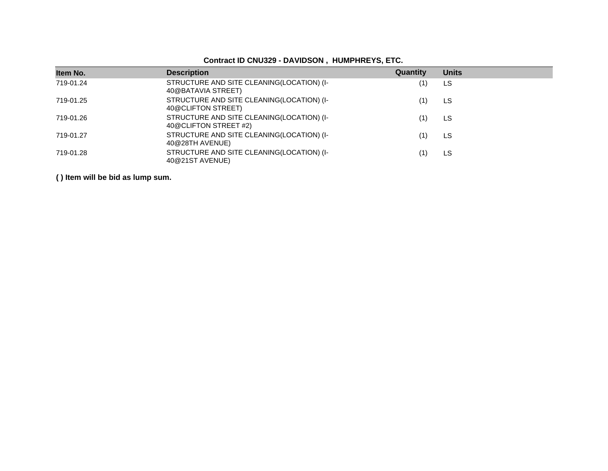| Contract ID CNU329 - DAVIDSON, HUMPHREYS, ETC. |  |  |  |
|------------------------------------------------|--|--|--|
|------------------------------------------------|--|--|--|

| Item No.  | <b>Description</b>                                                 | Quantity | <b>Units</b> |
|-----------|--------------------------------------------------------------------|----------|--------------|
| 719-01.24 | STRUCTURE AND SITE CLEANING(LOCATION) (I-<br>40@BATAVIA STREET)    |          | LS           |
| 719-01.25 | STRUCTURE AND SITE CLEANING(LOCATION) (I-<br>40@CLIFTON STREET)    |          | LS           |
| 719-01.26 | STRUCTURE AND SITE CLEANING(LOCATION) (I-<br>40@CLIFTON STREET #2) |          | LS           |
| 719-01.27 | STRUCTURE AND SITE CLEANING(LOCATION) (I-<br>40@28TH AVENUE)       |          | LS           |
| 719-01.28 | STRUCTURE AND SITE CLEANING(LOCATION) (I-<br>40@21ST AVENUE)       |          | LS           |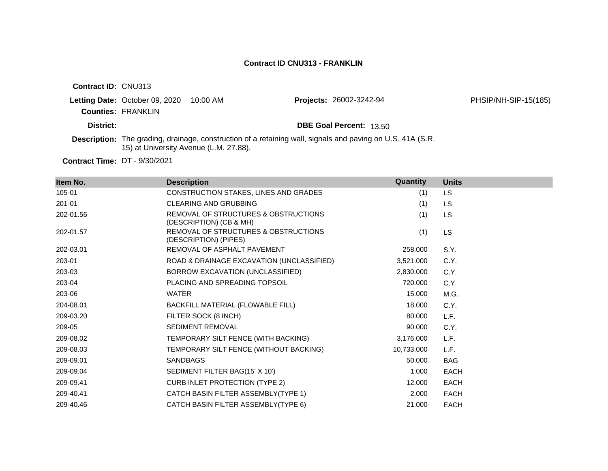| <b>Contract ID: CNU313</b> |                                        |          |                                                                                                                   |                      |
|----------------------------|----------------------------------------|----------|-------------------------------------------------------------------------------------------------------------------|----------------------|
|                            | Letting Date: October 09, 2020         | 10:00 AM | <b>Projects: 26002-3242-94</b>                                                                                    | PHSIP/NH-SIP-15(185) |
|                            | <b>Counties: FRANKLIN</b>              |          |                                                                                                                   |                      |
| District:                  |                                        |          | <b>DBE Goal Percent: 13.50</b>                                                                                    |                      |
|                            | 15) at University Avenue (L.M. 27.88). |          | <b>Description:</b> The grading, drainage, construction of a retaining wall, signals and paving on U.S. 41A (S.R. |                      |

**Contract Time:** DT - 9/30/2021

| Item No.  | <b>Description</b>                                              | <b>Quantity</b> | <b>Units</b> |
|-----------|-----------------------------------------------------------------|-----------------|--------------|
| 105-01    | CONSTRUCTION STAKES, LINES AND GRADES                           | (1)             | LS.          |
| 201-01    | <b>CLEARING AND GRUBBING</b>                                    | (1)             | LS.          |
| 202-01.56 | REMOVAL OF STRUCTURES & OBSTRUCTIONS<br>(DESCRIPTION) (CB & MH) | (1)             | <b>LS</b>    |
| 202-01.57 | REMOVAL OF STRUCTURES & OBSTRUCTIONS<br>(DESCRIPTION) (PIPES)   | (1)             | <b>LS</b>    |
| 202-03.01 | REMOVAL OF ASPHALT PAVEMENT                                     | 258.000         | S.Y.         |
| 203-01    | ROAD & DRAINAGE EXCAVATION (UNCLASSIFIED)                       | 3,521.000       | C.Y.         |
| 203-03    | BORROW EXCAVATION (UNCLASSIFIED)                                | 2,830.000       | C.Y.         |
| 203-04    | PLACING AND SPREADING TOPSOIL                                   | 720.000         | C.Y.         |
| 203-06    | <b>WATER</b>                                                    | 15.000          | M.G.         |
| 204-08.01 | BACKFILL MATERIAL (FLOWABLE FILL)                               | 18.000          | C.Y.         |
| 209-03.20 | FILTER SOCK (8 INCH)                                            | 80,000          | L.F.         |
| 209-05    | <b>SEDIMENT REMOVAL</b>                                         | 90.000          | C.Y.         |
| 209-08.02 | TEMPORARY SILT FENCE (WITH BACKING)                             | 3,176.000       | L.F.         |
| 209-08.03 | TEMPORARY SILT FENCE (WITHOUT BACKING)                          | 10,733.000      | L.F.         |
| 209-09.01 | <b>SANDBAGS</b>                                                 | 50.000          | <b>BAG</b>   |
| 209-09.04 | SEDIMENT FILTER BAG(15' X 10')                                  | 1.000           | <b>EACH</b>  |
| 209-09.41 | <b>CURB INLET PROTECTION (TYPE 2)</b>                           | 12.000          | <b>EACH</b>  |
| 209-40.41 | CATCH BASIN FILTER ASSEMBLY(TYPE 1)                             | 2.000           | <b>EACH</b>  |
| 209-40.46 | CATCH BASIN FILTER ASSEMBLY(TYPE 6)                             | 21,000          | <b>EACH</b>  |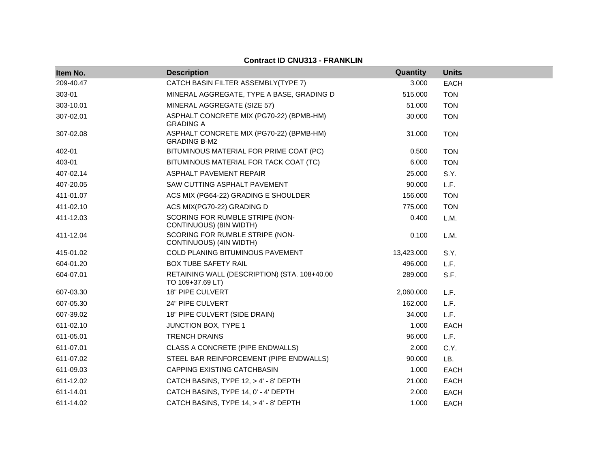#### **Item No. Description Quantity Units** 209-40.47 CATCH BASIN FILTER ASSEMBLY(TYPE 7) 3.000 EACH 303-01 MINERAL AGGREGATE, TYPE A BASE, GRADING D 515.000 TON 303-10.01 MINERAL AGGREGATE (SIZE 57) 51.000 TON 307-02.01 ASPHALT CONCRETE MIX (PG70-22) (BPMB-HM) GRADING A 30.000 TON 307-02.08 ASPHALT CONCRETE MIX (PG70-22) (BPMB-HM) GRADING B-M2 31.000 TON 402-01 BITUMINOUS MATERIAL FOR PRIME COAT (PC) 0.500 TON 403-01 BITUMINOUS MATERIAL FOR TACK COAT (TC) 6.000 TON 407-02.14 ASPHALT PAVEMENT REPAIR 25.000 S.Y. 407-20.05 SAW CUTTING ASPHALT PAVEMENT 90.000 L.F. 411-01.07 ACS MIX (PG64-22) GRADING E SHOULDER 156.000 TON 411-02.10 ACS MIX(PG70-22) GRADING D 775.000 TON 411-12.03 SCORING FOR RUMBLE STRIPE (NON-CONTINUOUS) (8IN WIDTH) 0.400 L.M. 411-12.04 SCORING FOR RUMBLE STRIPE (NON-CONTINUOUS) (4IN WIDTH) 0.100 L.M. 415-01.02 COLD PLANING BITUMINOUS PAVEMENT 13,423.000 S.Y. 604-01.20 BOX TUBE SAFETY RAIL 496.000 L.F. 604-07.01 RETAINING WALL (DESCRIPTION) (STA. 108+40.00 TO 109+37.69 LT) 289.000 S.F. 607-03.30 18" PIPE CULVERT 2,060.000 L.F. 607-05.30 24" PIPE CULVERT 162.000 L.F. 607-39.02 18" PIPE CULVERT (SIDE DRAIN) 34.000 L.F. 611-02.10 JUNCTION BOX, TYPE 1 1.000 EACH 611-05.01 TRENCH DRAINS 96.000 L.F. 611-07.01 CLASS A CONCRETE (PIPE ENDWALLS) 2.000 C.Y. 611-07.02 STEEL BAR REINFORCEMENT (PIPE ENDWALLS) 90.000 LB. 611-09.03 CAPPING EXISTING CATCHBASIN 1.000 EACH 611-12.02 CATCH BASINS, TYPE 12, > 4' - 8' DEPTH 21.000 EACH 611-14.01 CATCH BASINS, TYPE 14, 0' - 4' DEPTH 2.000 EACH 611-14.02 CATCH BASINS, TYPE 14, > 4' - 8' DEPTH 1.000 EACH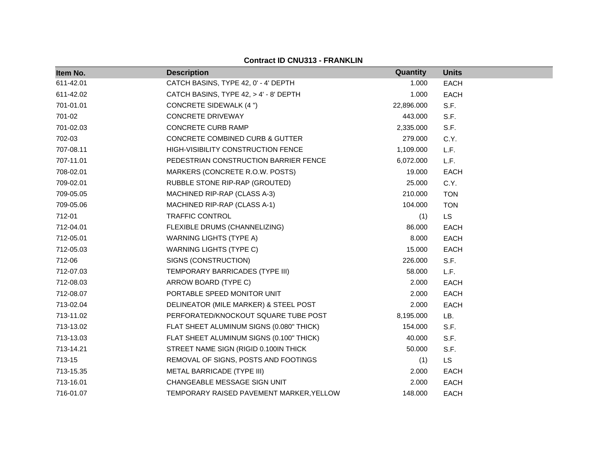| Item No.  | <b>Description</b>                        | Quantity   | <b>Units</b> |  |
|-----------|-------------------------------------------|------------|--------------|--|
| 611-42.01 | CATCH BASINS, TYPE 42, 0' - 4' DEPTH      | 1.000      | EACH         |  |
| 611-42.02 | CATCH BASINS, TYPE 42, > 4' - 8' DEPTH    | 1.000      | EACH         |  |
| 701-01.01 | <b>CONCRETE SIDEWALK (4 ")</b>            | 22,896.000 | S.F.         |  |
| 701-02    | <b>CONCRETE DRIVEWAY</b>                  | 443.000    | S.F.         |  |
| 701-02.03 | <b>CONCRETE CURB RAMP</b>                 | 2,335.000  | S.F.         |  |
| 702-03    | CONCRETE COMBINED CURB & GUTTER           | 279.000    | C.Y.         |  |
| 707-08.11 | <b>HIGH-VISIBILITY CONSTRUCTION FENCE</b> | 1,109.000  | L.F.         |  |
| 707-11.01 | PEDESTRIAN CONSTRUCTION BARRIER FENCE     | 6,072.000  | L.F.         |  |
| 708-02.01 | MARKERS (CONCRETE R.O.W. POSTS)           | 19.000     | <b>EACH</b>  |  |
| 709-02.01 | RUBBLE STONE RIP-RAP (GROUTED)            | 25.000     | C.Y.         |  |
| 709-05.05 | MACHINED RIP-RAP (CLASS A-3)              | 210.000    | <b>TON</b>   |  |
| 709-05.06 | MACHINED RIP-RAP (CLASS A-1)              | 104.000    | <b>TON</b>   |  |
| 712-01    | TRAFFIC CONTROL                           | (1)        | <b>LS</b>    |  |
| 712-04.01 | FLEXIBLE DRUMS (CHANNELIZING)             | 86.000     | EACH         |  |
| 712-05.01 | <b>WARNING LIGHTS (TYPE A)</b>            | 8.000      | EACH         |  |
| 712-05.03 | <b>WARNING LIGHTS (TYPE C)</b>            | 15.000     | EACH         |  |
| 712-06    | SIGNS (CONSTRUCTION)                      | 226.000    | S.F.         |  |
| 712-07.03 | TEMPORARY BARRICADES (TYPE III)           | 58.000     | L.F.         |  |
| 712-08.03 | ARROW BOARD (TYPE C)                      | 2.000      | <b>EACH</b>  |  |
| 712-08.07 | PORTABLE SPEED MONITOR UNIT               | 2.000      | EACH         |  |
| 713-02.04 | DELINEATOR (MILE MARKER) & STEEL POST     | 2.000      | EACH         |  |
| 713-11.02 | PERFORATED/KNOCKOUT SQUARE TUBE POST      | 8,195.000  | LB.          |  |
| 713-13.02 | FLAT SHEET ALUMINUM SIGNS (0.080" THICK)  | 154.000    | S.F.         |  |
| 713-13.03 | FLAT SHEET ALUMINUM SIGNS (0.100" THICK)  | 40.000     | S.F.         |  |
| 713-14.21 | STREET NAME SIGN (RIGID 0.100IN THICK     | 50.000     | S.F.         |  |
| 713-15    | REMOVAL OF SIGNS, POSTS AND FOOTINGS      | (1)        | <b>LS</b>    |  |
| 713-15.35 | METAL BARRICADE (TYPE III)                | 2.000      | EACH         |  |
| 713-16.01 | CHANGEABLE MESSAGE SIGN UNIT              | 2.000      | <b>EACH</b>  |  |
| 716-01.07 | TEMPORARY RAISED PAVEMENT MARKER, YELLOW  | 148.000    | EACH         |  |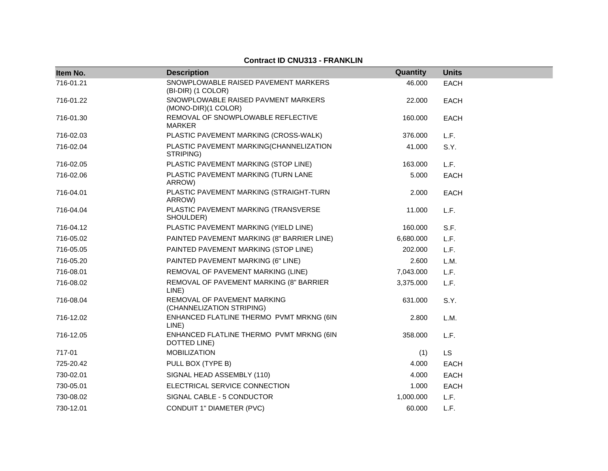| Item No.  | <b>Description</b>                                         | Quantity  | <b>Units</b> |
|-----------|------------------------------------------------------------|-----------|--------------|
| 716-01.21 | SNOWPLOWABLE RAISED PAVEMENT MARKERS<br>(BI-DIR) (1 COLOR) | 46.000    | <b>EACH</b>  |
| 716-01.22 | SNOWPLOWABLE RAISED PAVMENT MARKERS<br>(MONO-DIR)(1 COLOR) | 22.000    | EACH         |
| 716-01.30 | REMOVAL OF SNOWPLOWABLE REFLECTIVE<br><b>MARKER</b>        | 160.000   | <b>EACH</b>  |
| 716-02.03 | PLASTIC PAVEMENT MARKING (CROSS-WALK)                      | 376.000   | L.F.         |
| 716-02.04 | PLASTIC PAVEMENT MARKING(CHANNELIZATION<br>STRIPING)       | 41.000    | S.Y.         |
| 716-02.05 | PLASTIC PAVEMENT MARKING (STOP LINE)                       | 163.000   | L.F.         |
| 716-02.06 | PLASTIC PAVEMENT MARKING (TURN LANE<br>ARROW)              | 5.000     | <b>EACH</b>  |
| 716-04.01 | PLASTIC PAVEMENT MARKING (STRAIGHT-TURN<br>ARROW)          | 2.000     | <b>EACH</b>  |
| 716-04.04 | PLASTIC PAVEMENT MARKING (TRANSVERSE<br>SHOULDER)          | 11.000    | L.F.         |
| 716-04.12 | PLASTIC PAVEMENT MARKING (YIELD LINE)                      | 160.000   | S.F.         |
| 716-05.02 | PAINTED PAVEMENT MARKING (8" BARRIER LINE)                 | 6,680.000 | L.F.         |
| 716-05.05 | PAINTED PAVEMENT MARKING (STOP LINE)                       | 202.000   | L.F.         |
| 716-05.20 | PAINTED PAVEMENT MARKING (6" LINE)                         | 2.600     | L.M.         |
| 716-08.01 | REMOVAL OF PAVEMENT MARKING (LINE)                         | 7,043.000 | L.F.         |
| 716-08.02 | REMOVAL OF PAVEMENT MARKING (8" BARRIER<br>LINE)           | 3,375.000 | L.F.         |
| 716-08.04 | REMOVAL OF PAVEMENT MARKING<br>(CHANNELIZATION STRIPING)   | 631.000   | S.Y.         |
| 716-12.02 | ENHANCED FLATLINE THERMO PVMT MRKNG (6IN<br>LINE)          | 2.800     | L.M.         |
| 716-12.05 | ENHANCED FLATLINE THERMO PVMT MRKNG (6IN<br>DOTTED LINE)   | 358.000   | L.F.         |
| 717-01    | <b>MOBILIZATION</b>                                        | (1)       | <b>LS</b>    |
| 725-20.42 | PULL BOX (TYPE B)                                          | 4.000     | <b>EACH</b>  |
| 730-02.01 | SIGNAL HEAD ASSEMBLY (110)                                 | 4.000     | EACH         |
| 730-05.01 | ELECTRICAL SERVICE CONNECTION                              | 1.000     | <b>EACH</b>  |
| 730-08.02 | SIGNAL CABLE - 5 CONDUCTOR                                 | 1,000.000 | L.F.         |
| 730-12.01 | CONDUIT 1" DIAMETER (PVC)                                  | 60.000    | L.F.         |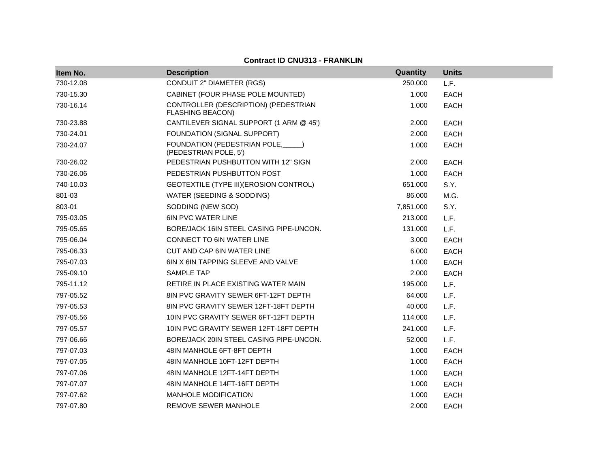| Item No.  | <b>Description</b>                                              | Quantity  | <b>Units</b> |
|-----------|-----------------------------------------------------------------|-----------|--------------|
| 730-12.08 | <b>CONDUIT 2" DIAMETER (RGS)</b>                                | 250.000   | L.F.         |
| 730-15.30 | CABINET (FOUR PHASE POLE MOUNTED)                               | 1.000     | <b>EACH</b>  |
| 730-16.14 | CONTROLLER (DESCRIPTION) (PEDESTRIAN<br><b>FLASHING BEACON)</b> | 1.000     | <b>EACH</b>  |
| 730-23.88 | CANTILEVER SIGNAL SUPPORT (1 ARM @ 45')                         | 2.000     | <b>EACH</b>  |
| 730-24.01 | FOUNDATION (SIGNAL SUPPORT)                                     | 2.000     | <b>EACH</b>  |
| 730-24.07 | FOUNDATION (PEDESTRIAN POLE,<br>(PEDESTRIAN POLE, 5')           | 1.000     | <b>EACH</b>  |
| 730-26.02 | PEDESTRIAN PUSHBUTTON WITH 12" SIGN                             | 2.000     | <b>EACH</b>  |
| 730-26.06 | PEDESTRIAN PUSHBUTTON POST                                      | 1.000     | <b>EACH</b>  |
| 740-10.03 | GEOTEXTILE (TYPE III) (EROSION CONTROL)                         | 651.000   | S.Y.         |
| 801-03    | WATER (SEEDING & SODDING)                                       | 86.000    | M.G.         |
| 803-01    | SODDING (NEW SOD)                                               | 7,851.000 | S.Y.         |
| 795-03.05 | <b>6IN PVC WATER LINE</b>                                       | 213.000   | L.F.         |
| 795-05.65 | BORE/JACK 16IN STEEL CASING PIPE-UNCON.                         | 131.000   | L.F.         |
| 795-06.04 | CONNECT TO 6IN WATER LINE                                       | 3.000     | <b>EACH</b>  |
| 795-06.33 | CUT AND CAP 6IN WATER LINE                                      | 6.000     | <b>EACH</b>  |
| 795-07.03 | 6IN X 6IN TAPPING SLEEVE AND VALVE                              | 1.000     | <b>EACH</b>  |
| 795-09.10 | <b>SAMPLE TAP</b>                                               | 2.000     | <b>EACH</b>  |
| 795-11.12 | RETIRE IN PLACE EXISTING WATER MAIN                             | 195.000   | L.F.         |
| 797-05.52 | 8IN PVC GRAVITY SEWER 6FT-12FT DEPTH                            | 64.000    | L.F.         |
| 797-05.53 | 8IN PVC GRAVITY SEWER 12FT-18FT DEPTH                           | 40.000    | L.F.         |
| 797-05.56 | 10IN PVC GRAVITY SEWER 6FT-12FT DEPTH                           | 114.000   | L.F.         |
| 797-05.57 | 10IN PVC GRAVITY SEWER 12FT-18FT DEPTH                          | 241.000   | L.F.         |
| 797-06.66 | BORE/JACK 20IN STEEL CASING PIPE-UNCON.                         | 52.000    | L.F.         |
| 797-07.03 | 48IN MANHOLE 6FT-8FT DEPTH                                      | 1.000     | <b>EACH</b>  |
| 797-07.05 | 48IN MANHOLE 10FT-12FT DEPTH                                    | 1.000     | <b>EACH</b>  |
| 797-07.06 | 48IN MANHOLE 12FT-14FT DEPTH                                    | 1.000     | <b>EACH</b>  |
| 797-07.07 | 48IN MANHOLE 14FT-16FT DEPTH                                    | 1.000     | <b>EACH</b>  |
| 797-07.62 | MANHOLE MODIFICATION                                            | 1.000     | <b>EACH</b>  |
| 797-07.80 | REMOVE SEWER MANHOLE                                            | 2.000     | <b>EACH</b>  |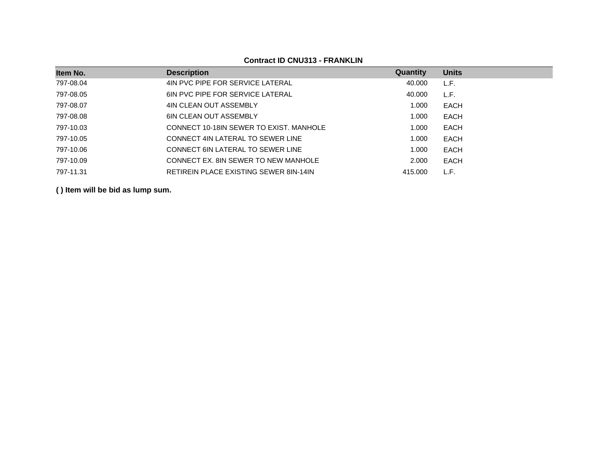| Item No.  | <b>Description</b>                            | Quantity | <b>Units</b> |
|-----------|-----------------------------------------------|----------|--------------|
| 797-08.04 | 4IN PVC PIPE FOR SERVICE LATERAL              | 40.000   | L.F.         |
| 797-08.05 | <b>6IN PVC PIPE FOR SERVICE LATERAL</b>       | 40.000   | L.F.         |
| 797-08.07 | 4IN CLEAN OUT ASSEMBLY                        | 1.000    | <b>EACH</b>  |
| 797-08.08 | <b>6IN CLEAN OUT ASSEMBLY</b>                 | 1.000    | EACH         |
| 797-10.03 | CONNECT 10-18IN SEWER TO EXIST. MANHOLE       | 1.000    | <b>EACH</b>  |
| 797-10.05 | CONNECT 4IN LATERAL TO SEWER LINE             | 1.000    | EACH         |
| 797-10.06 | <b>CONNECT 6IN LATERAL TO SEWER LINE</b>      | 1.000    | <b>EACH</b>  |
| 797-10.09 | CONNECT EX. 8IN SEWER TO NEW MANHOLE          | 2.000    | EACH         |
| 797-11.31 | <b>RETIREIN PLACE EXISTING SEWER 8IN-14IN</b> | 415,000  | L.F.         |

**Contract ID CNU313 - FRANKLIN**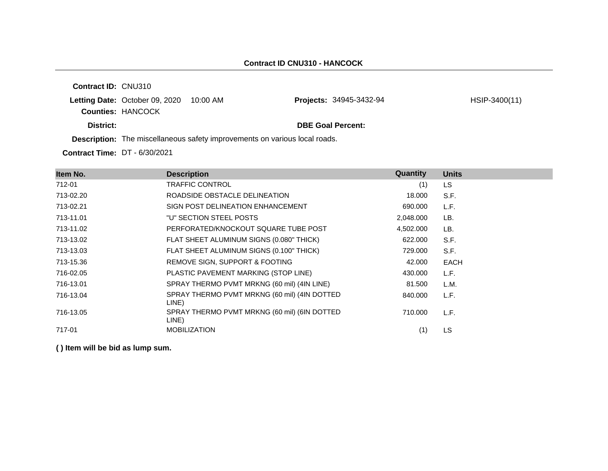**Contract ID:** CNU310 **Letting Date: October 09, 2020 10:00 AM Counties:** HANCOCK **District: District: DBE Goal Percent: Description:** The miscellaneous safety improvements on various local roads. **Projects:** 34945-3432-94 HSIP-3400(11)

**Contract Time:** DT - 6/30/2021

| Item No.  | <b>Description</b>                                    | Quantity  | <b>Units</b> |
|-----------|-------------------------------------------------------|-----------|--------------|
| 712-01    | <b>TRAFFIC CONTROL</b>                                | (1)       | LS.          |
| 713-02.20 | ROADSIDE OBSTACLE DELINEATION                         | 18.000    | S.F.         |
| 713-02.21 | SIGN POST DELINEATION ENHANCEMENT                     | 690.000   | L.F.         |
| 713-11.01 | "U" SECTION STEEL POSTS                               | 2,048.000 | LB.          |
| 713-11.02 | PERFORATED/KNOCKOUT SQUARE TUBE POST                  | 4,502.000 | LB.          |
| 713-13.02 | FLAT SHEET ALUMINUM SIGNS (0.080" THICK)              | 622.000   | S.F.         |
| 713-13.03 | FLAT SHEET ALUMINUM SIGNS (0.100" THICK)              | 729.000   | S.F.         |
| 713-15.36 | REMOVE SIGN, SUPPORT & FOOTING                        | 42,000    | <b>EACH</b>  |
| 716-02.05 | PLASTIC PAVEMENT MARKING (STOP LINE)                  | 430.000   | L.F.         |
| 716-13.01 | SPRAY THERMO PVMT MRKNG (60 mil) (4IN LINE)           | 81.500    | L.M.         |
| 716-13.04 | SPRAY THERMO PVMT MRKNG (60 mil) (4IN DOTTED<br>LINE) | 840.000   | L.F.         |
| 716-13.05 | SPRAY THERMO PVMT MRKNG (60 mil) (6IN DOTTED<br>LINE) | 710.000   | L.F.         |
| 717-01    | <b>MOBILIZATION</b>                                   | (1)       | LS           |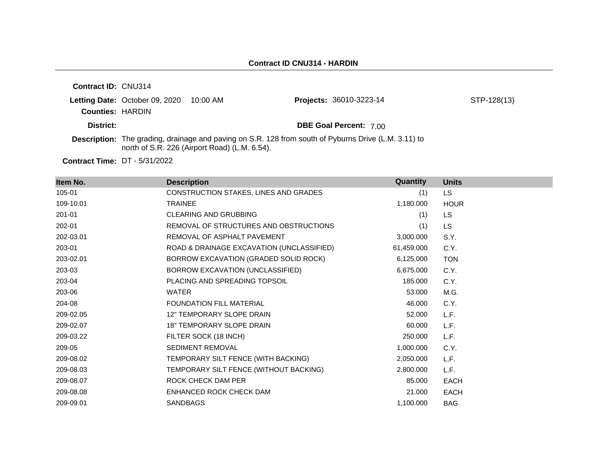| <b>Contract ID: CNU314</b> |                                         |                                               |                                                                                                      |             |
|----------------------------|-----------------------------------------|-----------------------------------------------|------------------------------------------------------------------------------------------------------|-------------|
|                            | Letting Date: October 09, 2020 10:00 AM |                                               | Projects: 36010-3223-14                                                                              | STP-128(13) |
| <b>Counties: HARDIN</b>    |                                         |                                               |                                                                                                      |             |
| District:                  |                                         |                                               | <b>DBE Goal Percent: 7.00</b>                                                                        |             |
|                            |                                         | north of S.R. 226 (Airport Road) (L.M. 6.54). | Description: The grading, drainage and paving on S.R. 128 from south of Pyburns Drive (L.M. 3.11) to |             |

**Contract Time:** DT - 5/31/2022

| Item No.  | <b>Description</b>                        | Quantity   | <b>Units</b> |
|-----------|-------------------------------------------|------------|--------------|
| 105-01    | CONSTRUCTION STAKES, LINES AND GRADES     | (1)        | <b>LS</b>    |
| 109-10.01 | <b>TRAINEE</b>                            | 1,180.000  | <b>HOUR</b>  |
| 201-01    | <b>CLEARING AND GRUBBING</b>              | (1)        | LS.          |
| 202-01    | REMOVAL OF STRUCTURES AND OBSTRUCTIONS    | (1)        | LS.          |
| 202-03.01 | REMOVAL OF ASPHALT PAVEMENT               | 3,000.000  | S.Y.         |
| 203-01    | ROAD & DRAINAGE EXCAVATION (UNCLASSIFIED) | 61,459.000 | C.Y.         |
| 203-02.01 | BORROW EXCAVATION (GRADED SOLID ROCK)     | 6,125.000  | <b>TON</b>   |
| 203-03    | BORROW EXCAVATION (UNCLASSIFIED)          | 6,675.000  | C.Y.         |
| 203-04    | PLACING AND SPREADING TOPSOIL             | 185,000    | C.Y.         |
| 203-06    | <b>WATER</b>                              | 53.000     | M.G.         |
| 204-08    | <b>FOUNDATION FILL MATERIAL</b>           | 46.000     | C.Y.         |
| 209-02.05 | <b>12" TEMPORARY SLOPE DRAIN</b>          | 52,000     | L.F.         |
| 209-02.07 | <b>18" TEMPORARY SLOPE DRAIN</b>          | 60.000     | L.F.         |
| 209-03.22 | FILTER SOCK (18 INCH)                     | 250,000    | L.F.         |
| 209-05    | SEDIMENT REMOVAL                          | 1,000.000  | C.Y.         |
| 209-08.02 | TEMPORARY SILT FENCE (WITH BACKING)       | 2,050.000  | L.F.         |
| 209-08.03 | TEMPORARY SILT FENCE (WITHOUT BACKING)    | 2,800.000  | L.F.         |
| 209-08.07 | ROCK CHECK DAM PER                        | 85,000     | <b>EACH</b>  |
| 209-08.08 | ENHANCED ROCK CHECK DAM                   | 21.000     | <b>EACH</b>  |
| 209-09.01 | <b>SANDBAGS</b>                           | 1,100.000  | <b>BAG</b>   |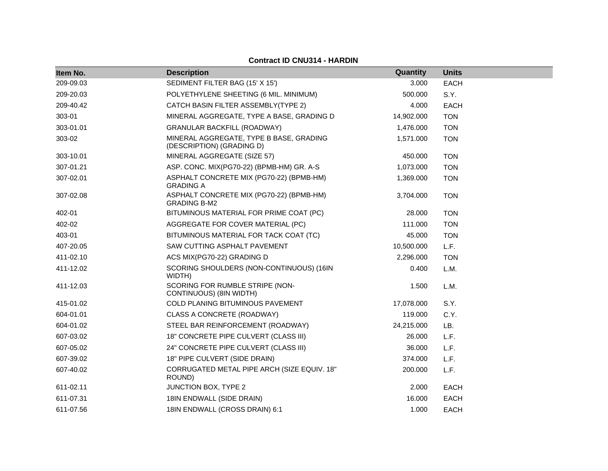| Item No.  | <b>Description</b>                                                   | Quantity   | <b>Units</b> |
|-----------|----------------------------------------------------------------------|------------|--------------|
| 209-09.03 | SEDIMENT FILTER BAG (15' X 15')                                      | 3.000      | <b>EACH</b>  |
| 209-20.03 | POLYETHYLENE SHEETING (6 MIL. MINIMUM)                               | 500.000    | S.Y.         |
| 209-40.42 | CATCH BASIN FILTER ASSEMBLY(TYPE 2)                                  | 4.000      | <b>EACH</b>  |
| 303-01    | MINERAL AGGREGATE, TYPE A BASE, GRADING D                            | 14,902.000 | <b>TON</b>   |
| 303-01.01 | <b>GRANULAR BACKFILL (ROADWAY)</b>                                   | 1,476.000  | <b>TON</b>   |
| 303-02    | MINERAL AGGREGATE, TYPE B BASE, GRADING<br>(DESCRIPTION) (GRADING D) | 1,571.000  | <b>TON</b>   |
| 303-10.01 | MINERAL AGGREGATE (SIZE 57)                                          | 450.000    | <b>TON</b>   |
| 307-01.21 | ASP. CONC. MIX(PG70-22) (BPMB-HM) GR. A-S                            | 1,073.000  | <b>TON</b>   |
| 307-02.01 | ASPHALT CONCRETE MIX (PG70-22) (BPMB-HM)<br><b>GRADING A</b>         | 1,369.000  | <b>TON</b>   |
| 307-02.08 | ASPHALT CONCRETE MIX (PG70-22) (BPMB-HM)<br><b>GRADING B-M2</b>      | 3,704.000  | <b>TON</b>   |
| 402-01    | BITUMINOUS MATERIAL FOR PRIME COAT (PC)                              | 28.000     | <b>TON</b>   |
| 402-02    | AGGREGATE FOR COVER MATERIAL (PC)                                    | 111.000    | <b>TON</b>   |
| 403-01    | BITUMINOUS MATERIAL FOR TACK COAT (TC)                               | 45.000     | <b>TON</b>   |
| 407-20.05 | SAW CUTTING ASPHALT PAVEMENT                                         | 10,500.000 | L.F.         |
| 411-02.10 | ACS MIX(PG70-22) GRADING D                                           | 2,296.000  | <b>TON</b>   |
| 411-12.02 | SCORING SHOULDERS (NON-CONTINUOUS) (16IN<br>WIDTH)                   | 0.400      | L.M.         |
| 411-12.03 | SCORING FOR RUMBLE STRIPE (NON-<br>CONTINUOUS) (8IN WIDTH)           | 1.500      | L.M.         |
| 415-01.02 | COLD PLANING BITUMINOUS PAVEMENT                                     | 17,078.000 | S.Y.         |
| 604-01.01 | CLASS A CONCRETE (ROADWAY)                                           | 119.000    | C.Y.         |
| 604-01.02 | STEEL BAR REINFORCEMENT (ROADWAY)                                    | 24,215.000 | LB.          |
| 607-03.02 | 18" CONCRETE PIPE CULVERT (CLASS III)                                | 26.000     | L.F.         |
| 607-05.02 | 24" CONCRETE PIPE CULVERT (CLASS III)                                | 36.000     | L.F.         |
| 607-39.02 | 18" PIPE CULVERT (SIDE DRAIN)                                        | 374.000    | L.F.         |
| 607-40.02 | CORRUGATED METAL PIPE ARCH (SIZE EQUIV. 18"<br>ROUND)                | 200.000    | L.F.         |
| 611-02.11 | JUNCTION BOX, TYPE 2                                                 | 2.000      | <b>EACH</b>  |
| 611-07.31 | 18IN ENDWALL (SIDE DRAIN)                                            | 16.000     | <b>EACH</b>  |
| 611-07.56 | 18IN ENDWALL (CROSS DRAIN) 6:1                                       | 1.000      | <b>EACH</b>  |

#### **Contract ID CNU314 - HARDIN**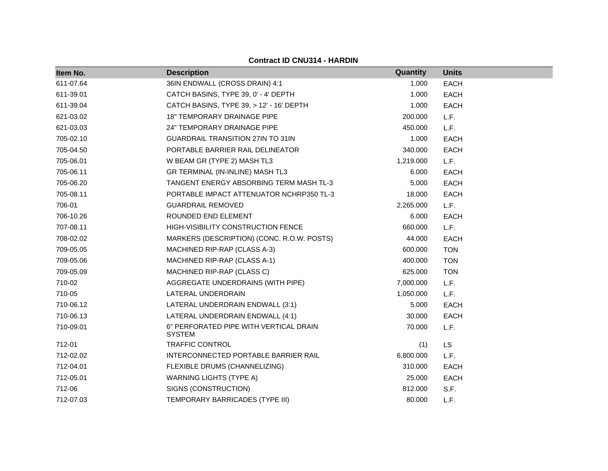| Item No.  | <b>Description</b>                                      | Quantity  | <b>Units</b> |  |
|-----------|---------------------------------------------------------|-----------|--------------|--|
| 611-07.64 | 36IN ENDWALL (CROSS DRAIN) 4:1                          | 1.000     | <b>EACH</b>  |  |
| 611-39.01 | CATCH BASINS, TYPE 39, 0' - 4' DEPTH                    | 1.000     | <b>EACH</b>  |  |
| 611-39.04 | CATCH BASINS, TYPE 39, > 12' - 16' DEPTH                | 1.000     | <b>EACH</b>  |  |
| 621-03.02 | <b>18" TEMPORARY DRAINAGE PIPE</b>                      | 200,000   | L.F.         |  |
| 621-03.03 | 24" TEMPORARY DRAINAGE PIPE                             | 450.000   | L.F.         |  |
| 705-02.10 | <b>GUARDRAIL TRANSITION 27IN TO 31IN</b>                | 1.000     | <b>EACH</b>  |  |
| 705-04.50 | PORTABLE BARRIER RAIL DELINEATOR                        | 340.000   | <b>EACH</b>  |  |
| 705-06.01 | W BEAM GR (TYPE 2) MASH TL3                             | 1,219.000 | L.F.         |  |
| 705-06.11 | GR TERMINAL (IN-INLINE) MASH TL3                        | 6.000     | EACH         |  |
| 705-06.20 | TANGENT ENERGY ABSORBING TERM MASH TL-3                 | 5.000     | <b>EACH</b>  |  |
| 705-08.11 | PORTABLE IMPACT ATTENUATOR NCHRP350 TL-3                | 18.000    | <b>EACH</b>  |  |
| 706-01    | <b>GUARDRAIL REMOVED</b>                                | 2,265.000 | L.F.         |  |
| 706-10.26 | ROUNDED END ELEMENT                                     | 6.000     | <b>EACH</b>  |  |
| 707-08.11 | HIGH-VISIBILITY CONSTRUCTION FENCE                      | 660.000   | L.F.         |  |
| 708-02.02 | MARKERS (DESCRIPTION) (CONC. R.O.W. POSTS)              | 44.000    | <b>EACH</b>  |  |
| 709-05.05 | MACHINED RIP-RAP (CLASS A-3)                            | 600.000   | <b>TON</b>   |  |
| 709-05.06 | MACHINED RIP-RAP (CLASS A-1)                            | 400.000   | <b>TON</b>   |  |
| 709-05.09 | MACHINED RIP-RAP (CLASS C)                              | 625.000   | <b>TON</b>   |  |
| 710-02    | AGGREGATE UNDERDRAINS (WITH PIPE)                       | 7,000.000 | L.F.         |  |
| 710-05    | LATERAL UNDERDRAIN                                      | 1,050.000 | L.F.         |  |
| 710-06.12 | LATERAL UNDERDRAIN ENDWALL (3:1)                        | 5.000     | <b>EACH</b>  |  |
| 710-06.13 | LATERAL UNDERDRAIN ENDWALL (4:1)                        | 30.000    | <b>EACH</b>  |  |
| 710-09.01 | 6" PERFORATED PIPE WITH VERTICAL DRAIN<br><b>SYSTEM</b> | 70.000    | L.F.         |  |
| 712-01    | <b>TRAFFIC CONTROL</b>                                  | (1)       | <b>LS</b>    |  |
| 712-02.02 | INTERCONNECTED PORTABLE BARRIER RAIL                    | 6,800.000 | L.F.         |  |
| 712-04.01 | FLEXIBLE DRUMS (CHANNELIZING)                           | 310.000   | <b>EACH</b>  |  |
| 712-05.01 | <b>WARNING LIGHTS (TYPE A)</b>                          | 25.000    | EACH         |  |
| 712-06    | SIGNS (CONSTRUCTION)                                    | 812,000   | S.F.         |  |
| 712-07.03 | TEMPORARY BARRICADES (TYPE III)                         | 80.000    | L.F.         |  |

#### **Contract ID CNU314 - HARDIN**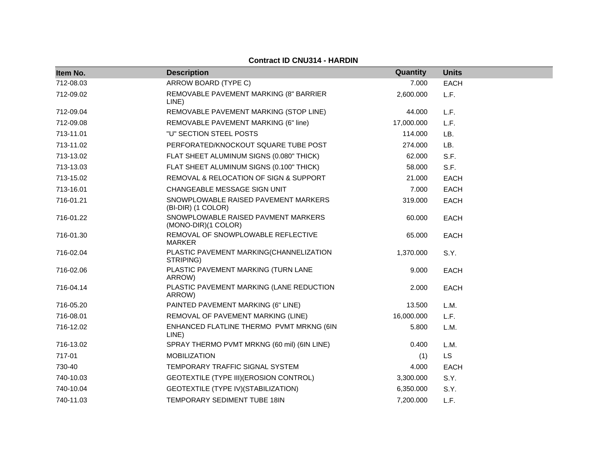| Item No.  | <b>Description</b>                                         | Quantity   | <b>Units</b> |
|-----------|------------------------------------------------------------|------------|--------------|
| 712-08.03 | ARROW BOARD (TYPE C)                                       | 7.000      | <b>EACH</b>  |
| 712-09.02 | REMOVABLE PAVEMENT MARKING (8" BARRIER<br>LINE)            | 2,600.000  | L.F.         |
| 712-09.04 | REMOVABLE PAVEMENT MARKING (STOP LINE)                     | 44.000     | L.F.         |
| 712-09.08 | REMOVABLE PAVEMENT MARKING (6" line)                       | 17,000.000 | L.F.         |
| 713-11.01 | "U" SECTION STEEL POSTS                                    | 114.000    | LB.          |
| 713-11.02 | PERFORATED/KNOCKOUT SQUARE TUBE POST                       | 274.000    | LB.          |
| 713-13.02 | FLAT SHEET ALUMINUM SIGNS (0.080" THICK)                   | 62.000     | S.F.         |
| 713-13.03 | FLAT SHEET ALUMINUM SIGNS (0.100" THICK)                   | 58.000     | S.F.         |
| 713-15.02 | REMOVAL & RELOCATION OF SIGN & SUPPORT                     | 21.000     | <b>EACH</b>  |
| 713-16.01 | CHANGEABLE MESSAGE SIGN UNIT                               | 7.000      | <b>EACH</b>  |
| 716-01.21 | SNOWPLOWABLE RAISED PAVEMENT MARKERS<br>(BI-DIR) (1 COLOR) | 319.000    | <b>EACH</b>  |
| 716-01.22 | SNOWPLOWABLE RAISED PAVMENT MARKERS<br>(MONO-DIR)(1 COLOR) | 60.000     | <b>EACH</b>  |
| 716-01.30 | REMOVAL OF SNOWPLOWABLE REFLECTIVE<br><b>MARKER</b>        | 65.000     | <b>EACH</b>  |
| 716-02.04 | PLASTIC PAVEMENT MARKING(CHANNELIZATION<br>STRIPING)       | 1,370.000  | S.Y.         |
| 716-02.06 | PLASTIC PAVEMENT MARKING (TURN LANE<br>ARROW)              | 9.000      | <b>EACH</b>  |
| 716-04.14 | PLASTIC PAVEMENT MARKING (LANE REDUCTION<br>ARROW)         | 2.000      | <b>EACH</b>  |
| 716-05.20 | PAINTED PAVEMENT MARKING (6" LINE)                         | 13.500     | L.M.         |
| 716-08.01 | REMOVAL OF PAVEMENT MARKING (LINE)                         | 16,000.000 | L.F.         |
| 716-12.02 | ENHANCED FLATLINE THERMO PVMT MRKNG (6IN<br>LINE)          | 5.800      | L.M.         |
| 716-13.02 | SPRAY THERMO PVMT MRKNG (60 mil) (6IN LINE)                | 0.400      | L.M.         |
| 717-01    | <b>MOBILIZATION</b>                                        | (1)        | LS           |
| 730-40    | TEMPORARY TRAFFIC SIGNAL SYSTEM                            | 4.000      | <b>EACH</b>  |
| 740-10.03 | GEOTEXTILE (TYPE III) (EROSION CONTROL)                    | 3,300.000  | S.Y.         |
| 740-10.04 | GEOTEXTILE (TYPE IV) (STABILIZATION)                       | 6,350.000  | S.Y.         |
| 740-11.03 | TEMPORARY SEDIMENT TUBE 18IN                               | 7,200.000  | L.F.         |

**Contract ID CNU314 - HARDIN**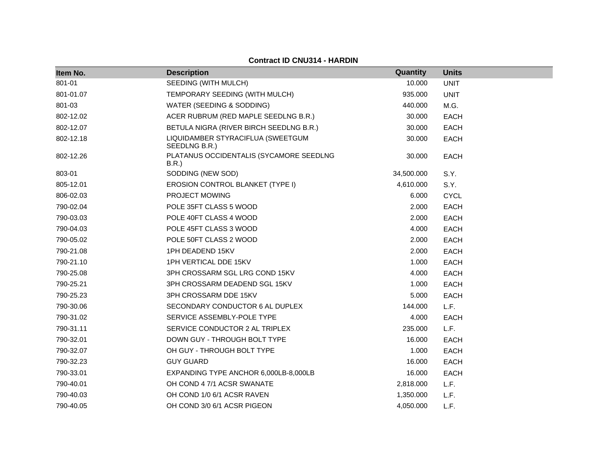#### **Contract ID CNU314 - HARDIN**

| Item No.  | <b>Description</b>                                 | Quantity   | <b>Units</b> |
|-----------|----------------------------------------------------|------------|--------------|
| 801-01    | SEEDING (WITH MULCH)                               | 10.000     | <b>UNIT</b>  |
| 801-01.07 | TEMPORARY SEEDING (WITH MULCH)                     | 935.000    | <b>UNIT</b>  |
| 801-03    | WATER (SEEDING & SODDING)                          | 440.000    | M.G.         |
| 802-12.02 | ACER RUBRUM (RED MAPLE SEEDLNG B.R.)               | 30.000     | <b>EACH</b>  |
| 802-12.07 | BETULA NIGRA (RIVER BIRCH SEEDLNG B.R.)            | 30.000     | <b>EACH</b>  |
| 802-12.18 | LIQUIDAMBER STYRACIFLUA (SWEETGUM<br>SEEDLNG B.R.) | 30.000     | <b>EACH</b>  |
| 802-12.26 | PLATANUS OCCIDENTALIS (SYCAMORE SEEDLNG<br>B.R.    | 30.000     | <b>EACH</b>  |
| 803-01    | SODDING (NEW SOD)                                  | 34,500.000 | S.Y.         |
| 805-12.01 | EROSION CONTROL BLANKET (TYPE I)                   | 4,610.000  | S.Y.         |
| 806-02.03 | PROJECT MOWING                                     | 6.000      | <b>CYCL</b>  |
| 790-02.04 | POLE 35FT CLASS 5 WOOD                             | 2.000      | <b>EACH</b>  |
| 790-03.03 | POLE 40FT CLASS 4 WOOD                             | 2.000      | <b>EACH</b>  |
| 790-04.03 | POLE 45FT CLASS 3 WOOD                             | 4.000      | <b>EACH</b>  |
| 790-05.02 | POLE 50FT CLASS 2 WOOD                             | 2.000      | <b>EACH</b>  |
| 790-21.08 | 1PH DEADEND 15KV                                   | 2.000      | <b>EACH</b>  |
| 790-21.10 | 1PH VERTICAL DDE 15KV                              | 1.000      | <b>EACH</b>  |
| 790-25.08 | 3PH CROSSARM SGL LRG COND 15KV                     | 4.000      | <b>EACH</b>  |
| 790-25.21 | 3PH CROSSARM DEADEND SGL 15KV                      | 1.000      | <b>EACH</b>  |
| 790-25.23 | 3PH CROSSARM DDE 15KV                              | 5.000      | <b>EACH</b>  |
| 790-30.06 | SECONDARY CONDUCTOR 6 AL DUPLEX                    | 144.000    | L.F.         |
| 790-31.02 | SERVICE ASSEMBLY-POLE TYPE                         | 4.000      | <b>EACH</b>  |
| 790-31.11 | SERVICE CONDUCTOR 2 AL TRIPLEX                     | 235.000    | L.F.         |
| 790-32.01 | DOWN GUY - THROUGH BOLT TYPE                       | 16.000     | <b>EACH</b>  |
| 790-32.07 | OH GUY - THROUGH BOLT TYPE                         | 1.000      | <b>EACH</b>  |
| 790-32.23 | <b>GUY GUARD</b>                                   | 16.000     | <b>EACH</b>  |
| 790-33.01 | EXPANDING TYPE ANCHOR 6,000LB-8,000LB              | 16.000     | <b>EACH</b>  |
| 790-40.01 | OH COND 4 7/1 ACSR SWANATE                         | 2,818.000  | L.F.         |
| 790-40.03 | OH COND 1/0 6/1 ACSR RAVEN                         | 1,350.000  | L.F.         |
| 790-40.05 | OH COND 3/0 6/1 ACSR PIGEON                        | 4,050.000  | L.F.         |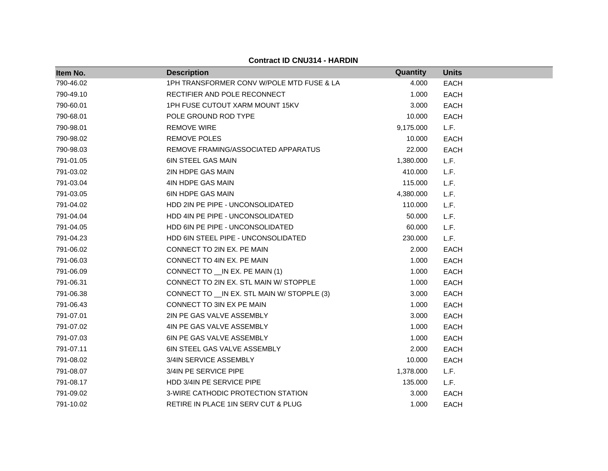| Item No.  | <b>Description</b>                           | Quantity  | <b>Units</b> |  |
|-----------|----------------------------------------------|-----------|--------------|--|
| 790-46.02 | 1PH TRANSFORMER CONV W/POLE MTD FUSE & LA    | 4.000     | <b>EACH</b>  |  |
| 790-49.10 | RECTIFIER AND POLE RECONNECT                 | 1.000     | <b>EACH</b>  |  |
| 790-60.01 | 1PH FUSE CUTOUT XARM MOUNT 15KV              | 3.000     | EACH         |  |
| 790-68.01 | POLE GROUND ROD TYPE                         | 10.000    | <b>EACH</b>  |  |
| 790-98.01 | <b>REMOVE WIRE</b>                           | 9,175.000 | L.F.         |  |
| 790-98.02 | <b>REMOVE POLES</b>                          | 10.000    | <b>EACH</b>  |  |
| 790-98.03 | REMOVE FRAMING/ASSOCIATED APPARATUS          | 22.000    | <b>EACH</b>  |  |
| 791-01.05 | <b>6IN STEEL GAS MAIN</b>                    | 1,380.000 | L.F.         |  |
| 791-03.02 | 2IN HDPE GAS MAIN                            | 410.000   | L.F.         |  |
| 791-03.04 | 4IN HDPE GAS MAIN                            | 115.000   | L.F.         |  |
| 791-03.05 | <b>6IN HDPE GAS MAIN</b>                     | 4,380.000 | L.F.         |  |
| 791-04.02 | HDD 2IN PE PIPE - UNCONSOLIDATED             | 110.000   | L.F.         |  |
| 791-04.04 | HDD 4IN PE PIPE - UNCONSOLIDATED             | 50.000    | L.F.         |  |
| 791-04.05 | HDD 6IN PE PIPE - UNCONSOLIDATED             | 60.000    | L.F.         |  |
| 791-04.23 | HDD 6IN STEEL PIPE - UNCONSOLIDATED          | 230.000   | L.F.         |  |
| 791-06.02 | CONNECT TO 2IN EX. PE MAIN                   | 2.000     | <b>EACH</b>  |  |
| 791-06.03 | CONNECT TO 4IN EX. PE MAIN                   | 1.000     | <b>EACH</b>  |  |
| 791-06.09 | CONNECT TO __ IN EX. PE MAIN (1)             | 1.000     | <b>EACH</b>  |  |
| 791-06.31 | CONNECT TO 2IN EX. STL MAIN W/ STOPPLE       | 1.000     | <b>EACH</b>  |  |
| 791-06.38 | CONNECT TO __ IN EX. STL MAIN W/ STOPPLE (3) | 3.000     | <b>EACH</b>  |  |
| 791-06.43 | CONNECT TO 3IN EX PE MAIN                    | 1.000     | <b>EACH</b>  |  |
| 791-07.01 | 2IN PE GAS VALVE ASSEMBLY                    | 3.000     | <b>EACH</b>  |  |
| 791-07.02 | 4IN PE GAS VALVE ASSEMBLY                    | 1.000     | <b>EACH</b>  |  |
| 791-07.03 | 6IN PE GAS VALVE ASSEMBLY                    | 1.000     | <b>EACH</b>  |  |
| 791-07.11 | 6IN STEEL GAS VALVE ASSEMBLY                 | 2.000     | <b>EACH</b>  |  |
| 791-08.02 | 3/4IN SERVICE ASSEMBLY                       | 10.000    | <b>EACH</b>  |  |
| 791-08.07 | 3/4IN PE SERVICE PIPE                        | 1,378.000 | L.F.         |  |
| 791-08.17 | HDD 3/4IN PE SERVICE PIPE                    | 135.000   | L.F.         |  |
| 791-09.02 | 3-WIRE CATHODIC PROTECTION STATION           | 3.000     | <b>EACH</b>  |  |
| 791-10.02 | RETIRE IN PLACE 1IN SERV CUT & PLUG          | 1.000     | <b>EACH</b>  |  |

**Contract ID CNU314 - HARDIN**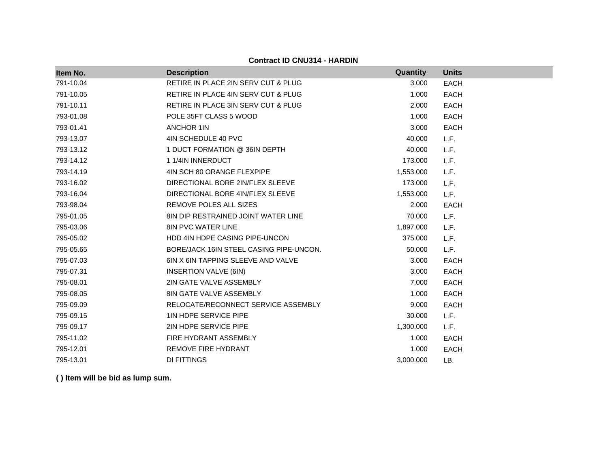**Item No. Description Quantity Units** 791-10.04 RETIRE IN PLACE 2IN SERV CUT & PLUG 3.000 SACH 791-10.05 RETIRE IN PLACE 4IN SERV CUT & PLUG 1.000 EACH 791-10.11 RETIRE IN PLACE 3IN SERV CUT & PLUG 2.000 EACH The state of the state of the state of the state of the state of the state of the state of the state of the state of the state of the state of the state of the state of the state of the state of the state of the state of t 793-01.41 ANCHOR 1IN 3.000 EACH 793-13.07 4IN SCHEDULE 40 PVC 40.000 L.F. 793-13.12 1 DUCT FORMATION @ 36IN DEPTH 40.000 L.F. 793-14.12 1 1/4IN INNERDUCT 173.000 L.F. 793-14.19 4IN SCH 80 ORANGE FLEXPIPE 1,553.000 L.F. 793-16.02 DIRECTIONAL BORE 2IN/FLEX SLEEVE 173.000 L.F. 793-16.04 DIRECTIONAL BORE 4IN/FLEX SLEEVE 1,553.000 L.F. 793-98.04 REMOVE POLES ALL SIZES 2.000 EACH 795-01.05 8IN DIP RESTRAINED JOINT WATER LINE 70.000 L.F. 795-03.06 8IN PVC WATER LINE 1,897.000 L.F. 795-05.02 HDD 4IN HDPE CASING PIPE-UNCON 375.000 L.F. 795-05.65 BORE/JACK 16IN STEEL CASING PIPE-UNCON. 50.000 L.F. 795-07.03 6IN X 6IN TAPPING SLEEVE AND VALVE 3.000 EACH 795-07.31 INSERTION VALVE (6IN) 3.000 EACH 795-08.01 2IN GATE VALVE ASSEMBLY 7.000 EACH 795-08.05 8IN GATE VALVE ASSEMBLY 1.000 EACH 795-09.09 RELOCATE/RECONNECT SERVICE ASSEMBLY 9.000 EACH 795-09.15 1IN HDPE SERVICE PIPE 30.000 L.F. 795-09.17 2IN HDPE SERVICE PIPE 1,300.000 L.F. 795-11.02 FIRE HYDRANT ASSEMBLY 1.000 EACH 795-12.01 REMOVE FIRE HYDRANT 1.000 EACH 795-13.01 DI FITTINGS 3,000.000 LB.

**Contract ID CNU314 - HARDIN**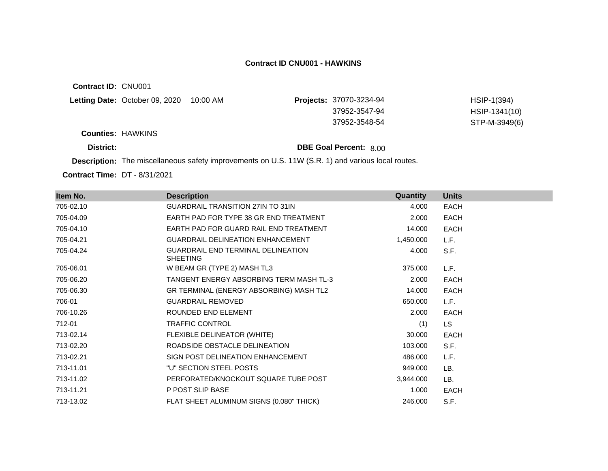**Contract ID:** CNU001

| Letting Date: October 09, 2020 | 10:00 AM | <b>Projects: 37070-3234-94</b> | HSIP-1(394)   |
|--------------------------------|----------|--------------------------------|---------------|
|                                |          | 37952-3547-94                  | HSIP-1341(10) |
|                                |          | 37952-3548-54                  | STP-M-3949(6) |

**Counties:** HAWKINS

**District: District: DBE Goal Percent:** 8.00

**Description:** The miscellaneous safety improvements on U.S. 11W (S.R. 1) and various local routes.

**Contract Time:** DT - 8/31/2021

| Item No.  | <b>Description</b>                                           | <b>Quantity</b> | <b>Units</b> |
|-----------|--------------------------------------------------------------|-----------------|--------------|
| 705-02.10 | <b>GUARDRAIL TRANSITION 27IN TO 31IN</b>                     | 4.000           | <b>EACH</b>  |
| 705-04.09 | EARTH PAD FOR TYPE 38 GR END TREATMENT                       | 2.000           | <b>EACH</b>  |
| 705-04.10 | EARTH PAD FOR GUARD RAIL END TREATMENT                       | 14.000          | <b>EACH</b>  |
| 705-04.21 | <b>GUARDRAIL DELINEATION ENHANCEMENT</b>                     | 1,450.000       | L.F.         |
| 705-04.24 | <b>GUARDRAIL END TERMINAL DELINEATION</b><br><b>SHEETING</b> | 4.000           | S.F.         |
| 705-06.01 | W BEAM GR (TYPE 2) MASH TL3                                  | 375.000         | L.F.         |
| 705-06.20 | TANGENT ENERGY ABSORBING TERM MASH TL-3                      | 2.000           | <b>EACH</b>  |
| 705-06.30 | GR TERMINAL (ENERGY ABSORBING) MASH TL2                      | 14.000          | EACH         |
| 706-01    | <b>GUARDRAIL REMOVED</b>                                     | 650.000         | L.F.         |
| 706-10.26 | ROUNDED END ELEMENT                                          | 2.000           | <b>EACH</b>  |
| 712-01    | <b>TRAFFIC CONTROL</b>                                       | (1)             | <b>LS</b>    |
| 713-02.14 | FLEXIBLE DELINEATOR (WHITE)                                  | 30.000          | <b>EACH</b>  |
| 713-02.20 | ROADSIDE OBSTACLE DELINEATION                                | 103.000         | S.F.         |
| 713-02.21 | SIGN POST DELINEATION ENHANCEMENT                            | 486.000         | L.F.         |
| 713-11.01 | "U" SECTION STEEL POSTS                                      | 949.000         | LB.          |
| 713-11.02 | PERFORATED/KNOCKOUT SQUARE TUBE POST                         | 3,944.000       | LB.          |
| 713-11.21 | P POST SLIP BASE                                             | 1.000           | <b>EACH</b>  |
| 713-13.02 | FLAT SHEET ALUMINUM SIGNS (0.080" THICK)                     | 246.000         | S.F.         |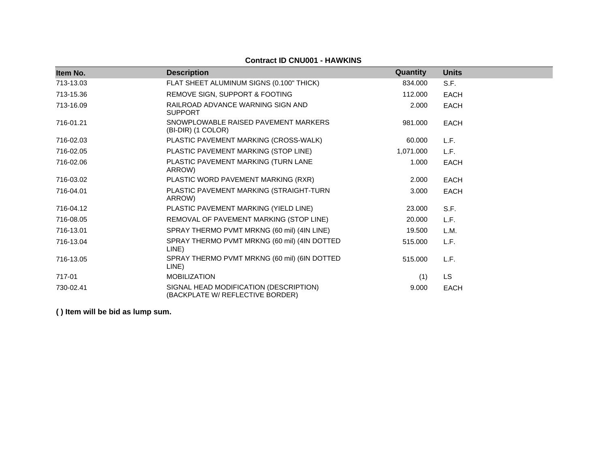| Item No.  | <b>Description</b>                                                         | Quantity  | <b>Units</b> |
|-----------|----------------------------------------------------------------------------|-----------|--------------|
| 713-13.03 | FLAT SHEET ALUMINUM SIGNS (0.100" THICK)                                   | 834.000   | S.F.         |
| 713-15.36 | REMOVE SIGN, SUPPORT & FOOTING                                             | 112,000   | <b>EACH</b>  |
| 713-16.09 | RAILROAD ADVANCE WARNING SIGN AND<br><b>SUPPORT</b>                        | 2.000     | <b>EACH</b>  |
| 716-01.21 | SNOWPLOWABLE RAISED PAVEMENT MARKERS<br>(BI-DIR) (1 COLOR)                 | 981.000   | <b>EACH</b>  |
| 716-02.03 | PLASTIC PAVEMENT MARKING (CROSS-WALK)                                      | 60.000    | L.F.         |
| 716-02.05 | PLASTIC PAVEMENT MARKING (STOP LINE)                                       | 1,071.000 | L.F.         |
| 716-02.06 | PLASTIC PAVEMENT MARKING (TURN LANE<br>ARROW)                              | 1.000     | <b>EACH</b>  |
| 716-03.02 | PLASTIC WORD PAVEMENT MARKING (RXR)                                        | 2.000     | <b>EACH</b>  |
| 716-04.01 | PLASTIC PAVEMENT MARKING (STRAIGHT-TURN<br>ARROW)                          | 3.000     | <b>EACH</b>  |
| 716-04.12 | PLASTIC PAVEMENT MARKING (YIELD LINE)                                      | 23,000    | S.F.         |
| 716-08.05 | REMOVAL OF PAVEMENT MARKING (STOP LINE)                                    | 20.000    | L.F.         |
| 716-13.01 | SPRAY THERMO PVMT MRKNG (60 mil) (4IN LINE)                                | 19.500    | L.M.         |
| 716-13.04 | SPRAY THERMO PVMT MRKNG (60 mil) (4IN DOTTED<br>LINE)                      | 515.000   | L.F.         |
| 716-13.05 | SPRAY THERMO PVMT MRKNG (60 mil) (6IN DOTTED<br>LINE)                      | 515,000   | L.F.         |
| 717-01    | <b>MOBILIZATION</b>                                                        | (1)       | <b>LS</b>    |
| 730-02.41 | SIGNAL HEAD MODIFICATION (DESCRIPTION)<br>(BACKPLATE W/ REFLECTIVE BORDER) | 9.000     | <b>EACH</b>  |

### **Contract ID CNU001 - HAWKINS**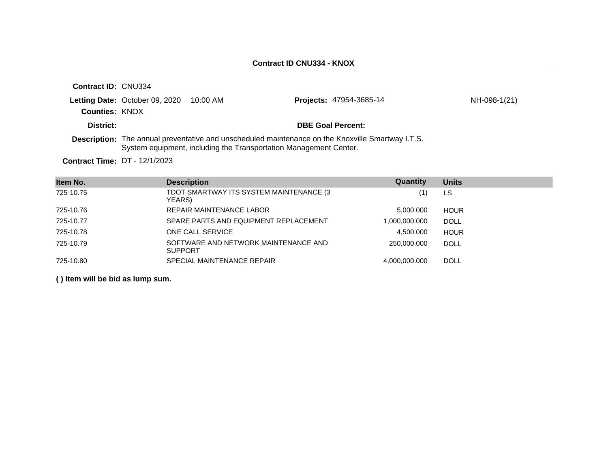| <b>Contract ID: CNU334</b> |                                         |                                                                   |                                                                                                   |              |
|----------------------------|-----------------------------------------|-------------------------------------------------------------------|---------------------------------------------------------------------------------------------------|--------------|
|                            | Letting Date: October 09, 2020 10:00 AM |                                                                   | <b>Projects: 47954-3685-14</b>                                                                    | NH-098-1(21) |
| <b>Counties: KNOX</b>      |                                         |                                                                   |                                                                                                   |              |
| District:                  |                                         |                                                                   | <b>DBE Goal Percent:</b>                                                                          |              |
|                            |                                         | System equipment, including the Transportation Management Center. | Description: The annual preventative and unscheduled maintenance on the Knoxville Smartway I.T.S. |              |

**Contract Time:** DT - 12/1/2023

| Item No.  | <b>Description</b>                                     | Quantity      | <b>Units</b> |
|-----------|--------------------------------------------------------|---------------|--------------|
| 725-10.75 | TDOT SMARTWAY ITS SYSTEM MAINTENANCE (3)<br>YEARS)     | (1)           | LS           |
| 725-10.76 | REPAIR MAINTENANCE LABOR                               | 5.000.000     | <b>HOUR</b>  |
| 725-10.77 | SPARE PARTS AND EQUIPMENT REPLACEMENT                  | 1,000,000.000 | <b>DOLL</b>  |
| 725-10.78 | ONE CALL SERVICE                                       | 4.500.000     | <b>HOUR</b>  |
| 725-10.79 | SOFTWARE AND NETWORK MAINTENANCE AND<br><b>SUPPORT</b> | 250,000,000   | <b>DOLL</b>  |
| 725-10.80 | SPECIAL MAINTENANCE REPAIR                             | 4.000.000.000 | <b>DOLL</b>  |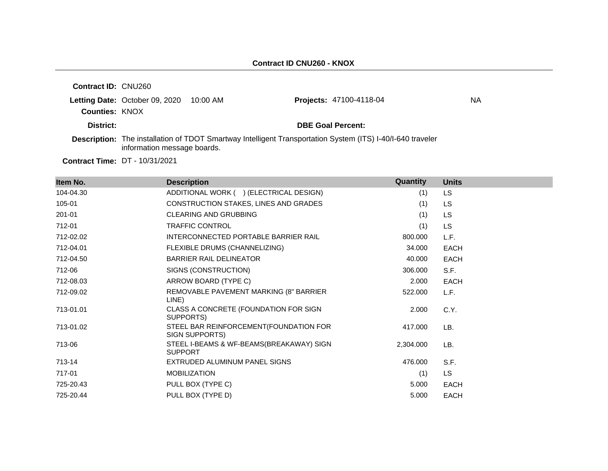| <b>Contract ID: CNU260</b> |                                |          |                                                                                                                   |    |
|----------------------------|--------------------------------|----------|-------------------------------------------------------------------------------------------------------------------|----|
|                            | Letting Date: October 09, 2020 | 10:00 AM | <b>Projects: 47100-4118-04</b>                                                                                    | ΝA |
| <b>Counties: KNOX</b>      |                                |          |                                                                                                                   |    |
| District:                  |                                |          | <b>DBE Goal Percent:</b>                                                                                          |    |
|                            | information message boards.    |          | <b>Description:</b> The installation of TDOT Smartway Intelligent Transportation System (ITS) I-40/I-640 traveler |    |

**Contract Time:** DT - 10/31/2021

| Item No.  | <b>Description</b>                                         | <b>Quantity</b> | <b>Units</b> |
|-----------|------------------------------------------------------------|-----------------|--------------|
| 104-04.30 | ADDITIONAL WORK ( ) (ELECTRICAL DESIGN)                    | (1)             | <b>LS</b>    |
| 105-01    | CONSTRUCTION STAKES, LINES AND GRADES                      | (1)             | <b>LS</b>    |
| 201-01    | <b>CLEARING AND GRUBBING</b>                               | (1)             | <b>LS</b>    |
| 712-01    | TRAFFIC CONTROL                                            | (1)             | <b>LS</b>    |
| 712-02.02 | INTERCONNECTED PORTABLE BARRIER RAIL                       | 800.000         | L.F.         |
| 712-04.01 | FLEXIBLE DRUMS (CHANNELIZING)                              | 34.000          | <b>EACH</b>  |
| 712-04.50 | <b>BARRIER RAIL DELINEATOR</b>                             | 40.000          | <b>EACH</b>  |
| 712-06    | SIGNS (CONSTRUCTION)                                       | 306.000         | S.F.         |
| 712-08.03 | ARROW BOARD (TYPE C)                                       | 2.000           | <b>EACH</b>  |
| 712-09.02 | REMOVABLE PAVEMENT MARKING (8" BARRIER<br>LINE)            | 522.000         | L.F.         |
| 713-01.01 | CLASS A CONCRETE (FOUNDATION FOR SIGN<br>SUPPORTS)         | 2.000           | C.Y.         |
| 713-01.02 | STEEL BAR REINFORCEMENT (FOUNDATION FOR<br>SIGN SUPPORTS)  | 417.000         | LB.          |
| 713-06    | STEEL I-BEAMS & WF-BEAMS(BREAKAWAY) SIGN<br><b>SUPPORT</b> | 2,304.000       | LB.          |
| 713-14    | EXTRUDED ALUMINUM PANEL SIGNS                              | 476.000         | S.F.         |
| 717-01    | <b>MOBILIZATION</b>                                        | (1)             | LS           |
| 725-20.43 | PULL BOX (TYPE C)                                          | 5.000           | <b>EACH</b>  |
| 725-20.44 | PULL BOX (TYPE D)                                          | 5.000           | <b>EACH</b>  |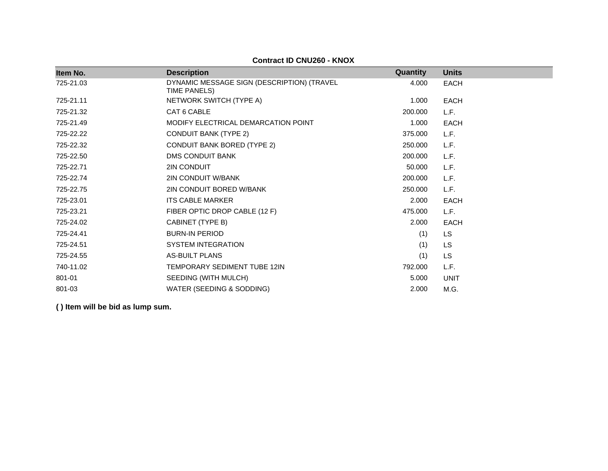| Item No.  | <b>Description</b>                                         | Quantity | <b>Units</b> |
|-----------|------------------------------------------------------------|----------|--------------|
| 725-21.03 | DYNAMIC MESSAGE SIGN (DESCRIPTION) (TRAVEL<br>TIME PANELS) | 4.000    | <b>EACH</b>  |
| 725-21.11 | NETWORK SWITCH (TYPE A)                                    | 1.000    | <b>EACH</b>  |
| 725-21.32 | CAT 6 CABLE                                                | 200,000  | L.F.         |
| 725-21.49 | MODIFY ELECTRICAL DEMARCATION POINT                        | 1.000    | <b>EACH</b>  |
| 725-22.22 | <b>CONDUIT BANK (TYPE 2)</b>                               | 375.000  | L.F.         |
| 725-22.32 | <b>CONDUIT BANK BORED (TYPE 2)</b>                         | 250.000  | L.F.         |
| 725-22.50 | <b>DMS CONDUIT BANK</b>                                    | 200.000  | L.F.         |
| 725-22.71 | 2IN CONDUIT                                                | 50.000   | L.F.         |
| 725-22.74 | 2IN CONDUIT W/BANK                                         | 200.000  | L.F.         |
| 725-22.75 | 2IN CONDUIT BORED W/BANK                                   | 250.000  | L.F.         |
| 725-23.01 | <b>ITS CABLE MARKER</b>                                    | 2.000    | <b>EACH</b>  |
| 725-23.21 | FIBER OPTIC DROP CABLE (12 F)                              | 475.000  | L.F.         |
| 725-24.02 | CABINET (TYPE B)                                           | 2.000    | <b>EACH</b>  |
| 725-24.41 | <b>BURN-IN PERIOD</b>                                      | (1)      | LS.          |
| 725-24.51 | <b>SYSTEM INTEGRATION</b>                                  | (1)      | <b>LS</b>    |
| 725-24.55 | <b>AS-BUILT PLANS</b>                                      | (1)      | <b>LS</b>    |
| 740-11.02 | <b>TEMPORARY SEDIMENT TUBE 12IN</b>                        | 792.000  | L.F.         |
| 801-01    | SEEDING (WITH MULCH)                                       | 5.000    | <b>UNIT</b>  |
| 801-03    | WATER (SEEDING & SODDING)                                  | 2.000    | M.G.         |

**Contract ID CNU260 - KNOX**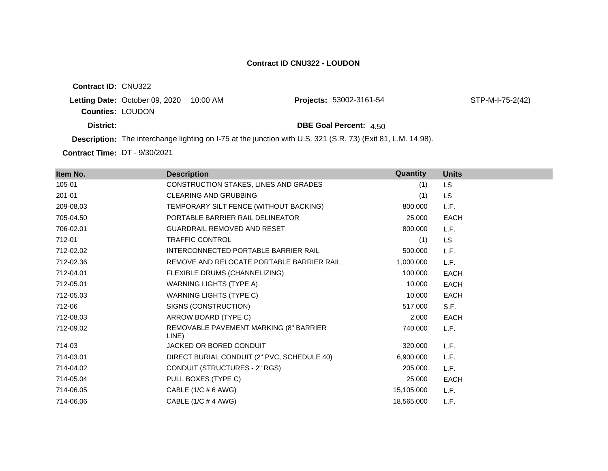**Contract ID:** CNU322 **Letting Date:** October 09, 2020 10:00 AM **Projects: Counties:** LOUDON **District: District: DBE Goal Percent:**  $4.50$ **Description:** The interchange lighting on I-75 at the junction with U.S. 321 (S.R. 73) (Exit 81, L.M. 14.98). STP-M-I-75-2(42)

**Contract Time:** DT - 9/30/2021

| Item No.  | <b>Description</b>                              | Quantity   | <b>Units</b> |
|-----------|-------------------------------------------------|------------|--------------|
| 105-01    | CONSTRUCTION STAKES, LINES AND GRADES           | (1)        | LS.          |
| 201-01    | <b>CLEARING AND GRUBBING</b>                    | (1)        | LS.          |
| 209-08.03 | TEMPORARY SILT FENCE (WITHOUT BACKING)          | 800.000    | L.F.         |
| 705-04.50 | PORTABLE BARRIER RAIL DELINEATOR                | 25,000     | <b>EACH</b>  |
| 706-02.01 | GUARDRAIL REMOVED AND RESET                     | 800.000    | L.F.         |
| 712-01    | <b>TRAFFIC CONTROL</b>                          | (1)        | <b>LS</b>    |
| 712-02.02 | INTERCONNECTED PORTABLE BARRIER RAIL            | 500.000    | L.F.         |
| 712-02.36 | REMOVE AND RELOCATE PORTABLE BARRIER RAIL       | 1,000.000  | L.F.         |
| 712-04.01 | FLEXIBLE DRUMS (CHANNELIZING)                   | 100.000    | EACH         |
| 712-05.01 | WARNING LIGHTS (TYPE A)                         | 10.000     | <b>EACH</b>  |
| 712-05.03 | <b>WARNING LIGHTS (TYPE C)</b>                  | 10.000     | <b>EACH</b>  |
| 712-06    | SIGNS (CONSTRUCTION)                            | 517.000    | S.F.         |
| 712-08.03 | ARROW BOARD (TYPE C)                            | 2.000      | EACH         |
| 712-09.02 | REMOVABLE PAVEMENT MARKING (8" BARRIER<br>LINE) | 740.000    | L.F.         |
| 714-03    | JACKED OR BORED CONDUIT                         | 320.000    | L.F.         |
| 714-03.01 | DIRECT BURIAL CONDUIT (2" PVC, SCHEDULE 40)     | 6,900.000  | L.F.         |
| 714-04.02 | CONDUIT (STRUCTURES - 2" RGS)                   | 205.000    | L.F.         |
| 714-05.04 | PULL BOXES (TYPE C)                             | 25,000     | <b>EACH</b>  |
| 714-06.05 | CABLE $(1/C \# 6 \text{ AWG})$                  | 15,105.000 | L.F.         |
| 714-06.06 | CABLE (1/C # 4 AWG)                             | 18,565.000 | L.F.         |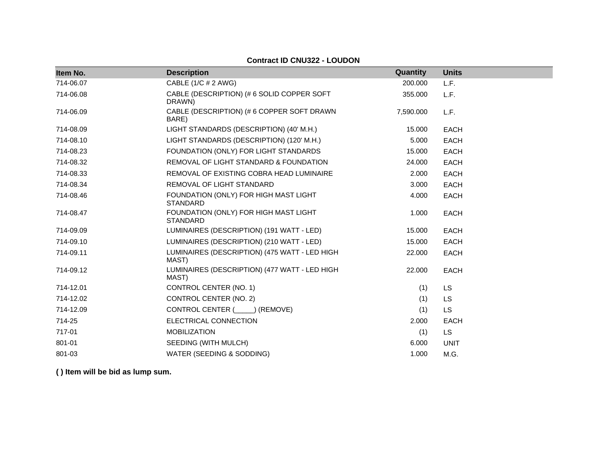| Item No.  | <b>Description</b>                                       | Quantity  | <b>Units</b> |
|-----------|----------------------------------------------------------|-----------|--------------|
| 714-06.07 | CABLE (1/C # 2 AWG)                                      | 200.000   | L.F.         |
| 714-06.08 | CABLE (DESCRIPTION) (# 6 SOLID COPPER SOFT<br>DRAWN)     | 355.000   | L.F.         |
| 714-06.09 | CABLE (DESCRIPTION) (# 6 COPPER SOFT DRAWN<br>BARE)      | 7,590.000 | L.F.         |
| 714-08.09 | LIGHT STANDARDS (DESCRIPTION) (40' M.H.)                 | 15.000    | <b>EACH</b>  |
| 714-08.10 | LIGHT STANDARDS (DESCRIPTION) (120' M.H.)                | 5.000     | <b>EACH</b>  |
| 714-08.23 | FOUNDATION (ONLY) FOR LIGHT STANDARDS                    | 15.000    | <b>EACH</b>  |
| 714-08.32 | REMOVAL OF LIGHT STANDARD & FOUNDATION                   | 24.000    | <b>EACH</b>  |
| 714-08.33 | REMOVAL OF EXISTING COBRA HEAD LUMINAIRE                 | 2.000     | <b>EACH</b>  |
| 714-08.34 | REMOVAL OF LIGHT STANDARD                                | 3.000     | <b>EACH</b>  |
| 714-08.46 | FOUNDATION (ONLY) FOR HIGH MAST LIGHT<br><b>STANDARD</b> | 4.000     | <b>EACH</b>  |
| 714-08.47 | FOUNDATION (ONLY) FOR HIGH MAST LIGHT<br><b>STANDARD</b> | 1.000     | <b>EACH</b>  |
| 714-09.09 | LUMINAIRES (DESCRIPTION) (191 WATT - LED)                | 15.000    | <b>EACH</b>  |
| 714-09.10 | LUMINAIRES (DESCRIPTION) (210 WATT - LED)                | 15.000    | <b>EACH</b>  |
| 714-09.11 | LUMINAIRES (DESCRIPTION) (475 WATT - LED HIGH<br>MAST)   | 22.000    | <b>EACH</b>  |
| 714-09.12 | LUMINAIRES (DESCRIPTION) (477 WATT - LED HIGH<br>MAST)   | 22.000    | <b>EACH</b>  |
| 714-12.01 | CONTROL CENTER (NO. 1)                                   | (1)       | LS           |
| 714-12.02 | CONTROL CENTER (NO. 2)                                   | (1)       | LS           |
| 714-12.09 | CONTROL CENTER (_____) (REMOVE)                          | (1)       | <b>LS</b>    |
| 714-25    | ELECTRICAL CONNECTION                                    | 2.000     | <b>EACH</b>  |
| 717-01    | <b>MOBILIZATION</b>                                      | (1)       | <b>LS</b>    |
| 801-01    | SEEDING (WITH MULCH)                                     | 6.000     | <b>UNIT</b>  |
| 801-03    | WATER (SEEDING & SODDING)                                | 1.000     | M.G.         |

### **Contract ID CNU322 - LOUDON**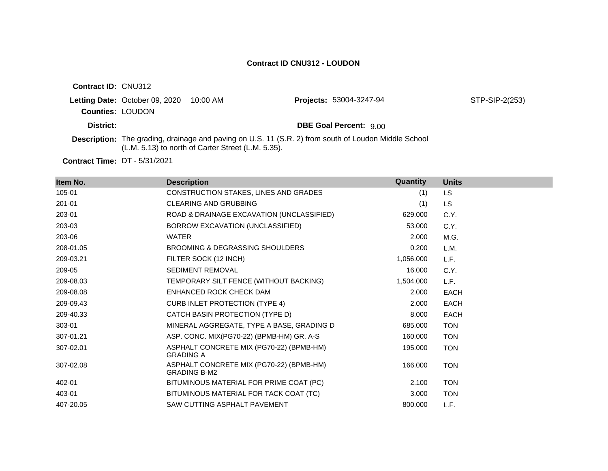| <b>Contract ID: CNU312</b> |                                |                                                    |                                                                                                             |                |
|----------------------------|--------------------------------|----------------------------------------------------|-------------------------------------------------------------------------------------------------------------|----------------|
|                            | Letting Date: October 09, 2020 | 10:00 AM                                           | <b>Projects: 53004-3247-94</b>                                                                              | STP-SIP-2(253) |
| <b>Counties: LOUDON</b>    |                                |                                                    |                                                                                                             |                |
| District:                  |                                |                                                    | <b>DBE Goal Percent: 9.00</b>                                                                               |                |
|                            |                                | (L.M. 5.13) to north of Carter Street (L.M. 5.35). | <b>Description:</b> The grading, drainage and paving on U.S. 11 (S.R. 2) from south of Loudon Middle School |                |

**Contract Time:** DT - 5/31/2021

| Item No.  | <b>Description</b>                                              | Quantity  | <b>Units</b> |
|-----------|-----------------------------------------------------------------|-----------|--------------|
| 105-01    | CONSTRUCTION STAKES, LINES AND GRADES                           | (1)       | LS.          |
| 201-01    | <b>CLEARING AND GRUBBING</b>                                    | (1)       | <b>LS</b>    |
| 203-01    | ROAD & DRAINAGE EXCAVATION (UNCLASSIFIED)                       | 629.000   | C.Y.         |
| 203-03    | BORROW EXCAVATION (UNCLASSIFIED)                                | 53,000    | C.Y.         |
| 203-06    | <b>WATER</b>                                                    | 2.000     | M.G.         |
| 208-01.05 | BROOMING & DEGRASSING SHOULDERS                                 | 0.200     | L.M.         |
| 209-03.21 | FILTER SOCK (12 INCH)                                           | 1,056.000 | L.F.         |
| 209-05    | <b>SEDIMENT REMOVAL</b>                                         | 16.000    | C.Y.         |
| 209-08.03 | TEMPORARY SILT FENCE (WITHOUT BACKING)                          | 1,504.000 | L.F.         |
| 209-08.08 | ENHANCED ROCK CHECK DAM                                         | 2.000     | <b>EACH</b>  |
| 209-09.43 | <b>CURB INLET PROTECTION (TYPE 4)</b>                           | 2.000     | <b>EACH</b>  |
| 209-40.33 | CATCH BASIN PROTECTION (TYPE D)                                 | 8.000     | <b>EACH</b>  |
| 303-01    | MINERAL AGGREGATE, TYPE A BASE, GRADING D                       | 685.000   | <b>TON</b>   |
| 307-01.21 | ASP. CONC. MIX(PG70-22) (BPMB-HM) GR. A-S                       | 160.000   | <b>TON</b>   |
| 307-02.01 | ASPHALT CONCRETE MIX (PG70-22) (BPMB-HM)<br><b>GRADING A</b>    | 195.000   | <b>TON</b>   |
| 307-02.08 | ASPHALT CONCRETE MIX (PG70-22) (BPMB-HM)<br><b>GRADING B-M2</b> | 166.000   | <b>TON</b>   |
| 402-01    | BITUMINOUS MATERIAL FOR PRIME COAT (PC)                         | 2.100     | <b>TON</b>   |
| 403-01    | BITUMINOUS MATERIAL FOR TACK COAT (TC)                          | 3.000     | <b>TON</b>   |
| 407-20.05 | SAW CUTTING ASPHALT PAVEMENT                                    | 800.000   | L.F.         |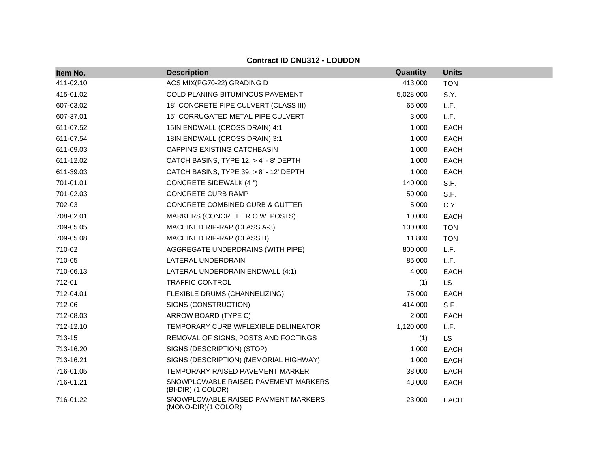| Item No.  | <b>Description</b>                                         | <b>Quantity</b> | <b>Units</b> |
|-----------|------------------------------------------------------------|-----------------|--------------|
| 411-02.10 | ACS MIX(PG70-22) GRADING D                                 | 413.000         | <b>TON</b>   |
| 415-01.02 | COLD PLANING BITUMINOUS PAVEMENT                           | 5,028.000       | S.Y.         |
| 607-03.02 | 18" CONCRETE PIPE CULVERT (CLASS III)                      | 65.000          | L.F.         |
| 607-37.01 | 15" CORRUGATED METAL PIPE CULVERT                          | 3.000           | L.F.         |
| 611-07.52 | 15IN ENDWALL (CROSS DRAIN) 4:1                             | 1.000           | <b>EACH</b>  |
| 611-07.54 | 18IN ENDWALL (CROSS DRAIN) 3:1                             | 1.000           | <b>EACH</b>  |
| 611-09.03 | CAPPING EXISTING CATCHBASIN                                | 1.000           | <b>EACH</b>  |
| 611-12.02 | CATCH BASINS, TYPE 12, > 4' - 8' DEPTH                     | 1.000           | <b>EACH</b>  |
| 611-39.03 | CATCH BASINS, TYPE 39, > 8' - 12' DEPTH                    | 1.000           | <b>EACH</b>  |
| 701-01.01 | CONCRETE SIDEWALK (4 ")                                    | 140.000         | S.F.         |
| 701-02.03 | CONCRETE CURB RAMP                                         | 50.000          | S.F.         |
| 702-03    | CONCRETE COMBINED CURB & GUTTER                            | 5.000           | C.Y.         |
| 708-02.01 | MARKERS (CONCRETE R.O.W. POSTS)                            | 10.000          | <b>EACH</b>  |
| 709-05.05 | MACHINED RIP-RAP (CLASS A-3)                               | 100.000         | <b>TON</b>   |
| 709-05.08 | MACHINED RIP-RAP (CLASS B)                                 | 11.800          | <b>TON</b>   |
| 710-02    | AGGREGATE UNDERDRAINS (WITH PIPE)                          | 800.000         | L.F.         |
| 710-05    | LATERAL UNDERDRAIN                                         | 85.000          | L.F.         |
| 710-06.13 | LATERAL UNDERDRAIN ENDWALL (4:1)                           | 4.000           | <b>EACH</b>  |
| 712-01    | <b>TRAFFIC CONTROL</b>                                     | (1)             | <b>LS</b>    |
| 712-04.01 | FLEXIBLE DRUMS (CHANNELIZING)                              | 75.000          | <b>EACH</b>  |
| 712-06    | SIGNS (CONSTRUCTION)                                       | 414.000         | S.F.         |
| 712-08.03 | ARROW BOARD (TYPE C)                                       | 2.000           | <b>EACH</b>  |
| 712-12.10 | TEMPORARY CURB W/FLEXIBLE DELINEATOR                       | 1,120.000       | L.F.         |
| 713-15    | REMOVAL OF SIGNS, POSTS AND FOOTINGS                       | (1)             | <b>LS</b>    |
| 713-16.20 | SIGNS (DESCRIPTION) (STOP)                                 | 1.000           | <b>EACH</b>  |
| 713-16.21 | SIGNS (DESCRIPTION) (MEMORIAL HIGHWAY)                     | 1.000           | <b>EACH</b>  |
| 716-01.05 | TEMPORARY RAISED PAVEMENT MARKER                           | 38.000          | <b>EACH</b>  |
| 716-01.21 | SNOWPLOWABLE RAISED PAVEMENT MARKERS<br>(BI-DIR) (1 COLOR) | 43.000          | <b>EACH</b>  |
| 716-01.22 | SNOWPLOWABLE RAISED PAVMENT MARKERS<br>(MONO-DIR)(1 COLOR) | 23.000          | <b>EACH</b>  |

# **Contract ID CNU312 - LOUDON**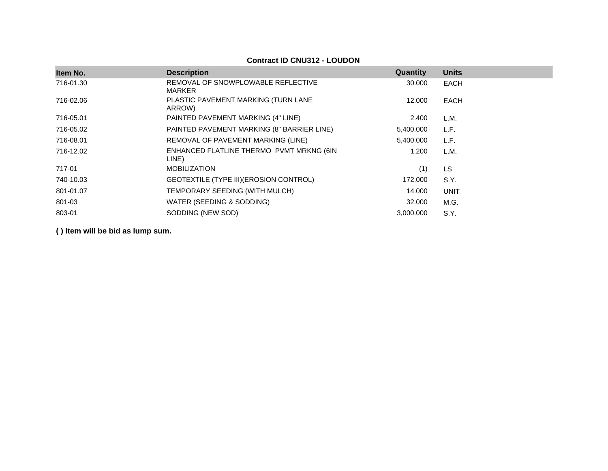#### **Ifem No. Description Description CONS** 716-01.30 REMOVAL OF SNOWPLOWABLE REFLECTIVE MARKER 30.000 EACH 716-02.06 PLASTIC PAVEMENT MARKING (TURN LANE ARROW) 12.000 EACH 716-05.01 PAINTED PAVEMENT MARKING (4" LINE) 2.400 L.M. 716-05.02 PAINTED PAVEMENT MARKING (8" BARRIER LINE) 5,400.000 L.F. 716-08.01 REMOVAL OF PAVEMENT MARKING (LINE) 5,400.000 L.F. 716-12.02 ENHANCED FLATLINE THERMO PVMT MRKNG (6IN LINE) 1.200 L.M. 717-01 MOBILIZATION (1) LS 740-10.03 GEOTEXTILE (TYPE III)(EROSION CONTROL) 172.000 S.Y. 801-01.07 TEMPORARY SEEDING (WITH MULCH) 14.000 UNIT 801-03 WATER (SEEDING & SODDING) 32.000 M.G. 803-01 SODDING (NEW SOD) 3,000.000 S.Y.

**( ) Item will be bid as lump sum.**

#### **Contract ID CNU312 - LOUDON**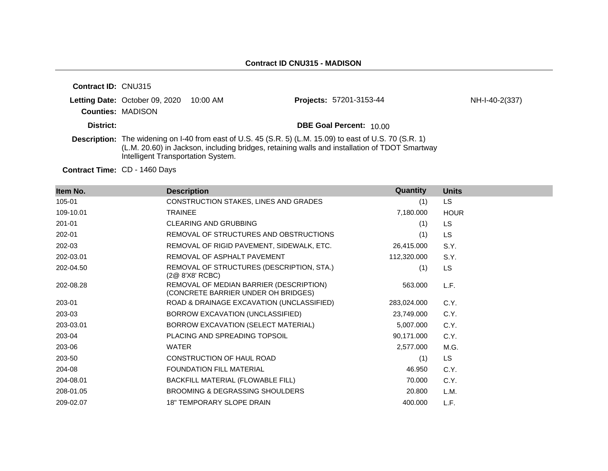| <b>Contract ID: CNU315</b> |                                                                     |                                                                                                                                                                                                                  |                |
|----------------------------|---------------------------------------------------------------------|------------------------------------------------------------------------------------------------------------------------------------------------------------------------------------------------------------------|----------------|
|                            | Letting Date: October 09, 2020 10:00 AM<br><b>Counties: MADISON</b> | <b>Projects: 57201-3153-44</b>                                                                                                                                                                                   | NH-I-40-2(337) |
| District:                  |                                                                     | <b>DBE Goal Percent: 10.00</b>                                                                                                                                                                                   |                |
|                            | Intelligent Transportation System.                                  | <b>Description:</b> The widening on I-40 from east of U.S. 45 (S.R. 5) (L.M. 15.09) to east of U.S. 70 (S.R. 1)<br>(L.M. 20.60) in Jackson, including bridges, retaining walls and installation of TDOT Smartway |                |

**Contract Time:** CD - 1460 Days

| Item No.  | <b>Description</b>                                                             | Quantity    | <b>Units</b> |
|-----------|--------------------------------------------------------------------------------|-------------|--------------|
| 105-01    | CONSTRUCTION STAKES, LINES AND GRADES                                          | (1)         | LS.          |
| 109-10.01 | <b>TRAINEE</b>                                                                 | 7,180.000   | <b>HOUR</b>  |
| 201-01    | <b>CLEARING AND GRUBBING</b>                                                   | (1)         | <b>LS</b>    |
| 202-01    | REMOVAL OF STRUCTURES AND OBSTRUCTIONS                                         | (1)         | <b>LS</b>    |
| 202-03    | REMOVAL OF RIGID PAVEMENT, SIDEWALK, ETC.                                      | 26,415.000  | S.Y.         |
| 202-03.01 | REMOVAL OF ASPHALT PAVEMENT                                                    | 112,320.000 | S.Y.         |
| 202-04.50 | REMOVAL OF STRUCTURES (DESCRIPTION, STA.)<br>(2@ 8'X8' RCBC)                   | (1)         | LS.          |
| 202-08.28 | REMOVAL OF MEDIAN BARRIER (DESCRIPTION)<br>(CONCRETE BARRIER UNDER OH BRIDGES) | 563.000     | L.F.         |
| 203-01    | ROAD & DRAINAGE EXCAVATION (UNCLASSIFIED)                                      | 283,024.000 | C.Y.         |
| 203-03    | BORROW EXCAVATION (UNCLASSIFIED)                                               | 23,749.000  | C.Y.         |
| 203-03.01 | BORROW EXCAVATION (SELECT MATERIAL)                                            | 5,007.000   | C.Y.         |
| 203-04    | PLACING AND SPREADING TOPSOIL                                                  | 90,171.000  | C.Y.         |
| 203-06    | <b>WATER</b>                                                                   | 2,577.000   | M.G.         |
| 203-50    | CONSTRUCTION OF HAUL ROAD                                                      | (1)         | LS.          |
| 204-08    | <b>FOUNDATION FILL MATERIAL</b>                                                | 46.950      | C.Y.         |
| 204-08.01 | BACKFILL MATERIAL (FLOWABLE FILL)                                              | 70.000      | C.Y.         |
| 208-01.05 | BROOMING & DEGRASSING SHOULDERS                                                | 20.800      | L.M.         |
| 209-02.07 | <b>18" TEMPORARY SLOPE DRAIN</b>                                               | 400.000     | L.F.         |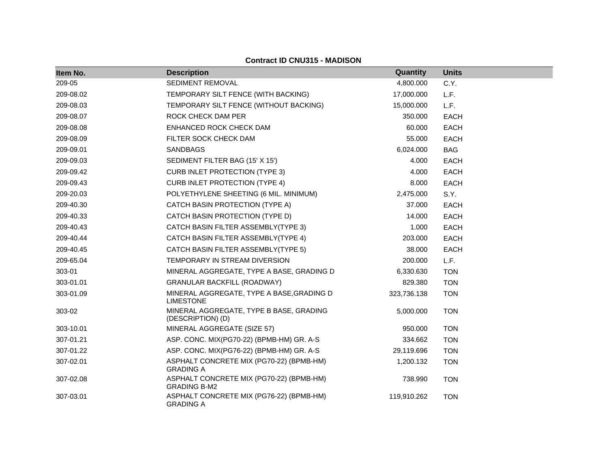| Item No.  | <b>Description</b>                                              | Quantity    | <b>Units</b> |
|-----------|-----------------------------------------------------------------|-------------|--------------|
| 209-05    | SEDIMENT REMOVAL                                                | 4,800.000   | C.Y.         |
| 209-08.02 | TEMPORARY SILT FENCE (WITH BACKING)                             | 17,000.000  | L.F.         |
| 209-08.03 | TEMPORARY SILT FENCE (WITHOUT BACKING)                          | 15,000.000  | L.F.         |
| 209-08.07 | ROCK CHECK DAM PER                                              | 350.000     | <b>EACH</b>  |
| 209-08.08 | ENHANCED ROCK CHECK DAM                                         | 60.000      | <b>EACH</b>  |
| 209-08.09 | FILTER SOCK CHECK DAM                                           | 55.000      | <b>EACH</b>  |
| 209-09.01 | <b>SANDBAGS</b>                                                 | 6,024.000   | <b>BAG</b>   |
| 209-09.03 | SEDIMENT FILTER BAG (15' X 15')                                 | 4.000       | <b>EACH</b>  |
| 209-09.42 | <b>CURB INLET PROTECTION (TYPE 3)</b>                           | 4.000       | <b>EACH</b>  |
| 209-09.43 | <b>CURB INLET PROTECTION (TYPE 4)</b>                           | 8.000       | <b>EACH</b>  |
| 209-20.03 | POLYETHYLENE SHEETING (6 MIL. MINIMUM)                          | 2,475.000   | S.Y.         |
| 209-40.30 | CATCH BASIN PROTECTION (TYPE A)                                 | 37.000      | <b>EACH</b>  |
| 209-40.33 | CATCH BASIN PROTECTION (TYPE D)                                 | 14.000      | <b>EACH</b>  |
| 209-40.43 | CATCH BASIN FILTER ASSEMBLY(TYPE 3)                             | 1.000       | <b>EACH</b>  |
| 209-40.44 | CATCH BASIN FILTER ASSEMBLY(TYPE 4)                             | 203.000     | <b>EACH</b>  |
| 209-40.45 | CATCH BASIN FILTER ASSEMBLY(TYPE 5)                             | 38.000      | <b>EACH</b>  |
| 209-65.04 | TEMPORARY IN STREAM DIVERSION                                   | 200.000     | L.F.         |
| 303-01    | MINERAL AGGREGATE, TYPE A BASE, GRADING D                       | 6,330.630   | <b>TON</b>   |
| 303-01.01 | <b>GRANULAR BACKFILL (ROADWAY)</b>                              | 829.380     | <b>TON</b>   |
| 303-01.09 | MINERAL AGGREGATE, TYPE A BASE, GRADING D<br><b>LIMESTONE</b>   | 323,736.138 | <b>TON</b>   |
| 303-02    | MINERAL AGGREGATE, TYPE B BASE, GRADING<br>(DESCRIPTION) (D)    | 5,000.000   | <b>TON</b>   |
| 303-10.01 | MINERAL AGGREGATE (SIZE 57)                                     | 950.000     | <b>TON</b>   |
| 307-01.21 | ASP. CONC. MIX(PG70-22) (BPMB-HM) GR. A-S                       | 334.662     | <b>TON</b>   |
| 307-01.22 | ASP. CONC. MIX(PG76-22) (BPMB-HM) GR. A-S                       | 29,119.696  | <b>TON</b>   |
| 307-02.01 | ASPHALT CONCRETE MIX (PG70-22) (BPMB-HM)<br><b>GRADING A</b>    | 1,200.132   | <b>TON</b>   |
| 307-02.08 | ASPHALT CONCRETE MIX (PG70-22) (BPMB-HM)<br><b>GRADING B-M2</b> | 738.990     | <b>TON</b>   |
| 307-03.01 | ASPHALT CONCRETE MIX (PG76-22) (BPMB-HM)<br><b>GRADING A</b>    | 119,910.262 | <b>TON</b>   |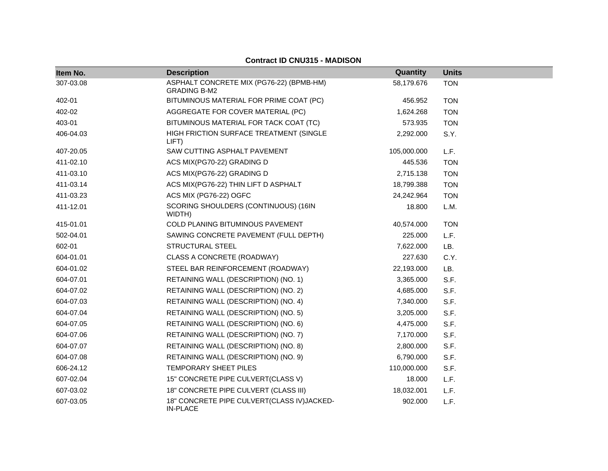| Item No.  | <b>Description</b>                                              | Quantity    | <b>Units</b> |
|-----------|-----------------------------------------------------------------|-------------|--------------|
| 307-03.08 | ASPHALT CONCRETE MIX (PG76-22) (BPMB-HM)<br><b>GRADING B-M2</b> | 58,179.676  | <b>TON</b>   |
| 402-01    | BITUMINOUS MATERIAL FOR PRIME COAT (PC)                         | 456.952     | <b>TON</b>   |
| 402-02    | AGGREGATE FOR COVER MATERIAL (PC)                               | 1,624.268   | <b>TON</b>   |
| 403-01    | BITUMINOUS MATERIAL FOR TACK COAT (TC)                          | 573.935     | <b>TON</b>   |
| 406-04.03 | HIGH FRICTION SURFACE TREATMENT (SINGLE<br>LIFT)                | 2,292.000   | S.Y.         |
| 407-20.05 | SAW CUTTING ASPHALT PAVEMENT                                    | 105,000.000 | L.F.         |
| 411-02.10 | ACS MIX(PG70-22) GRADING D                                      | 445.536     | <b>TON</b>   |
| 411-03.10 | ACS MIX(PG76-22) GRADING D                                      | 2,715.138   | <b>TON</b>   |
| 411-03.14 | ACS MIX(PG76-22) THIN LIFT D ASPHALT                            | 18,799.388  | <b>TON</b>   |
| 411-03.23 | ACS MIX (PG76-22) OGFC                                          | 24,242.964  | <b>TON</b>   |
| 411-12.01 | SCORING SHOULDERS (CONTINUOUS) (16IN<br>WIDTH)                  | 18.800      | L.M.         |
| 415-01.01 | COLD PLANING BITUMINOUS PAVEMENT                                | 40,574.000  | <b>TON</b>   |
| 502-04.01 | SAWING CONCRETE PAVEMENT (FULL DEPTH)                           | 225.000     | L.F.         |
| 602-01    | STRUCTURAL STEEL                                                | 7,622.000   | LB.          |
| 604-01.01 | CLASS A CONCRETE (ROADWAY)                                      | 227.630     | C.Y.         |
| 604-01.02 | STEEL BAR REINFORCEMENT (ROADWAY)                               | 22,193.000  | LB.          |
| 604-07.01 | RETAINING WALL (DESCRIPTION) (NO. 1)                            | 3,365.000   | S.F.         |
| 604-07.02 | RETAINING WALL (DESCRIPTION) (NO. 2)                            | 4,685.000   | S.F.         |
| 604-07.03 | RETAINING WALL (DESCRIPTION) (NO. 4)                            | 7,340.000   | S.F.         |
| 604-07.04 | RETAINING WALL (DESCRIPTION) (NO. 5)                            | 3,205.000   | S.F.         |
| 604-07.05 | RETAINING WALL (DESCRIPTION) (NO. 6)                            | 4,475.000   | S.F.         |
| 604-07.06 | RETAINING WALL (DESCRIPTION) (NO. 7)                            | 7,170.000   | S.F.         |
| 604-07.07 | RETAINING WALL (DESCRIPTION) (NO. 8)                            | 2,800.000   | S.F.         |
| 604-07.08 | RETAINING WALL (DESCRIPTION) (NO. 9)                            | 6,790.000   | S.F.         |
| 606-24.12 | TEMPORARY SHEET PILES                                           | 110,000.000 | S.F.         |
| 607-02.04 | 15" CONCRETE PIPE CULVERT(CLASS V)                              | 18.000      | L.F.         |
| 607-03.02 | 18" CONCRETE PIPE CULVERT (CLASS III)                           | 18,032.001  | L.F.         |
| 607-03.05 | 18" CONCRETE PIPE CULVERT(CLASS IV)JACKED-<br><b>IN-PLACE</b>   | 902.000     | L.F.         |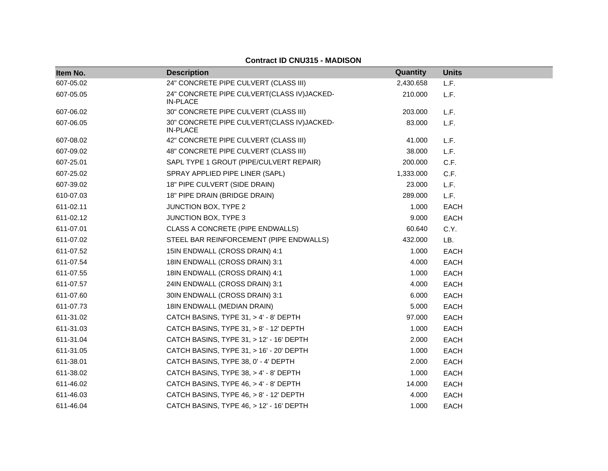| Item No.  | <b>Description</b>                                            | Quantity  | <b>Units</b> |
|-----------|---------------------------------------------------------------|-----------|--------------|
| 607-05.02 | 24" CONCRETE PIPE CULVERT (CLASS III)                         | 2,430.658 | L.F.         |
| 607-05.05 | 24" CONCRETE PIPE CULVERT(CLASS IV)JACKED-<br><b>IN-PLACE</b> | 210.000   | L.F.         |
| 607-06.02 | 30" CONCRETE PIPE CULVERT (CLASS III)                         | 203.000   | L.F.         |
| 607-06.05 | 30" CONCRETE PIPE CULVERT(CLASS IV)JACKED-<br><b>IN-PLACE</b> | 83.000    | L.F.         |
| 607-08.02 | 42" CONCRETE PIPE CULVERT (CLASS III)                         | 41.000    | L.F.         |
| 607-09.02 | 48" CONCRETE PIPE CULVERT (CLASS III)                         | 38.000    | L.F.         |
| 607-25.01 | SAPL TYPE 1 GROUT (PIPE/CULVERT REPAIR)                       | 200.000   | C.F.         |
| 607-25.02 | SPRAY APPLIED PIPE LINER (SAPL)                               | 1,333.000 | C.F.         |
| 607-39.02 | 18" PIPE CULVERT (SIDE DRAIN)                                 | 23.000    | L.F.         |
| 610-07.03 | 18" PIPE DRAIN (BRIDGE DRAIN)                                 | 289.000   | L.F.         |
| 611-02.11 | <b>JUNCTION BOX, TYPE 2</b>                                   | 1.000     | <b>EACH</b>  |
| 611-02.12 | JUNCTION BOX, TYPE 3                                          | 9.000     | EACH         |
| 611-07.01 | CLASS A CONCRETE (PIPE ENDWALLS)                              | 60.640    | C.Y.         |
| 611-07.02 | STEEL BAR REINFORCEMENT (PIPE ENDWALLS)                       | 432.000   | LB.          |
| 611-07.52 | 15IN ENDWALL (CROSS DRAIN) 4:1                                | 1.000     | <b>EACH</b>  |
| 611-07.54 | 18IN ENDWALL (CROSS DRAIN) 3:1                                | 4.000     | EACH         |
| 611-07.55 | 18IN ENDWALL (CROSS DRAIN) 4:1                                | 1.000     | EACH         |
| 611-07.57 | 24IN ENDWALL (CROSS DRAIN) 3:1                                | 4.000     | EACH         |
| 611-07.60 | 30IN ENDWALL (CROSS DRAIN) 3:1                                | 6.000     | EACH         |
| 611-07.73 | 18IN ENDWALL (MEDIAN DRAIN)                                   | 5.000     | <b>EACH</b>  |
| 611-31.02 | CATCH BASINS, TYPE 31, > 4' - 8' DEPTH                        | 97.000    | <b>EACH</b>  |
| 611-31.03 | CATCH BASINS, TYPE 31, > 8' - 12' DEPTH                       | 1.000     | EACH         |
| 611-31.04 | CATCH BASINS, TYPE 31, > 12' - 16' DEPTH                      | 2.000     | EACH         |
| 611-31.05 | CATCH BASINS, TYPE 31, > 16' - 20' DEPTH                      | 1.000     | EACH         |
| 611-38.01 | CATCH BASINS, TYPE 38, 0' - 4' DEPTH                          | 2.000     | EACH         |
| 611-38.02 | CATCH BASINS, TYPE 38, > 4' - 8' DEPTH                        | 1.000     | EACH         |
| 611-46.02 | CATCH BASINS, TYPE 46, > 4' - 8' DEPTH                        | 14.000    | EACH         |
| 611-46.03 | CATCH BASINS, TYPE 46, > 8' - 12' DEPTH                       | 4.000     | EACH         |
| 611-46.04 | CATCH BASINS, TYPE 46, > 12' - 16' DEPTH                      | 1.000     | <b>EACH</b>  |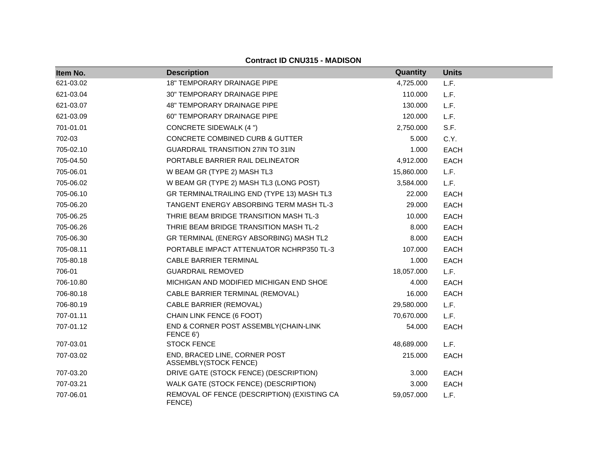| <b>Contract ID CNU315 - MADISON</b> |
|-------------------------------------|
|-------------------------------------|

| Item No.  | <b>Description</b>                                            | <b>Quantity</b> | <b>Units</b> |
|-----------|---------------------------------------------------------------|-----------------|--------------|
| 621-03.02 | <b>18" TEMPORARY DRAINAGE PIPE</b>                            | 4,725.000       | L.F.         |
| 621-03.04 | <b>30" TEMPORARY DRAINAGE PIPE</b>                            | 110.000         | L.F.         |
| 621-03.07 | 48" TEMPORARY DRAINAGE PIPE                                   | 130.000         | L.F.         |
| 621-03.09 | <b>60" TEMPORARY DRAINAGE PIPE</b>                            | 120.000         | L.F.         |
| 701-01.01 | <b>CONCRETE SIDEWALK (4 ")</b>                                | 2,750.000       | S.F.         |
| 702-03    | <b>CONCRETE COMBINED CURB &amp; GUTTER</b>                    | 5.000           | C.Y.         |
| 705-02.10 | <b>GUARDRAIL TRANSITION 27IN TO 31IN</b>                      | 1.000           | <b>EACH</b>  |
| 705-04.50 | PORTABLE BARRIER RAIL DELINEATOR                              | 4,912.000       | <b>EACH</b>  |
| 705-06.01 | W BEAM GR (TYPE 2) MASH TL3                                   | 15,860.000      | L.F.         |
| 705-06.02 | W BEAM GR (TYPE 2) MASH TL3 (LONG POST)                       | 3,584.000       | L.F.         |
| 705-06.10 | GR TERMINALTRAILING END (TYPE 13) MASH TL3                    | 22.000          | <b>EACH</b>  |
| 705-06.20 | TANGENT ENERGY ABSORBING TERM MASH TL-3                       | 29.000          | <b>EACH</b>  |
| 705-06.25 | THRIE BEAM BRIDGE TRANSITION MASH TL-3                        | 10.000          | <b>EACH</b>  |
| 705-06.26 | THRIE BEAM BRIDGE TRANSITION MASH TL-2                        | 8.000           | <b>EACH</b>  |
| 705-06.30 | GR TERMINAL (ENERGY ABSORBING) MASH TL2                       | 8.000           | <b>EACH</b>  |
| 705-08.11 | PORTABLE IMPACT ATTENUATOR NCHRP350 TL-3                      | 107.000         | <b>EACH</b>  |
| 705-80.18 | <b>CABLE BARRIER TERMINAL</b>                                 | 1.000           | <b>EACH</b>  |
| 706-01    | <b>GUARDRAIL REMOVED</b>                                      | 18,057.000      | L.F.         |
| 706-10.80 | MICHIGAN AND MODIFIED MICHIGAN END SHOE                       | 4.000           | <b>EACH</b>  |
| 706-80.18 | CABLE BARRIER TERMINAL (REMOVAL)                              | 16.000          | <b>EACH</b>  |
| 706-80.19 | CABLE BARRIER (REMOVAL)                                       | 29,580.000      | L.F.         |
| 707-01.11 | CHAIN LINK FENCE (6 FOOT)                                     | 70,670.000      | L.F.         |
| 707-01.12 | END & CORNER POST ASSEMBLY(CHAIN-LINK<br>FENCE 6')            | 54.000          | <b>EACH</b>  |
| 707-03.01 | <b>STOCK FENCE</b>                                            | 48,689.000      | L.F.         |
| 707-03.02 | END, BRACED LINE, CORNER POST<br><b>ASSEMBLY(STOCK FENCE)</b> | 215.000         | <b>EACH</b>  |
| 707-03.20 | DRIVE GATE (STOCK FENCE) (DESCRIPTION)                        | 3.000           | <b>EACH</b>  |
| 707-03.21 | WALK GATE (STOCK FENCE) (DESCRIPTION)                         | 3.000           | <b>EACH</b>  |
| 707-06.01 | REMOVAL OF FENCE (DESCRIPTION) (EXISTING CA<br>FENCE)         | 59,057.000      | L.F.         |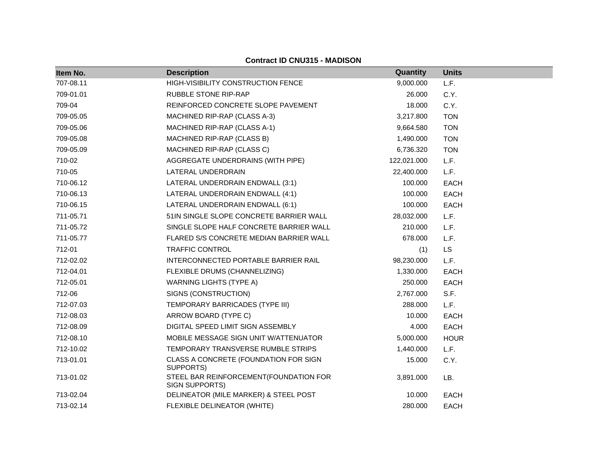| Item No.  | <b>Description</b>                                       | Quantity    | <b>Units</b> |
|-----------|----------------------------------------------------------|-------------|--------------|
| 707-08.11 | HIGH-VISIBILITY CONSTRUCTION FENCE                       | 9,000.000   | L.F.         |
| 709-01.01 | RUBBLE STONE RIP-RAP                                     | 26.000      | C.Y.         |
| 709-04    | REINFORCED CONCRETE SLOPE PAVEMENT                       | 18.000      | C.Y.         |
| 709-05.05 | MACHINED RIP-RAP (CLASS A-3)                             | 3,217.800   | <b>TON</b>   |
| 709-05.06 | MACHINED RIP-RAP (CLASS A-1)                             | 9,664.580   | <b>TON</b>   |
| 709-05.08 | MACHINED RIP-RAP (CLASS B)                               | 1,490.000   | <b>TON</b>   |
| 709-05.09 | MACHINED RIP-RAP (CLASS C)                               | 6,736.320   | <b>TON</b>   |
| 710-02    | AGGREGATE UNDERDRAINS (WITH PIPE)                        | 122,021.000 | L.F.         |
| 710-05    | LATERAL UNDERDRAIN                                       | 22,400.000  | L.F.         |
| 710-06.12 | LATERAL UNDERDRAIN ENDWALL (3:1)                         | 100.000     | EACH         |
| 710-06.13 | LATERAL UNDERDRAIN ENDWALL (4:1)                         | 100.000     | <b>EACH</b>  |
| 710-06.15 | LATERAL UNDERDRAIN ENDWALL (6:1)                         | 100.000     | <b>EACH</b>  |
| 711-05.71 | 51IN SINGLE SLOPE CONCRETE BARRIER WALL                  | 28,032.000  | L.F.         |
| 711-05.72 | SINGLE SLOPE HALF CONCRETE BARRIER WALL                  | 210.000     | L.F.         |
| 711-05.77 | FLARED S/S CONCRETE MEDIAN BARRIER WALL                  | 678.000     | L.F.         |
| 712-01    | TRAFFIC CONTROL                                          | (1)         | LS           |
| 712-02.02 | INTERCONNECTED PORTABLE BARRIER RAIL                     | 98,230.000  | L.F.         |
| 712-04.01 | FLEXIBLE DRUMS (CHANNELIZING)                            | 1,330.000   | <b>EACH</b>  |
| 712-05.01 | <b>WARNING LIGHTS (TYPE A)</b>                           | 250.000     | <b>EACH</b>  |
| 712-06    | SIGNS (CONSTRUCTION)                                     | 2,767.000   | S.F.         |
| 712-07.03 | TEMPORARY BARRICADES (TYPE III)                          | 288.000     | L.F.         |
| 712-08.03 | ARROW BOARD (TYPE C)                                     | 10.000      | <b>EACH</b>  |
| 712-08.09 | DIGITAL SPEED LIMIT SIGN ASSEMBLY                        | 4.000       | <b>EACH</b>  |
| 712-08.10 | MOBILE MESSAGE SIGN UNIT W/ATTENUATOR                    | 5,000.000   | <b>HOUR</b>  |
| 712-10.02 | TEMPORARY TRANSVERSE RUMBLE STRIPS                       | 1,440.000   | L.F.         |
| 713-01.01 | CLASS A CONCRETE (FOUNDATION FOR SIGN<br>SUPPORTS)       | 15.000      | C.Y.         |
| 713-01.02 | STEEL BAR REINFORCEMENT(FOUNDATION FOR<br>SIGN SUPPORTS) | 3,891.000   | LB.          |
| 713-02.04 | DELINEATOR (MILE MARKER) & STEEL POST                    | 10.000      | <b>EACH</b>  |
| 713-02.14 | FLEXIBLE DELINEATOR (WHITE)                              | 280.000     | <b>EACH</b>  |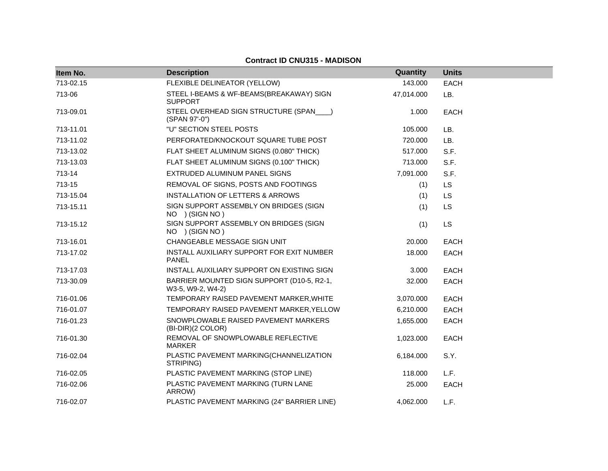| Item No.  | <b>Description</b>                                              | Quantity   | <b>Units</b> |
|-----------|-----------------------------------------------------------------|------------|--------------|
| 713-02.15 | FLEXIBLE DELINEATOR (YELLOW)                                    | 143.000    | <b>EACH</b>  |
| 713-06    | STEEL I-BEAMS & WF-BEAMS(BREAKAWAY) SIGN<br><b>SUPPORT</b>      | 47,014.000 | LB.          |
| 713-09.01 | STEEL OVERHEAD SIGN STRUCTURE (SPAN___)<br>(SPAN 97'-0")        | 1.000      | <b>EACH</b>  |
| 713-11.01 | "U" SECTION STEEL POSTS                                         | 105.000    | LB.          |
| 713-11.02 | PERFORATED/KNOCKOUT SQUARE TUBE POST                            | 720.000    | LB.          |
| 713-13.02 | FLAT SHEET ALUMINUM SIGNS (0.080" THICK)                        | 517.000    | S.F.         |
| 713-13.03 | FLAT SHEET ALUMINUM SIGNS (0.100" THICK)                        | 713.000    | S.F.         |
| 713-14    | EXTRUDED ALUMINUM PANEL SIGNS                                   | 7,091.000  | S.F.         |
| 713-15    | REMOVAL OF SIGNS, POSTS AND FOOTINGS                            | (1)        | LS           |
| 713-15.04 | <b>INSTALLATION OF LETTERS &amp; ARROWS</b>                     | (1)        | <b>LS</b>    |
| 713-15.11 | SIGN SUPPORT ASSEMBLY ON BRIDGES (SIGN<br>NO ) (SIGN NO)        | (1)        | <b>LS</b>    |
| 713-15.12 | SIGN SUPPORT ASSEMBLY ON BRIDGES (SIGN<br>NO ) (SIGN NO)        | (1)        | <b>LS</b>    |
| 713-16.01 | CHANGEABLE MESSAGE SIGN UNIT                                    | 20.000     | <b>EACH</b>  |
| 713-17.02 | INSTALL AUXILIARY SUPPORT FOR EXIT NUMBER<br><b>PANEL</b>       | 18.000     | <b>EACH</b>  |
| 713-17.03 | INSTALL AUXILIARY SUPPORT ON EXISTING SIGN                      | 3.000      | <b>EACH</b>  |
| 713-30.09 | BARRIER MOUNTED SIGN SUPPORT (D10-5, R2-1,<br>W3-5, W9-2, W4-2) | 32.000     | <b>EACH</b>  |
| 716-01.06 | TEMPORARY RAISED PAVEMENT MARKER, WHITE                         | 3,070.000  | <b>EACH</b>  |
| 716-01.07 | TEMPORARY RAISED PAVEMENT MARKER, YELLOW                        | 6,210.000  | <b>EACH</b>  |
| 716-01.23 | SNOWPLOWABLE RAISED PAVEMENT MARKERS<br>(BI-DIR)(2 COLOR)       | 1,655.000  | <b>EACH</b>  |
| 716-01.30 | REMOVAL OF SNOWPLOWABLE REFLECTIVE<br><b>MARKER</b>             | 1,023.000  | <b>EACH</b>  |
| 716-02.04 | PLASTIC PAVEMENT MARKING(CHANNELIZATION<br>STRIPING)            | 6,184.000  | S.Y.         |
| 716-02.05 | PLASTIC PAVEMENT MARKING (STOP LINE)                            | 118.000    | L.F.         |
| 716-02.06 | PLASTIC PAVEMENT MARKING (TURN LANE<br>ARROW)                   | 25.000     | <b>EACH</b>  |
| 716-02.07 | PLASTIC PAVEMENT MARKING (24" BARRIER LINE)                     | 4,062.000  | L.F.         |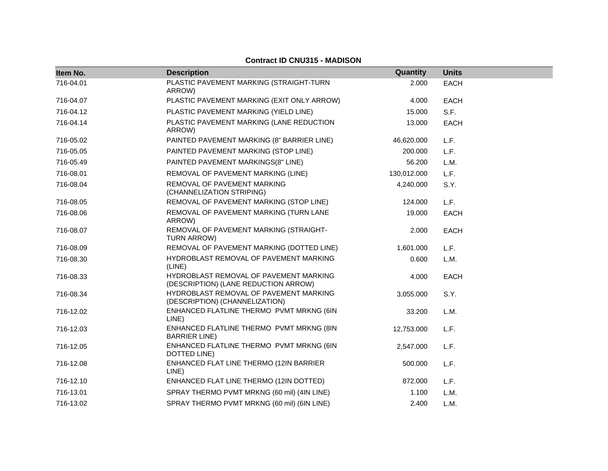| Item No.  | <b>Description</b>                                                             | Quantity    | <b>Units</b> |
|-----------|--------------------------------------------------------------------------------|-------------|--------------|
| 716-04.01 | PLASTIC PAVEMENT MARKING (STRAIGHT-TURN<br>ARROW)                              | 2.000       | <b>EACH</b>  |
| 716-04.07 | PLASTIC PAVEMENT MARKING (EXIT ONLY ARROW)                                     | 4.000       | <b>EACH</b>  |
| 716-04.12 | PLASTIC PAVEMENT MARKING (YIELD LINE)                                          | 15.000      | S.F.         |
| 716-04.14 | PLASTIC PAVEMENT MARKING (LANE REDUCTION<br>ARROW)                             | 13.000      | <b>EACH</b>  |
| 716-05.02 | PAINTED PAVEMENT MARKING (8" BARRIER LINE)                                     | 46,620.000  | L.F.         |
| 716-05.05 | PAINTED PAVEMENT MARKING (STOP LINE)                                           | 200.000     | L.F.         |
| 716-05.49 | PAINTED PAVEMENT MARKINGS(8" LINE)                                             | 56.200      | L.M.         |
| 716-08.01 | REMOVAL OF PAVEMENT MARKING (LINE)                                             | 130,012.000 | L.F.         |
| 716-08.04 | REMOVAL OF PAVEMENT MARKING<br>(CHANNELIZATION STRIPING)                       | 4,240.000   | S.Y.         |
| 716-08.05 | REMOVAL OF PAVEMENT MARKING (STOP LINE)                                        | 124.000     | L.F.         |
| 716-08.06 | REMOVAL OF PAVEMENT MARKING (TURN LANE<br>ARROW)                               | 19.000      | <b>EACH</b>  |
| 716-08.07 | REMOVAL OF PAVEMENT MARKING (STRAIGHT-<br>TURN ARROW)                          | 2.000       | <b>EACH</b>  |
| 716-08.09 | REMOVAL OF PAVEMENT MARKING (DOTTED LINE)                                      | 1,601.000   | L.F.         |
| 716-08.30 | HYDROBLAST REMOVAL OF PAVEMENT MARKING<br>(LINE)                               | 0.600       | L.M.         |
| 716-08.33 | HYDROBLAST REMOVAL OF PAVEMENT MARKING<br>(DESCRIPTION) (LANE REDUCTION ARROW) | 4.000       | <b>EACH</b>  |
| 716-08.34 | HYDROBLAST REMOVAL OF PAVEMENT MARKING<br>(DESCRIPTION) (CHANNELIZATION)       | 3,055.000   | S.Y.         |
| 716-12.02 | ENHANCED FLATLINE THERMO PVMT MRKNG (6IN<br>LINE)                              | 33.200      | L.M.         |
| 716-12.03 | ENHANCED FLATLINE THERMO PVMT MRKNG (8IN<br><b>BARRIER LINE</b> )              | 12,753.000  | L.F.         |
| 716-12.05 | ENHANCED FLATLINE THERMO PVMT MRKNG (6IN<br>DOTTED LINE)                       | 2,547.000   | L.F.         |
| 716-12.08 | ENHANCED FLAT LINE THERMO (12IN BARRIER<br>LINE)                               | 500.000     | L.F.         |
| 716-12.10 | ENHANCED FLAT LINE THERMO (12IN DOTTED)                                        | 872.000     | L.F.         |
| 716-13.01 | SPRAY THERMO PVMT MRKNG (60 mil) (4IN LINE)                                    | 1.100       | L.M.         |
| 716-13.02 | SPRAY THERMO PVMT MRKNG (60 mil) (6IN LINE)                                    | 2.400       | L.M.         |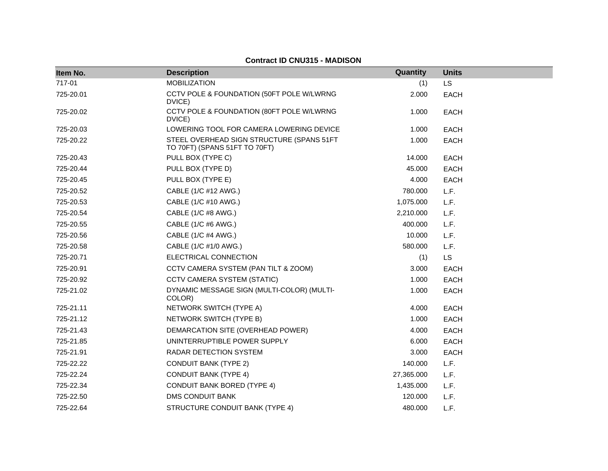| Item No.  | <b>Description</b>                                                         | Quantity   | <b>Units</b> |
|-----------|----------------------------------------------------------------------------|------------|--------------|
| 717-01    | <b>MOBILIZATION</b>                                                        | (1)        | <b>LS</b>    |
| 725-20.01 | CCTV POLE & FOUNDATION (50FT POLE W/LWRNG<br>DVICE)                        | 2.000      | <b>EACH</b>  |
| 725-20.02 | CCTV POLE & FOUNDATION (80FT POLE W/LWRNG<br>DVICE)                        | 1.000      | <b>EACH</b>  |
| 725-20.03 | LOWERING TOOL FOR CAMERA LOWERING DEVICE                                   | 1.000      | <b>EACH</b>  |
| 725-20.22 | STEEL OVERHEAD SIGN STRUCTURE (SPANS 51FT<br>TO 70FT) (SPANS 51FT TO 70FT) | 1.000      | <b>EACH</b>  |
| 725-20.43 | PULL BOX (TYPE C)                                                          | 14.000     | <b>EACH</b>  |
| 725-20.44 | PULL BOX (TYPE D)                                                          | 45.000     | <b>EACH</b>  |
| 725-20.45 | PULL BOX (TYPE E)                                                          | 4.000      | <b>EACH</b>  |
| 725-20.52 | CABLE (1/C #12 AWG.)                                                       | 780.000    | L.F.         |
| 725-20.53 | CABLE (1/C #10 AWG.)                                                       | 1,075.000  | L.F.         |
| 725-20.54 | CABLE (1/C #8 AWG.)                                                        | 2,210.000  | L.F.         |
| 725-20.55 | CABLE (1/C #6 AWG.)                                                        | 400.000    | L.F.         |
| 725-20.56 | CABLE (1/C #4 AWG.)                                                        | 10.000     | L.F.         |
| 725-20.58 | CABLE (1/C #1/0 AWG.)                                                      | 580.000    | L.F.         |
| 725-20.71 | ELECTRICAL CONNECTION                                                      | (1)        | <b>LS</b>    |
| 725-20.91 | CCTV CAMERA SYSTEM (PAN TILT & ZOOM)                                       | 3.000      | <b>EACH</b>  |
| 725-20.92 | <b>CCTV CAMERA SYSTEM (STATIC)</b>                                         | 1.000      | <b>EACH</b>  |
| 725-21.02 | DYNAMIC MESSAGE SIGN (MULTI-COLOR) (MULTI-<br>COLOR)                       | 1.000      | <b>EACH</b>  |
| 725-21.11 | NETWORK SWITCH (TYPE A)                                                    | 4.000      | <b>EACH</b>  |
| 725-21.12 | NETWORK SWITCH (TYPE B)                                                    | 1.000      | <b>EACH</b>  |
| 725-21.43 | DEMARCATION SITE (OVERHEAD POWER)                                          | 4.000      | <b>EACH</b>  |
| 725-21.85 | UNINTERRUPTIBLE POWER SUPPLY                                               | 6.000      | <b>EACH</b>  |
| 725-21.91 | RADAR DETECTION SYSTEM                                                     | 3.000      | <b>EACH</b>  |
| 725-22.22 | <b>CONDUIT BANK (TYPE 2)</b>                                               | 140.000    | L.F.         |
| 725-22.24 | <b>CONDUIT BANK (TYPE 4)</b>                                               | 27,365.000 | L.F.         |
| 725-22.34 | <b>CONDUIT BANK BORED (TYPE 4)</b>                                         | 1,435.000  | L.F.         |
| 725-22.50 | <b>DMS CONDUIT BANK</b>                                                    | 120.000    | L.F.         |
| 725-22.64 | STRUCTURE CONDUIT BANK (TYPE 4)                                            | 480.000    | L.F.         |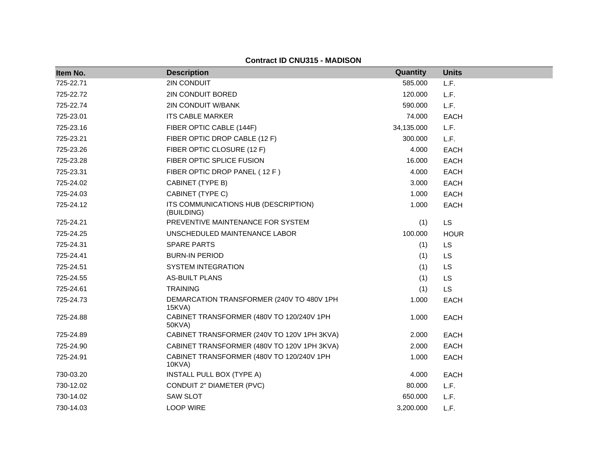| Item No.  | <b>Description</b>                                  | Quantity   | <b>Units</b> |
|-----------|-----------------------------------------------------|------------|--------------|
| 725-22.71 | 2IN CONDUIT                                         | 585.000    | L.F.         |
| 725-22.72 | 2IN CONDUIT BORED                                   | 120.000    | L.F.         |
| 725-22.74 | <b>2IN CONDUIT W/BANK</b>                           | 590.000    | L.F.         |
| 725-23.01 | <b>ITS CABLE MARKER</b>                             | 74.000     | <b>EACH</b>  |
| 725-23.16 | FIBER OPTIC CABLE (144F)                            | 34,135.000 | L.F.         |
| 725-23.21 | FIBER OPTIC DROP CABLE (12 F)                       | 300.000    | L.F.         |
| 725-23.26 | FIBER OPTIC CLOSURE (12 F)                          | 4.000      | <b>EACH</b>  |
| 725-23.28 | FIBER OPTIC SPLICE FUSION                           | 16.000     | <b>EACH</b>  |
| 725-23.31 | FIBER OPTIC DROP PANEL (12 F)                       | 4.000      | <b>EACH</b>  |
| 725-24.02 | CABINET (TYPE B)                                    | 3.000      | <b>EACH</b>  |
| 725-24.03 | CABINET (TYPE C)                                    | 1.000      | <b>EACH</b>  |
| 725-24.12 | ITS COMMUNICATIONS HUB (DESCRIPTION)<br>(BUILDING)  | 1.000      | <b>EACH</b>  |
| 725-24.21 | PREVENTIVE MAINTENANCE FOR SYSTEM                   | (1)        | <b>LS</b>    |
| 725-24.25 | UNSCHEDULED MAINTENANCE LABOR                       | 100.000    | <b>HOUR</b>  |
| 725-24.31 | <b>SPARE PARTS</b>                                  | (1)        | <b>LS</b>    |
| 725-24.41 | <b>BURN-IN PERIOD</b>                               | (1)        | <b>LS</b>    |
| 725-24.51 | <b>SYSTEM INTEGRATION</b>                           | (1)        | LS           |
| 725-24.55 | <b>AS-BUILT PLANS</b>                               | (1)        | <b>LS</b>    |
| 725-24.61 | <b>TRAINING</b>                                     | (1)        | <b>LS</b>    |
| 725-24.73 | DEMARCATION TRANSFORMER (240V TO 480V 1PH<br>15KVA) | 1.000      | <b>EACH</b>  |
| 725-24.88 | CABINET TRANSFORMER (480V TO 120/240V 1PH<br>50KVA) | 1.000      | <b>EACH</b>  |
| 725-24.89 | CABINET TRANSFORMER (240V TO 120V 1PH 3KVA)         | 2.000      | <b>EACH</b>  |
| 725-24.90 | CABINET TRANSFORMER (480V TO 120V 1PH 3KVA)         | 2.000      | <b>EACH</b>  |
| 725-24.91 | CABINET TRANSFORMER (480V TO 120/240V 1PH<br>10KVA) | 1.000      | <b>EACH</b>  |
| 730-03.20 | INSTALL PULL BOX (TYPE A)                           | 4.000      | <b>EACH</b>  |
| 730-12.02 | CONDUIT 2" DIAMETER (PVC)                           | 80.000     | L.F.         |
| 730-14.02 | <b>SAW SLOT</b>                                     | 650.000    | L.F.         |
| 730-14.03 | <b>LOOP WIRE</b>                                    | 3.200.000  | L.F.         |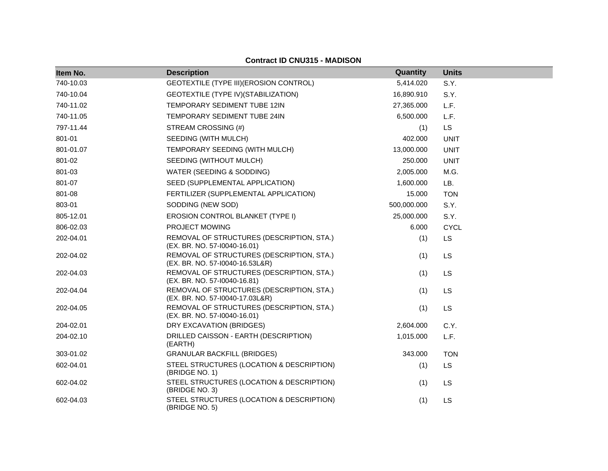| Item No.  | <b>Description</b>                                                           | <b>Quantity</b> | <b>Units</b> |
|-----------|------------------------------------------------------------------------------|-----------------|--------------|
| 740-10.03 | GEOTEXTILE (TYPE III) (EROSION CONTROL)                                      | 5,414.020       | S.Y.         |
| 740-10.04 | GEOTEXTILE (TYPE IV) (STABILIZATION)                                         | 16,890.910      | S.Y.         |
| 740-11.02 | TEMPORARY SEDIMENT TUBE 12IN                                                 | 27,365.000      | L.F.         |
| 740-11.05 | TEMPORARY SEDIMENT TUBE 24IN                                                 | 6,500.000       | L.F.         |
| 797-11.44 | STREAM CROSSING (#)                                                          | (1)             | <b>LS</b>    |
| 801-01    | SEEDING (WITH MULCH)                                                         | 402.000         | <b>UNIT</b>  |
| 801-01.07 | TEMPORARY SEEDING (WITH MULCH)                                               | 13,000.000      | <b>UNIT</b>  |
| 801-02    | SEEDING (WITHOUT MULCH)                                                      | 250.000         | <b>UNIT</b>  |
| 801-03    | WATER (SEEDING & SODDING)                                                    | 2,005.000       | M.G.         |
| 801-07    | SEED (SUPPLEMENTAL APPLICATION)                                              | 1,600.000       | LB.          |
| 801-08    | FERTILIZER (SUPPLEMENTAL APPLICATION)                                        | 15.000          | <b>TON</b>   |
| 803-01    | SODDING (NEW SOD)                                                            | 500,000.000     | S.Y.         |
| 805-12.01 | EROSION CONTROL BLANKET (TYPE I)                                             | 25,000.000      | S.Y.         |
| 806-02.03 | PROJECT MOWING                                                               | 6.000           | <b>CYCL</b>  |
| 202-04.01 | REMOVAL OF STRUCTURES (DESCRIPTION, STA.)<br>(EX. BR. NO. 57-10040-16.01)    | (1)             | <b>LS</b>    |
| 202-04.02 | REMOVAL OF STRUCTURES (DESCRIPTION, STA.)<br>(EX. BR. NO. 57-10040-16.53L&R) | (1)             | <b>LS</b>    |
| 202-04.03 | REMOVAL OF STRUCTURES (DESCRIPTION, STA.)<br>(EX. BR. NO. 57-10040-16.81)    | (1)             | LS           |
| 202-04.04 | REMOVAL OF STRUCTURES (DESCRIPTION, STA.)<br>(EX. BR. NO. 57-10040-17.03L&R) | (1)             | <b>LS</b>    |
| 202-04.05 | REMOVAL OF STRUCTURES (DESCRIPTION, STA.)<br>(EX. BR. NO. 57-10040-16.01)    | (1)             | LS           |
| 204-02.01 | DRY EXCAVATION (BRIDGES)                                                     | 2,604.000       | C.Y.         |
| 204-02.10 | DRILLED CAISSON - EARTH (DESCRIPTION)<br>(EARTH)                             | 1,015.000       | L.F.         |
| 303-01.02 | <b>GRANULAR BACKFILL (BRIDGES)</b>                                           | 343.000         | <b>TON</b>   |
| 602-04.01 | STEEL STRUCTURES (LOCATION & DESCRIPTION)<br>(BRIDGE NO. 1)                  | (1)             | <b>LS</b>    |
| 602-04.02 | STEEL STRUCTURES (LOCATION & DESCRIPTION)<br>(BRIDGE NO. 3)                  | (1)             | <b>LS</b>    |
| 602-04.03 | STEEL STRUCTURES (LOCATION & DESCRIPTION)<br>(BRIDGE NO. 5)                  | (1)             | LS           |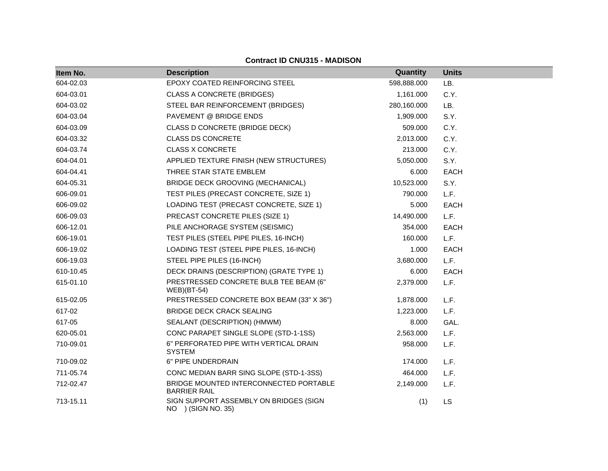| Item No.  | <b>Description</b>                                            | <b>Quantity</b> | <b>Units</b> |
|-----------|---------------------------------------------------------------|-----------------|--------------|
| 604-02.03 | EPOXY COATED REINFORCING STEEL                                | 598,888.000     | LB.          |
| 604-03.01 | <b>CLASS A CONCRETE (BRIDGES)</b>                             | 1,161.000       | C.Y.         |
| 604-03.02 | STEEL BAR REINFORCEMENT (BRIDGES)                             | 280,160.000     | LB.          |
| 604-03.04 | PAVEMENT @ BRIDGE ENDS                                        | 1,909.000       | S.Y.         |
| 604-03.09 | CLASS D CONCRETE (BRIDGE DECK)                                | 509.000         | C.Y.         |
| 604-03.32 | <b>CLASS DS CONCRETE</b>                                      | 2,013.000       | C.Y.         |
| 604-03.74 | <b>CLASS X CONCRETE</b>                                       | 213.000         | C.Y.         |
| 604-04.01 | APPLIED TEXTURE FINISH (NEW STRUCTURES)                       | 5,050.000       | S.Y.         |
| 604-04.41 | THREE STAR STATE EMBLEM                                       | 6.000           | EACH         |
| 604-05.31 | BRIDGE DECK GROOVING (MECHANICAL)                             | 10,523.000      | S.Y.         |
| 606-09.01 | TEST PILES (PRECAST CONCRETE, SIZE 1)                         | 790.000         | L.F.         |
| 606-09.02 | LOADING TEST (PRECAST CONCRETE, SIZE 1)                       | 5.000           | <b>EACH</b>  |
| 606-09.03 | PRECAST CONCRETE PILES (SIZE 1)                               | 14,490.000      | L.F.         |
| 606-12.01 | PILE ANCHORAGE SYSTEM (SEISMIC)                               | 354.000         | <b>EACH</b>  |
| 606-19.01 | TEST PILES (STEEL PIPE PILES, 16-INCH)                        | 160.000         | L.F.         |
| 606-19.02 | LOADING TEST (STEEL PIPE PILES, 16-INCH)                      | 1.000           | EACH         |
| 606-19.03 | STEEL PIPE PILES (16-INCH)                                    | 3,680.000       | L.F.         |
| 610-10.45 | DECK DRAINS (DESCRIPTION) (GRATE TYPE 1)                      | 6.000           | <b>EACH</b>  |
| 615-01.10 | PRESTRESSED CONCRETE BULB TEE BEAM (6"<br>$WEB$ )(BT-54)      | 2,379.000       | L.F.         |
| 615-02.05 | PRESTRESSED CONCRETE BOX BEAM (33" X 36")                     | 1,878.000       | L.F.         |
| 617-02    | <b>BRIDGE DECK CRACK SEALING</b>                              | 1,223.000       | L.F.         |
| 617-05    | SEALANT (DESCRIPTION) (HMWM)                                  | 8.000           | GAL.         |
| 620-05.01 | CONC PARAPET SINGLE SLOPE (STD-1-1SS)                         | 2,563.000       | L.F.         |
| 710-09.01 | 6" PERFORATED PIPE WITH VERTICAL DRAIN<br><b>SYSTEM</b>       | 958.000         | L.F.         |
| 710-09.02 | 6" PIPE UNDERDRAIN                                            | 174.000         | L.F.         |
| 711-05.74 | CONC MEDIAN BARR SING SLOPE (STD-1-3SS)                       | 464.000         | L.F.         |
| 712-02.47 | BRIDGE MOUNTED INTERCONNECTED PORTABLE<br><b>BARRIER RAIL</b> | 2,149.000       | L.F.         |
| 713-15.11 | SIGN SUPPORT ASSEMBLY ON BRIDGES (SIGN<br>NO ) (SIGN NO. 35)  | (1)             | <b>LS</b>    |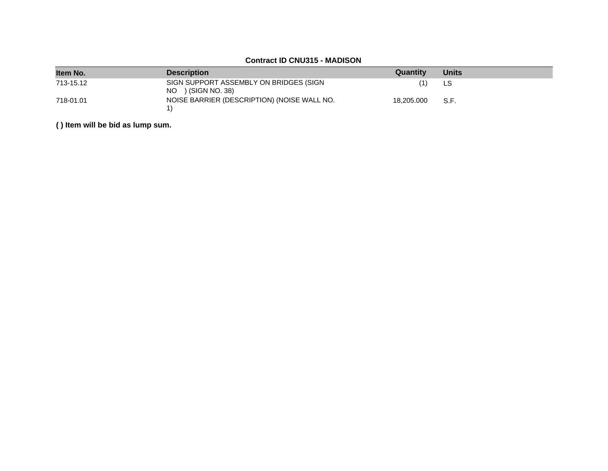| Item No.  | <b>Description</b>                                             | Quantity   | <b>Units</b> |
|-----------|----------------------------------------------------------------|------------|--------------|
| 713-15.12 | SIGN SUPPORT ASSEMBLY ON BRIDGES (SIGN<br>$NO$ ) (SIGN NO. 38) | (1)        | LS           |
| 718-01.01 | NOISE BARRIER (DESCRIPTION) (NOISE WALL NO.                    | 18.205.000 | S.F.         |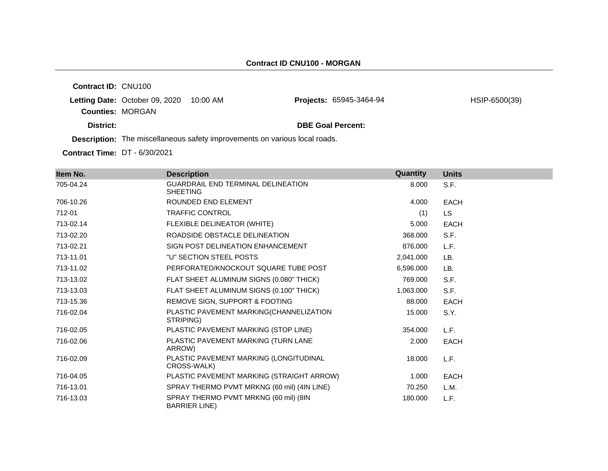**Contract ID:** CNU100 **Letting Date: October 09, 2020 10:00 AM Counties:** MORGAN Projects: 65945-3464-94 HSIP-6500(39)

**District: DBE Goal Percent:**

**Description:** The miscellaneous safety improvements on various local roads.

**Contract Time:** DT - 6/30/2021

| Item No.  | <b>Description</b>                                             | Quantity  | <b>Units</b> |
|-----------|----------------------------------------------------------------|-----------|--------------|
| 705-04.24 | GUARDRAIL END TERMINAL DELINEATION<br><b>SHEETING</b>          | 8.000     | S.F.         |
| 706-10.26 | ROUNDED END ELEMENT                                            | 4.000     | <b>EACH</b>  |
| 712-01    | <b>TRAFFIC CONTROL</b>                                         | (1)       | LS.          |
| 713-02.14 | FLEXIBLE DELINEATOR (WHITE)                                    | 5.000     | <b>EACH</b>  |
| 713-02.20 | ROADSIDE OBSTACLE DELINEATION                                  | 368.000   | S.F.         |
| 713-02.21 | SIGN POST DELINEATION ENHANCEMENT                              | 876,000   | L.F.         |
| 713-11.01 | "U" SECTION STEEL POSTS                                        | 2,041.000 | LB.          |
| 713-11.02 | PERFORATED/KNOCKOUT SQUARE TUBE POST                           | 6,596.000 | LB.          |
| 713-13.02 | FLAT SHEET ALUMINUM SIGNS (0.080" THICK)                       | 769.000   | S.F.         |
| 713-13.03 | FLAT SHEET ALUMINUM SIGNS (0.100" THICK)                       | 1,063.000 | S.F.         |
| 713-15.36 | REMOVE SIGN, SUPPORT & FOOTING                                 | 88,000    | <b>EACH</b>  |
| 716-02.04 | PLASTIC PAVEMENT MARKING(CHANNELIZATION<br>STRIPING)           | 15.000    | S.Y.         |
| 716-02.05 | PLASTIC PAVEMENT MARKING (STOP LINE)                           | 354.000   | L.F.         |
| 716-02.06 | PLASTIC PAVEMENT MARKING (TURN LANE<br>ARROW)                  | 2.000     | EACH         |
| 716-02.09 | PLASTIC PAVEMENT MARKING (LONGITUDINAL<br>CROSS-WALK)          | 18.000    | L.F.         |
| 716-04.05 | PLASTIC PAVEMENT MARKING (STRAIGHT ARROW)                      | 1.000     | <b>EACH</b>  |
| 716-13.01 | SPRAY THERMO PVMT MRKNG (60 mil) (4IN LINE)                    | 70.250    | L.M.         |
| 716-13.03 | SPRAY THERMO PVMT MRKNG (60 mil) (8IN<br><b>BARRIER LINE</b> ) | 180.000   | L.F.         |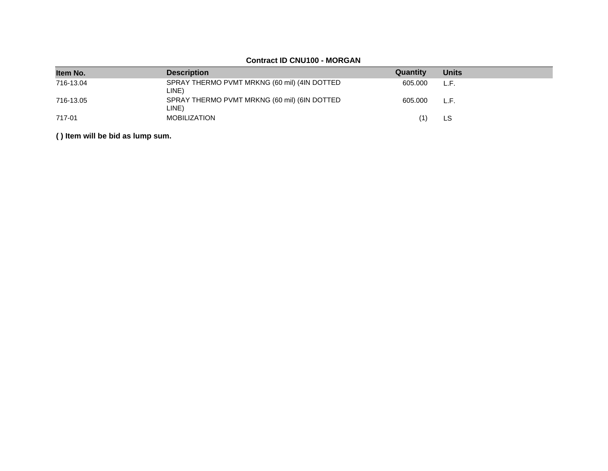# **Contract ID CNU100 - MORGAN**

| Item No.  | <b>Description</b>                                    | Quantity | <b>Units</b> |
|-----------|-------------------------------------------------------|----------|--------------|
| 716-13.04 | SPRAY THERMO PVMT MRKNG (60 mil) (4IN DOTTED<br>LINE) | 605.000  | L.F.         |
| 716-13.05 | SPRAY THERMO PVMT MRKNG (60 mil) (6IN DOTTED<br>LINE) | 605.000  | L.F.         |
| 717-01    | <b>MOBILIZATION</b>                                   | (1)      | LS           |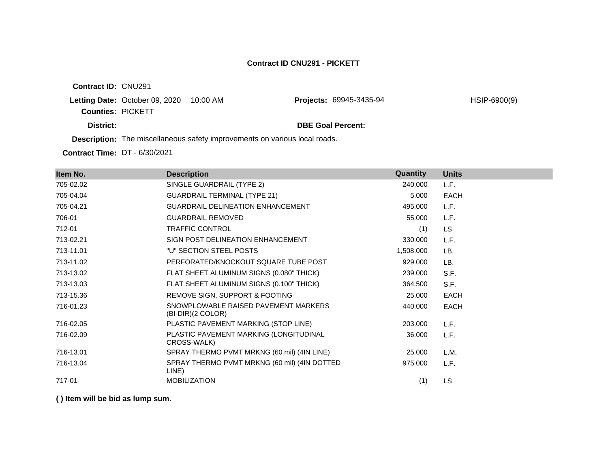**Contract ID:** CNU291 **Letting Date: October 09, 2020 10:00 AM Counties:** PICKETT **District: District: DBE Goal Percent: Description:** The miscellaneous safety improvements on various local roads. Projects: 69945-3435-94 HSIP-6900(9)

**Contract Time:** DT - 6/30/2021

| Item No.  | <b>Description</b>                                          | Quantity  | <b>Units</b> |
|-----------|-------------------------------------------------------------|-----------|--------------|
| 705-02.02 | SINGLE GUARDRAIL (TYPE 2)                                   | 240.000   | L.F.         |
| 705-04.04 | <b>GUARDRAIL TERMINAL (TYPE 21)</b>                         | 5.000     | <b>EACH</b>  |
| 705-04.21 | <b>GUARDRAIL DELINEATION ENHANCEMENT</b>                    | 495.000   | L.F.         |
| 706-01    | <b>GUARDRAIL REMOVED</b>                                    | 55.000    | L.F.         |
| 712-01    | <b>TRAFFIC CONTROL</b>                                      | (1)       | LS.          |
| 713-02.21 | SIGN POST DELINEATION ENHANCEMENT                           | 330.000   | L.F.         |
| 713-11.01 | "U" SECTION STEEL POSTS                                     | 1,508.000 | LB.          |
| 713-11.02 | PERFORATED/KNOCKOUT SQUARE TUBE POST                        | 929.000   | LB.          |
| 713-13.02 | FLAT SHEET ALUMINUM SIGNS (0.080" THICK)                    | 239.000   | S.F.         |
| 713-13.03 | FLAT SHEET ALUMINUM SIGNS (0.100" THICK)                    | 364.500   | S.F.         |
| 713-15.36 | REMOVE SIGN, SUPPORT & FOOTING                              | 25.000    | EACH         |
| 716-01.23 | SNOWPLOWABLE RAISED PAVEMENT MARKERS<br>$(BI-DIR)(2 COLOR)$ | 440.000   | <b>EACH</b>  |
| 716-02.05 | PLASTIC PAVEMENT MARKING (STOP LINE)                        | 203.000   | L.F.         |
| 716-02.09 | PLASTIC PAVEMENT MARKING (LONGITUDINAL<br>CROSS-WALK)       | 36.000    | L.F.         |
| 716-13.01 | SPRAY THERMO PVMT MRKNG (60 mil) (4IN LINE)                 | 25.000    | L.M.         |
| 716-13.04 | SPRAY THERMO PVMT MRKNG (60 mil) (4IN DOTTED<br>LINE)       | 975.000   | L.F.         |
| 717-01    | <b>MOBILIZATION</b>                                         | (1)       | LS           |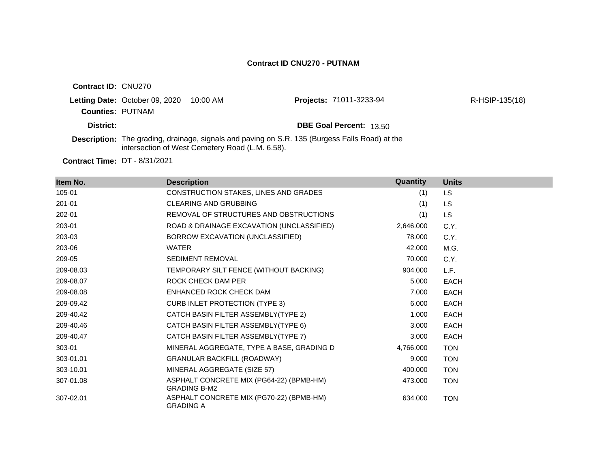|                            |                                       | intersection of West Cemetery Road (L.M. 6.58). | <b>Description:</b> The grading, drainage, signals and paving on S.R. 135 (Burgess Falls Road) at the |                |
|----------------------------|---------------------------------------|-------------------------------------------------|-------------------------------------------------------------------------------------------------------|----------------|
| District:                  |                                       |                                                 | <b>DBE Goal Percent: 13.50</b>                                                                        |                |
| <b>Counties: PUTNAM</b>    | <b>Letting Date: October 09, 2020</b> | 10:00 AM                                        | Projects: 71011-3233-94                                                                               | R-HSIP-135(18) |
| <b>Contract ID: CNU270</b> |                                       |                                                 |                                                                                                       |                |

**Contract Time:** DT - 8/31/2021

| Item No.  | <b>Description</b>                                              | Quantity  | <b>Units</b> |
|-----------|-----------------------------------------------------------------|-----------|--------------|
| 105-01    | CONSTRUCTION STAKES, LINES AND GRADES                           | (1)       | LS.          |
| 201-01    | <b>CLEARING AND GRUBBING</b>                                    | (1)       | LS.          |
| 202-01    | REMOVAL OF STRUCTURES AND OBSTRUCTIONS                          | (1)       | <b>LS</b>    |
| 203-01    | ROAD & DRAINAGE EXCAVATION (UNCLASSIFIED)                       | 2,646.000 | C.Y.         |
| 203-03    | BORROW EXCAVATION (UNCLASSIFIED)                                | 78.000    | C.Y.         |
| 203-06    | <b>WATER</b>                                                    | 42.000    | M.G.         |
| 209-05    | <b>SEDIMENT REMOVAL</b>                                         | 70.000    | C.Y.         |
| 209-08.03 | TEMPORARY SILT FENCE (WITHOUT BACKING)                          | 904.000   | L.F.         |
| 209-08.07 | ROCK CHECK DAM PER                                              | 5.000     | <b>EACH</b>  |
| 209-08.08 | ENHANCED ROCK CHECK DAM                                         | 7.000     | <b>EACH</b>  |
| 209-09.42 | <b>CURB INLET PROTECTION (TYPE 3)</b>                           | 6.000     | <b>EACH</b>  |
| 209-40.42 | CATCH BASIN FILTER ASSEMBLY(TYPE 2)                             | 1.000     | <b>EACH</b>  |
| 209-40.46 | CATCH BASIN FILTER ASSEMBLY(TYPE 6)                             | 3.000     | <b>EACH</b>  |
| 209-40.47 | CATCH BASIN FILTER ASSEMBLY(TYPE 7)                             | 3.000     | <b>EACH</b>  |
| 303-01    | MINERAL AGGREGATE, TYPE A BASE, GRADING D                       | 4,766.000 | <b>TON</b>   |
| 303-01.01 | <b>GRANULAR BACKFILL (ROADWAY)</b>                              | 9.000     | <b>TON</b>   |
| 303-10.01 | MINERAL AGGREGATE (SIZE 57)                                     | 400.000   | <b>TON</b>   |
| 307-01.08 | ASPHALT CONCRETE MIX (PG64-22) (BPMB-HM)<br><b>GRADING B-M2</b> | 473.000   | <b>TON</b>   |
| 307-02.01 | ASPHALT CONCRETE MIX (PG70-22) (BPMB-HM)<br><b>GRADING A</b>    | 634.000   | <b>TON</b>   |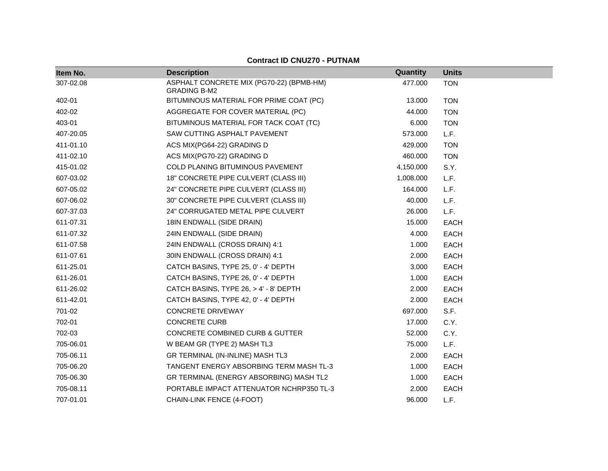| Item No.  | <b>Description</b>                       | Quantity  | <b>Units</b> |
|-----------|------------------------------------------|-----------|--------------|
| 307-02.08 | ASPHALT CONCRETE MIX (PG70-22) (BPMB-HM) | 477.000   | <b>TON</b>   |
|           | <b>GRADING B-M2</b>                      |           |              |
| 402-01    | BITUMINOUS MATERIAL FOR PRIME COAT (PC)  | 13.000    | <b>TON</b>   |
| 402-02    | AGGREGATE FOR COVER MATERIAL (PC)        | 44.000    | <b>TON</b>   |
| 403-01    | BITUMINOUS MATERIAL FOR TACK COAT (TC)   | 6.000     | <b>TON</b>   |
| 407-20.05 | SAW CUTTING ASPHALT PAVEMENT             | 573.000   | L.F.         |
| 411-01.10 | ACS MIX(PG64-22) GRADING D               | 429.000   | <b>TON</b>   |
| 411-02.10 | ACS MIX(PG70-22) GRADING D               | 460.000   | <b>TON</b>   |
| 415-01.02 | COLD PLANING BITUMINOUS PAVEMENT         | 4,150.000 | S.Y.         |
| 607-03.02 | 18" CONCRETE PIPE CULVERT (CLASS III)    | 1,008.000 | L.F.         |
| 607-05.02 | 24" CONCRETE PIPE CULVERT (CLASS III)    | 164.000   | L.F.         |
| 607-06.02 | 30" CONCRETE PIPE CULVERT (CLASS III)    | 40.000    | L.F.         |
| 607-37.03 | 24" CORRUGATED METAL PIPE CULVERT        | 26.000    | L.F.         |
| 611-07.31 | 18IN ENDWALL (SIDE DRAIN)                | 15.000    | <b>EACH</b>  |
| 611-07.32 | 24IN ENDWALL (SIDE DRAIN)                | 4.000     | <b>EACH</b>  |
| 611-07.58 | 24IN ENDWALL (CROSS DRAIN) 4:1           | 1.000     | <b>EACH</b>  |
| 611-07.61 | 30IN ENDWALL (CROSS DRAIN) 4:1           | 2.000     | <b>EACH</b>  |
| 611-25.01 | CATCH BASINS, TYPE 25, 0' - 4' DEPTH     | 3.000     | EACH         |
| 611-26.01 | CATCH BASINS, TYPE 26, 0' - 4' DEPTH     | 1.000     | <b>EACH</b>  |
| 611-26.02 | CATCH BASINS, TYPE 26, > 4' - 8' DEPTH   | 2.000     | <b>EACH</b>  |
| 611-42.01 | CATCH BASINS, TYPE 42, 0' - 4' DEPTH     | 2.000     | <b>EACH</b>  |
| 701-02    | <b>CONCRETE DRIVEWAY</b>                 | 697.000   | S.F.         |
| 702-01    | <b>CONCRETE CURB</b>                     | 17.000    | C.Y.         |
| 702-03    | CONCRETE COMBINED CURB & GUTTER          | 52.000    | C.Y.         |
| 705-06.01 | W BEAM GR (TYPE 2) MASH TL3              | 75.000    | L.F.         |
| 705-06.11 | GR TERMINAL (IN-INLINE) MASH TL3         | 2.000     | <b>EACH</b>  |
| 705-06.20 | TANGENT ENERGY ABSORBING TERM MASH TL-3  | 1.000     | <b>EACH</b>  |
| 705-06.30 | GR TERMINAL (ENERGY ABSORBING) MASH TL2  | 1.000     | <b>EACH</b>  |
| 705-08.11 | PORTABLE IMPACT ATTENUATOR NCHRP350 TL-3 | 2.000     | <b>EACH</b>  |
| 707-01.01 | CHAIN-LINK FENCE (4-FOOT)                | 96.000    | L.F.         |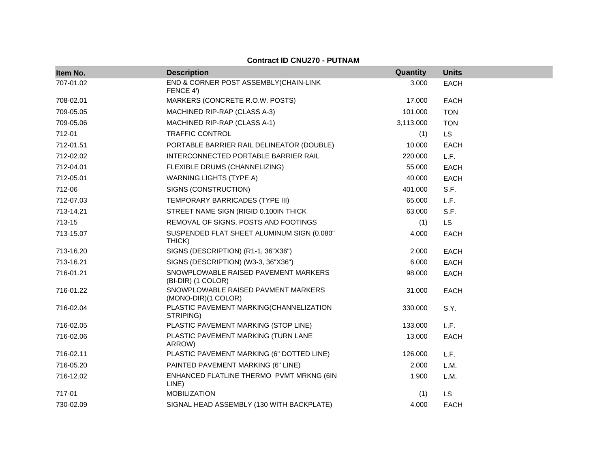| Item No.  | <b>Description</b>                                         | Quantity  | <b>Units</b> |
|-----------|------------------------------------------------------------|-----------|--------------|
| 707-01.02 | END & CORNER POST ASSEMBLY(CHAIN-LINK<br>FENCE 4')         | 3.000     | <b>EACH</b>  |
| 708-02.01 | MARKERS (CONCRETE R.O.W. POSTS)                            | 17.000    | <b>EACH</b>  |
| 709-05.05 | MACHINED RIP-RAP (CLASS A-3)                               | 101.000   | <b>TON</b>   |
| 709-05.06 | MACHINED RIP-RAP (CLASS A-1)                               | 3,113.000 | <b>TON</b>   |
| 712-01    | <b>TRAFFIC CONTROL</b>                                     | (1)       | <b>LS</b>    |
| 712-01.51 | PORTABLE BARRIER RAIL DELINEATOR (DOUBLE)                  | 10.000    | <b>EACH</b>  |
| 712-02.02 | INTERCONNECTED PORTABLE BARRIER RAIL                       | 220.000   | L.F.         |
| 712-04.01 | FLEXIBLE DRUMS (CHANNELIZING)                              | 55.000    | <b>EACH</b>  |
| 712-05.01 | <b>WARNING LIGHTS (TYPE A)</b>                             | 40.000    | <b>EACH</b>  |
| 712-06    | SIGNS (CONSTRUCTION)                                       | 401.000   | S.F.         |
| 712-07.03 | TEMPORARY BARRICADES (TYPE III)                            | 65.000    | L.F.         |
| 713-14.21 | STREET NAME SIGN (RIGID 0.100IN THICK                      | 63.000    | S.F.         |
| 713-15    | REMOVAL OF SIGNS, POSTS AND FOOTINGS                       | (1)       | <b>LS</b>    |
| 713-15.07 | SUSPENDED FLAT SHEET ALUMINUM SIGN (0.080"<br>THICK)       | 4.000     | <b>EACH</b>  |
| 713-16.20 | SIGNS (DESCRIPTION) (R1-1, 36"X36")                        | 2.000     | <b>EACH</b>  |
| 713-16.21 | SIGNS (DESCRIPTION) (W3-3, 36"X36")                        | 6.000     | EACH         |
| 716-01.21 | SNOWPLOWABLE RAISED PAVEMENT MARKERS<br>(BI-DIR) (1 COLOR) | 98.000    | <b>EACH</b>  |
| 716-01.22 | SNOWPLOWABLE RAISED PAVMENT MARKERS<br>(MONO-DIR)(1 COLOR) | 31.000    | <b>EACH</b>  |
| 716-02.04 | PLASTIC PAVEMENT MARKING(CHANNELIZATION<br>STRIPING)       | 330.000   | S.Y.         |
| 716-02.05 | PLASTIC PAVEMENT MARKING (STOP LINE)                       | 133,000   | L.F.         |
| 716-02.06 | PLASTIC PAVEMENT MARKING (TURN LANE<br>ARROW)              | 13.000    | <b>EACH</b>  |
| 716-02.11 | PLASTIC PAVEMENT MARKING (6" DOTTED LINE)                  | 126.000   | L.F.         |
| 716-05.20 | PAINTED PAVEMENT MARKING (6" LINE)                         | 2.000     | L.M.         |
| 716-12.02 | ENHANCED FLATLINE THERMO PVMT MRKNG (6IN<br>LINE)          | 1.900     | L.M.         |
| 717-01    | <b>MOBILIZATION</b>                                        | (1)       | <b>LS</b>    |
| 730-02.09 | SIGNAL HEAD ASSEMBLY (130 WITH BACKPLATE)                  | 4.000     | <b>EACH</b>  |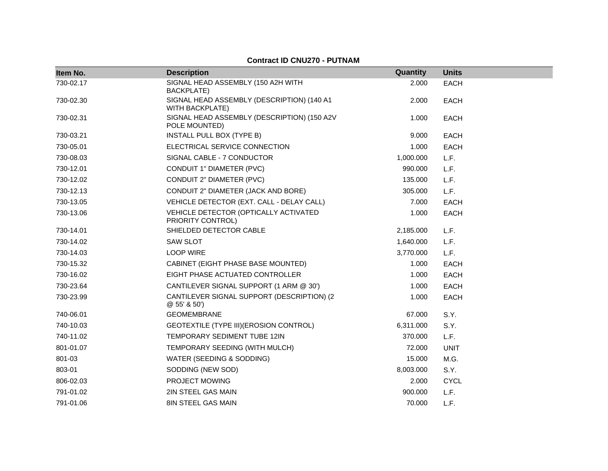| Item No.  | <b>Description</b>                                                   | Quantity  | <b>Units</b> |
|-----------|----------------------------------------------------------------------|-----------|--------------|
| 730-02.17 | SIGNAL HEAD ASSEMBLY (150 A2H WITH<br>BACKPLATE)                     | 2.000     | <b>EACH</b>  |
| 730-02.30 | SIGNAL HEAD ASSEMBLY (DESCRIPTION) (140 A1<br><b>WITH BACKPLATE)</b> | 2.000     | <b>EACH</b>  |
| 730-02.31 | SIGNAL HEAD ASSEMBLY (DESCRIPTION) (150 A2V<br>POLE MOUNTED)         | 1.000     | <b>EACH</b>  |
| 730-03.21 | INSTALL PULL BOX (TYPE B)                                            | 9.000     | <b>EACH</b>  |
| 730-05.01 | ELECTRICAL SERVICE CONNECTION                                        | 1.000     | <b>EACH</b>  |
| 730-08.03 | SIGNAL CABLE - 7 CONDUCTOR                                           | 1,000.000 | L.F.         |
| 730-12.01 | CONDUIT 1" DIAMETER (PVC)                                            | 990.000   | L.F.         |
| 730-12.02 | CONDUIT 2" DIAMETER (PVC)                                            | 135.000   | L.F.         |
| 730-12.13 | CONDUIT 2" DIAMETER (JACK AND BORE)                                  | 305.000   | L.F.         |
| 730-13.05 | VEHICLE DETECTOR (EXT. CALL - DELAY CALL)                            | 7.000     | <b>EACH</b>  |
| 730-13.06 | VEHICLE DETECTOR (OPTICALLY ACTIVATED<br>PRIORITY CONTROL)           | 1.000     | <b>EACH</b>  |
| 730-14.01 | SHIELDED DETECTOR CABLE                                              | 2,185.000 | L.F.         |
| 730-14.02 | <b>SAW SLOT</b>                                                      | 1,640.000 | L.F.         |
| 730-14.03 | <b>LOOP WIRE</b>                                                     | 3,770.000 | L.F.         |
| 730-15.32 | CABINET (EIGHT PHASE BASE MOUNTED)                                   | 1.000     | <b>EACH</b>  |
| 730-16.02 | EIGHT PHASE ACTUATED CONTROLLER                                      | 1.000     | <b>EACH</b>  |
| 730-23.64 | CANTILEVER SIGNAL SUPPORT (1 ARM @ 30')                              | 1.000     | <b>EACH</b>  |
| 730-23.99 | CANTILEVER SIGNAL SUPPORT (DESCRIPTION) (2<br>$@55'$ & 50')          | 1.000     | <b>EACH</b>  |
| 740-06.01 | <b>GEOMEMBRANE</b>                                                   | 67.000    | S.Y.         |
| 740-10.03 | GEOTEXTILE (TYPE III) (EROSION CONTROL)                              | 6,311.000 | S.Y.         |
| 740-11.02 | TEMPORARY SEDIMENT TUBE 12IN                                         | 370.000   | L.F.         |
| 801-01.07 | TEMPORARY SEEDING (WITH MULCH)                                       | 72.000    | <b>UNIT</b>  |
| 801-03    | WATER (SEEDING & SODDING)                                            | 15.000    | M.G.         |
| 803-01    | SODDING (NEW SOD)                                                    | 8,003.000 | S.Y.         |
| 806-02.03 | PROJECT MOWING                                                       | 2.000     | <b>CYCL</b>  |
| 791-01.02 | 2IN STEEL GAS MAIN                                                   | 900.000   | L.F.         |
| 791-01.06 | 8IN STEEL GAS MAIN                                                   | 70.000    | L.F.         |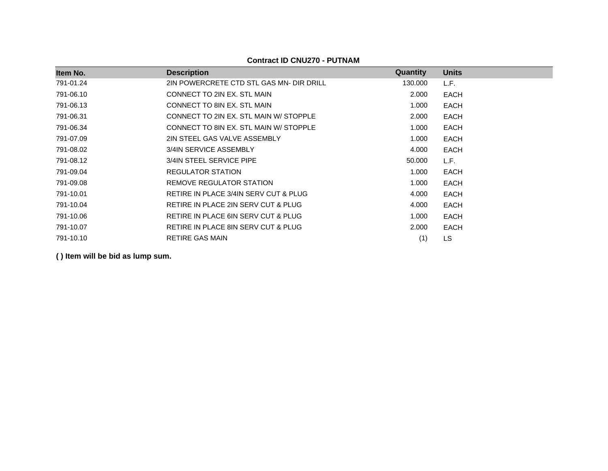| Item No.  | <b>Description</b>                       | Quantity | <b>Units</b> |
|-----------|------------------------------------------|----------|--------------|
| 791-01.24 | 2IN POWERCRETE CTD STL GAS MN- DIR DRILL | 130.000  | L.F.         |
| 791-06.10 | CONNECT TO 2IN EX. STL MAIN              | 2.000    | <b>EACH</b>  |
| 791-06.13 | CONNECT TO 8IN EX. STL MAIN              | 1.000    | <b>EACH</b>  |
| 791-06.31 | CONNECT TO 2IN EX. STL MAIN W/ STOPPLE   | 2.000    | <b>EACH</b>  |
| 791-06.34 | CONNECT TO 8IN EX. STL MAIN W/ STOPPLE   | 1.000    | <b>EACH</b>  |
| 791-07.09 | 2IN STEEL GAS VALVE ASSEMBLY             | 1.000    | <b>EACH</b>  |
| 791-08.02 | 3/4IN SERVICE ASSEMBLY                   | 4.000    | EACH         |
| 791-08.12 | 3/4IN STEEL SERVICE PIPE                 | 50.000   | L.F.         |
| 791-09.04 | REGULATOR STATION                        | 1.000    | <b>EACH</b>  |
| 791-09.08 | REMOVE REGULATOR STATION                 | 1.000    | EACH         |
| 791-10.01 | RETIRE IN PLACE 3/4IN SERV CUT & PLUG    | 4.000    | <b>EACH</b>  |
| 791-10.04 | RETIRE IN PLACE 2IN SERV CUT & PLUG      | 4.000    | <b>EACH</b>  |
| 791-10.06 | RETIRE IN PLACE 6IN SERV CUT & PLUG      | 1.000    | <b>EACH</b>  |
| 791-10.07 | RETIRE IN PLACE 8IN SERV CUT & PLUG      | 2.000    | <b>EACH</b>  |
| 791-10.10 | <b>RETIRE GAS MAIN</b>                   | (1)      | LS           |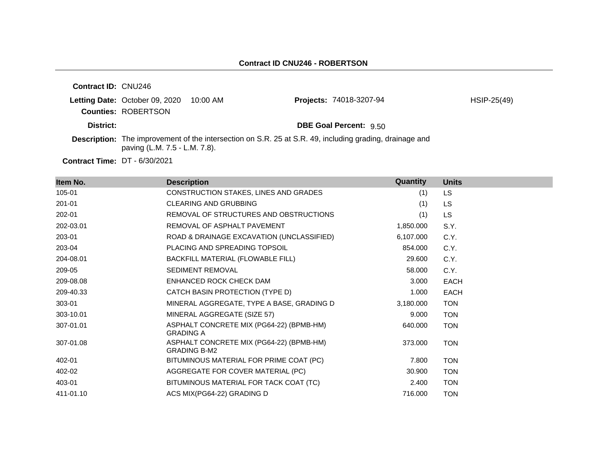| <b>Contract ID: CNU246</b> |                                |          |                                                                                                                |               |
|----------------------------|--------------------------------|----------|----------------------------------------------------------------------------------------------------------------|---------------|
|                            | Letting Date: October 09, 2020 | 10:00 AM | <b>Projects: 74018-3207-94</b>                                                                                 | $HSIP-25(49)$ |
|                            | <b>Counties: ROBERTSON</b>     |          |                                                                                                                |               |
| District:                  |                                |          | <b>DBE Goal Percent: 9.50</b>                                                                                  |               |
|                            | paving (L.M. 7.5 - L.M. 7.8).  |          | <b>Description:</b> The improvement of the intersection on S.R. 25 at S.R. 49, including grading, drainage and |               |
|                            |                                |          |                                                                                                                |               |

**Contract Time:** DT - 6/30/2021

| Item No.  | <b>Description</b>                                              | <b>Quantity</b> | <b>Units</b> |
|-----------|-----------------------------------------------------------------|-----------------|--------------|
| 105-01    | CONSTRUCTION STAKES, LINES AND GRADES                           | (1)             | LS.          |
| 201-01    | <b>CLEARING AND GRUBBING</b>                                    | (1)             | <b>LS</b>    |
| 202-01    | REMOVAL OF STRUCTURES AND OBSTRUCTIONS                          | (1)             | <b>LS</b>    |
| 202-03.01 | REMOVAL OF ASPHALT PAVEMENT                                     | 1,850.000       | S.Y.         |
| 203-01    | ROAD & DRAINAGE EXCAVATION (UNCLASSIFIED)                       | 6,107.000       | C.Y.         |
| 203-04    | PLACING AND SPREADING TOPSOIL                                   | 854.000         | C.Y.         |
| 204-08.01 | BACKFILL MATERIAL (FLOWABLE FILL)                               | 29.600          | C.Y.         |
| 209-05    | <b>SEDIMENT REMOVAL</b>                                         | 58.000          | C.Y.         |
| 209-08.08 | ENHANCED ROCK CHECK DAM                                         | 3.000           | <b>EACH</b>  |
| 209-40.33 | CATCH BASIN PROTECTION (TYPE D)                                 | 1.000           | <b>EACH</b>  |
| 303-01    | MINERAL AGGREGATE, TYPE A BASE, GRADING D                       | 3,180.000       | <b>TON</b>   |
| 303-10.01 | MINERAL AGGREGATE (SIZE 57)                                     | 9.000           | <b>TON</b>   |
| 307-01.01 | ASPHALT CONCRETE MIX (PG64-22) (BPMB-HM)<br><b>GRADING A</b>    | 640.000         | <b>TON</b>   |
| 307-01.08 | ASPHALT CONCRETE MIX (PG64-22) (BPMB-HM)<br><b>GRADING B-M2</b> | 373.000         | <b>TON</b>   |
| 402-01    | BITUMINOUS MATERIAL FOR PRIME COAT (PC)                         | 7.800           | <b>TON</b>   |
| 402-02    | AGGREGATE FOR COVER MATERIAL (PC)                               | 30.900          | <b>TON</b>   |
| 403-01    | BITUMINOUS MATERIAL FOR TACK COAT (TC)                          | 2.400           | <b>TON</b>   |
| 411-01.10 | ACS MIX(PG64-22) GRADING D                                      | 716.000         | <b>TON</b>   |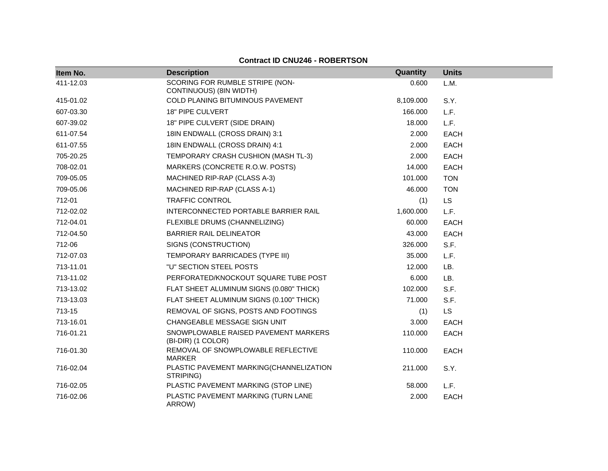**Contract ID CNU246 - ROBERTSON**

| Item No.  | <b>Description</b>                                         | Quantity  | <b>Units</b> |
|-----------|------------------------------------------------------------|-----------|--------------|
| 411-12.03 | SCORING FOR RUMBLE STRIPE (NON-<br>CONTINUOUS) (8IN WIDTH) | 0.600     | L.M.         |
| 415-01.02 | COLD PLANING BITUMINOUS PAVEMENT                           | 8,109.000 | S.Y.         |
| 607-03.30 | 18" PIPE CULVERT                                           | 166.000   | L.F.         |
| 607-39.02 | 18" PIPE CULVERT (SIDE DRAIN)                              | 18.000    | L.F.         |
| 611-07.54 | 18IN ENDWALL (CROSS DRAIN) 3:1                             | 2.000     | <b>EACH</b>  |
| 611-07.55 | 18IN ENDWALL (CROSS DRAIN) 4:1                             | 2.000     | <b>EACH</b>  |
| 705-20.25 | TEMPORARY CRASH CUSHION (MASH TL-3)                        | 2.000     | <b>EACH</b>  |
| 708-02.01 | MARKERS (CONCRETE R.O.W. POSTS)                            | 14.000    | <b>EACH</b>  |
| 709-05.05 | MACHINED RIP-RAP (CLASS A-3)                               | 101.000   | <b>TON</b>   |
| 709-05.06 | MACHINED RIP-RAP (CLASS A-1)                               | 46.000    | <b>TON</b>   |
| 712-01    | <b>TRAFFIC CONTROL</b>                                     | (1)       | LS.          |
| 712-02.02 | INTERCONNECTED PORTABLE BARRIER RAIL                       | 1,600.000 | L.F.         |
| 712-04.01 | FLEXIBLE DRUMS (CHANNELIZING)                              | 60.000    | <b>EACH</b>  |
| 712-04.50 | <b>BARRIER RAIL DELINEATOR</b>                             | 43.000    | <b>EACH</b>  |
| 712-06    | SIGNS (CONSTRUCTION)                                       | 326.000   | S.F.         |
| 712-07.03 | TEMPORARY BARRICADES (TYPE III)                            | 35.000    | L.F.         |
| 713-11.01 | "U" SECTION STEEL POSTS                                    | 12.000    | LB.          |
| 713-11.02 | PERFORATED/KNOCKOUT SQUARE TUBE POST                       | 6.000     | LB.          |
| 713-13.02 | FLAT SHEET ALUMINUM SIGNS (0.080" THICK)                   | 102.000   | S.F.         |
| 713-13.03 | FLAT SHEET ALUMINUM SIGNS (0.100" THICK)                   | 71.000    | S.F.         |
| 713-15    | REMOVAL OF SIGNS, POSTS AND FOOTINGS                       | (1)       | <b>LS</b>    |
| 713-16.01 | CHANGEABLE MESSAGE SIGN UNIT                               | 3.000     | <b>EACH</b>  |
| 716-01.21 | SNOWPLOWABLE RAISED PAVEMENT MARKERS<br>(BI-DIR) (1 COLOR) | 110.000   | <b>EACH</b>  |
| 716-01.30 | REMOVAL OF SNOWPLOWABLE REFLECTIVE<br>MARKER               | 110.000   | <b>EACH</b>  |
| 716-02.04 | PLASTIC PAVEMENT MARKING(CHANNELIZATION<br>STRIPING)       | 211.000   | S.Y.         |
| 716-02.05 | PLASTIC PAVEMENT MARKING (STOP LINE)                       | 58.000    | L.F.         |
| 716-02.06 | PLASTIC PAVEMENT MARKING (TURN LANE<br>ARROW)              | 2.000     | <b>EACH</b>  |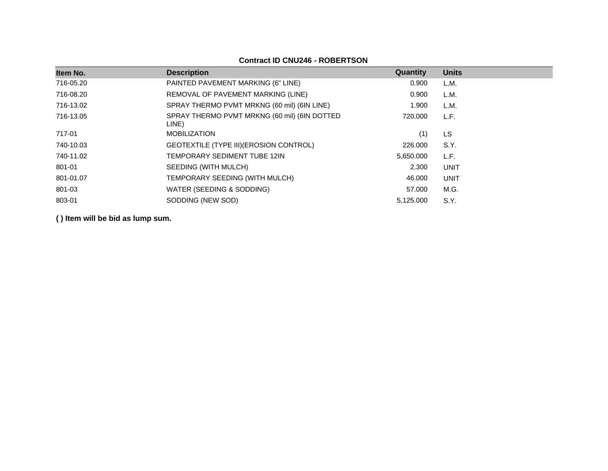| Item No.  | <b>Description</b>                                    | Quantity  | <b>Units</b> |
|-----------|-------------------------------------------------------|-----------|--------------|
| 716-05.20 | PAINTED PAVEMENT MARKING (6" LINE)                    | 0.900     | L.M.         |
| 716-08.20 | REMOVAL OF PAVEMENT MARKING (LINE)                    | 0.900     | L.M.         |
| 716-13.02 | SPRAY THERMO PVMT MRKNG (60 mil) (6IN LINE)           | 1.900     | L.M.         |
| 716-13.05 | SPRAY THERMO PVMT MRKNG (60 mil) (6IN DOTTED<br>LINE) | 720,000   | L.F.         |
| 717-01    | <b>MOBILIZATION</b>                                   | (1)       | LS           |
| 740-10.03 | GEOTEXTILE (TYPE III) (EROSION CONTROL)               | 226.000   | S.Y.         |
| 740-11.02 | TEMPORARY SEDIMENT TUBE 12IN                          | 5,650.000 | L.F.         |
| 801-01    | SEEDING (WITH MULCH)                                  | 2.300     | <b>UNIT</b>  |
| 801-01.07 | TEMPORARY SEEDING (WITH MULCH)                        | 46.000    | <b>UNIT</b>  |
| 801-03    | WATER (SEEDING & SODDING)                             | 57.000    | M.G.         |
| 803-01    | SODDING (NEW SOD)                                     | 5.125.000 | S.Y.         |

# **Contract ID CNU246 - ROBERTSON**

**( ) Item will be bid as lump sum.**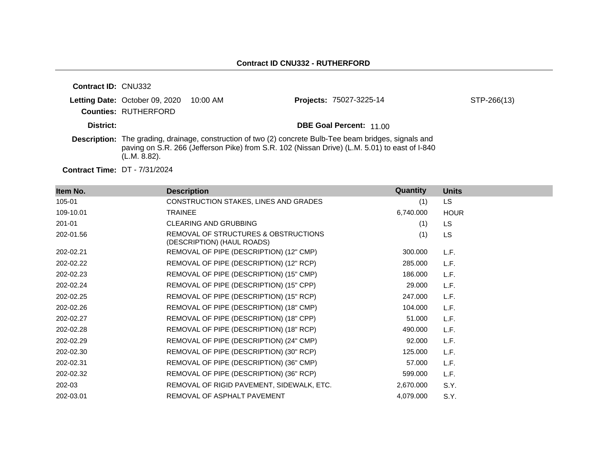| <b>Contract ID: CNU332</b> |                                |          |                                                                                                                                                                                                                 |             |
|----------------------------|--------------------------------|----------|-----------------------------------------------------------------------------------------------------------------------------------------------------------------------------------------------------------------|-------------|
|                            | Letting Date: October 09, 2020 | 10:00 AM | Projects: 75027-3225-14                                                                                                                                                                                         | STP-266(13) |
|                            | <b>Counties: RUTHERFORD</b>    |          |                                                                                                                                                                                                                 |             |
| District:                  |                                |          | <b>DBE Goal Percent: 11.00</b>                                                                                                                                                                                  |             |
|                            | (L.M. 8.82).                   |          | <b>Description:</b> The grading, drainage, construction of two (2) concrete Bulb-Tee beam bridges, signals and<br>paving on S.R. 266 (Jefferson Pike) from S.R. 102 (Nissan Drive) (L.M. 5.01) to east of I-840 |             |

**Contract Time:** DT - 7/31/2024

| Item No.  | <b>Description</b>                                                 | Quantity  | <b>Units</b> |
|-----------|--------------------------------------------------------------------|-----------|--------------|
| 105-01    | CONSTRUCTION STAKES, LINES AND GRADES                              | (1)       | LS.          |
| 109-10.01 | <b>TRAINEE</b>                                                     | 6,740.000 | <b>HOUR</b>  |
| 201-01    | <b>CLEARING AND GRUBBING</b>                                       | (1)       | LS.          |
| 202-01.56 | REMOVAL OF STRUCTURES & OBSTRUCTIONS<br>(DESCRIPTION) (HAUL ROADS) | (1)       | <b>LS</b>    |
| 202-02.21 | REMOVAL OF PIPE (DESCRIPTION) (12" CMP)                            | 300.000   | L.F.         |
| 202-02.22 | REMOVAL OF PIPE (DESCRIPTION) (12" RCP)                            | 285.000   | L.F.         |
| 202-02.23 | REMOVAL OF PIPE (DESCRIPTION) (15" CMP)                            | 186.000   | L.F.         |
| 202-02.24 | REMOVAL OF PIPE (DESCRIPTION) (15" CPP)                            | 29.000    | L.F.         |
| 202-02.25 | REMOVAL OF PIPE (DESCRIPTION) (15" RCP)                            | 247.000   | L.F.         |
| 202-02.26 | REMOVAL OF PIPE (DESCRIPTION) (18" CMP)                            | 104.000   | L.F.         |
| 202-02.27 | REMOVAL OF PIPE (DESCRIPTION) (18" CPP)                            | 51.000    | L.F.         |
| 202-02.28 | REMOVAL OF PIPE (DESCRIPTION) (18" RCP)                            | 490.000   | L.F.         |
| 202-02.29 | REMOVAL OF PIPE (DESCRIPTION) (24" CMP)                            | 92.000    | L.F.         |
| 202-02.30 | REMOVAL OF PIPE (DESCRIPTION) (30" RCP)                            | 125.000   | L.F.         |
| 202-02.31 | REMOVAL OF PIPE (DESCRIPTION) (36" CMP)                            | 57.000    | L.F.         |
| 202-02.32 | REMOVAL OF PIPE (DESCRIPTION) (36" RCP)                            | 599.000   | L.F.         |
| 202-03    | REMOVAL OF RIGID PAVEMENT, SIDEWALK, ETC.                          | 2,670.000 | S.Y.         |
| 202-03.01 | REMOVAL OF ASPHALT PAVEMENT                                        | 4,079.000 | S.Y.         |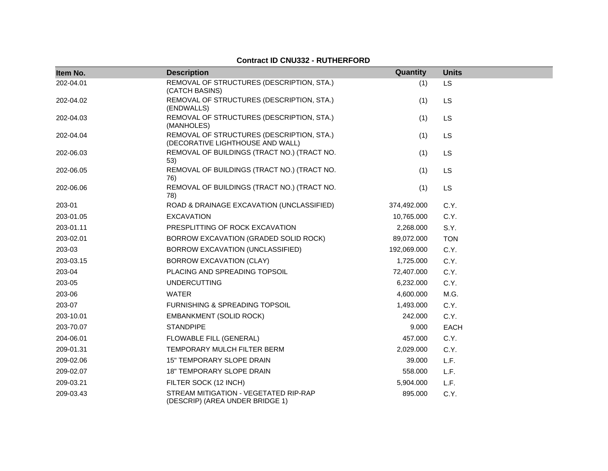| Item No.  | <b>Description</b>                                                            | Quantity    | <b>Units</b> |
|-----------|-------------------------------------------------------------------------------|-------------|--------------|
| 202-04.01 | REMOVAL OF STRUCTURES (DESCRIPTION, STA.)<br>(CATCH BASINS)                   | (1)         | <b>LS</b>    |
| 202-04.02 | REMOVAL OF STRUCTURES (DESCRIPTION, STA.)<br>(ENDWALLS)                       | (1)         | LS           |
| 202-04.03 | REMOVAL OF STRUCTURES (DESCRIPTION, STA.)<br>(MANHOLES)                       | (1)         | <b>LS</b>    |
| 202-04.04 | REMOVAL OF STRUCTURES (DESCRIPTION, STA.)<br>(DECORATIVE LIGHTHOUSE AND WALL) | (1)         | LS           |
| 202-06.03 | REMOVAL OF BUILDINGS (TRACT NO.) (TRACT NO.<br>53)                            | (1)         | <b>LS</b>    |
| 202-06.05 | REMOVAL OF BUILDINGS (TRACT NO.) (TRACT NO.<br>76)                            | (1)         | <b>LS</b>    |
| 202-06.06 | REMOVAL OF BUILDINGS (TRACT NO.) (TRACT NO.<br>78)                            | (1)         | LS           |
| 203-01    | ROAD & DRAINAGE EXCAVATION (UNCLASSIFIED)                                     | 374,492.000 | C.Y.         |
| 203-01.05 | <b>EXCAVATION</b>                                                             | 10,765.000  | C.Y.         |
| 203-01.11 | PRESPLITTING OF ROCK EXCAVATION                                               | 2,268.000   | S.Y.         |
| 203-02.01 | BORROW EXCAVATION (GRADED SOLID ROCK)                                         | 89,072.000  | <b>TON</b>   |
| 203-03    | BORROW EXCAVATION (UNCLASSIFIED)                                              | 192,069.000 | C.Y.         |
| 203-03.15 | <b>BORROW EXCAVATION (CLAY)</b>                                               | 1,725.000   | C.Y.         |
| 203-04    | PLACING AND SPREADING TOPSOIL                                                 | 72,407.000  | C.Y.         |
| 203-05    | <b>UNDERCUTTING</b>                                                           | 6,232.000   | C.Y.         |
| 203-06    | <b>WATER</b>                                                                  | 4,600.000   | M.G.         |
| 203-07    | FURNISHING & SPREADING TOPSOIL                                                | 1,493.000   | C.Y.         |
| 203-10.01 | <b>EMBANKMENT (SOLID ROCK)</b>                                                | 242.000     | C.Y.         |
| 203-70.07 | <b>STANDPIPE</b>                                                              | 9.000       | <b>EACH</b>  |
| 204-06.01 | <b>FLOWABLE FILL (GENERAL)</b>                                                | 457.000     | C.Y.         |
| 209-01.31 | TEMPORARY MULCH FILTER BERM                                                   | 2,029.000   | C.Y.         |
| 209-02.06 | <b>15" TEMPORARY SLOPE DRAIN</b>                                              | 39.000      | L.F.         |
| 209-02.07 | <b>18" TEMPORARY SLOPE DRAIN</b>                                              | 558.000     | L.F.         |
| 209-03.21 | FILTER SOCK (12 INCH)                                                         | 5,904.000   | L.F.         |
| 209-03.43 | STREAM MITIGATION - VEGETATED RIP-RAP<br>(DESCRIP) (AREA UNDER BRIDGE 1)      | 895.000     | C.Y.         |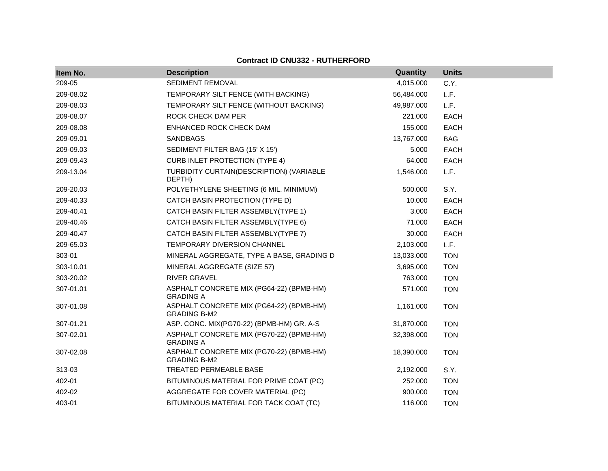| Item No.  | <b>Description</b>                                              | Quantity   | <b>Units</b> |
|-----------|-----------------------------------------------------------------|------------|--------------|
| 209-05    | SEDIMENT REMOVAL                                                | 4,015.000  | C.Y.         |
| 209-08.02 | TEMPORARY SILT FENCE (WITH BACKING)                             | 56,484.000 | L.F.         |
| 209-08.03 | TEMPORARY SILT FENCE (WITHOUT BACKING)                          | 49,987.000 | L.F.         |
| 209-08.07 | ROCK CHECK DAM PER                                              | 221.000    | <b>EACH</b>  |
| 209-08.08 | ENHANCED ROCK CHECK DAM                                         | 155.000    | <b>EACH</b>  |
| 209-09.01 | <b>SANDBAGS</b>                                                 | 13,767.000 | <b>BAG</b>   |
| 209-09.03 | SEDIMENT FILTER BAG (15' X 15')                                 | 5.000      | <b>EACH</b>  |
| 209-09.43 | <b>CURB INLET PROTECTION (TYPE 4)</b>                           | 64.000     | <b>EACH</b>  |
| 209-13.04 | TURBIDITY CURTAIN(DESCRIPTION) (VARIABLE<br>DEPTH)              | 1,546.000  | L.F.         |
| 209-20.03 | POLYETHYLENE SHEETING (6 MIL. MINIMUM)                          | 500.000    | S.Y.         |
| 209-40.33 | CATCH BASIN PROTECTION (TYPE D)                                 | 10.000     | <b>EACH</b>  |
| 209-40.41 | CATCH BASIN FILTER ASSEMBLY(TYPE 1)                             | 3.000      | <b>EACH</b>  |
| 209-40.46 | CATCH BASIN FILTER ASSEMBLY(TYPE 6)                             | 71.000     | <b>EACH</b>  |
| 209-40.47 | CATCH BASIN FILTER ASSEMBLY(TYPE 7)                             | 30.000     | <b>EACH</b>  |
| 209-65.03 | <b>TEMPORARY DIVERSION CHANNEL</b>                              | 2,103.000  | L.F.         |
| 303-01    | MINERAL AGGREGATE, TYPE A BASE, GRADING D                       | 13,033.000 | <b>TON</b>   |
| 303-10.01 | MINERAL AGGREGATE (SIZE 57)                                     | 3,695.000  | <b>TON</b>   |
| 303-20.02 | <b>RIVER GRAVEL</b>                                             | 763.000    | <b>TON</b>   |
| 307-01.01 | ASPHALT CONCRETE MIX (PG64-22) (BPMB-HM)<br><b>GRADING A</b>    | 571.000    | <b>TON</b>   |
| 307-01.08 | ASPHALT CONCRETE MIX (PG64-22) (BPMB-HM)<br><b>GRADING B-M2</b> | 1,161.000  | <b>TON</b>   |
| 307-01.21 | ASP. CONC. MIX(PG70-22) (BPMB-HM) GR. A-S                       | 31,870.000 | <b>TON</b>   |
| 307-02.01 | ASPHALT CONCRETE MIX (PG70-22) (BPMB-HM)<br><b>GRADING A</b>    | 32,398.000 | <b>TON</b>   |
| 307-02.08 | ASPHALT CONCRETE MIX (PG70-22) (BPMB-HM)<br><b>GRADING B-M2</b> | 18,390.000 | <b>TON</b>   |
| 313-03    | <b>TREATED PERMEABLE BASE</b>                                   | 2,192.000  | S.Y.         |
| 402-01    | BITUMINOUS MATERIAL FOR PRIME COAT (PC)                         | 252.000    | <b>TON</b>   |
| 402-02    | AGGREGATE FOR COVER MATERIAL (PC)                               | 900.000    | <b>TON</b>   |
| 403-01    | BITUMINOUS MATERIAL FOR TACK COAT (TC)                          | 116.000    | <b>TON</b>   |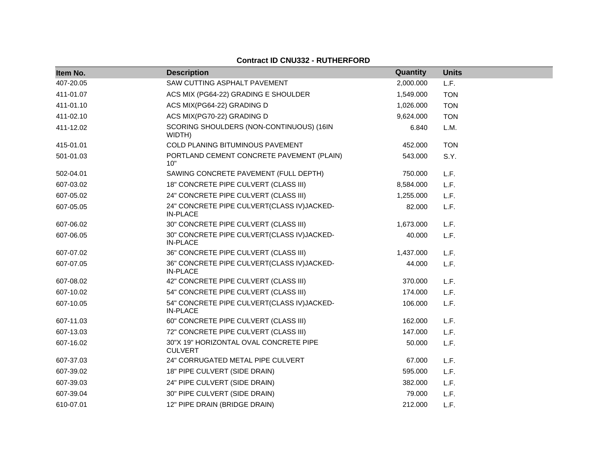| Item No.  | <b>Description</b>                                            | Quantity  | <b>Units</b> |
|-----------|---------------------------------------------------------------|-----------|--------------|
| 407-20.05 | SAW CUTTING ASPHALT PAVEMENT                                  | 2,000.000 | L.F.         |
| 411-01.07 | ACS MIX (PG64-22) GRADING E SHOULDER                          | 1,549.000 | <b>TON</b>   |
| 411-01.10 | ACS MIX(PG64-22) GRADING D                                    | 1,026.000 | <b>TON</b>   |
| 411-02.10 | ACS MIX(PG70-22) GRADING D                                    | 9,624.000 | <b>TON</b>   |
| 411-12.02 | SCORING SHOULDERS (NON-CONTINUOUS) (16IN<br>WIDTH)            | 6.840     | L.M.         |
| 415-01.01 | COLD PLANING BITUMINOUS PAVEMENT                              | 452.000   | <b>TON</b>   |
| 501-01.03 | PORTLAND CEMENT CONCRETE PAVEMENT (PLAIN)<br>10"              | 543.000   | S.Y.         |
| 502-04.01 | SAWING CONCRETE PAVEMENT (FULL DEPTH)                         | 750.000   | L.F.         |
| 607-03.02 | 18" CONCRETE PIPE CULVERT (CLASS III)                         | 8,584.000 | L.F.         |
| 607-05.02 | 24" CONCRETE PIPE CULVERT (CLASS III)                         | 1,255.000 | L.F.         |
| 607-05.05 | 24" CONCRETE PIPE CULVERT(CLASS IV)JACKED-<br><b>IN-PLACE</b> | 82.000    | L.F.         |
| 607-06.02 | 30" CONCRETE PIPE CULVERT (CLASS III)                         | 1,673.000 | L.F.         |
| 607-06.05 | 30" CONCRETE PIPE CULVERT(CLASS IV)JACKED-<br><b>IN-PLACE</b> | 40.000    | L.F.         |
| 607-07.02 | 36" CONCRETE PIPE CULVERT (CLASS III)                         | 1,437.000 | L.F.         |
| 607-07.05 | 36" CONCRETE PIPE CULVERT(CLASS IV)JACKED-<br><b>IN-PLACE</b> | 44.000    | L.F.         |
| 607-08.02 | 42" CONCRETE PIPE CULVERT (CLASS III)                         | 370.000   | L.F.         |
| 607-10.02 | 54" CONCRETE PIPE CULVERT (CLASS III)                         | 174.000   | L.F.         |
| 607-10.05 | 54" CONCRETE PIPE CULVERT(CLASS IV)JACKED-<br><b>IN-PLACE</b> | 106.000   | L.F.         |
| 607-11.03 | 60" CONCRETE PIPE CULVERT (CLASS III)                         | 162.000   | L.F.         |
| 607-13.03 | 72" CONCRETE PIPE CULVERT (CLASS III)                         | 147.000   | L.F.         |
| 607-16.02 | 30"X 19" HORIZONTAL OVAL CONCRETE PIPE<br><b>CULVERT</b>      | 50.000    | L.F.         |
| 607-37.03 | 24" CORRUGATED METAL PIPE CULVERT                             | 67.000    | L.F.         |
| 607-39.02 | 18" PIPE CULVERT (SIDE DRAIN)                                 | 595.000   | L.F.         |
| 607-39.03 | 24" PIPE CULVERT (SIDE DRAIN)                                 | 382.000   | L.F.         |
| 607-39.04 | 30" PIPE CULVERT (SIDE DRAIN)                                 | 79.000    | L.F.         |
| 610-07.01 | 12" PIPE DRAIN (BRIDGE DRAIN)                                 | 212.000   | L.F.         |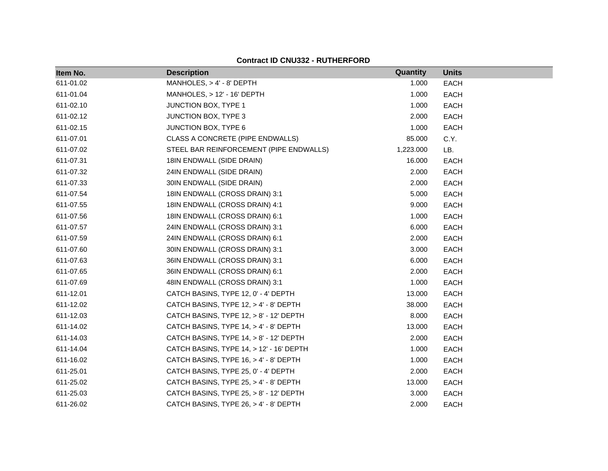| Item No.  | <b>Description</b>                       | Quantity  | <b>Units</b> |
|-----------|------------------------------------------|-----------|--------------|
| 611-01.02 | MANHOLES, > 4' - 8' DEPTH                | 1.000     | <b>EACH</b>  |
| 611-01.04 | MANHOLES, > 12' - 16' DEPTH              | 1.000     | <b>EACH</b>  |
| 611-02.10 | <b>JUNCTION BOX, TYPE 1</b>              | 1.000     | <b>EACH</b>  |
| 611-02.12 | <b>JUNCTION BOX, TYPE 3</b>              | 2.000     | <b>EACH</b>  |
| 611-02.15 | JUNCTION BOX, TYPE 6                     | 1.000     | <b>EACH</b>  |
| 611-07.01 | CLASS A CONCRETE (PIPE ENDWALLS)         | 85.000    | C.Y.         |
| 611-07.02 | STEEL BAR REINFORCEMENT (PIPE ENDWALLS)  | 1,223.000 | LB.          |
| 611-07.31 | 18IN ENDWALL (SIDE DRAIN)                | 16.000    | <b>EACH</b>  |
| 611-07.32 | 24IN ENDWALL (SIDE DRAIN)                | 2.000     | EACH         |
| 611-07.33 | 30IN ENDWALL (SIDE DRAIN)                | 2.000     | <b>EACH</b>  |
| 611-07.54 | 18IN ENDWALL (CROSS DRAIN) 3:1           | 5.000     | EACH         |
| 611-07.55 | 18IN ENDWALL (CROSS DRAIN) 4:1           | 9.000     | <b>EACH</b>  |
| 611-07.56 | 18IN ENDWALL (CROSS DRAIN) 6:1           | 1.000     | <b>EACH</b>  |
| 611-07.57 | 24IN ENDWALL (CROSS DRAIN) 3:1           | 6.000     | EACH         |
| 611-07.59 | 24IN ENDWALL (CROSS DRAIN) 6:1           | 2.000     | <b>EACH</b>  |
| 611-07.60 | 30IN ENDWALL (CROSS DRAIN) 3:1           | 3.000     | EACH         |
| 611-07.63 | 36IN ENDWALL (CROSS DRAIN) 3:1           | 6.000     | <b>EACH</b>  |
| 611-07.65 | 36IN ENDWALL (CROSS DRAIN) 6:1           | 2.000     | <b>EACH</b>  |
| 611-07.69 | 48IN ENDWALL (CROSS DRAIN) 3:1           | 1.000     | EACH         |
| 611-12.01 | CATCH BASINS, TYPE 12, 0' - 4' DEPTH     | 13.000    | <b>EACH</b>  |
| 611-12.02 | CATCH BASINS, TYPE 12, > 4' - 8' DEPTH   | 38.000    | <b>EACH</b>  |
| 611-12.03 | CATCH BASINS, TYPE 12, > 8' - 12' DEPTH  | 8.000     | <b>EACH</b>  |
| 611-14.02 | CATCH BASINS, TYPE 14, > 4' - 8' DEPTH   | 13.000    | <b>EACH</b>  |
| 611-14.03 | CATCH BASINS, TYPE 14, > 8' - 12' DEPTH  | 2.000     | EACH         |
| 611-14.04 | CATCH BASINS, TYPE 14, > 12' - 16' DEPTH | 1.000     | <b>EACH</b>  |
| 611-16.02 | CATCH BASINS, TYPE 16, > 4' - 8' DEPTH   | 1.000     | <b>EACH</b>  |
| 611-25.01 | CATCH BASINS, TYPE 25, 0' - 4' DEPTH     | 2.000     | <b>EACH</b>  |
| 611-25.02 | CATCH BASINS, TYPE 25, > 4' - 8' DEPTH   | 13.000    | <b>EACH</b>  |
| 611-25.03 | CATCH BASINS, TYPE 25, > 8' - 12' DEPTH  | 3.000     | <b>EACH</b>  |
| 611-26.02 | CATCH BASINS, TYPE 26, > 4' - 8' DEPTH   | 2.000     | <b>EACH</b>  |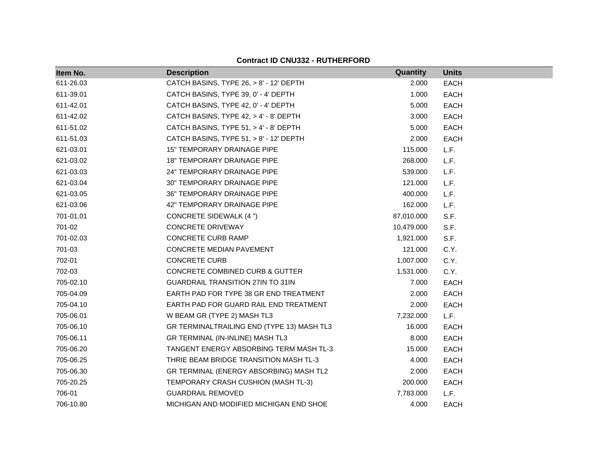| Item No.  | <b>Description</b>                         | Quantity   | <b>Units</b> |
|-----------|--------------------------------------------|------------|--------------|
| 611-26.03 | CATCH BASINS, TYPE 26, > 8' - 12' DEPTH    | 2.000      | <b>EACH</b>  |
| 611-39.01 | CATCH BASINS, TYPE 39, 0' - 4' DEPTH       | 1.000      | <b>EACH</b>  |
| 611-42.01 | CATCH BASINS, TYPE 42, 0' - 4' DEPTH       | 5.000      | <b>EACH</b>  |
| 611-42.02 | CATCH BASINS, TYPE 42, > 4' - 8' DEPTH     | 3.000      | <b>EACH</b>  |
| 611-51.02 | CATCH BASINS, TYPE 51, > 4' - 8' DEPTH     | 5.000      | <b>EACH</b>  |
| 611-51.03 | CATCH BASINS, TYPE 51, > 8' - 12' DEPTH    | 2.000      | <b>EACH</b>  |
| 621-03.01 | <b>15" TEMPORARY DRAINAGE PIPE</b>         | 115.000    | L.F.         |
| 621-03.02 | <b>18" TEMPORARY DRAINAGE PIPE</b>         | 268.000    | L.F.         |
| 621-03.03 | 24" TEMPORARY DRAINAGE PIPE                | 539.000    | L.F.         |
| 621-03.04 | <b>30" TEMPORARY DRAINAGE PIPE</b>         | 121.000    | L.F.         |
| 621-03.05 | 36" TEMPORARY DRAINAGE PIPE                | 400.000    | L.F.         |
| 621-03.06 | 42" TEMPORARY DRAINAGE PIPE                | 162.000    | L.F.         |
| 701-01.01 | <b>CONCRETE SIDEWALK (4 ")</b>             | 87,010.000 | S.F.         |
| 701-02    | <b>CONCRETE DRIVEWAY</b>                   | 10,479.000 | S.F.         |
| 701-02.03 | <b>CONCRETE CURB RAMP</b>                  | 1,921.000  | S.F.         |
| 701-03    | CONCRETE MEDIAN PAVEMENT                   | 121.000    | C.Y.         |
| 702-01    | <b>CONCRETE CURB</b>                       | 1,007.000  | C.Y.         |
| 702-03    | <b>CONCRETE COMBINED CURB &amp; GUTTER</b> | 1,531.000  | C.Y.         |
| 705-02.10 | GUARDRAIL TRANSITION 27IN TO 31IN          | 7.000      | <b>EACH</b>  |
| 705-04.09 | EARTH PAD FOR TYPE 38 GR END TREATMENT     | 2.000      | <b>EACH</b>  |
| 705-04.10 | EARTH PAD FOR GUARD RAIL END TREATMENT     | 2.000      | <b>EACH</b>  |
| 705-06.01 | W BEAM GR (TYPE 2) MASH TL3                | 7,232.000  | L.F.         |
| 705-06.10 | GR TERMINALTRAILING END (TYPE 13) MASH TL3 | 16.000     | <b>EACH</b>  |
| 705-06.11 | GR TERMINAL (IN-INLINE) MASH TL3           | 8.000      | <b>EACH</b>  |
| 705-06.20 | TANGENT ENERGY ABSORBING TERM MASH TL-3    | 15.000     | <b>EACH</b>  |
| 705-06.25 | THRIE BEAM BRIDGE TRANSITION MASH TL-3     | 4.000      | <b>EACH</b>  |
| 705-06.30 | GR TERMINAL (ENERGY ABSORBING) MASH TL2    | 2.000      | <b>EACH</b>  |
| 705-20.25 | TEMPORARY CRASH CUSHION (MASH TL-3)        | 200.000    | <b>EACH</b>  |
| 706-01    | <b>GUARDRAIL REMOVED</b>                   | 7,783.000  | L.F.         |
| 706-10.80 | MICHIGAN AND MODIFIED MICHIGAN END SHOE    | 4.000      | <b>EACH</b>  |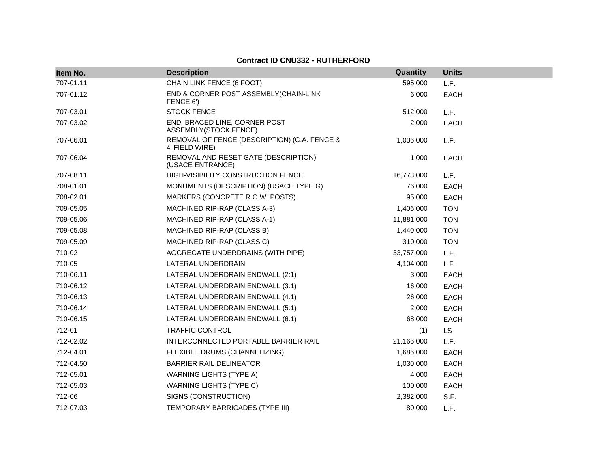| Item No.  | <b>Description</b>                                             | Quantity   | <b>Units</b> |
|-----------|----------------------------------------------------------------|------------|--------------|
| 707-01.11 | CHAIN LINK FENCE (6 FOOT)                                      | 595.000    | L.F.         |
| 707-01.12 | END & CORNER POST ASSEMBLY(CHAIN-LINK<br>FENCE 6')             | 6.000      | <b>EACH</b>  |
| 707-03.01 | <b>STOCK FENCE</b>                                             | 512.000    | L.F.         |
| 707-03.02 | END, BRACED LINE, CORNER POST<br><b>ASSEMBLY(STOCK FENCE)</b>  | 2.000      | <b>EACH</b>  |
| 707-06.01 | REMOVAL OF FENCE (DESCRIPTION) (C.A. FENCE &<br>4' FIELD WIRE) | 1,036.000  | L.F.         |
| 707-06.04 | REMOVAL AND RESET GATE (DESCRIPTION)<br>(USACE ENTRANCE)       | 1.000      | <b>EACH</b>  |
| 707-08.11 | HIGH-VISIBILITY CONSTRUCTION FENCE                             | 16,773.000 | L.F.         |
| 708-01.01 | MONUMENTS (DESCRIPTION) (USACE TYPE G)                         | 76.000     | <b>EACH</b>  |
| 708-02.01 | MARKERS (CONCRETE R.O.W. POSTS)                                | 95.000     | <b>EACH</b>  |
| 709-05.05 | MACHINED RIP-RAP (CLASS A-3)                                   | 1,406.000  | <b>TON</b>   |
| 709-05.06 | MACHINED RIP-RAP (CLASS A-1)                                   | 11,881.000 | <b>TON</b>   |
| 709-05.08 | MACHINED RIP-RAP (CLASS B)                                     | 1,440.000  | <b>TON</b>   |
| 709-05.09 | MACHINED RIP-RAP (CLASS C)                                     | 310.000    | <b>TON</b>   |
| 710-02    | AGGREGATE UNDERDRAINS (WITH PIPE)                              | 33,757.000 | L.F.         |
| 710-05    | LATERAL UNDERDRAIN                                             | 4,104.000  | L.F.         |
| 710-06.11 | LATERAL UNDERDRAIN ENDWALL (2:1)                               | 3.000      | <b>EACH</b>  |
| 710-06.12 | LATERAL UNDERDRAIN ENDWALL (3:1)                               | 16.000     | EACH         |
| 710-06.13 | LATERAL UNDERDRAIN ENDWALL (4:1)                               | 26.000     | <b>EACH</b>  |
| 710-06.14 | LATERAL UNDERDRAIN ENDWALL (5:1)                               | 2.000      | <b>EACH</b>  |
| 710-06.15 | LATERAL UNDERDRAIN ENDWALL (6:1)                               | 68.000     | <b>EACH</b>  |
| 712-01    | <b>TRAFFIC CONTROL</b>                                         | (1)        | <b>LS</b>    |
| 712-02.02 | INTERCONNECTED PORTABLE BARRIER RAIL                           | 21,166.000 | L.F.         |
| 712-04.01 | FLEXIBLE DRUMS (CHANNELIZING)                                  | 1,686.000  | <b>EACH</b>  |
| 712-04.50 | <b>BARRIER RAIL DELINEATOR</b>                                 | 1,030.000  | <b>EACH</b>  |
| 712-05.01 | <b>WARNING LIGHTS (TYPE A)</b>                                 | 4.000      | EACH         |
| 712-05.03 | <b>WARNING LIGHTS (TYPE C)</b>                                 | 100.000    | <b>EACH</b>  |
| 712-06    | SIGNS (CONSTRUCTION)                                           | 2,382.000  | S.F.         |
| 712-07.03 | TEMPORARY BARRICADES (TYPE III)                                | 80,000     | L.F.         |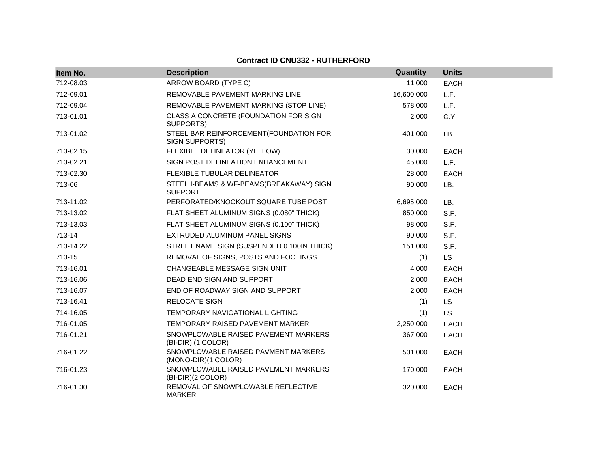| Item No.  | <b>Description</b>                                         | Quantity   | <b>Units</b> |  |
|-----------|------------------------------------------------------------|------------|--------------|--|
| 712-08.03 | ARROW BOARD (TYPE C)                                       | 11.000     | <b>EACH</b>  |  |
| 712-09.01 | REMOVABLE PAVEMENT MARKING LINE                            | 16,600.000 | L.F.         |  |
| 712-09.04 | REMOVABLE PAVEMENT MARKING (STOP LINE)                     | 578.000    | L.F.         |  |
| 713-01.01 | CLASS A CONCRETE (FOUNDATION FOR SIGN<br>SUPPORTS)         | 2.000      | C.Y.         |  |
| 713-01.02 | STEEL BAR REINFORCEMENT (FOUNDATION FOR<br>SIGN SUPPORTS)  | 401.000    | LB.          |  |
| 713-02.15 | FLEXIBLE DELINEATOR (YELLOW)                               | 30.000     | <b>EACH</b>  |  |
| 713-02.21 | SIGN POST DELINEATION ENHANCEMENT                          | 45.000     | L.F.         |  |
| 713-02.30 | FLEXIBLE TUBULAR DELINEATOR                                | 28,000     | <b>EACH</b>  |  |
| 713-06    | STEEL I-BEAMS & WF-BEAMS(BREAKAWAY) SIGN<br><b>SUPPORT</b> | 90.000     | LB.          |  |
| 713-11.02 | PERFORATED/KNOCKOUT SQUARE TUBE POST                       | 6,695.000  | LB.          |  |
| 713-13.02 | FLAT SHEET ALUMINUM SIGNS (0.080" THICK)                   | 850.000    | S.F.         |  |
| 713-13.03 | FLAT SHEET ALUMINUM SIGNS (0.100" THICK)                   | 98.000     | S.F.         |  |
| 713-14    | EXTRUDED ALUMINUM PANEL SIGNS                              | 90.000     | S.F.         |  |
| 713-14.22 | STREET NAME SIGN (SUSPENDED 0.100IN THICK)                 | 151.000    | S.F.         |  |
| 713-15    | REMOVAL OF SIGNS, POSTS AND FOOTINGS                       | (1)        | <b>LS</b>    |  |
| 713-16.01 | CHANGEABLE MESSAGE SIGN UNIT                               | 4.000      | <b>EACH</b>  |  |
| 713-16.06 | DEAD END SIGN AND SUPPORT                                  | 2.000      | <b>EACH</b>  |  |
| 713-16.07 | END OF ROADWAY SIGN AND SUPPORT                            | 2.000      | EACH         |  |
| 713-16.41 | <b>RELOCATE SIGN</b>                                       | (1)        | <b>LS</b>    |  |
| 714-16.05 | TEMPORARY NAVIGATIONAL LIGHTING                            | (1)        | <b>LS</b>    |  |
| 716-01.05 | TEMPORARY RAISED PAVEMENT MARKER                           | 2,250.000  | <b>EACH</b>  |  |
| 716-01.21 | SNOWPLOWABLE RAISED PAVEMENT MARKERS<br>(BI-DIR) (1 COLOR) | 367.000    | <b>EACH</b>  |  |
| 716-01.22 | SNOWPLOWABLE RAISED PAVMENT MARKERS<br>(MONO-DIR)(1 COLOR) | 501.000    | <b>EACH</b>  |  |
| 716-01.23 | SNOWPLOWABLE RAISED PAVEMENT MARKERS<br>(BI-DIR)(2 COLOR)  | 170.000    | <b>EACH</b>  |  |
| 716-01.30 | REMOVAL OF SNOWPLOWABLE REFLECTIVE<br><b>MARKER</b>        | 320,000    | <b>EACH</b>  |  |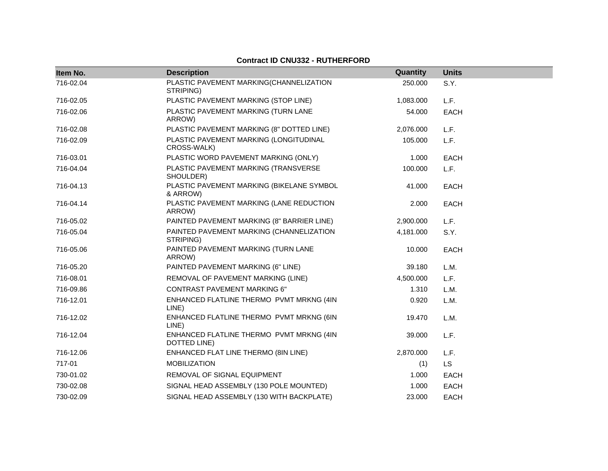| Item No.  | <b>Description</b>                                       | Quantity  | <b>Units</b> |
|-----------|----------------------------------------------------------|-----------|--------------|
| 716-02.04 | PLASTIC PAVEMENT MARKING(CHANNELIZATION<br>STRIPING)     | 250.000   | S.Y.         |
| 716-02.05 | PLASTIC PAVEMENT MARKING (STOP LINE)                     | 1,083.000 | L.F.         |
| 716-02.06 | PLASTIC PAVEMENT MARKING (TURN LANE<br>ARROW)            | 54.000    | <b>EACH</b>  |
| 716-02.08 | PLASTIC PAVEMENT MARKING (8" DOTTED LINE)                | 2,076.000 | L.F.         |
| 716-02.09 | PLASTIC PAVEMENT MARKING (LONGITUDINAL<br>CROSS-WALK)    | 105.000   | L.F.         |
| 716-03.01 | PLASTIC WORD PAVEMENT MARKING (ONLY)                     | 1.000     | <b>EACH</b>  |
| 716-04.04 | PLASTIC PAVEMENT MARKING (TRANSVERSE<br>SHOULDER)        | 100.000   | L.F.         |
| 716-04.13 | PLASTIC PAVEMENT MARKING (BIKELANE SYMBOL<br>& ARROW)    | 41.000    | <b>EACH</b>  |
| 716-04.14 | PLASTIC PAVEMENT MARKING (LANE REDUCTION<br>ARROW)       | 2.000     | <b>EACH</b>  |
| 716-05.02 | PAINTED PAVEMENT MARKING (8" BARRIER LINE)               | 2,900.000 | L.F.         |
| 716-05.04 | PAINTED PAVEMENT MARKING (CHANNELIZATION<br>STRIPING)    | 4,181.000 | S.Y.         |
| 716-05.06 | PAINTED PAVEMENT MARKING (TURN LANE<br>ARROW)            | 10.000    | <b>EACH</b>  |
| 716-05.20 | PAINTED PAVEMENT MARKING (6" LINE)                       | 39.180    | L.M.         |
| 716-08.01 | REMOVAL OF PAVEMENT MARKING (LINE)                       | 4,500.000 | L.F.         |
| 716-09.86 | <b>CONTRAST PAVEMENT MARKING 6"</b>                      | 1.310     | L.M.         |
| 716-12.01 | ENHANCED FLATLINE THERMO PVMT MRKNG (4IN<br>LINE)        | 0.920     | L.M.         |
| 716-12.02 | ENHANCED FLATLINE THERMO PVMT MRKNG (6IN<br>LINE)        | 19.470    | L.M.         |
| 716-12.04 | ENHANCED FLATLINE THERMO PVMT MRKNG (4IN<br>DOTTED LINE) | 39.000    | L.F.         |
| 716-12.06 | ENHANCED FLAT LINE THERMO (8IN LINE)                     | 2,870.000 | L.F.         |
| 717-01    | <b>MOBILIZATION</b>                                      | (1)       | <b>LS</b>    |
| 730-01.02 | REMOVAL OF SIGNAL EQUIPMENT                              | 1.000     | <b>EACH</b>  |
| 730-02.08 | SIGNAL HEAD ASSEMBLY (130 POLE MOUNTED)                  | 1.000     | <b>EACH</b>  |
| 730-02.09 | SIGNAL HEAD ASSEMBLY (130 WITH BACKPLATE)                | 23.000    | <b>EACH</b>  |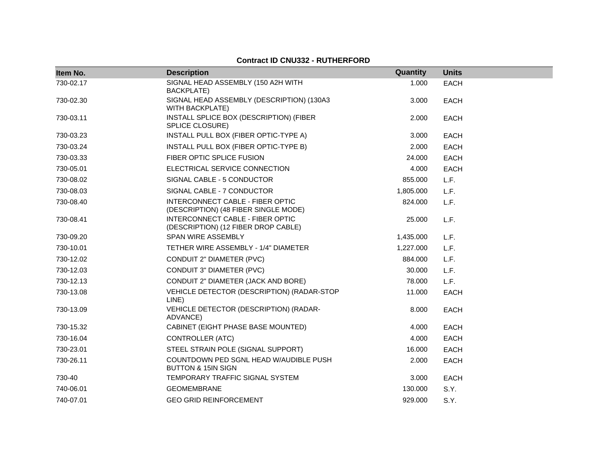| Item No.  | <b>Description</b>                                                              | Quantity  | <b>Units</b> |
|-----------|---------------------------------------------------------------------------------|-----------|--------------|
| 730-02.17 | SIGNAL HEAD ASSEMBLY (150 A2H WITH<br><b>BACKPLATE)</b>                         | 1.000     | <b>EACH</b>  |
| 730-02.30 | SIGNAL HEAD ASSEMBLY (DESCRIPTION) (130A3<br><b>WITH BACKPLATE)</b>             | 3.000     | <b>EACH</b>  |
| 730-03.11 | INSTALL SPLICE BOX (DESCRIPTION) (FIBER<br>SPLICE CLOSURE)                      | 2.000     | <b>EACH</b>  |
| 730-03.23 | INSTALL PULL BOX (FIBER OPTIC-TYPE A)                                           | 3.000     | <b>EACH</b>  |
| 730-03.24 | INSTALL PULL BOX (FIBER OPTIC-TYPE B)                                           | 2.000     | <b>EACH</b>  |
| 730-03.33 | FIBER OPTIC SPLICE FUSION                                                       | 24.000    | <b>EACH</b>  |
| 730-05.01 | ELECTRICAL SERVICE CONNECTION                                                   | 4.000     | <b>EACH</b>  |
| 730-08.02 | SIGNAL CABLE - 5 CONDUCTOR                                                      | 855.000   | L.F.         |
| 730-08.03 | SIGNAL CABLE - 7 CONDUCTOR                                                      | 1,805.000 | L.F.         |
| 730-08.40 | <b>INTERCONNECT CABLE - FIBER OPTIC</b><br>(DESCRIPTION) (48 FIBER SINGLE MODE) | 824.000   | L.F.         |
| 730-08.41 | INTERCONNECT CABLE - FIBER OPTIC<br>(DESCRIPTION) (12 FIBER DROP CABLE)         | 25.000    | L.F.         |
| 730-09.20 | <b>SPAN WIRE ASSEMBLY</b>                                                       | 1,435.000 | L.F.         |
| 730-10.01 | TETHER WIRE ASSEMBLY - 1/4" DIAMETER                                            | 1,227.000 | L.F.         |
| 730-12.02 | CONDUIT 2" DIAMETER (PVC)                                                       | 884.000   | L.F.         |
| 730-12.03 | <b>CONDUIT 3" DIAMETER (PVC)</b>                                                | 30,000    | L.F.         |
| 730-12.13 | CONDUIT 2" DIAMETER (JACK AND BORE)                                             | 78.000    | L.F.         |
| 730-13.08 | VEHICLE DETECTOR (DESCRIPTION) (RADAR-STOP<br>LINE)                             | 11.000    | <b>EACH</b>  |
| 730-13.09 | VEHICLE DETECTOR (DESCRIPTION) (RADAR-<br>ADVANCE)                              | 8.000     | <b>EACH</b>  |
| 730-15.32 | CABINET (EIGHT PHASE BASE MOUNTED)                                              | 4.000     | <b>EACH</b>  |
| 730-16.04 | CONTROLLER (ATC)                                                                | 4.000     | <b>EACH</b>  |
| 730-23.01 | STEEL STRAIN POLE (SIGNAL SUPPORT)                                              | 16.000    | <b>EACH</b>  |
| 730-26.11 | COUNTDOWN PED SGNL HEAD W/AUDIBLE PUSH<br><b>BUTTON &amp; 15IN SIGN</b>         | 2.000     | <b>EACH</b>  |
| 730-40    | TEMPORARY TRAFFIC SIGNAL SYSTEM                                                 | 3.000     | <b>EACH</b>  |
| 740-06.01 | <b>GEOMEMBRANE</b>                                                              | 130.000   | S.Y.         |
| 740-07.01 | <b>GEO GRID REINFORCEMENT</b>                                                   | 929.000   | S.Y.         |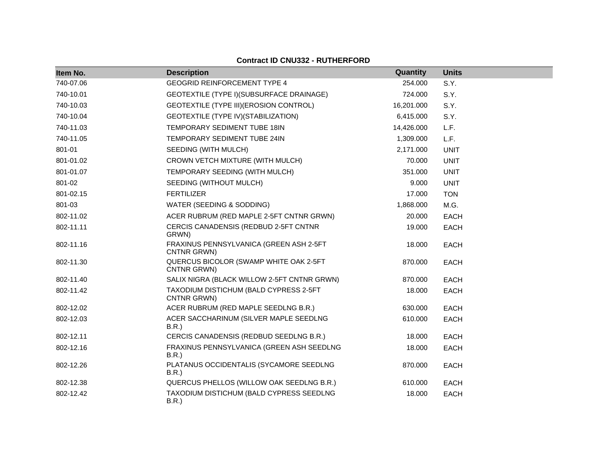| Item No.  | <b>Description</b>                                     | Quantity   | <b>Units</b> |
|-----------|--------------------------------------------------------|------------|--------------|
| 740-07.06 | <b>GEOGRID REINFORCEMENT TYPE 4</b>                    | 254.000    | S.Y.         |
| 740-10.01 | GEOTEXTILE (TYPE I) (SUBSURFACE DRAINAGE)              | 724.000    | S.Y.         |
| 740-10.03 | GEOTEXTILE (TYPE III) (EROSION CONTROL)                | 16,201.000 | S.Y.         |
| 740-10.04 | GEOTEXTILE (TYPE IV) (STABILIZATION)                   | 6,415.000  | S.Y.         |
| 740-11.03 | TEMPORARY SEDIMENT TUBE 18IN                           | 14,426.000 | L.F.         |
| 740-11.05 | TEMPORARY SEDIMENT TUBE 24IN                           | 1,309.000  | L.F.         |
| 801-01    | SEEDING (WITH MULCH)                                   | 2,171.000  | <b>UNIT</b>  |
| 801-01.02 | CROWN VETCH MIXTURE (WITH MULCH)                       | 70.000     | <b>UNIT</b>  |
| 801-01.07 | TEMPORARY SEEDING (WITH MULCH)                         | 351.000    | <b>UNIT</b>  |
| 801-02    | SEEDING (WITHOUT MULCH)                                | 9.000      | <b>UNIT</b>  |
| 801-02.15 | <b>FERTILIZER</b>                                      | 17.000     | <b>TON</b>   |
| 801-03    | WATER (SEEDING & SODDING)                              | 1,868.000  | M.G.         |
| 802-11.02 | ACER RUBRUM (RED MAPLE 2-5FT CNTNR GRWN)               | 20.000     | EACH         |
| 802-11.11 | CERCIS CANADENSIS (REDBUD 2-5FT CNTNR<br>GRWN)         | 19.000     | EACH         |
| 802-11.16 | FRAXINUS PENNSYLVANICA (GREEN ASH 2-5FT<br>CNTNR GRWN) | 18.000     | <b>EACH</b>  |
| 802-11.30 | QUERCUS BICOLOR (SWAMP WHITE OAK 2-5FT<br>CNTNR GRWN)  | 870.000    | <b>EACH</b>  |
| 802-11.40 | SALIX NIGRA (BLACK WILLOW 2-5FT CNTNR GRWN)            | 870.000    | <b>EACH</b>  |
| 802-11.42 | TAXODIUM DISTICHUM (BALD CYPRESS 2-5FT<br>CNTNR GRWN)  | 18.000     | <b>EACH</b>  |
| 802-12.02 | ACER RUBRUM (RED MAPLE SEEDLNG B.R.)                   | 630.000    | <b>EACH</b>  |
| 802-12.03 | ACER SACCHARINUM (SILVER MAPLE SEEDLNG<br>B.R.)        | 610.000    | <b>EACH</b>  |
| 802-12.11 | CERCIS CANADENSIS (REDBUD SEEDLNG B.R.)                | 18.000     | <b>EACH</b>  |
| 802-12.16 | FRAXINUS PENNSYLVANICA (GREEN ASH SEEDLNG<br>B.R.      | 18.000     | <b>EACH</b>  |
| 802-12.26 | PLATANUS OCCIDENTALIS (SYCAMORE SEEDLNG<br>B.R.        | 870.000    | <b>EACH</b>  |
| 802-12.38 | QUERCUS PHELLOS (WILLOW OAK SEEDLNG B.R.)              | 610.000    | EACH         |
| 802-12.42 | TAXODIUM DISTICHUM (BALD CYPRESS SEEDLNG<br>B.R.       | 18.000     | <b>EACH</b>  |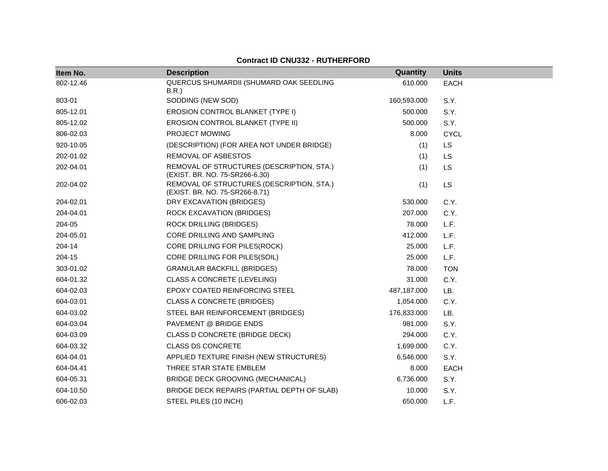#### **Item No. Description Quantity Units** 802-12.46 QUERCUS SHUMARDII (SHUMARD OAK SEEDLING B.R.) 610.000 EACH 803-01 SODDING (NEW SOD) 8.Y. 805-12.01 **EROSION CONTROL BLANKET (TYPE I)** 500.000 S.Y. 805-12.02 EROSION CONTROL BLANKET (TYPE II) 500.000 S.Y. 806-02.03 PROJECT MOWING 8.000 CYCL 920-10.05 (DESCRIPTION) (FOR AREA NOT UNDER BRIDGE) (1) LS 202-01.02 REMOVAL OF ASBESTOS (1) LS 202-04.01 REMOVAL OF STRUCTURES (DESCRIPTION, STA.) (EXIST. BR. NO. 75-SR266-6.30) (1) LS 202-04.02 REMOVAL OF STRUCTURES (DESCRIPTION, STA.) (EXIST. BR. NO. 75-SR266-8.71) (1) LS 204-02.01 DRY EXCAVATION (BRIDGES) 530.000 C.Y. 204-04.01 ROCK EXCAVATION (BRIDGES) 207.000 C.Y. 204-05 ROCK DRILLING (BRIDGES) 78.000 L.F. 204-05.01 CORE DRILLING AND SAMPLING 41 COREPT 12.000 L.F. 204-14 CORE DRILLING FOR PILES(ROCK) 25.000 L.F. 204-15 CORE DRILLING FOR PILES(SOIL) 25.000 L.F. 303-01.02 GRANULAR BACKFILL (BRIDGES) 78.000 TON 604-01.32 CLASS A CONCRETE (LEVELING) 31.000 C.Y. 604-02.03 EPOXY COATED REINFORCING STEEL 487,187.000 LB. 604-03.01 CLASS A CONCRETE (BRIDGES) 1,054.000 C.Y. 604-03.02 STEEL BAR REINFORCEMENT (BRIDGES) 176,833.000 LB. 604-03.04 PAVEMENT @ BRIDGE ENDS 981.000 S.Y. 604-03.09 CLASS D CONCRETE (BRIDGE DECK) 294.000 C.Y. 604-03.32 CLASS DS CONCRETE 1,699.000 C.Y. 604-04.01 APPLIED TEXTURE FINISH (NEW STRUCTURES) 6,546.000 S.Y. 604-04.41 THREE STAR STATE EMBLEM 8.000 EACH 604-05.31 BRIDGE DECK GROOVING (MECHANICAL) 6,736.000 S.Y. 604-10.50 BRIDGE DECK REPAIRS (PARTIAL DEPTH OF SLAB) 10.000 S.Y. 606-02.03 STEEL PILES (10 INCH) 650.000 L.F.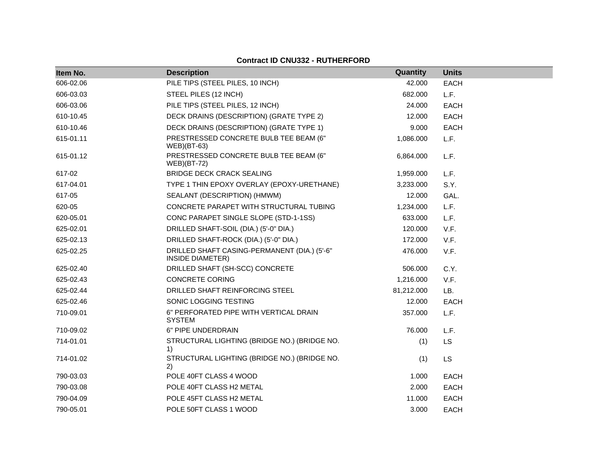| Item No.  | <b>Description</b>                                                      | Quantity   | <b>Units</b> |
|-----------|-------------------------------------------------------------------------|------------|--------------|
| 606-02.06 | PILE TIPS (STEEL PILES, 10 INCH)                                        | 42.000     | <b>EACH</b>  |
| 606-03.03 | STEEL PILES (12 INCH)                                                   | 682.000    | L.F.         |
| 606-03.06 | PILE TIPS (STEEL PILES, 12 INCH)                                        | 24.000     | <b>EACH</b>  |
| 610-10.45 | DECK DRAINS (DESCRIPTION) (GRATE TYPE 2)                                | 12.000     | <b>EACH</b>  |
| 610-10.46 | DECK DRAINS (DESCRIPTION) (GRATE TYPE 1)                                | 9.000      | <b>EACH</b>  |
| 615-01.11 | PRESTRESSED CONCRETE BULB TEE BEAM (6"<br>$WEB$ )(BT-63)                | 1,086.000  | L.F.         |
| 615-01.12 | PRESTRESSED CONCRETE BULB TEE BEAM (6"<br><b>WEB</b> )(BT-72)           | 6,864.000  | L.F.         |
| 617-02    | <b>BRIDGE DECK CRACK SEALING</b>                                        | 1,959.000  | L.F.         |
| 617-04.01 | TYPE 1 THIN EPOXY OVERLAY (EPOXY-URETHANE)                              | 3,233.000  | S.Y.         |
| 617-05    | SEALANT (DESCRIPTION) (HMWM)                                            | 12.000     | GAL.         |
| 620-05    | CONCRETE PARAPET WITH STRUCTURAL TUBING                                 | 1,234.000  | L.F.         |
| 620-05.01 | CONC PARAPET SINGLE SLOPE (STD-1-1SS)                                   | 633.000    | L.F.         |
| 625-02.01 | DRILLED SHAFT-SOIL (DIA.) (5'-0" DIA.)                                  | 120.000    | V.F.         |
| 625-02.13 | DRILLED SHAFT-ROCK (DIA.) (5'-0" DIA.)                                  | 172.000    | V.F.         |
| 625-02.25 | DRILLED SHAFT CASING-PERMANENT (DIA.) (5'-6"<br><b>INSIDE DIAMETER)</b> | 476.000    | V.F.         |
| 625-02.40 | DRILLED SHAFT (SH-SCC) CONCRETE                                         | 506.000    | C.Y.         |
| 625-02.43 | <b>CONCRETE CORING</b>                                                  | 1,216.000  | V.F.         |
| 625-02.44 | DRILLED SHAFT REINFORCING STEEL                                         | 81,212.000 | LB.          |
| 625-02.46 | SONIC LOGGING TESTING                                                   | 12.000     | <b>EACH</b>  |
| 710-09.01 | 6" PERFORATED PIPE WITH VERTICAL DRAIN<br><b>SYSTEM</b>                 | 357.000    | L.F.         |
| 710-09.02 | 6" PIPE UNDERDRAIN                                                      | 76.000     | L.F.         |
| 714-01.01 | STRUCTURAL LIGHTING (BRIDGE NO.) (BRIDGE NO.<br>1)                      | (1)        | LS           |
| 714-01.02 | STRUCTURAL LIGHTING (BRIDGE NO.) (BRIDGE NO.<br>2)                      | (1)        | <b>LS</b>    |
| 790-03.03 | POLE 40FT CLASS 4 WOOD                                                  | 1.000      | <b>EACH</b>  |
| 790-03.08 | POLE 40FT CLASS H2 METAL                                                | 2.000      | <b>EACH</b>  |
| 790-04.09 | POLE 45FT CLASS H2 METAL                                                | 11.000     | <b>EACH</b>  |
| 790-05.01 | POLE 50FT CLASS 1 WOOD                                                  | 3.000      | <b>EACH</b>  |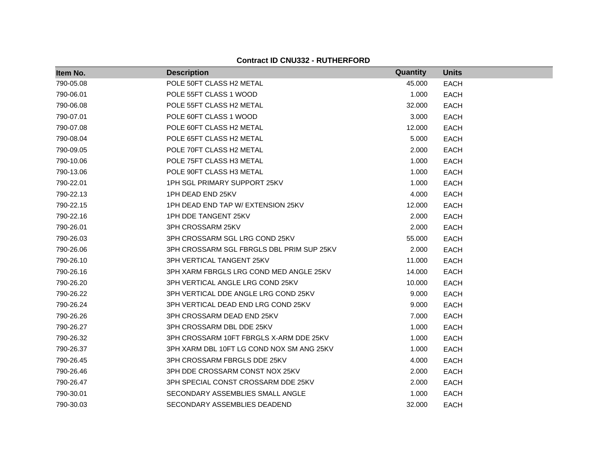| Item No.  | <b>Description</b>                        | Quantity | <b>Units</b> |
|-----------|-------------------------------------------|----------|--------------|
| 790-05.08 | POLE 50FT CLASS H2 METAL                  | 45.000   | <b>EACH</b>  |
| 790-06.01 | POLE 55FT CLASS 1 WOOD                    | 1.000    | <b>EACH</b>  |
| 790-06.08 | POLE 55FT CLASS H2 METAL                  | 32.000   | <b>EACH</b>  |
| 790-07.01 | POLE 60FT CLASS 1 WOOD                    | 3.000    | <b>EACH</b>  |
| 790-07.08 | POLE 60FT CLASS H2 METAL                  | 12.000   | <b>EACH</b>  |
| 790-08.04 | POLE 65FT CLASS H2 METAL                  | 5.000    | <b>EACH</b>  |
| 790-09.05 | POLE 70FT CLASS H2 METAL                  | 2.000    | <b>EACH</b>  |
| 790-10.06 | POLE 75FT CLASS H3 METAL                  | 1.000    | <b>EACH</b>  |
| 790-13.06 | POLE 90FT CLASS H3 METAL                  | 1.000    | <b>EACH</b>  |
| 790-22.01 | 1PH SGL PRIMARY SUPPORT 25KV              | 1.000    | <b>EACH</b>  |
| 790-22.13 | 1PH DEAD END 25KV                         | 4.000    | <b>EACH</b>  |
| 790-22.15 | 1PH DEAD END TAP W/ EXTENSION 25KV        | 12.000   | <b>EACH</b>  |
| 790-22.16 | 1PH DDE TANGENT 25KV                      | 2.000    | <b>EACH</b>  |
| 790-26.01 | 3PH CROSSARM 25KV                         | 2.000    | <b>EACH</b>  |
| 790-26.03 | 3PH CROSSARM SGL LRG COND 25KV            | 55.000   | <b>EACH</b>  |
| 790-26.06 | 3PH CROSSARM SGL FBRGLS DBL PRIM SUP 25KV | 2.000    | <b>EACH</b>  |
| 790-26.10 | 3PH VERTICAL TANGENT 25KV                 | 11.000   | <b>EACH</b>  |
| 790-26.16 | 3PH XARM FBRGLS LRG COND MED ANGLE 25KV   | 14.000   | <b>EACH</b>  |
| 790-26.20 | 3PH VERTICAL ANGLE LRG COND 25KV          | 10.000   | <b>EACH</b>  |
| 790-26.22 | 3PH VERTICAL DDE ANGLE LRG COND 25KV      | 9.000    | <b>EACH</b>  |
| 790-26.24 | 3PH VERTICAL DEAD END LRG COND 25KV       | 9.000    | <b>EACH</b>  |
| 790-26.26 | 3PH CROSSARM DEAD END 25KV                | 7.000    | <b>EACH</b>  |
| 790-26.27 | 3PH CROSSARM DBL DDE 25KV                 | 1.000    | <b>EACH</b>  |
| 790-26.32 | 3PH CROSSARM 10FT FBRGLS X-ARM DDE 25KV   | 1.000    | <b>EACH</b>  |
| 790-26.37 | 3PH XARM DBL 10FT LG COND NOX SM ANG 25KV | 1.000    | <b>EACH</b>  |
| 790-26.45 | 3PH CROSSARM FBRGLS DDE 25KV              | 4.000    | <b>EACH</b>  |
| 790-26.46 | 3PH DDE CROSSARM CONST NOX 25KV           | 2.000    | <b>EACH</b>  |
| 790-26.47 | 3PH SPECIAL CONST CROSSARM DDE 25KV       | 2.000    | <b>EACH</b>  |
| 790-30.01 | SECONDARY ASSEMBLIES SMALL ANGLE          | 1.000    | <b>EACH</b>  |
| 790-30.03 | SECONDARY ASSEMBLIES DEADEND              | 32.000   | <b>EACH</b>  |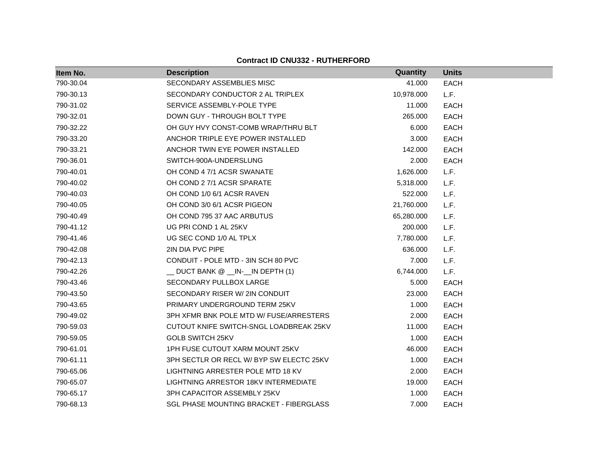| Item No.  | <b>Description</b>                      | Quantity   | <b>Units</b> |
|-----------|-----------------------------------------|------------|--------------|
| 790-30.04 | SECONDARY ASSEMBLIES MISC               | 41.000     | <b>EACH</b>  |
| 790-30.13 | SECONDARY CONDUCTOR 2 AL TRIPLEX        | 10,978.000 | L.F.         |
| 790-31.02 | SERVICE ASSEMBLY-POLE TYPE              | 11.000     | <b>EACH</b>  |
| 790-32.01 | DOWN GUY - THROUGH BOLT TYPE            | 265.000    | <b>EACH</b>  |
| 790-32.22 | OH GUY HVY CONST-COMB WRAP/THRU BLT     | 6.000      | <b>EACH</b>  |
| 790-33.20 | ANCHOR TRIPLE EYE POWER INSTALLED       | 3.000      | <b>EACH</b>  |
| 790-33.21 | ANCHOR TWIN EYE POWER INSTALLED         | 142.000    | <b>EACH</b>  |
| 790-36.01 | SWITCH-900A-UNDERSLUNG                  | 2.000      | <b>EACH</b>  |
| 790-40.01 | OH COND 4 7/1 ACSR SWANATE              | 1,626.000  | L.F.         |
| 790-40.02 | OH COND 2 7/1 ACSR SPARATE              | 5,318.000  | L.F.         |
| 790-40.03 | OH COND 1/0 6/1 ACSR RAVEN              | 522.000    | L.F.         |
| 790-40.05 | OH COND 3/0 6/1 ACSR PIGEON             | 21,760.000 | L.F.         |
| 790-40.49 | OH COND 795 37 AAC ARBUTUS              | 65,280.000 | L.F.         |
| 790-41.12 | UG PRI COND 1 AL 25KV                   | 200.000    | L.F.         |
| 790-41.46 | UG SEC COND 1/0 AL TPLX                 | 7,780.000  | L.F.         |
| 790-42.08 | 2IN DIA PVC PIPE                        | 636.000    | L.F.         |
| 790-42.13 | CONDUIT - POLE MTD - 3IN SCH 80 PVC     | 7.000      | L.F.         |
| 790-42.26 | __ DUCT BANK @ __IN-__IN DEPTH (1)      | 6,744.000  | L.F.         |
| 790-43.46 | SECONDARY PULLBOX LARGE                 | 5.000      | <b>EACH</b>  |
| 790-43.50 | SECONDARY RISER W/ 2IN CONDUIT          | 23,000     | <b>EACH</b>  |
| 790-43.65 | PRIMARY UNDERGROUND TERM 25KV           | 1.000      | <b>EACH</b>  |
| 790-49.02 | 3PH XFMR BNK POLE MTD W/ FUSE/ARRESTERS | 2.000      | <b>EACH</b>  |
| 790-59.03 | CUTOUT KNIFE SWITCH-SNGL LOADBREAK 25KV | 11.000     | <b>EACH</b>  |
| 790-59.05 | <b>GOLB SWITCH 25KV</b>                 | 1.000      | <b>EACH</b>  |
| 790-61.01 | 1PH FUSE CUTOUT XARM MOUNT 25KV         | 46.000     | <b>EACH</b>  |
| 790-61.11 | 3PH SECTLR OR RECL W/BYP SW ELECTC 25KV | 1.000      | <b>EACH</b>  |
| 790-65.06 | LIGHTNING ARRESTER POLE MTD 18 KV       | 2.000      | <b>EACH</b>  |
| 790-65.07 | LIGHTNING ARRESTOR 18KV INTERMEDIATE    | 19.000     | <b>EACH</b>  |
| 790-65.17 | 3PH CAPACITOR ASSEMBLY 25KV             | 1.000      | <b>EACH</b>  |
| 790-68.13 | SGL PHASE MOUNTING BRACKET - FIBERGLASS | 7.000      | <b>EACH</b>  |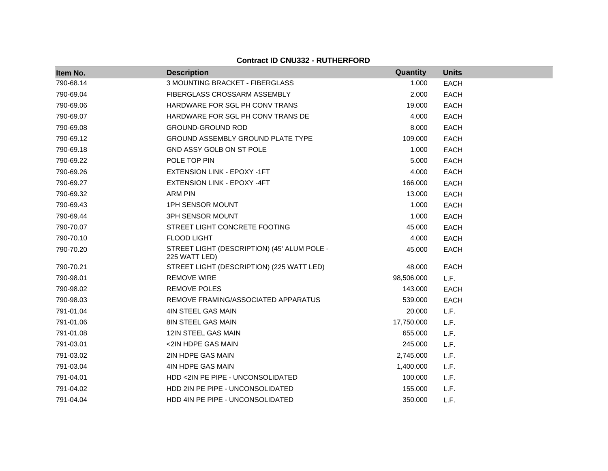|           |                                                              | Quantity   |              |
|-----------|--------------------------------------------------------------|------------|--------------|
| Item No.  | <b>Description</b>                                           |            | <b>Units</b> |
| 790-68.14 | 3 MOUNTING BRACKET - FIBERGLASS                              | 1.000      | <b>EACH</b>  |
| 790-69.04 | FIBERGLASS CROSSARM ASSEMBLY                                 | 2.000      | <b>EACH</b>  |
| 790-69.06 | HARDWARE FOR SGL PH CONV TRANS                               | 19.000     | <b>EACH</b>  |
| 790-69.07 | HARDWARE FOR SGL PH CONV TRANS DE                            | 4.000      | <b>EACH</b>  |
| 790-69.08 | <b>GROUND-GROUND ROD</b>                                     | 8.000      | <b>EACH</b>  |
| 790-69.12 | <b>GROUND ASSEMBLY GROUND PLATE TYPE</b>                     | 109.000    | <b>EACH</b>  |
| 790-69.18 | GND ASSY GOLB ON ST POLE                                     | 1.000      | <b>EACH</b>  |
| 790-69.22 | POLE TOP PIN                                                 | 5.000      | <b>EACH</b>  |
| 790-69.26 | EXTENSION LINK - EPOXY -1FT                                  | 4.000      | <b>EACH</b>  |
| 790-69.27 | EXTENSION LINK - EPOXY -4FT                                  | 166.000    | <b>EACH</b>  |
| 790-69.32 | <b>ARM PIN</b>                                               | 13.000     | <b>EACH</b>  |
| 790-69.43 | <b>1PH SENSOR MOUNT</b>                                      | 1.000      | <b>EACH</b>  |
| 790-69.44 | 3PH SENSOR MOUNT                                             | 1.000      | <b>EACH</b>  |
| 790-70.07 | STREET LIGHT CONCRETE FOOTING                                | 45.000     | <b>EACH</b>  |
| 790-70.10 | <b>FLOOD LIGHT</b>                                           | 4.000      | <b>EACH</b>  |
| 790-70.20 | STREET LIGHT (DESCRIPTION) (45' ALUM POLE -<br>225 WATT LED) | 45.000     | <b>EACH</b>  |
| 790-70.21 | STREET LIGHT (DESCRIPTION) (225 WATT LED)                    | 48.000     | <b>EACH</b>  |
| 790-98.01 | <b>REMOVE WIRE</b>                                           | 98,506.000 | L.F.         |
| 790-98.02 | REMOVE POLES                                                 | 143.000    | <b>EACH</b>  |
| 790-98.03 | REMOVE FRAMING/ASSOCIATED APPARATUS                          | 539.000    | <b>EACH</b>  |
| 791-01.04 | 4IN STEEL GAS MAIN                                           | 20.000     | L.F.         |
| 791-01.06 | 8IN STEEL GAS MAIN                                           | 17,750.000 | L.F.         |
| 791-01.08 | 12IN STEEL GAS MAIN                                          | 655.000    | L.F.         |
| 791-03.01 | <2IN HDPE GAS MAIN                                           | 245.000    | L.F.         |
| 791-03.02 | 2IN HDPE GAS MAIN                                            | 2,745.000  | L.F.         |
| 791-03.04 | 4IN HDPE GAS MAIN                                            | 1,400.000  | L.F.         |
| 791-04.01 | HDD <2IN PE PIPE - UNCONSOLIDATED                            | 100.000    | L.F.         |
| 791-04.02 | HDD 2IN PE PIPE - UNCONSOLIDATED                             | 155.000    | L.F.         |
| 791-04.04 | HDD 4IN PE PIPE - UNCONSOLIDATED                             | 350.000    | L.F.         |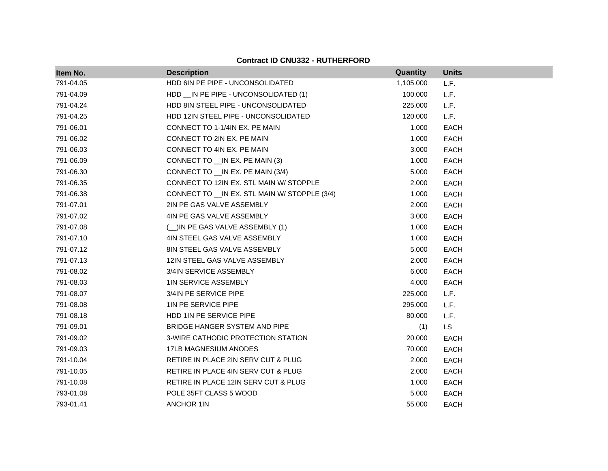| Item No.  | <b>Description</b>                             | <b>Quantity</b> | <b>Units</b> |
|-----------|------------------------------------------------|-----------------|--------------|
| 791-04.05 | HDD 6IN PE PIPE - UNCONSOLIDATED               | 1,105.000       | L.F.         |
| 791-04.09 | HDD __ IN PE PIPE - UNCONSOLIDATED (1)         | 100.000         | L.F.         |
| 791-04.24 | HDD 8IN STEEL PIPE - UNCONSOLIDATED            | 225.000         | L.F.         |
| 791-04.25 | HDD 12IN STEEL PIPE - UNCONSOLIDATED           | 120.000         | L.F.         |
| 791-06.01 | CONNECT TO 1-1/4IN EX. PE MAIN                 | 1.000           | <b>EACH</b>  |
| 791-06.02 | CONNECT TO 2IN EX. PE MAIN                     | 1.000           | <b>EACH</b>  |
| 791-06.03 | CONNECT TO 4IN EX. PE MAIN                     | 3.000           | <b>EACH</b>  |
| 791-06.09 | CONNECT TO __IN EX. PE MAIN (3)                | 1.000           | <b>EACH</b>  |
| 791-06.30 | CONNECT TO __ IN EX. PE MAIN (3/4)             | 5.000           | <b>EACH</b>  |
| 791-06.35 | CONNECT TO 12IN EX. STL MAIN W/ STOPPLE        | 2.000           | <b>EACH</b>  |
| 791-06.38 | CONNECT TO __ IN EX. STL MAIN W/ STOPPLE (3/4) | 1.000           | <b>EACH</b>  |
| 791-07.01 | 2IN PE GAS VALVE ASSEMBLY                      | 2.000           | <b>EACH</b>  |
| 791-07.02 | 4IN PE GAS VALVE ASSEMBLY                      | 3.000           | <b>EACH</b>  |
| 791-07.08 | (_)IN PE GAS VALVE ASSEMBLY (1)                | 1.000           | <b>EACH</b>  |
| 791-07.10 | 4IN STEEL GAS VALVE ASSEMBLY                   | 1.000           | <b>EACH</b>  |
| 791-07.12 | 8IN STEEL GAS VALVE ASSEMBLY                   | 5.000           | <b>EACH</b>  |
| 791-07.13 | 12IN STEEL GAS VALVE ASSEMBLY                  | 2.000           | <b>EACH</b>  |
| 791-08.02 | 3/4IN SERVICE ASSEMBLY                         | 6.000           | <b>EACH</b>  |
| 791-08.03 | <b>1IN SERVICE ASSEMBLY</b>                    | 4.000           | <b>EACH</b>  |
| 791-08.07 | 3/4IN PE SERVICE PIPE                          | 225.000         | L.F.         |
| 791-08.08 | 1IN PE SERVICE PIPE                            | 295.000         | L.F.         |
| 791-08.18 | HDD 1IN PE SERVICE PIPE                        | 80.000          | L.F.         |
| 791-09.01 | BRIDGE HANGER SYSTEM AND PIPE                  | (1)             | LS.          |
| 791-09.02 | 3-WIRE CATHODIC PROTECTION STATION             | 20.000          | <b>EACH</b>  |
| 791-09.03 | 17LB MAGNESIUM ANODES                          | 70.000          | <b>EACH</b>  |
| 791-10.04 | RETIRE IN PLACE 2IN SERV CUT & PLUG            | 2.000           | <b>EACH</b>  |
| 791-10.05 | RETIRE IN PLACE 4IN SERV CUT & PLUG            | 2.000           | <b>EACH</b>  |
| 791-10.08 | RETIRE IN PLACE 12IN SERV CUT & PLUG           | 1.000           | <b>EACH</b>  |
| 793-01.08 | POLE 35FT CLASS 5 WOOD                         | 5.000           | <b>EACH</b>  |
| 793-01.41 | <b>ANCHOR 1IN</b>                              | 55.000          | <b>EACH</b>  |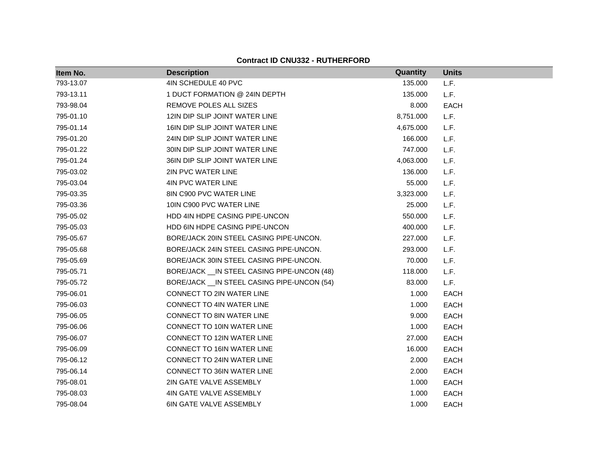| Item No.  | <b>Description</b>                           | Quantity  | <b>Units</b> |
|-----------|----------------------------------------------|-----------|--------------|
| 793-13.07 | 4IN SCHEDULE 40 PVC                          | 135.000   | L.F.         |
| 793-13.11 | 1 DUCT FORMATION @ 24IN DEPTH                | 135.000   | L.F.         |
| 793-98.04 | REMOVE POLES ALL SIZES                       | 8.000     | <b>EACH</b>  |
| 795-01.10 | 12IN DIP SLIP JOINT WATER LINE               | 8,751.000 | L.F.         |
| 795-01.14 | 16IN DIP SLIP JOINT WATER LINE               | 4,675.000 | L.F.         |
| 795-01.20 | 24IN DIP SLIP JOINT WATER LINE               | 166.000   | L.F.         |
| 795-01.22 | 30IN DIP SLIP JOINT WATER LINE               | 747.000   | L.F.         |
| 795-01.24 | 36IN DIP SLIP JOINT WATER LINE               | 4,063.000 | L.F.         |
| 795-03.02 | 2IN PVC WATER LINE                           | 136.000   | L.F.         |
| 795-03.04 | <b>4IN PVC WATER LINE</b>                    | 55.000    | L.F.         |
| 795-03.35 | 8IN C900 PVC WATER LINE                      | 3,323.000 | L.F.         |
| 795-03.36 | 10IN C900 PVC WATER LINE                     | 25.000    | L.F.         |
| 795-05.02 | HDD 4IN HDPE CASING PIPE-UNCON               | 550.000   | L.F.         |
| 795-05.03 | HDD 6IN HDPE CASING PIPE-UNCON               | 400.000   | L.F.         |
| 795-05.67 | BORE/JACK 20IN STEEL CASING PIPE-UNCON.      | 227.000   | L.F.         |
| 795-05.68 | BORE/JACK 24IN STEEL CASING PIPE-UNCON.      | 293.000   | L.F.         |
| 795-05.69 | BORE/JACK 30IN STEEL CASING PIPE-UNCON.      | 70.000    | L.F.         |
| 795-05.71 | BORE/JACK __ IN STEEL CASING PIPE-UNCON (48) | 118.000   | L.F.         |
| 795-05.72 | BORE/JACK __ IN STEEL CASING PIPE-UNCON (54) | 83.000    | L.F.         |
| 795-06.01 | CONNECT TO 2IN WATER LINE                    | 1.000     | <b>EACH</b>  |
| 795-06.03 | <b>CONNECT TO 4IN WATER LINE</b>             | 1.000     | <b>EACH</b>  |
| 795-06.05 | <b>CONNECT TO 8IN WATER LINE</b>             | 9.000     | <b>EACH</b>  |
| 795-06.06 | CONNECT TO 10IN WATER LINE                   | 1.000     | <b>EACH</b>  |
| 795-06.07 | <b>CONNECT TO 12IN WATER LINE</b>            | 27.000    | <b>EACH</b>  |
| 795-06.09 | CONNECT TO 16IN WATER LINE                   | 16.000    | <b>EACH</b>  |
| 795-06.12 | CONNECT TO 24IN WATER LINE                   | 2.000     | <b>EACH</b>  |
| 795-06.14 | <b>CONNECT TO 36IN WATER LINE</b>            | 2.000     | <b>EACH</b>  |
| 795-08.01 | 2IN GATE VALVE ASSEMBLY                      | 1.000     | <b>EACH</b>  |
| 795-08.03 | 4IN GATE VALVE ASSEMBLY                      | 1.000     | <b>EACH</b>  |
| 795-08.04 | 6IN GATE VALVE ASSEMBLY                      | 1.000     | <b>EACH</b>  |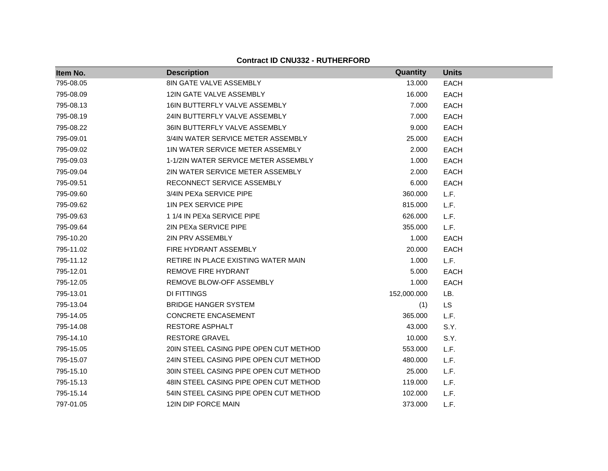| Item No.  | <b>Description</b>                     | Quantity    | <b>Units</b> |
|-----------|----------------------------------------|-------------|--------------|
| 795-08.05 | 8IN GATE VALVE ASSEMBLY                | 13.000      | <b>EACH</b>  |
| 795-08.09 | 12IN GATE VALVE ASSEMBLY               | 16.000      | <b>EACH</b>  |
| 795-08.13 | 16IN BUTTERFLY VALVE ASSEMBLY          | 7.000       | <b>EACH</b>  |
| 795-08.19 | 24IN BUTTERFLY VALVE ASSEMBLY          | 7.000       | <b>EACH</b>  |
| 795-08.22 | 36IN BUTTERFLY VALVE ASSEMBLY          | 9.000       | <b>EACH</b>  |
| 795-09.01 | 3/4IN WATER SERVICE METER ASSEMBLY     | 25.000      | <b>EACH</b>  |
| 795-09.02 | 1IN WATER SERVICE METER ASSEMBLY       | 2.000       | <b>EACH</b>  |
| 795-09.03 | 1-1/2IN WATER SERVICE METER ASSEMBLY   | 1.000       | <b>EACH</b>  |
| 795-09.04 | 2IN WATER SERVICE METER ASSEMBLY       | 2.000       | <b>EACH</b>  |
| 795-09.51 | RECONNECT SERVICE ASSEMBLY             | 6.000       | <b>EACH</b>  |
| 795-09.60 | 3/4IN PEXa SERVICE PIPE                | 360.000     | L.F.         |
| 795-09.62 | <b>1IN PEX SERVICE PIPE</b>            | 815.000     | L.F.         |
| 795-09.63 | 1 1/4 IN PEXa SERVICE PIPE             | 626.000     | L.F.         |
| 795-09.64 | 2IN PEXA SERVICE PIPE                  | 355.000     | L.F.         |
| 795-10.20 | 2IN PRV ASSEMBLY                       | 1.000       | <b>EACH</b>  |
| 795-11.02 | FIRE HYDRANT ASSEMBLY                  | 20.000      | <b>EACH</b>  |
| 795-11.12 | RETIRE IN PLACE EXISTING WATER MAIN    | 1.000       | L.F.         |
| 795-12.01 | REMOVE FIRE HYDRANT                    | 5.000       | <b>EACH</b>  |
| 795-12.05 | REMOVE BLOW-OFF ASSEMBLY               | 1.000       | <b>EACH</b>  |
| 795-13.01 | <b>DI FITTINGS</b>                     | 152,000.000 | LB.          |
| 795-13.04 | <b>BRIDGE HANGER SYSTEM</b>            | (1)         | <b>LS</b>    |
| 795-14.05 | <b>CONCRETE ENCASEMENT</b>             | 365.000     | L.F.         |
| 795-14.08 | RESTORE ASPHALT                        | 43.000      | S.Y.         |
| 795-14.10 | <b>RESTORE GRAVEL</b>                  | 10.000      | S.Y.         |
| 795-15.05 | 20IN STEEL CASING PIPE OPEN CUT METHOD | 553.000     | L.F.         |
| 795-15.07 | 24IN STEEL CASING PIPE OPEN CUT METHOD | 480.000     | L.F.         |
| 795-15.10 | 30IN STEEL CASING PIPE OPEN CUT METHOD | 25.000      | L.F.         |
| 795-15.13 | 48IN STEEL CASING PIPE OPEN CUT METHOD | 119.000     | L.F.         |
| 795-15.14 | 54IN STEEL CASING PIPE OPEN CUT METHOD | 102.000     | L.F.         |
| 797-01.05 | 12IN DIP FORCE MAIN                    | 373.000     | L.F.         |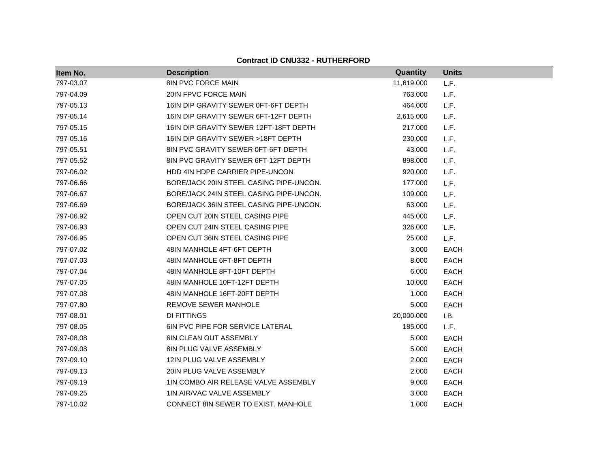| Item No.  | <b>Description</b>                      | Quantity   | <b>Units</b> |
|-----------|-----------------------------------------|------------|--------------|
| 797-03.07 | <b>8IN PVC FORCE MAIN</b>               | 11,619.000 | L.F.         |
| 797-04.09 | 20IN FPVC FORCE MAIN                    | 763.000    | L.F.         |
| 797-05.13 | 16IN DIP GRAVITY SEWER 0FT-6FT DEPTH    | 464.000    | L.F.         |
| 797-05.14 | 16IN DIP GRAVITY SEWER 6FT-12FT DEPTH   | 2,615.000  | L.F.         |
| 797-05.15 | 16IN DIP GRAVITY SEWER 12FT-18FT DEPTH  | 217.000    | L.F.         |
| 797-05.16 | 16IN DIP GRAVITY SEWER > 18FT DEPTH     | 230.000    | L.F.         |
| 797-05.51 | 8IN PVC GRAVITY SEWER 0FT-6FT DEPTH     | 43.000     | L.F.         |
| 797-05.52 | 8IN PVC GRAVITY SEWER 6FT-12FT DEPTH    | 898.000    | L.F.         |
| 797-06.02 | HDD 4IN HDPE CARRIER PIPE-UNCON         | 920.000    | L.F.         |
| 797-06.66 | BORE/JACK 20IN STEEL CASING PIPE-UNCON. | 177.000    | L.F.         |
| 797-06.67 | BORE/JACK 24IN STEEL CASING PIPE-UNCON. | 109.000    | L.F.         |
| 797-06.69 | BORE/JACK 36IN STEEL CASING PIPE-UNCON. | 63.000     | L.F.         |
| 797-06.92 | OPEN CUT 20IN STEEL CASING PIPE         | 445.000    | L.F.         |
| 797-06.93 | OPEN CUT 24IN STEEL CASING PIPE         | 326.000    | L.F.         |
| 797-06.95 | OPEN CUT 36IN STEEL CASING PIPE         | 25,000     | L.F.         |
| 797-07.02 | 48IN MANHOLE 4FT-6FT DEPTH              | 3.000      | <b>EACH</b>  |
| 797-07.03 | 48IN MANHOLE 6FT-8FT DEPTH              | 8.000      | <b>EACH</b>  |
| 797-07.04 | 48IN MANHOLE 8FT-10FT DEPTH             | 6.000      | <b>EACH</b>  |
| 797-07.05 | 48IN MANHOLE 10FT-12FT DEPTH            | 10.000     | <b>EACH</b>  |
| 797-07.08 | 48IN MANHOLE 16FT-20FT DEPTH            | 1.000      | <b>EACH</b>  |
| 797-07.80 | REMOVE SEWER MANHOLE                    | 5.000      | <b>EACH</b>  |
| 797-08.01 | DI FITTINGS                             | 20,000.000 | LB.          |
| 797-08.05 | 6IN PVC PIPE FOR SERVICE LATERAL        | 185.000    | L.F.         |
| 797-08.08 | <b>6IN CLEAN OUT ASSEMBLY</b>           | 5.000      | <b>EACH</b>  |
| 797-09.08 | 8IN PLUG VALVE ASSEMBLY                 | 5.000      | <b>EACH</b>  |
| 797-09.10 | 12IN PLUG VALVE ASSEMBLY                | 2.000      | <b>EACH</b>  |
| 797-09.13 | 20IN PLUG VALVE ASSEMBLY                | 2.000      | <b>EACH</b>  |
| 797-09.19 | 1IN COMBO AIR RELEASE VALVE ASSEMBLY    | 9.000      | <b>EACH</b>  |
| 797-09.25 | 1IN AIR/VAC VALVE ASSEMBLY              | 3.000      | <b>EACH</b>  |
| 797-10.02 | CONNECT 8IN SEWER TO EXIST. MANHOLE     | 1.000      | <b>EACH</b>  |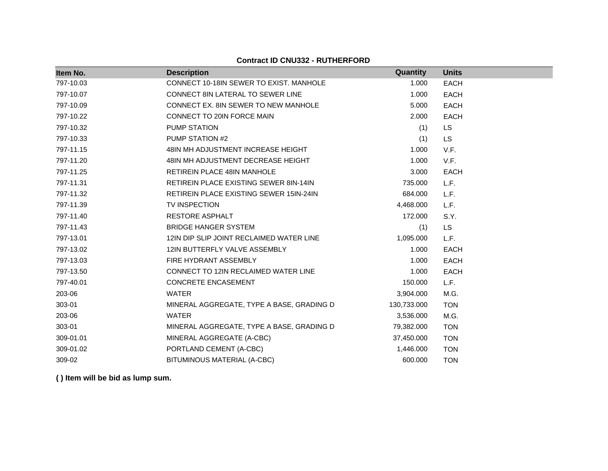| Item No.  | <b>Description</b>                             | Quantity    | <b>Units</b> |
|-----------|------------------------------------------------|-------------|--------------|
| 797-10.03 | CONNECT 10-18IN SEWER TO EXIST. MANHOLE        | 1.000       | <b>EACH</b>  |
| 797-10.07 | CONNECT 8IN LATERAL TO SEWER LINE              | 1.000       | <b>EACH</b>  |
| 797-10.09 | CONNECT EX. 8IN SEWER TO NEW MANHOLE           | 5.000       | <b>EACH</b>  |
| 797-10.22 | CONNECT TO 20IN FORCE MAIN                     | 2.000       | <b>EACH</b>  |
| 797-10.32 | PUMP STATION                                   | (1)         | <b>LS</b>    |
| 797-10.33 | PUMP STATION #2                                | (1)         | <b>LS</b>    |
| 797-11.15 | 48IN MH ADJUSTMENT INCREASE HEIGHT             | 1.000       | V.F.         |
| 797-11.20 | 48IN MH ADJUSTMENT DECREASE HEIGHT             | 1.000       | V.F.         |
| 797-11.25 | RETIREIN PLACE 48IN MANHOLE                    | 3.000       | EACH         |
| 797-11.31 | RETIREIN PLACE EXISTING SEWER 8IN-14IN         | 735.000     | L.F.         |
| 797-11.32 | <b>RETIREIN PLACE EXISTING SEWER 15IN-24IN</b> | 684.000     | L.F.         |
| 797-11.39 | <b>TV INSPECTION</b>                           | 4,468.000   | L.F.         |
| 797-11.40 | <b>RESTORE ASPHALT</b>                         | 172.000     | S.Y.         |
| 797-11.43 | <b>BRIDGE HANGER SYSTEM</b>                    | (1)         | <b>LS</b>    |
| 797-13.01 | 12IN DIP SLIP JOINT RECLAIMED WATER LINE       | 1,095.000   | L.F.         |
| 797-13.02 | 12IN BUTTERFLY VALVE ASSEMBLY                  | 1.000       | <b>EACH</b>  |
| 797-13.03 | FIRE HYDRANT ASSEMBLY                          | 1.000       | <b>EACH</b>  |
| 797-13.50 | CONNECT TO 12IN RECLAIMED WATER LINE           | 1.000       | EACH         |
| 797-40.01 | CONCRETE ENCASEMENT                            | 150.000     | L.F.         |
| 203-06    | <b>WATER</b>                                   | 3,904.000   | M.G.         |
| 303-01    | MINERAL AGGREGATE, TYPE A BASE, GRADING D      | 130,733.000 | <b>TON</b>   |
| 203-06    | <b>WATER</b>                                   | 3,536.000   | M.G.         |
| 303-01    | MINERAL AGGREGATE, TYPE A BASE, GRADING D      | 79,382.000  | <b>TON</b>   |
| 309-01.01 | MINERAL AGGREGATE (A-CBC)                      | 37,450.000  | <b>TON</b>   |
| 309-01.02 | PORTLAND CEMENT (A-CBC)                        | 1,446.000   | <b>TON</b>   |
| 309-02    | BITUMINOUS MATERIAL (A-CBC)                    | 600.000     | <b>TON</b>   |

**( ) Item will be bid as lump sum.**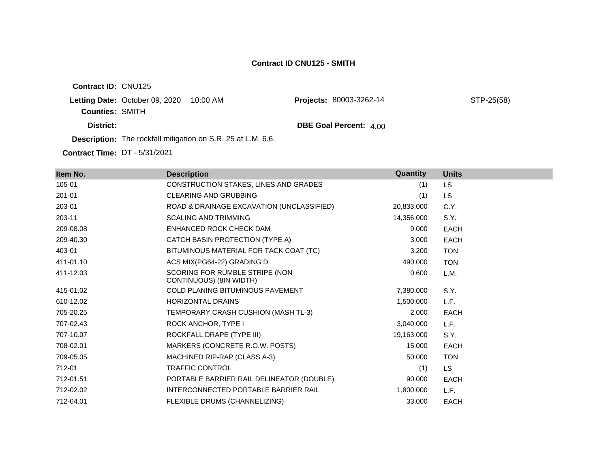**Contract ID:** CNU125 **Letting Date: October 09, 2020 10:00 AM Counties:** SMITH **District: District: DBE Goal Percent:**  $4.00$ **Description:** The rockfall mitigation on S.R. 25 at L.M. 6.6. Projects: 80003-3262-14 STP-25(58)

**Contract Time:** DT - 5/31/2021

| Item No.  | <b>Description</b>                                         | Quantity   | <b>Units</b> |
|-----------|------------------------------------------------------------|------------|--------------|
| 105-01    | CONSTRUCTION STAKES, LINES AND GRADES                      | (1)        | LS.          |
| 201-01    | <b>CLEARING AND GRUBBING</b>                               | (1)        | <b>LS</b>    |
| 203-01    | ROAD & DRAINAGE EXCAVATION (UNCLASSIFIED)                  | 20,833.000 | C.Y.         |
| 203-11    | <b>SCALING AND TRIMMING</b>                                | 14,356.000 | S.Y.         |
| 209-08.08 | ENHANCED ROCK CHECK DAM                                    | 9.000      | <b>EACH</b>  |
| 209-40.30 | CATCH BASIN PROTECTION (TYPE A)                            | 3.000      | <b>EACH</b>  |
| 403-01    | BITUMINOUS MATERIAL FOR TACK COAT (TC)                     | 3.200      | <b>TON</b>   |
| 411-01.10 | ACS MIX(PG64-22) GRADING D                                 | 490.000    | <b>TON</b>   |
| 411-12.03 | SCORING FOR RUMBLE STRIPE (NON-<br>CONTINUOUS) (8IN WIDTH) | 0.600      | L.M.         |
| 415-01.02 | <b>COLD PLANING BITUMINOUS PAVEMENT</b>                    | 7,380.000  | S.Y.         |
| 610-12.02 | <b>HORIZONTAL DRAINS</b>                                   | 1,500.000  | L.F.         |
| 705-20.25 | TEMPORARY CRASH CUSHION (MASH TL-3)                        | 2.000      | <b>EACH</b>  |
| 707-02.43 | ROCK ANCHOR, TYPE I                                        | 3,040.000  | L.F.         |
| 707-10.07 | ROCKFALL DRAPE (TYPE III)                                  | 19,163.000 | S.Y.         |
| 708-02.01 | MARKERS (CONCRETE R.O.W. POSTS)                            | 15.000     | <b>EACH</b>  |
| 709-05.05 | MACHINED RIP-RAP (CLASS A-3)                               | 50.000     | <b>TON</b>   |
| 712-01    | <b>TRAFFIC CONTROL</b>                                     | (1)        | LS.          |
| 712-01.51 | PORTABLE BARRIER RAIL DELINEATOR (DOUBLE)                  | 90.000     | <b>EACH</b>  |
| 712-02.02 | INTERCONNECTED PORTABLE BARRIER RAIL                       | 1,800.000  | L.F.         |
| 712-04.01 | FLEXIBLE DRUMS (CHANNELIZING)                              | 33.000     | <b>EACH</b>  |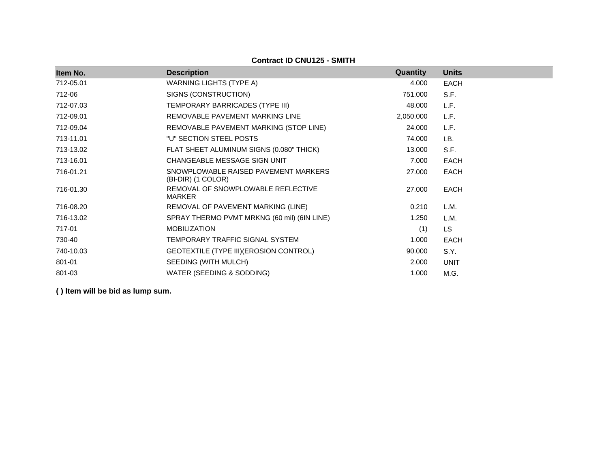**Contract ID CNU125 - SMITH**

| Item No.  | <b>Description</b>                                         | <b>Quantity</b> | <b>Units</b> |
|-----------|------------------------------------------------------------|-----------------|--------------|
| 712-05.01 | <b>WARNING LIGHTS (TYPE A)</b>                             | 4.000           | <b>EACH</b>  |
| 712-06    | SIGNS (CONSTRUCTION)                                       | 751.000         | S.F.         |
| 712-07.03 | TEMPORARY BARRICADES (TYPE III)                            | 48.000          | L.F.         |
| 712-09.01 | REMOVABLE PAVEMENT MARKING LINE                            | 2,050.000       | L.F.         |
| 712-09.04 | REMOVABLE PAVEMENT MARKING (STOP LINE)                     | 24.000          | L.F.         |
| 713-11.01 | "U" SECTION STEEL POSTS                                    | 74.000          | LB.          |
| 713-13.02 | FLAT SHEET ALUMINUM SIGNS (0.080" THICK)                   | 13.000          | S.F.         |
| 713-16.01 | CHANGEABLE MESSAGE SIGN UNIT                               | 7.000           | <b>EACH</b>  |
| 716-01.21 | SNOWPLOWABLE RAISED PAVEMENT MARKERS<br>(BI-DIR) (1 COLOR) | 27,000          | <b>EACH</b>  |
| 716-01.30 | REMOVAL OF SNOWPLOWABLE REFLECTIVE<br><b>MARKER</b>        | 27.000          | <b>EACH</b>  |
| 716-08.20 | REMOVAL OF PAVEMENT MARKING (LINE)                         | 0.210           | L.M.         |
| 716-13.02 | SPRAY THERMO PVMT MRKNG (60 mil) (6IN LINE)                | 1.250           | L.M.         |
| 717-01    | <b>MOBILIZATION</b>                                        | (1)             | <b>LS</b>    |
| 730-40    | TEMPORARY TRAFFIC SIGNAL SYSTEM                            | 1.000           | <b>EACH</b>  |
| 740-10.03 | GEOTEXTILE (TYPE III) (EROSION CONTROL)                    | 90.000          | S.Y.         |
| 801-01    | SEEDING (WITH MULCH)                                       | 2.000           | <b>UNIT</b>  |
| 801-03    | WATER (SEEDING & SODDING)                                  | 1.000           | M.G.         |

**( ) Item will be bid as lump sum.**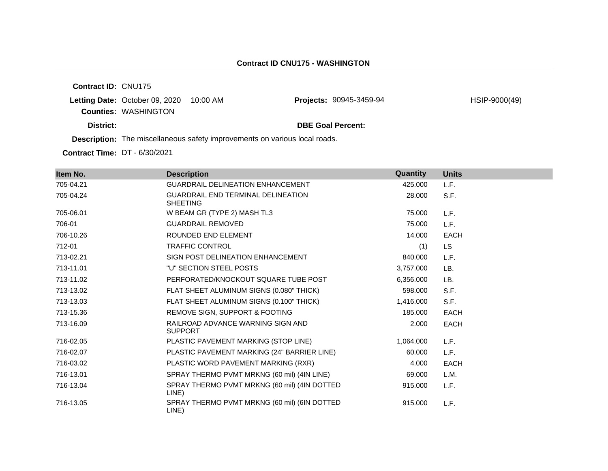**Contract ID:** CNU175

**Letting Date: October 09, 2020 10:00 AM Counties:** WASHINGTON

**Projects:** 90945-3459-94 HSIP-9000(49)

**District: District: DBE Goal Percent:** 

**Description:** The miscellaneous safety improvements on various local roads.

**Contract Time:** DT - 6/30/2021

| Item No.  | <b>Description</b>                                           | Quantity  | <b>Units</b> |
|-----------|--------------------------------------------------------------|-----------|--------------|
| 705-04.21 | <b>GUARDRAIL DELINEATION ENHANCEMENT</b>                     | 425.000   | L.F.         |
| 705-04.24 | <b>GUARDRAIL END TERMINAL DELINEATION</b><br><b>SHEETING</b> | 28,000    | S.F.         |
| 705-06.01 | W BEAM GR (TYPE 2) MASH TL3                                  | 75,000    | L.F.         |
| 706-01    | <b>GUARDRAIL REMOVED</b>                                     | 75.000    | L.F.         |
| 706-10.26 | ROUNDED END ELEMENT                                          | 14.000    | <b>EACH</b>  |
| 712-01    | <b>TRAFFIC CONTROL</b>                                       | (1)       | LS.          |
| 713-02.21 | SIGN POST DELINEATION ENHANCEMENT                            | 840.000   | L.F.         |
| 713-11.01 | "U" SECTION STEEL POSTS                                      | 3,757.000 | LB.          |
| 713-11.02 | PERFORATED/KNOCKOUT SQUARE TUBE POST                         | 6,356.000 | LB.          |
| 713-13.02 | FLAT SHEET ALUMINUM SIGNS (0.080" THICK)                     | 598.000   | S.F.         |
| 713-13.03 | FLAT SHEET ALUMINUM SIGNS (0.100" THICK)                     | 1,416.000 | S.F.         |
| 713-15.36 | REMOVE SIGN, SUPPORT & FOOTING                               | 185,000   | <b>EACH</b>  |
| 713-16.09 | RAILROAD ADVANCE WARNING SIGN AND<br><b>SUPPORT</b>          | 2.000     | EACH         |
| 716-02.05 | PLASTIC PAVEMENT MARKING (STOP LINE)                         | 1,064.000 | L.F.         |
| 716-02.07 | PLASTIC PAVEMENT MARKING (24" BARRIER LINE)                  | 60.000    | L.F.         |
| 716-03.02 | PLASTIC WORD PAVEMENT MARKING (RXR)                          | 4.000     | EACH         |
| 716-13.01 | SPRAY THERMO PVMT MRKNG (60 mil) (4IN LINE)                  | 69.000    | L.M.         |
| 716-13.04 | SPRAY THERMO PVMT MRKNG (60 mil) (4IN DOTTED<br>LINE)        | 915,000   | L.F.         |
| 716-13.05 | SPRAY THERMO PVMT MRKNG (60 mil) (6IN DOTTED<br>LINE)        | 915.000   | L.F.         |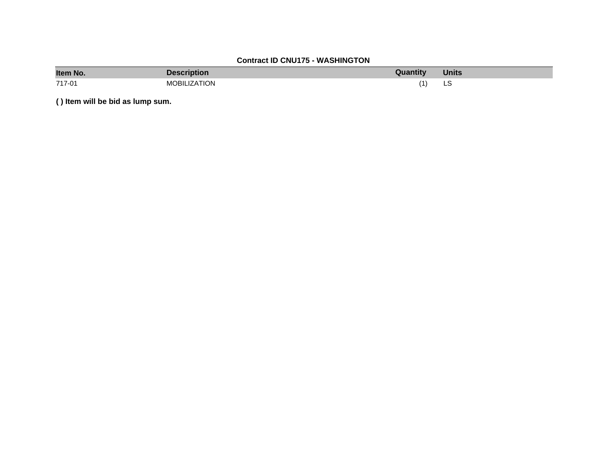# **Contract ID CNU175 - WASHINGTON**

| Item No. | <b>Description</b>  | <b>Quantity</b> | <b>Units</b> |
|----------|---------------------|-----------------|--------------|
| 717-01   | <b>MOBILIZATION</b> | (1)             | LS           |

**( ) Item will be bid as lump sum.**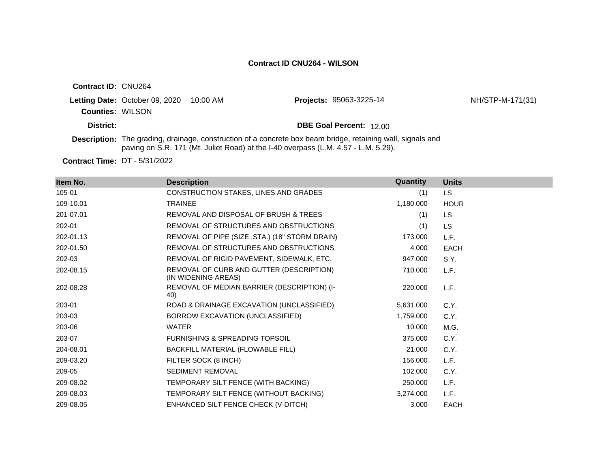| <b>Contract ID: CNU264</b> |                                         |                                                                                    |                                                                                                                    |                  |
|----------------------------|-----------------------------------------|------------------------------------------------------------------------------------|--------------------------------------------------------------------------------------------------------------------|------------------|
| <b>Counties: WILSON</b>    | Letting Date: October 09, 2020 10:00 AM |                                                                                    | <b>Projects: 95063-3225-14</b>                                                                                     | NH/STP-M-171(31) |
| District:                  |                                         |                                                                                    | <b>DBE Goal Percent: 12.00</b>                                                                                     |                  |
|                            |                                         | paving on S.R. 171 (Mt. Juliet Road) at the I-40 overpass (L.M. 4.57 - L.M. 5.29). | <b>Description:</b> The grading, drainage, construction of a concrete box beam bridge, retaining wall, signals and |                  |

**Contract Time:** DT - 5/31/2022

| Item No.  | <b>Description</b>                                              | Quantity  | <b>Units</b> |
|-----------|-----------------------------------------------------------------|-----------|--------------|
| 105-01    | CONSTRUCTION STAKES, LINES AND GRADES                           | (1)       | LS.          |
| 109-10.01 | <b>TRAINEE</b>                                                  | 1,180.000 | <b>HOUR</b>  |
| 201-07.01 | REMOVAL AND DISPOSAL OF BRUSH & TREES                           | (1)       | LS.          |
| 202-01    | REMOVAL OF STRUCTURES AND OBSTRUCTIONS                          | (1)       | <b>LS</b>    |
| 202-01.13 | REMOVAL OF PIPE (SIZE, STA.) (18" STORM DRAIN)                  | 173.000   | L.F.         |
| 202-01.50 | REMOVAL OF STRUCTURES AND OBSTRUCTIONS                          | 4.000     | <b>EACH</b>  |
| 202-03    | REMOVAL OF RIGID PAVEMENT, SIDEWALK, ETC.                       | 947.000   | S.Y.         |
| 202-08.15 | REMOVAL OF CURB AND GUTTER (DESCRIPTION)<br>(IN WIDENING AREAS) | 710.000   | L.F.         |
| 202-08.28 | REMOVAL OF MEDIAN BARRIER (DESCRIPTION) (I-<br>40)              | 220.000   | L.F.         |
| 203-01    | ROAD & DRAINAGE EXCAVATION (UNCLASSIFIED)                       | 5,631.000 | C.Y.         |
| 203-03    | BORROW EXCAVATION (UNCLASSIFIED)                                | 1,759.000 | C.Y.         |
| 203-06    | <b>WATER</b>                                                    | 10.000    | M.G.         |
| 203-07    | <b>FURNISHING &amp; SPREADING TOPSOIL</b>                       | 375,000   | C.Y.         |
| 204-08.01 | BACKFILL MATERIAL (FLOWABLE FILL)                               | 21,000    | C.Y.         |
| 209-03.20 | FILTER SOCK (8 INCH)                                            | 156.000   | L.F.         |
| 209-05    | SEDIMENT REMOVAL                                                | 102.000   | C.Y.         |
| 209-08.02 | TEMPORARY SILT FENCE (WITH BACKING)                             | 250,000   | L.F.         |
| 209-08.03 | TEMPORARY SILT FENCE (WITHOUT BACKING)                          | 3,274.000 | L.F.         |
| 209-08.05 | ENHANCED SILT FENCE CHECK (V-DITCH)                             | 3.000     | <b>EACH</b>  |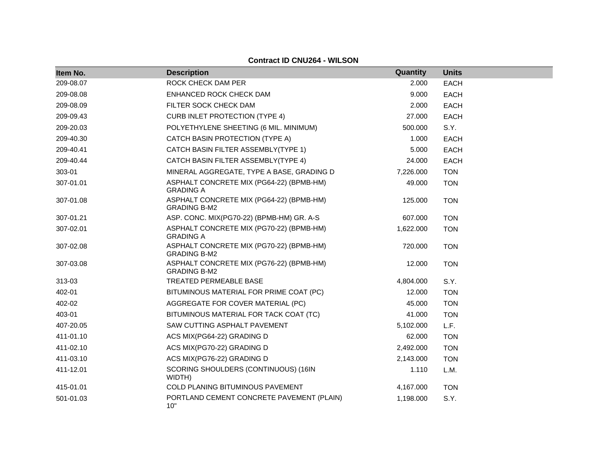| Item No.  | <b>Description</b>                                              | Quantity  | <b>Units</b> |
|-----------|-----------------------------------------------------------------|-----------|--------------|
| 209-08.07 | ROCK CHECK DAM PER                                              | 2.000     | <b>EACH</b>  |
| 209-08.08 | ENHANCED ROCK CHECK DAM                                         | 9.000     | <b>EACH</b>  |
| 209-08.09 | FILTER SOCK CHECK DAM                                           | 2.000     | <b>EACH</b>  |
| 209-09.43 | <b>CURB INLET PROTECTION (TYPE 4)</b>                           | 27.000    | <b>EACH</b>  |
| 209-20.03 | POLYETHYLENE SHEETING (6 MIL. MINIMUM)                          | 500.000   | S.Y.         |
| 209-40.30 | CATCH BASIN PROTECTION (TYPE A)                                 | 1.000     | <b>EACH</b>  |
| 209-40.41 | CATCH BASIN FILTER ASSEMBLY(TYPE 1)                             | 5.000     | <b>EACH</b>  |
| 209-40.44 | CATCH BASIN FILTER ASSEMBLY(TYPE 4)                             | 24.000    | <b>EACH</b>  |
| 303-01    | MINERAL AGGREGATE, TYPE A BASE, GRADING D                       | 7,226.000 | <b>TON</b>   |
| 307-01.01 | ASPHALT CONCRETE MIX (PG64-22) (BPMB-HM)<br><b>GRADING A</b>    | 49.000    | <b>TON</b>   |
| 307-01.08 | ASPHALT CONCRETE MIX (PG64-22) (BPMB-HM)<br><b>GRADING B-M2</b> | 125.000   | <b>TON</b>   |
| 307-01.21 | ASP. CONC. MIX(PG70-22) (BPMB-HM) GR. A-S                       | 607.000   | <b>TON</b>   |
| 307-02.01 | ASPHALT CONCRETE MIX (PG70-22) (BPMB-HM)<br><b>GRADING A</b>    | 1,622.000 | <b>TON</b>   |
| 307-02.08 | ASPHALT CONCRETE MIX (PG70-22) (BPMB-HM)<br><b>GRADING B-M2</b> | 720.000   | <b>TON</b>   |
| 307-03.08 | ASPHALT CONCRETE MIX (PG76-22) (BPMB-HM)<br><b>GRADING B-M2</b> | 12.000    | <b>TON</b>   |
| 313-03    | TREATED PERMEABLE BASE                                          | 4,804.000 | S.Y.         |
| 402-01    | BITUMINOUS MATERIAL FOR PRIME COAT (PC)                         | 12.000    | <b>TON</b>   |
| 402-02    | AGGREGATE FOR COVER MATERIAL (PC)                               | 45.000    | <b>TON</b>   |
| 403-01    | BITUMINOUS MATERIAL FOR TACK COAT (TC)                          | 41.000    | <b>TON</b>   |
| 407-20.05 | SAW CUTTING ASPHALT PAVEMENT                                    | 5,102.000 | L.F.         |
| 411-01.10 | ACS MIX(PG64-22) GRADING D                                      | 62.000    | <b>TON</b>   |
| 411-02.10 | ACS MIX(PG70-22) GRADING D                                      | 2,492.000 | <b>TON</b>   |
| 411-03.10 | ACS MIX(PG76-22) GRADING D                                      | 2,143.000 | <b>TON</b>   |
| 411-12.01 | SCORING SHOULDERS (CONTINUOUS) (16IN<br>WIDTH)                  | 1.110     | L.M.         |
| 415-01.01 | <b>COLD PLANING BITUMINOUS PAVEMENT</b>                         | 4,167.000 | <b>TON</b>   |
| 501-01.03 | PORTLAND CEMENT CONCRETE PAVEMENT (PLAIN)<br>10"                | 1,198.000 | S.Y.         |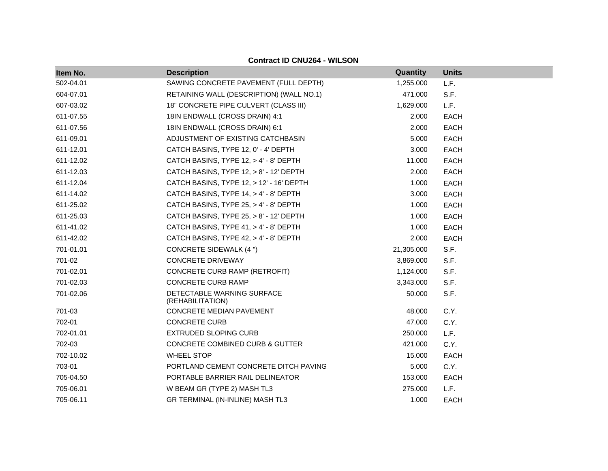| Item No.  | <b>Description</b>                             | Quantity   | <b>Units</b> |
|-----------|------------------------------------------------|------------|--------------|
| 502-04.01 | SAWING CONCRETE PAVEMENT (FULL DEPTH)          | 1,255.000  | L.F.         |
| 604-07.01 | RETAINING WALL (DESCRIPTION) (WALL NO.1)       | 471.000    | S.F.         |
| 607-03.02 | 18" CONCRETE PIPE CULVERT (CLASS III)          | 1,629.000  | L.F.         |
| 611-07.55 | 18IN ENDWALL (CROSS DRAIN) 4:1                 | 2.000      | <b>EACH</b>  |
| 611-07.56 | 18IN ENDWALL (CROSS DRAIN) 6:1                 | 2.000      | <b>EACH</b>  |
| 611-09.01 | ADJUSTMENT OF EXISTING CATCHBASIN              | 5.000      | <b>EACH</b>  |
| 611-12.01 | CATCH BASINS, TYPE 12, 0' - 4' DEPTH           | 3.000      | <b>EACH</b>  |
| 611-12.02 | CATCH BASINS, TYPE 12, > 4' - 8' DEPTH         | 11.000     | <b>EACH</b>  |
| 611-12.03 | CATCH BASINS, TYPE 12, > 8' - 12' DEPTH        | 2.000      | EACH         |
| 611-12.04 | CATCH BASINS, TYPE 12, > 12' - 16' DEPTH       | 1.000      | <b>EACH</b>  |
| 611-14.02 | CATCH BASINS, TYPE 14, > 4' - 8' DEPTH         | 3.000      | EACH         |
| 611-25.02 | CATCH BASINS, TYPE 25, > 4' - 8' DEPTH         | 1.000      | <b>EACH</b>  |
| 611-25.03 | CATCH BASINS, TYPE $25, > 8'$ - 12' DEPTH      | 1.000      | <b>EACH</b>  |
| 611-41.02 | CATCH BASINS, TYPE 41, > 4' - 8' DEPTH         | 1.000      | <b>EACH</b>  |
| 611-42.02 | CATCH BASINS, TYPE 42, > 4' - 8' DEPTH         | 2.000      | <b>EACH</b>  |
| 701-01.01 | CONCRETE SIDEWALK (4 ")                        | 21,305.000 | S.F.         |
| 701-02    | <b>CONCRETE DRIVEWAY</b>                       | 3,869.000  | S.F.         |
| 701-02.01 | CONCRETE CURB RAMP (RETROFIT)                  | 1,124.000  | S.F.         |
| 701-02.03 | <b>CONCRETE CURB RAMP</b>                      | 3,343.000  | S.F.         |
| 701-02.06 | DETECTABLE WARNING SURFACE<br>(REHABILITATION) | 50.000     | S.F.         |
| 701-03    | CONCRETE MEDIAN PAVEMENT                       | 48.000     | C.Y.         |
| 702-01    | <b>CONCRETE CURB</b>                           | 47.000     | C.Y.         |
| 702-01.01 | <b>EXTRUDED SLOPING CURB</b>                   | 250.000    | L.F.         |
| 702-03    | CONCRETE COMBINED CURB & GUTTER                | 421.000    | C.Y.         |
| 702-10.02 | <b>WHEEL STOP</b>                              | 15.000     | <b>EACH</b>  |
| 703-01    | PORTLAND CEMENT CONCRETE DITCH PAVING          | 5.000      | C.Y.         |
| 705-04.50 | PORTABLE BARRIER RAIL DELINEATOR               | 153.000    | <b>EACH</b>  |
| 705-06.01 | W BEAM GR (TYPE 2) MASH TL3                    | 275.000    | L.F.         |
| 705-06.11 | GR TERMINAL (IN-INLINE) MASH TL3               | 1.000      | <b>EACH</b>  |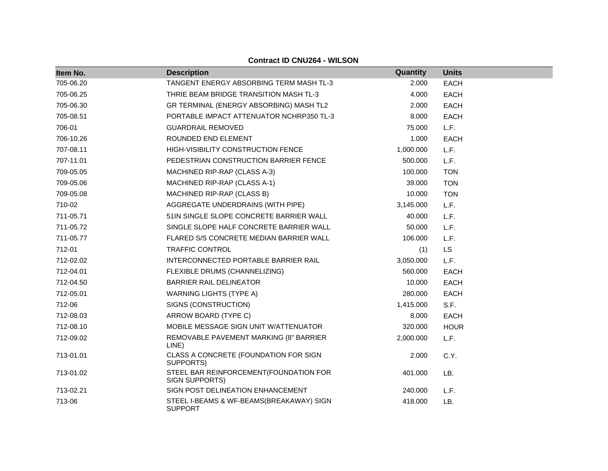| Item No.  | <b>Description</b>                                               | Quantity  | <b>Units</b> |
|-----------|------------------------------------------------------------------|-----------|--------------|
| 705-06.20 | TANGENT ENERGY ABSORBING TERM MASH TL-3                          | 2.000     | <b>EACH</b>  |
| 705-06.25 | THRIE BEAM BRIDGE TRANSITION MASH TL-3                           | 4.000     | <b>EACH</b>  |
| 705-06.30 | GR TERMINAL (ENERGY ABSORBING) MASH TL2                          | 2.000     | <b>EACH</b>  |
| 705-08.51 | PORTABLE IMPACT ATTENUATOR NCHRP350 TL-3                         | 8.000     | <b>EACH</b>  |
| 706-01    | <b>GUARDRAIL REMOVED</b>                                         | 75.000    | L.F.         |
| 706-10.26 | ROUNDED END ELEMENT                                              | 1.000     | <b>EACH</b>  |
| 707-08.11 | HIGH-VISIBILITY CONSTRUCTION FENCE                               | 1,000.000 | L.F.         |
| 707-11.01 | PEDESTRIAN CONSTRUCTION BARRIER FENCE                            | 500.000   | L.F.         |
| 709-05.05 | MACHINED RIP-RAP (CLASS A-3)                                     | 100.000   | <b>TON</b>   |
| 709-05.06 | MACHINED RIP-RAP (CLASS A-1)                                     | 39.000    | <b>TON</b>   |
| 709-05.08 | MACHINED RIP-RAP (CLASS B)                                       | 10.000    | <b>TON</b>   |
| 710-02    | AGGREGATE UNDERDRAINS (WITH PIPE)                                | 3,145.000 | L.F.         |
| 711-05.71 | 51IN SINGLE SLOPE CONCRETE BARRIER WALL                          | 40.000    | L.F.         |
| 711-05.72 | SINGLE SLOPE HALF CONCRETE BARRIER WALL                          | 50.000    | L.F.         |
| 711-05.77 | FLARED S/S CONCRETE MEDIAN BARRIER WALL                          | 106.000   | L.F.         |
| 712-01    | <b>TRAFFIC CONTROL</b>                                           | (1)       | <b>LS</b>    |
| 712-02.02 | INTERCONNECTED PORTABLE BARRIER RAIL                             | 3,050.000 | L.F.         |
| 712-04.01 | FLEXIBLE DRUMS (CHANNELIZING)                                    | 560.000   | <b>EACH</b>  |
| 712-04.50 | <b>BARRIER RAIL DELINEATOR</b>                                   | 10.000    | <b>EACH</b>  |
| 712-05.01 | <b>WARNING LIGHTS (TYPE A)</b>                                   | 280.000   | <b>EACH</b>  |
| 712-06    | SIGNS (CONSTRUCTION)                                             | 1,415.000 | S.F.         |
| 712-08.03 | ARROW BOARD (TYPE C)                                             | 8.000     | <b>EACH</b>  |
| 712-08.10 | MOBILE MESSAGE SIGN UNIT W/ATTENUATOR                            | 320.000   | <b>HOUR</b>  |
| 712-09.02 | REMOVABLE PAVEMENT MARKING (8" BARRIER<br>LINE)                  | 2,000.000 | L.F.         |
| 713-01.01 | CLASS A CONCRETE (FOUNDATION FOR SIGN<br>SUPPORTS)               | 2.000     | C.Y.         |
| 713-01.02 | STEEL BAR REINFORCEMENT (FOUNDATION FOR<br><b>SIGN SUPPORTS)</b> | 401.000   | LB.          |
| 713-02.21 | SIGN POST DELINEATION ENHANCEMENT                                | 240.000   | L.F.         |
| 713-06    | STEEL I-BEAMS & WF-BEAMS(BREAKAWAY) SIGN<br><b>SUPPORT</b>       | 418.000   | LB.          |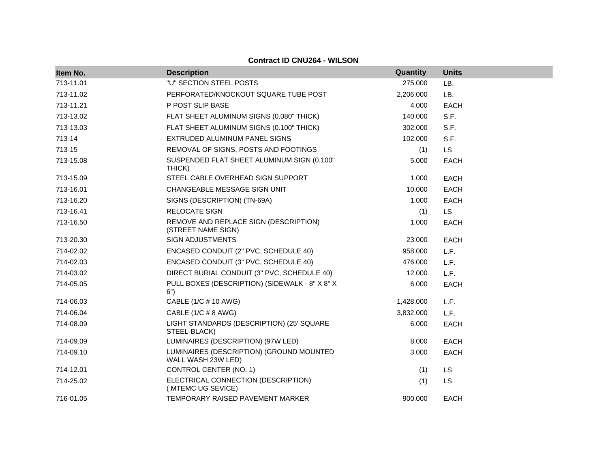| Item No.  | <b>Description</b>                                             | Quantity  | <b>Units</b> |
|-----------|----------------------------------------------------------------|-----------|--------------|
| 713-11.01 | "U" SECTION STEEL POSTS                                        | 275.000   | LB.          |
| 713-11.02 | PERFORATED/KNOCKOUT SQUARE TUBE POST                           | 2,206.000 | LB.          |
| 713-11.21 | P POST SLIP BASE                                               | 4.000     | <b>EACH</b>  |
| 713-13.02 | FLAT SHEET ALUMINUM SIGNS (0.080" THICK)                       | 140.000   | S.F.         |
| 713-13.03 | FLAT SHEET ALUMINUM SIGNS (0.100" THICK)                       | 302.000   | S.F.         |
| 713-14    | EXTRUDED ALUMINUM PANEL SIGNS                                  | 102.000   | S.F.         |
| 713-15    | REMOVAL OF SIGNS, POSTS AND FOOTINGS                           | (1)       | <b>LS</b>    |
| 713-15.08 | SUSPENDED FLAT SHEET ALUMINUM SIGN (0.100"<br>THICK)           | 5.000     | <b>EACH</b>  |
| 713-15.09 | STEEL CABLE OVERHEAD SIGN SUPPORT                              | 1.000     | <b>EACH</b>  |
| 713-16.01 | CHANGEABLE MESSAGE SIGN UNIT                                   | 10.000    | <b>EACH</b>  |
| 713-16.20 | SIGNS (DESCRIPTION) (TN-69A)                                   | 1.000     | <b>EACH</b>  |
| 713-16.41 | <b>RELOCATE SIGN</b>                                           | (1)       | <b>LS</b>    |
| 713-16.50 | REMOVE AND REPLACE SIGN (DESCRIPTION)<br>(STREET NAME SIGN)    | 1.000     | <b>EACH</b>  |
| 713-20.30 | <b>SIGN ADJUSTMENTS</b>                                        | 23.000    | <b>EACH</b>  |
| 714-02.02 | ENCASED CONDUIT (2" PVC, SCHEDULE 40)                          | 958.000   | L.F.         |
| 714-02.03 | ENCASED CONDUIT (3" PVC, SCHEDULE 40)                          | 476.000   | L.F.         |
| 714-03.02 | DIRECT BURIAL CONDUIT (3" PVC, SCHEDULE 40)                    | 12.000    | L.F.         |
| 714-05.05 | PULL BOXES (DESCRIPTION) (SIDEWALK - 8" X 8" X<br>6")          | 6.000     | <b>EACH</b>  |
| 714-06.03 | CABLE (1/C # 10 AWG)                                           | 1,428.000 | L.F.         |
| 714-06.04 | CABLE (1/C # 8 AWG)                                            | 3,832.000 | L.F.         |
| 714-08.09 | LIGHT STANDARDS (DESCRIPTION) (25' SQUARE<br>STEEL-BLACK)      | 6.000     | <b>EACH</b>  |
| 714-09.09 | LUMINAIRES (DESCRIPTION) (97W LED)                             | 8.000     | <b>EACH</b>  |
| 714-09.10 | LUMINAIRES (DESCRIPTION) (GROUND MOUNTED<br>WALL WASH 23W LED) | 3.000     | <b>EACH</b>  |
| 714-12.01 | CONTROL CENTER (NO. 1)                                         | (1)       | <b>LS</b>    |
| 714-25.02 | ELECTRICAL CONNECTION (DESCRIPTION)<br>(MTEMC UG SEVICE)       | (1)       | <b>LS</b>    |
| 716-01.05 | TEMPORARY RAISED PAVEMENT MARKER                               | 900.000   | <b>EACH</b>  |

**Contract ID CNU264 - WILSON**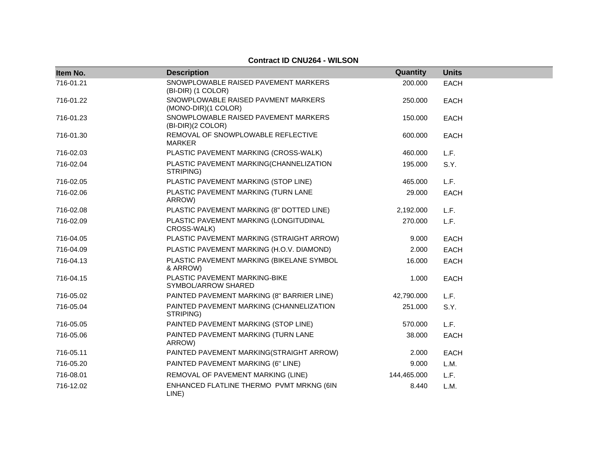| Item No.  | <b>Description</b>                                         | Quantity    | <b>Units</b> |
|-----------|------------------------------------------------------------|-------------|--------------|
| 716-01.21 | SNOWPLOWABLE RAISED PAVEMENT MARKERS<br>(BI-DIR) (1 COLOR) | 200.000     | <b>EACH</b>  |
| 716-01.22 | SNOWPLOWABLE RAISED PAVMENT MARKERS<br>(MONO-DIR)(1 COLOR) | 250,000     | <b>EACH</b>  |
| 716-01.23 | SNOWPLOWABLE RAISED PAVEMENT MARKERS<br>(BI-DIR)(2 COLOR)  | 150.000     | <b>EACH</b>  |
| 716-01.30 | REMOVAL OF SNOWPLOWABLE REFLECTIVE<br><b>MARKER</b>        | 600.000     | <b>EACH</b>  |
| 716-02.03 | PLASTIC PAVEMENT MARKING (CROSS-WALK)                      | 460.000     | L.F.         |
| 716-02.04 | PLASTIC PAVEMENT MARKING(CHANNELIZATION<br>STRIPING)       | 195.000     | S.Y.         |
| 716-02.05 | PLASTIC PAVEMENT MARKING (STOP LINE)                       | 465.000     | L.F.         |
| 716-02.06 | PLASTIC PAVEMENT MARKING (TURN LANE<br>ARROW)              | 29,000      | <b>EACH</b>  |
| 716-02.08 | PLASTIC PAVEMENT MARKING (8" DOTTED LINE)                  | 2,192.000   | L.F.         |
| 716-02.09 | PLASTIC PAVEMENT MARKING (LONGITUDINAL<br>CROSS-WALK)      | 270.000     | L.F.         |
| 716-04.05 | PLASTIC PAVEMENT MARKING (STRAIGHT ARROW)                  | 9.000       | <b>EACH</b>  |
| 716-04.09 | PLASTIC PAVEMENT MARKING (H.O.V. DIAMOND)                  | 2.000       | <b>EACH</b>  |
| 716-04.13 | PLASTIC PAVEMENT MARKING (BIKELANE SYMBOL<br>& ARROW)      | 16.000      | <b>EACH</b>  |
| 716-04.15 | PLASTIC PAVEMENT MARKING-BIKE<br>SYMBOL/ARROW SHARED       | 1.000       | <b>EACH</b>  |
| 716-05.02 | PAINTED PAVEMENT MARKING (8" BARRIER LINE)                 | 42,790.000  | L.F.         |
| 716-05.04 | PAINTED PAVEMENT MARKING (CHANNELIZATION<br>STRIPING)      | 251.000     | S.Y.         |
| 716-05.05 | PAINTED PAVEMENT MARKING (STOP LINE)                       | 570.000     | L.F.         |
| 716-05.06 | PAINTED PAVEMENT MARKING (TURN LANE<br>ARROW)              | 38.000      | <b>EACH</b>  |
| 716-05.11 | PAINTED PAVEMENT MARKING(STRAIGHT ARROW)                   | 2.000       | <b>EACH</b>  |
| 716-05.20 | PAINTED PAVEMENT MARKING (6" LINE)                         | 9.000       | L.M.         |
| 716-08.01 | REMOVAL OF PAVEMENT MARKING (LINE)                         | 144,465.000 | L.F.         |
| 716-12.02 | ENHANCED FLATLINE THERMO PVMT MRKNG (6IN<br>LINE)          | 8.440       | L.M.         |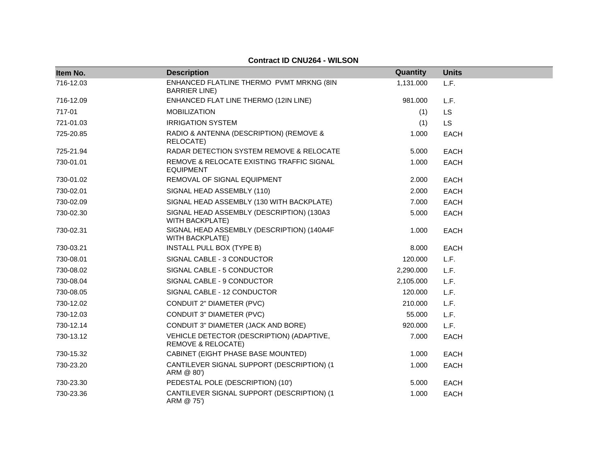| Item No.  | <b>Description</b>                                                         | Quantity  | <b>Units</b> |
|-----------|----------------------------------------------------------------------------|-----------|--------------|
| 716-12.03 | ENHANCED FLATLINE THERMO PVMT MRKNG (8IN<br><b>BARRIER LINE</b> )          | 1,131.000 | L.F.         |
| 716-12.09 | ENHANCED FLAT LINE THERMO (12IN LINE)                                      | 981.000   | L.F.         |
| 717-01    | <b>MOBILIZATION</b>                                                        | (1)       | LS           |
| 721-01.03 | <b>IRRIGATION SYSTEM</b>                                                   | (1)       | <b>LS</b>    |
| 725-20.85 | RADIO & ANTENNA (DESCRIPTION) (REMOVE &<br>RELOCATE)                       | 1.000     | <b>EACH</b>  |
| 725-21.94 | RADAR DETECTION SYSTEM REMOVE & RELOCATE                                   | 5.000     | <b>EACH</b>  |
| 730-01.01 | REMOVE & RELOCATE EXISTING TRAFFIC SIGNAL<br><b>EQUIPMENT</b>              | 1.000     | <b>EACH</b>  |
| 730-01.02 | REMOVAL OF SIGNAL EQUIPMENT                                                | 2.000     | <b>EACH</b>  |
| 730-02.01 | SIGNAL HEAD ASSEMBLY (110)                                                 | 2.000     | <b>EACH</b>  |
| 730-02.09 | SIGNAL HEAD ASSEMBLY (130 WITH BACKPLATE)                                  | 7.000     | <b>EACH</b>  |
| 730-02.30 | SIGNAL HEAD ASSEMBLY (DESCRIPTION) (130A3<br><b>WITH BACKPLATE)</b>        | 5.000     | <b>EACH</b>  |
| 730-02.31 | SIGNAL HEAD ASSEMBLY (DESCRIPTION) (140A4F<br><b>WITH BACKPLATE)</b>       | 1.000     | <b>EACH</b>  |
| 730-03.21 | INSTALL PULL BOX (TYPE B)                                                  | 8.000     | EACH         |
| 730-08.01 | SIGNAL CABLE - 3 CONDUCTOR                                                 | 120.000   | L.F.         |
| 730-08.02 | SIGNAL CABLE - 5 CONDUCTOR                                                 | 2,290.000 | L.F.         |
| 730-08.04 | SIGNAL CABLE - 9 CONDUCTOR                                                 | 2,105.000 | L.F.         |
| 730-08.05 | SIGNAL CABLE - 12 CONDUCTOR                                                | 120.000   | L.F.         |
| 730-12.02 | CONDUIT 2" DIAMETER (PVC)                                                  | 210,000   | L.F.         |
| 730-12.03 | CONDUIT 3" DIAMETER (PVC)                                                  | 55.000    | L.F.         |
| 730-12.14 | CONDUIT 3" DIAMETER (JACK AND BORE)                                        | 920.000   | L.F.         |
| 730-13.12 | VEHICLE DETECTOR (DESCRIPTION) (ADAPTIVE,<br><b>REMOVE &amp; RELOCATE)</b> | 7.000     | <b>EACH</b>  |
| 730-15.32 | CABINET (EIGHT PHASE BASE MOUNTED)                                         | 1.000     | <b>EACH</b>  |
| 730-23.20 | CANTILEVER SIGNAL SUPPORT (DESCRIPTION) (1<br>ARM @ 80')                   | 1.000     | <b>EACH</b>  |
| 730-23.30 | PEDESTAL POLE (DESCRIPTION) (10')                                          | 5.000     | EACH         |
| 730-23.36 | CANTILEVER SIGNAL SUPPORT (DESCRIPTION) (1<br>ARM @ 75')                   | 1.000     | <b>EACH</b>  |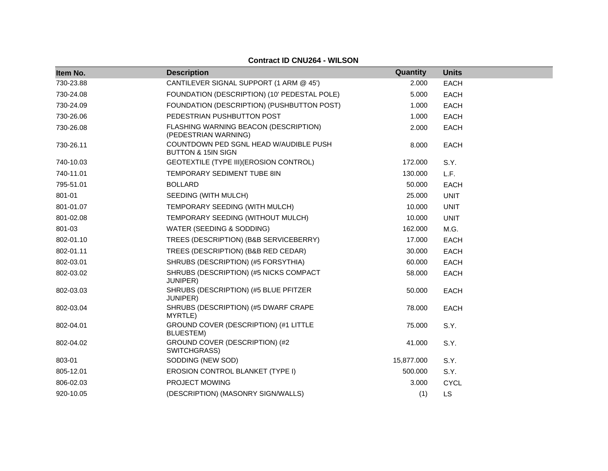| Item No.  | <b>Description</b>                                                      | Quantity   | <b>Units</b> |
|-----------|-------------------------------------------------------------------------|------------|--------------|
| 730-23.88 | CANTILEVER SIGNAL SUPPORT (1 ARM @ 45')                                 | 2.000      | <b>EACH</b>  |
| 730-24.08 | FOUNDATION (DESCRIPTION) (10' PEDESTAL POLE)                            | 5.000      | <b>EACH</b>  |
| 730-24.09 | FOUNDATION (DESCRIPTION) (PUSHBUTTON POST)                              | 1.000      | EACH         |
| 730-26.06 | PEDESTRIAN PUSHBUTTON POST                                              | 1.000      | <b>EACH</b>  |
| 730-26.08 | FLASHING WARNING BEACON (DESCRIPTION)<br>(PEDESTRIAN WARNING)           | 2.000      | <b>EACH</b>  |
| 730-26.11 | COUNTDOWN PED SGNL HEAD W/AUDIBLE PUSH<br><b>BUTTON &amp; 15IN SIGN</b> | 8.000      | <b>EACH</b>  |
| 740-10.03 | GEOTEXTILE (TYPE III) (EROSION CONTROL)                                 | 172.000    | S.Y.         |
| 740-11.01 | TEMPORARY SEDIMENT TUBE 8IN                                             | 130.000    | L.F.         |
| 795-51.01 | <b>BOLLARD</b>                                                          | 50.000     | EACH         |
| 801-01    | SEEDING (WITH MULCH)                                                    | 25,000     | <b>UNIT</b>  |
| 801-01.07 | TEMPORARY SEEDING (WITH MULCH)                                          | 10.000     | <b>UNIT</b>  |
| 801-02.08 | TEMPORARY SEEDING (WITHOUT MULCH)                                       | 10.000     | <b>UNIT</b>  |
| 801-03    | WATER (SEEDING & SODDING)                                               | 162.000    | M.G.         |
| 802-01.10 | TREES (DESCRIPTION) (B&B SERVICEBERRY)                                  | 17.000     | EACH         |
| 802-01.11 | TREES (DESCRIPTION) (B&B RED CEDAR)                                     | 30.000     | EACH         |
| 802-03.01 | SHRUBS (DESCRIPTION) (#5 FORSYTHIA)                                     | 60.000     | <b>EACH</b>  |
| 802-03.02 | SHRUBS (DESCRIPTION) (#5 NICKS COMPACT<br>JUNIPER)                      | 58,000     | <b>EACH</b>  |
| 802-03.03 | SHRUBS (DESCRIPTION) (#5 BLUE PFITZER<br>JUNIPER)                       | 50.000     | <b>EACH</b>  |
| 802-03.04 | SHRUBS (DESCRIPTION) (#5 DWARF CRAPE<br>MYRTLE)                         | 78.000     | <b>EACH</b>  |
| 802-04.01 | GROUND COVER (DESCRIPTION) (#1 LITTLE<br>BLUESTEM)                      | 75.000     | S.Y.         |
| 802-04.02 | GROUND COVER (DESCRIPTION) (#2<br>SWITCHGRASS)                          | 41.000     | S.Y.         |
| 803-01    | SODDING (NEW SOD)                                                       | 15,877.000 | S.Y.         |
| 805-12.01 | <b>EROSION CONTROL BLANKET (TYPE I)</b>                                 | 500.000    | S.Y.         |
| 806-02.03 | PROJECT MOWING                                                          | 3.000      | <b>CYCL</b>  |
| 920-10.05 | (DESCRIPTION) (MASONRY SIGN/WALLS)                                      | (1)        | <b>LS</b>    |